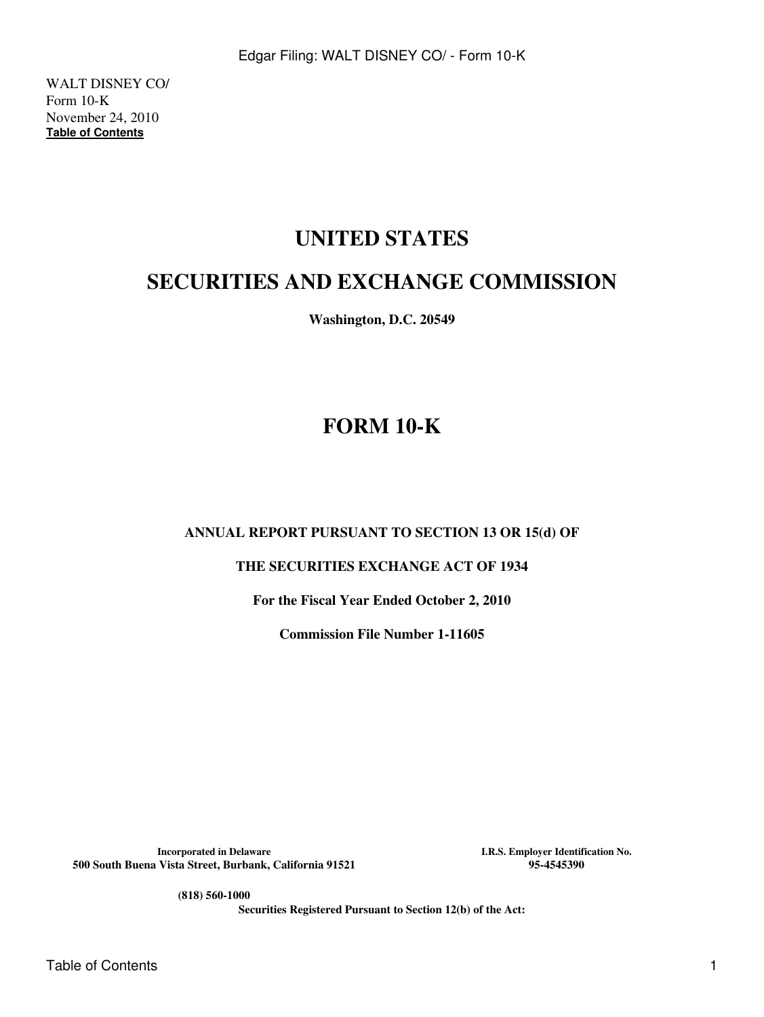WALT DISNEY CO/ Form 10-K November 24, 2010 **[Table of Contents](#page-3-0)**

# **UNITED STATES**

# **SECURITIES AND EXCHANGE COMMISSION**

**Washington, D.C. 20549**

# **FORM 10-K**

# **ANNUAL REPORT PURSUANT TO SECTION 13 OR 15(d) OF**

# **THE SECURITIES EXCHANGE ACT OF 1934**

**For the Fiscal Year Ended October 2, 2010**

**Commission File Number 1-11605**

**Incorporated in Delaware I.R.S. Employer Identification No. 500 South Buena Vista Street, Burbank, California 91521**

**95-4545390**

**(818) 560-1000**

**Securities Registered Pursuant to Section 12(b) of the Act:**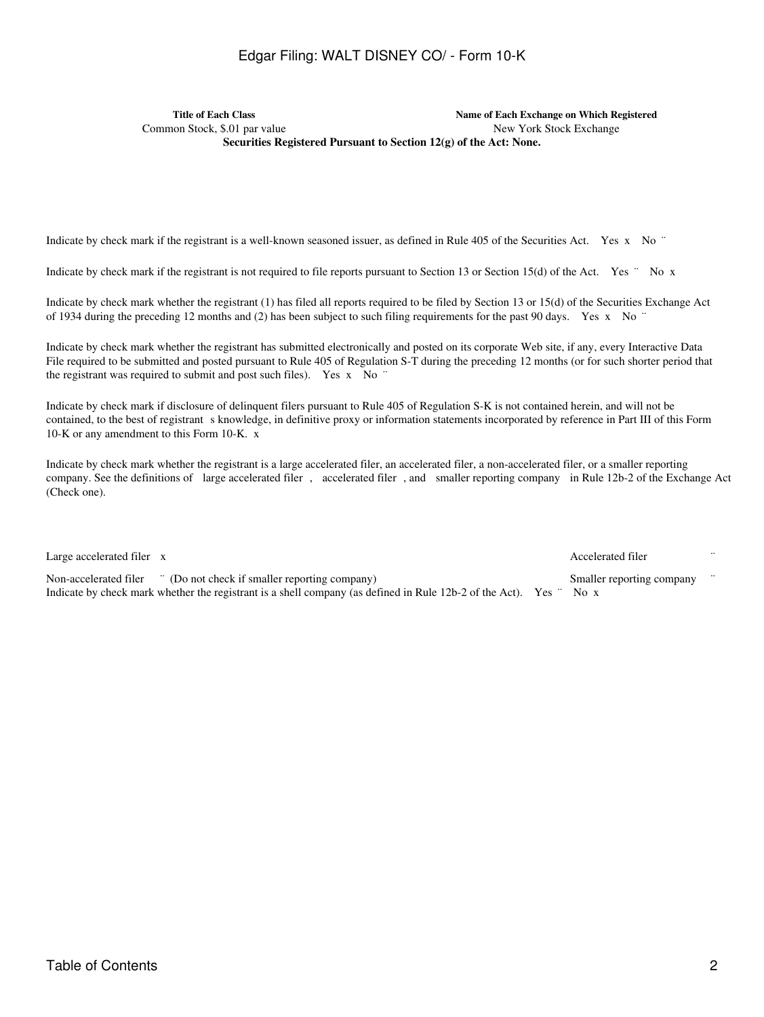#### **Title of Each Class Name of Each Exchange on Which Registered** Common Stock, \$.01 par value New York Stock Exchange **Securities Registered Pursuant to Section 12(g) of the Act: None.**

Indicate by check mark if the registrant is a well-known seasoned issuer, as defined in Rule 405 of the Securities Act. Yes x No ¨

Indicate by check mark if the registrant is not required to file reports pursuant to Section 13 or Section 15(d) of the Act. Yes  $\degree$  No x

Indicate by check mark whether the registrant (1) has filed all reports required to be filed by Section 13 or 15(d) of the Securities Exchange Act of 1934 during the preceding 12 months and (2) has been subject to such filing requirements for the past 90 days. Yes x No ¨

Indicate by check mark whether the registrant has submitted electronically and posted on its corporate Web site, if any, every Interactive Data File required to be submitted and posted pursuant to Rule 405 of Regulation S-T during the preceding 12 months (or for such shorter period that the registrant was required to submit and post such files). Yes x No  $\cdot$ 

Indicate by check mark if disclosure of delinquent filers pursuant to Rule 405 of Regulation S-K is not contained herein, and will not be contained, to the best of registrant s knowledge, in definitive proxy or information statements incorporated by reference in Part III of this Form 10-K or any amendment to this Form 10-K. x

Indicate by check mark whether the registrant is a large accelerated filer, an accelerated filer, a non-accelerated filer, or a smaller reporting company. See the definitions of large accelerated filer, accelerated filer, and smaller reporting company in Rule 12b-2 of the Exchange Act (Check one).

Large accelerated filer v and the set of the set of the set of the set of the set of the set of the set of the set of the set of the set of the set of the set of the set of the set of the set of the set of the set of the s Non-accelerated filer  $\therefore$  (Do not check if smaller reporting company) Smaller reporting company Indicate by check mark whether the registrant is a shell company (as defined in Rule 12b-2 of the Act). Yes " No x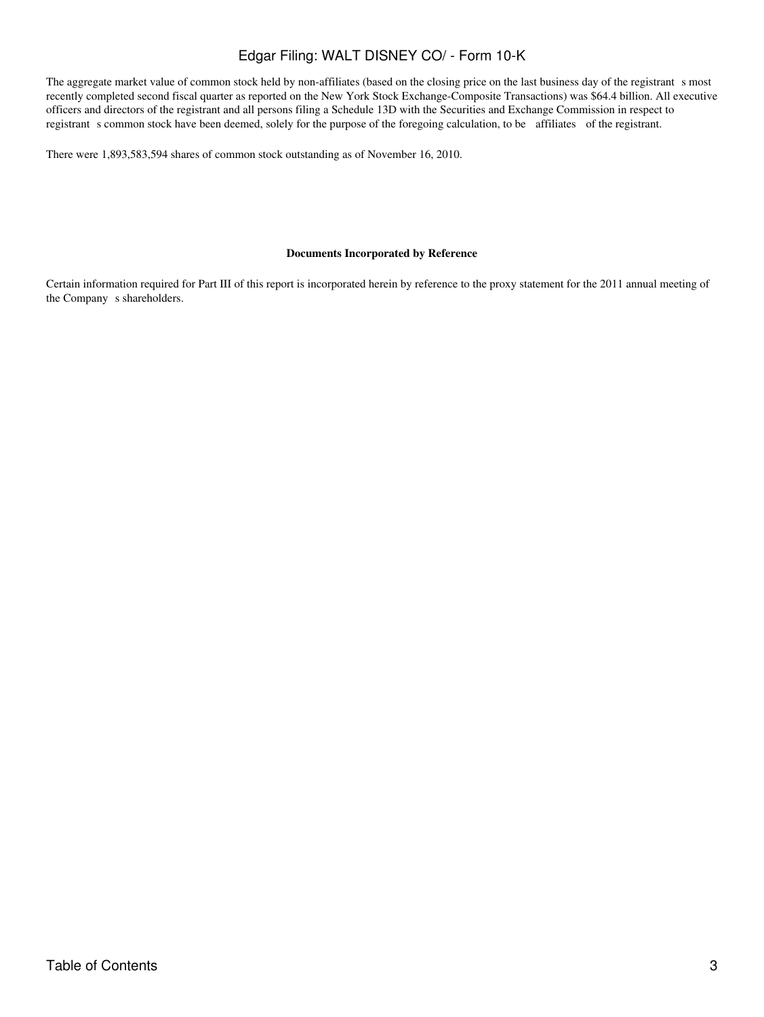The aggregate market value of common stock held by non-affiliates (based on the closing price on the last business day of the registrant s most recently completed second fiscal quarter as reported on the New York Stock Exchange-Composite Transactions) was \$64.4 billion. All executive officers and directors of the registrant and all persons filing a Schedule 13D with the Securities and Exchange Commission in respect to registrant s common stock have been deemed, solely for the purpose of the foregoing calculation, to be affiliates of the registrant.

There were 1,893,583,594 shares of common stock outstanding as of November 16, 2010.

#### **Documents Incorporated by Reference**

Certain information required for Part III of this report is incorporated herein by reference to the proxy statement for the 2011 annual meeting of the Company s shareholders.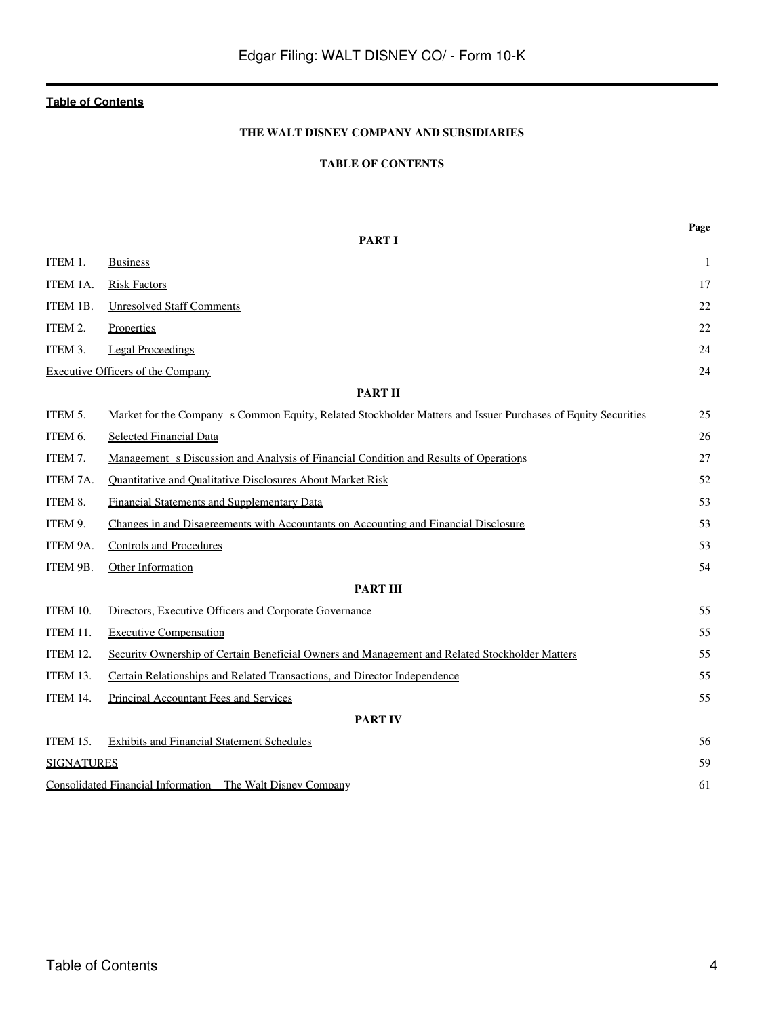# **THE WALT DISNEY COMPANY AND SUBSIDIARIES**

# **TABLE OF CONTENTS**

<span id="page-3-0"></span>

|                                                            |                                                                                                               | Page |
|------------------------------------------------------------|---------------------------------------------------------------------------------------------------------------|------|
|                                                            | <b>PART I</b>                                                                                                 |      |
| ITEM 1.                                                    | <b>Business</b>                                                                                               | 1    |
| ITEM 1A.                                                   | <b>Risk Factors</b>                                                                                           | 17   |
| ITEM 1B.                                                   | <b>Unresolved Staff Comments</b>                                                                              | 22   |
| ITEM 2.                                                    | Properties                                                                                                    | 22   |
| ITEM 3.                                                    | <b>Legal Proceedings</b>                                                                                      | 24   |
|                                                            | <b>Executive Officers of the Company</b>                                                                      | 24   |
|                                                            | <b>PART II</b>                                                                                                |      |
| ITEM 5.                                                    | Market for the Company s Common Equity, Related Stockholder Matters and Issuer Purchases of Equity Securities | 25   |
| ITEM 6.                                                    | Selected Financial Data                                                                                       | 26   |
| ITEM 7.                                                    | Management s Discussion and Analysis of Financial Condition and Results of Operations                         | 27   |
| ITEM 7A.                                                   | Quantitative and Qualitative Disclosures About Market Risk                                                    | 52   |
| ITEM 8.                                                    | <b>Financial Statements and Supplementary Data</b>                                                            | 53   |
| ITEM 9.                                                    | Changes in and Disagreements with Accountants on Accounting and Financial Disclosure                          | 53   |
| ITEM 9A.                                                   | <b>Controls and Procedures</b>                                                                                | 53   |
| ITEM 9B.                                                   | Other Information                                                                                             | 54   |
|                                                            | <b>PART III</b>                                                                                               |      |
| ITEM 10.                                                   | Directors, Executive Officers and Corporate Governance                                                        | 55   |
| ITEM 11.                                                   | <b>Executive Compensation</b>                                                                                 | 55   |
| ITEM 12.                                                   | Security Ownership of Certain Beneficial Owners and Management and Related Stockholder Matters                | 55   |
| ITEM 13.                                                   | Certain Relationships and Related Transactions, and Director Independence                                     | 55   |
| ITEM 14.                                                   | Principal Accountant Fees and Services                                                                        | 55   |
|                                                            | <b>PART IV</b>                                                                                                |      |
| <b>ITEM 15.</b>                                            | <b>Exhibits and Financial Statement Schedules</b>                                                             | 56   |
| <b>SIGNATURES</b>                                          |                                                                                                               | 59   |
| Consolidated Financial Information The Walt Disney Company |                                                                                                               | 61   |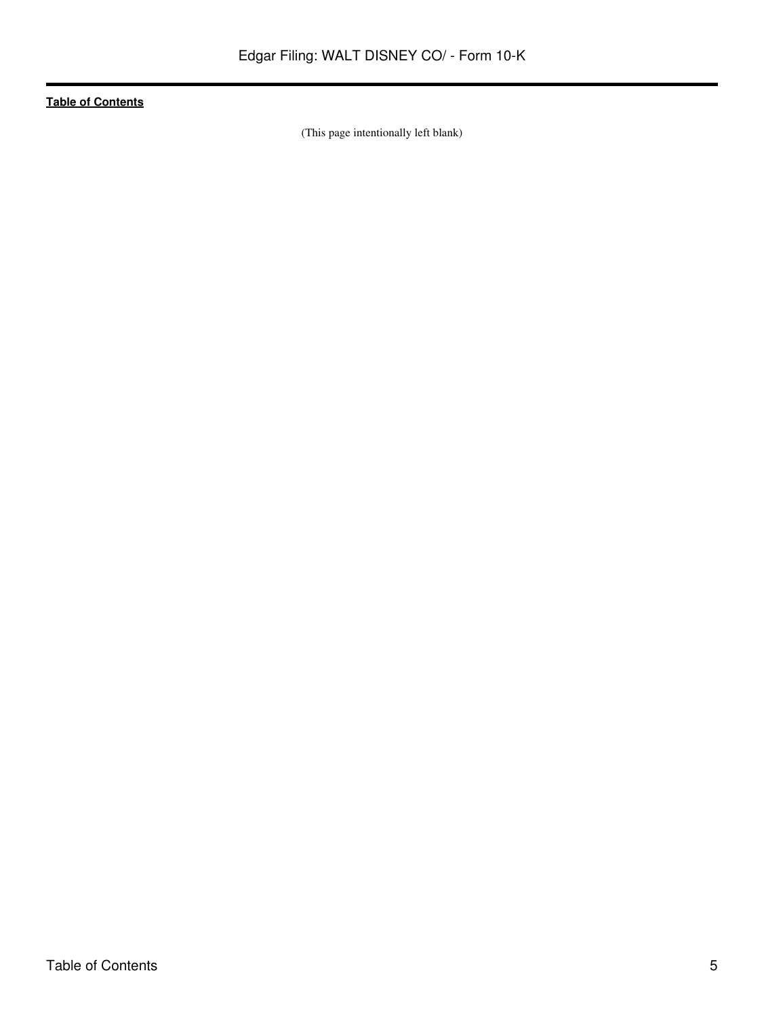(This page intentionally left blank)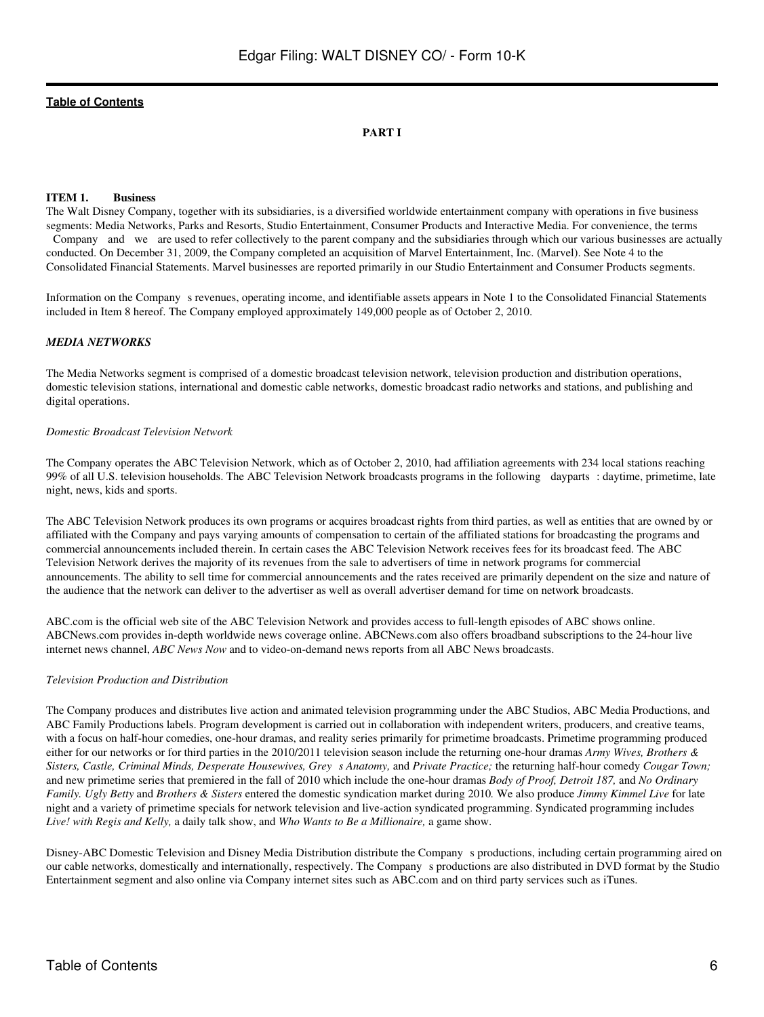### **PART I**

### <span id="page-5-0"></span>**ITEM 1. Business**

The Walt Disney Company, together with its subsidiaries, is a diversified worldwide entertainment company with operations in five business segments: Media Networks, Parks and Resorts, Studio Entertainment, Consumer Products and Interactive Media. For convenience, the terms Company and we are used to refer collectively to the parent company and the subsidiaries through which our various businesses are actually conducted. On December 31, 2009, the Company completed an acquisition of Marvel Entertainment, Inc. (Marvel). See Note 4 to the Consolidated Financial Statements. Marvel businesses are reported primarily in our Studio Entertainment and Consumer Products segments.

Information on the Companys revenues, operating income, and identifiable assets appears in Note 1 to the Consolidated Financial Statements included in Item 8 hereof. The Company employed approximately 149,000 people as of October 2, 2010.

### *MEDIA NETWORKS*

The Media Networks segment is comprised of a domestic broadcast television network, television production and distribution operations, domestic television stations, international and domestic cable networks, domestic broadcast radio networks and stations, and publishing and digital operations.

### *Domestic Broadcast Television Network*

The Company operates the ABC Television Network, which as of October 2, 2010, had affiliation agreements with 234 local stations reaching 99% of all U.S. television households. The ABC Television Network broadcasts programs in the following dayparts: daytime, primetime, late night, news, kids and sports.

The ABC Television Network produces its own programs or acquires broadcast rights from third parties, as well as entities that are owned by or affiliated with the Company and pays varying amounts of compensation to certain of the affiliated stations for broadcasting the programs and commercial announcements included therein. In certain cases the ABC Television Network receives fees for its broadcast feed. The ABC Television Network derives the majority of its revenues from the sale to advertisers of time in network programs for commercial announcements. The ability to sell time for commercial announcements and the rates received are primarily dependent on the size and nature of the audience that the network can deliver to the advertiser as well as overall advertiser demand for time on network broadcasts.

ABC.com is the official web site of the ABC Television Network and provides access to full-length episodes of ABC shows online. ABCNews.com provides in-depth worldwide news coverage online. ABCNews.com also offers broadband subscriptions to the 24-hour live internet news channel, *ABC News Now* and to video-on-demand news reports from all ABC News broadcasts.

### *Television Production and Distribution*

The Company produces and distributes live action and animated television programming under the ABC Studios, ABC Media Productions, and ABC Family Productions labels. Program development is carried out in collaboration with independent writers, producers, and creative teams, with a focus on half-hour comedies, one-hour dramas, and reality series primarily for primetime broadcasts. Primetime programming produced either for our networks or for third parties in the 2010/2011 television season include the returning one-hour dramas *Army Wives, Brothers & Sisters, Castle, Criminal Minds, Desperate Housewives, Greys Anatomy,* and *Private Practice;* the returning half-hour comedy *Cougar Town;* and new primetime series that premiered in the fall of 2010 which include the one-hour dramas *Body of Proof, Detroit 187,* and *No Ordinary Family. Ugly Betty* and *Brothers & Sisters* entered the domestic syndication market during 2010*.* We also produce *Jimmy Kimmel Live* for late night and a variety of primetime specials for network television and live-action syndicated programming. Syndicated programming includes *Live! with Regis and Kelly,* a daily talk show, and *Who Wants to Be a Millionaire,* a game show.

Disney-ABC Domestic Television and Disney Media Distribution distribute the Companys productions, including certain programming aired on our cable networks, domestically and internationally, respectively. The Companys productions are also distributed in DVD format by the Studio Entertainment segment and also online via Company internet sites such as ABC.com and on third party services such as iTunes.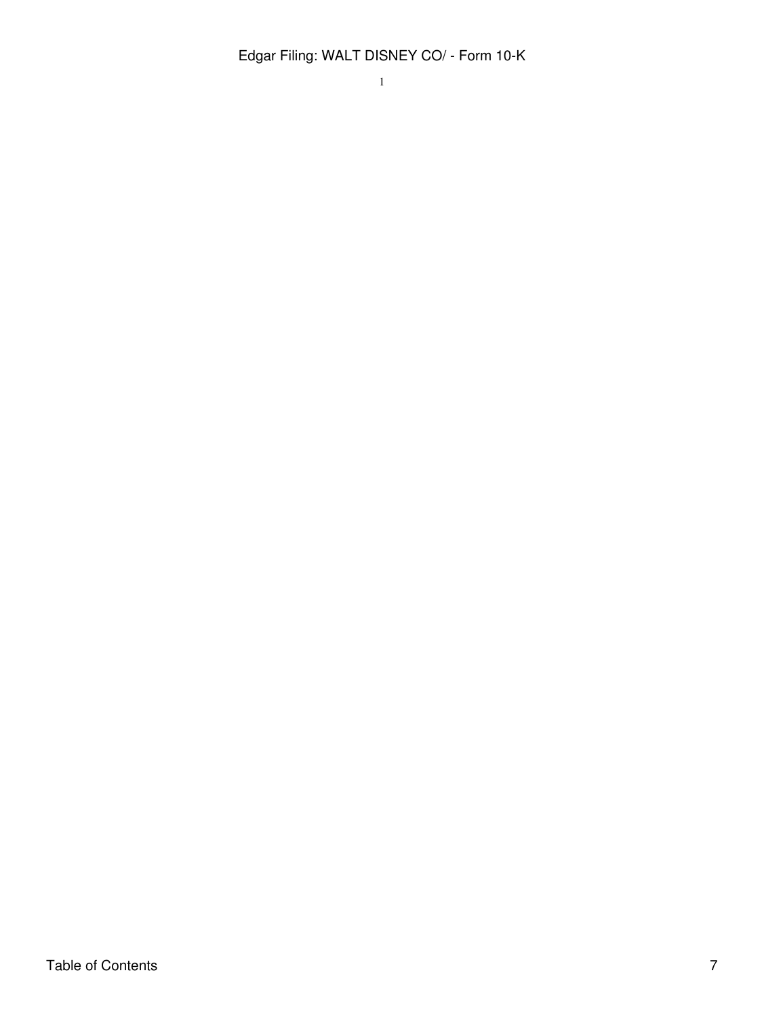1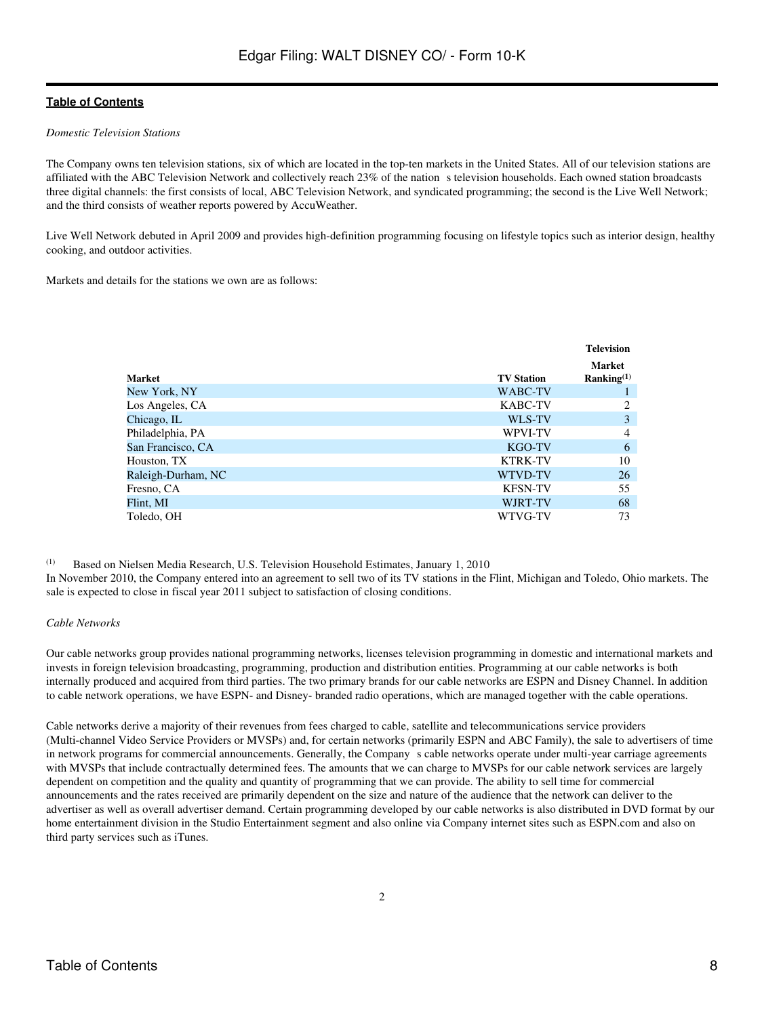#### *Domestic Television Stations*

The Company owns ten television stations, six of which are located in the top-ten markets in the United States. All of our television stations are affiliated with the ABC Television Network and collectively reach 23% of the nation s television households. Each owned station broadcasts three digital channels: the first consists of local, ABC Television Network, and syndicated programming; the second is the Live Well Network; and the third consists of weather reports powered by AccuWeather.

Live Well Network debuted in April 2009 and provides high-definition programming focusing on lifestyle topics such as interior design, healthy cooking, and outdoor activities.

Markets and details for the stations we own are as follows:

| <b>Television</b>                |
|----------------------------------|
| Market<br>Ranking <sup>(1)</sup> |
|                                  |
|                                  |
| 3                                |
| 4                                |
| 6                                |
| 10                               |
| 26                               |
| 55                               |
| 68                               |
| 73                               |
|                                  |

Based on Nielsen Media Research, U.S. Television Household Estimates, January 1, 2010 In November 2010, the Company entered into an agreement to sell two of its TV stations in the Flint, Michigan and Toledo, Ohio markets. The sale is expected to close in fiscal year 2011 subject to satisfaction of closing conditions.

### *Cable Networks*

Our cable networks group provides national programming networks, licenses television programming in domestic and international markets and invests in foreign television broadcasting, programming, production and distribution entities. Programming at our cable networks is both internally produced and acquired from third parties. The two primary brands for our cable networks are ESPN and Disney Channel. In addition to cable network operations, we have ESPN- and Disney- branded radio operations, which are managed together with the cable operations.

Cable networks derive a majority of their revenues from fees charged to cable, satellite and telecommunications service providers (Multi-channel Video Service Providers or MVSPs) and, for certain networks (primarily ESPN and ABC Family), the sale to advertisers of time in network programs for commercial announcements. Generally, the Company s cable networks operate under multi-year carriage agreements with MVSPs that include contractually determined fees. The amounts that we can charge to MVSPs for our cable network services are largely dependent on competition and the quality and quantity of programming that we can provide. The ability to sell time for commercial announcements and the rates received are primarily dependent on the size and nature of the audience that the network can deliver to the advertiser as well as overall advertiser demand. Certain programming developed by our cable networks is also distributed in DVD format by our home entertainment division in the Studio Entertainment segment and also online via Company internet sites such as ESPN.com and also on third party services such as iTunes.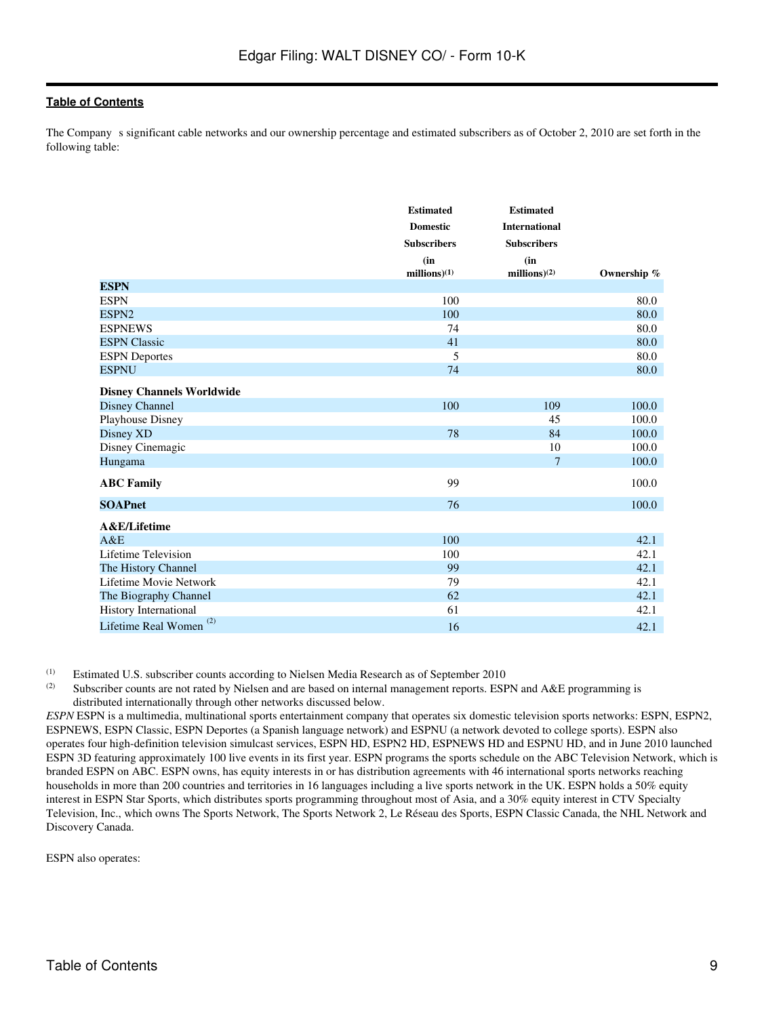The Company s significant cable networks and our ownership percentage and estimated subscribers as of October 2, 2010 are set forth in the following table:

|                                    | <b>Estimated</b><br><b>Domestic</b> | <b>Estimated</b><br><b>International</b> |             |
|------------------------------------|-------------------------------------|------------------------------------------|-------------|
|                                    | <b>Subscribers</b>                  | <b>Subscribers</b>                       |             |
|                                    | (in<br>millions) $(1)$              | (in<br>millions) $(2)$                   | Ownership % |
| <b>ESPN</b>                        |                                     |                                          |             |
| <b>ESPN</b>                        | 100                                 |                                          | 80.0        |
| ESPN <sub>2</sub>                  | 100                                 |                                          | 80.0        |
| <b>ESPNEWS</b>                     | 74                                  |                                          | 80.0        |
| <b>ESPN Classic</b>                | 41                                  |                                          | 80.0        |
| <b>ESPN</b> Deportes               | 5                                   |                                          | 80.0        |
| <b>ESPNU</b>                       | 74                                  |                                          | 80.0        |
| <b>Disney Channels Worldwide</b>   |                                     |                                          |             |
| Disney Channel                     | 100                                 | 109                                      | 100.0       |
| Playhouse Disney                   |                                     | 45                                       | 100.0       |
| Disney XD                          | 78                                  | 84                                       | 100.0       |
| Disney Cinemagic                   |                                     | 10                                       | 100.0       |
| Hungama                            |                                     | 7                                        | 100.0       |
| <b>ABC Family</b>                  | 99                                  |                                          | 100.0       |
| <b>SOAPnet</b>                     | 76                                  |                                          | 100.0       |
| A&E/Lifetime                       |                                     |                                          |             |
| A&E                                | 100                                 |                                          | 42.1        |
| Lifetime Television                | 100                                 |                                          | 42.1        |
| The History Channel                | 99                                  |                                          | 42.1        |
| Lifetime Movie Network             | 79                                  |                                          | 42.1        |
| The Biography Channel              | 62                                  |                                          | 42.1        |
| History International              | 61                                  |                                          | 42.1        |
| Lifetime Real Women <sup>(2)</sup> | 16                                  |                                          | 42.1        |

(1) Estimated U.S. subscriber counts according to Nielsen Media Research as of September 2010<br>(2) Subscriber counts are not rated by Nielsen and are based on internal management reports. ESB

Subscriber counts are not rated by Nielsen and are based on internal management reports. ESPN and A&E programming is distributed internationally through other networks discussed below.

*ESPN* ESPN is a multimedia, multinational sports entertainment company that operates six domestic television sports networks: ESPN, ESPN2, ESPNEWS, ESPN Classic, ESPN Deportes (a Spanish language network) and ESPNU (a network devoted to college sports). ESPN also operates four high-definition television simulcast services, ESPN HD, ESPN2 HD, ESPNEWS HD and ESPNU HD, and in June 2010 launched ESPN 3D featuring approximately 100 live events in its first year. ESPN programs the sports schedule on the ABC Television Network, which is branded ESPN on ABC. ESPN owns, has equity interests in or has distribution agreements with 46 international sports networks reaching households in more than 200 countries and territories in 16 languages including a live sports network in the UK. ESPN holds a 50% equity interest in ESPN Star Sports, which distributes sports programming throughout most of Asia, and a 30% equity interest in CTV Specialty Television, Inc., which owns The Sports Network, The Sports Network 2, Le Réseau des Sports, ESPN Classic Canada, the NHL Network and Discovery Canada.

ESPN also operates: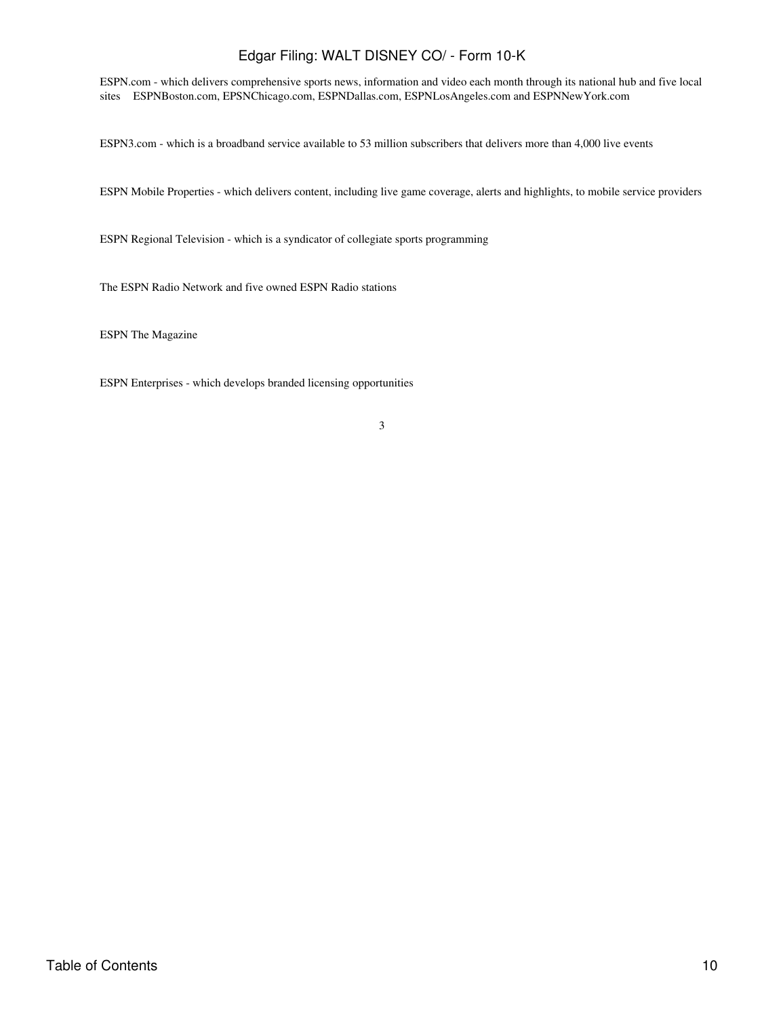ESPN.com - which delivers comprehensive sports news, information and video each month through its national hub and five local sites ESPNBoston.com, EPSNChicago.com, ESPNDallas.com, ESPNLosAngeles.com and ESPNNewYork.com

ESPN3.com - which is a broadband service available to 53 million subscribers that delivers more than 4,000 live events

ESPN Mobile Properties - which delivers content, including live game coverage, alerts and highlights, to mobile service providers

ESPN Regional Television - which is a syndicator of collegiate sports programming

The ESPN Radio Network and five owned ESPN Radio stations

ESPN The Magazine

ESPN Enterprises - which develops branded licensing opportunities

3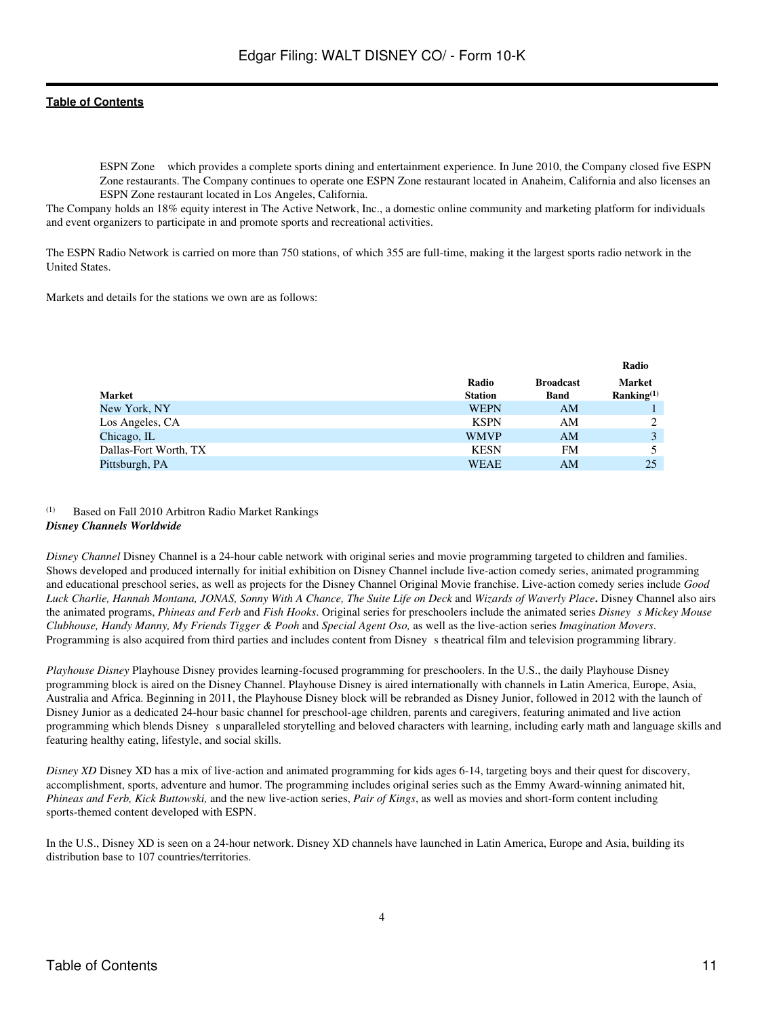ESPN Zone which provides a complete sports dining and entertainment experience. In June 2010, the Company closed five ESPN Zone restaurants. The Company continues to operate one ESPN Zone restaurant located in Anaheim, California and also licenses an ESPN Zone restaurant located in Los Angeles, California.

The Company holds an 18% equity interest in The Active Network, Inc., a domestic online community and marketing platform for individuals and event organizers to participate in and promote sports and recreational activities.

The ESPN Radio Network is carried on more than 750 stations, of which 355 are full-time, making it the largest sports radio network in the United States.

Markets and details for the stations we own are as follows:

|                       |                |                  | Radio         |
|-----------------------|----------------|------------------|---------------|
|                       | Radio          | <b>Broadcast</b> | <b>Market</b> |
| Market                | <b>Station</b> | Band             | Ranking $(1)$ |
| New York, NY          | <b>WEPN</b>    | AM               |               |
| Los Angeles, CA       | <b>KSPN</b>    | ΑM               | 2             |
| Chicago, IL           | <b>WMVP</b>    | AM               | 3             |
| Dallas-Fort Worth, TX | <b>KESN</b>    | <b>FM</b>        | 5             |
| Pittsburgh, PA        | <b>WEAE</b>    | AM               | 25            |

#### (1) Based on Fall 2010 Arbitron Radio Market Rankings *Disney Channels Worldwide*

*Disney Channel* Disney Channel is a 24-hour cable network with original series and movie programming targeted to children and families. Shows developed and produced internally for initial exhibition on Disney Channel include live-action comedy series, animated programming and educational preschool series, as well as projects for the Disney Channel Original Movie franchise. Live-action comedy series include *Good Luck Charlie, Hannah Montana, JONAS, Sonny With A Chance, The Suite Life on Deck* and *Wizards of Waverly Place***.** Disney Channel also airs the animated programs, *Phineas and Ferb* and *Fish Hooks*. Original series for preschoolers include the animated series *Disneys Mickey Mouse Clubhouse, Handy Manny, My Friends Tigger & Pooh* and *Special Agent Oso,* as well as the live-action series *Imagination Movers*. Programming is also acquired from third parties and includes content from Disney s theatrical film and television programming library.

*Playhouse Disney* Playhouse Disney provides learning-focused programming for preschoolers. In the U.S., the daily Playhouse Disney programming block is aired on the Disney Channel. Playhouse Disney is aired internationally with channels in Latin America, Europe, Asia, Australia and Africa. Beginning in 2011, the Playhouse Disney block will be rebranded as Disney Junior, followed in 2012 with the launch of Disney Junior as a dedicated 24-hour basic channel for preschool-age children, parents and caregivers, featuring animated and live action programming which blends Disney s unparalleled storytelling and beloved characters with learning, including early math and language skills and featuring healthy eating, lifestyle, and social skills.

*Disney XD* Disney XD has a mix of live-action and animated programming for kids ages 6-14, targeting boys and their quest for discovery, accomplishment, sports, adventure and humor. The programming includes original series such as the Emmy Award-winning animated hit, *Phineas and Ferb, Kick Buttowski,* and the new live-action series, *Pair of Kings*, as well as movies and short-form content including sports-themed content developed with ESPN.

In the U.S., Disney XD is seen on a 24-hour network. Disney XD channels have launched in Latin America, Europe and Asia, building its distribution base to 107 countries/territories.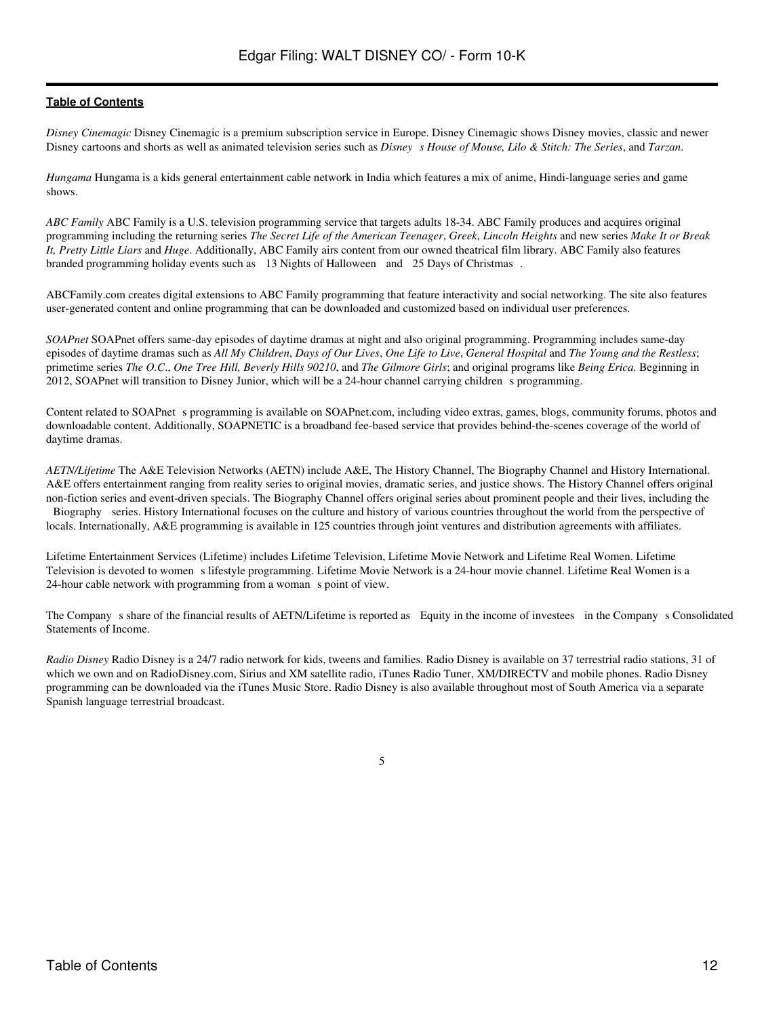*Disney Cinemagic* Disney Cinemagic is a premium subscription service in Europe. Disney Cinemagic shows Disney movies, classic and newer Disney cartoons and shorts as well as animated television series such as *Disneys House of Mouse, Lilo & Stitch: The Series*, and *Tarzan*.

*Hungama* Hungama is a kids general entertainment cable network in India which features a mix of anime, Hindi-language series and game shows.

*ABC Family* ABC Family is a U.S. television programming service that targets adults 18-34. ABC Family produces and acquires original programming including the returning series *The Secret Life of the American Teenager*, *Greek*, *Lincoln Heights* and new series *Make It or Break It, Pretty Little Liars* and *Huge*. Additionally, ABC Family airs content from our owned theatrical film library. ABC Family also features branded programming holiday events such as 13 Nights of Halloween and 25 Days of Christmas.

ABCFamily.com creates digital extensions to ABC Family programming that feature interactivity and social networking. The site also features user-generated content and online programming that can be downloaded and customized based on individual user preferences.

*SOAPnet* SOAPnet offers same-day episodes of daytime dramas at night and also original programming. Programming includes same-day episodes of daytime dramas such as *All My Children*, *Days of Our Lives*, *One Life to Live*, *General Hospital* and *The Young and the Restless*; primetime series *The O.C*., *One Tree Hill, Beverly Hills 90210*, and *The Gilmore Girls*; and original programs like *Being Erica.* Beginning in 2012, SOAPnet will transition to Disney Junior, which will be a 24-hour channel carrying children s programming.

Content related to SOAPnet s programming is available on SOAPnet.com, including video extras, games, blogs, community forums, photos and downloadable content. Additionally, SOAPNETIC is a broadband fee-based service that provides behind-the-scenes coverage of the world of daytime dramas.

*AETN/Lifetime* The A&E Television Networks (AETN) include A&E, The History Channel, The Biography Channel and History International. A&E offers entertainment ranging from reality series to original movies, dramatic series, and justice shows. The History Channel offers original non-fiction series and event-driven specials. The Biography Channel offers original series about prominent people and their lives, including the Biography series. History International focuses on the culture and history of various countries throughout the world from the perspective of locals. Internationally, A&E programming is available in 125 countries through joint ventures and distribution agreements with affiliates.

Lifetime Entertainment Services (Lifetime) includes Lifetime Television, Lifetime Movie Network and Lifetime Real Women. Lifetime Television is devoted to women s lifestyle programming. Lifetime Movie Network is a 24-hour movie channel. Lifetime Real Women is a 24-hour cable network with programming from a woman s point of view.

The Company s share of the financial results of AETN/Lifetime is reported as Equity in the income of investees in the Company s Consolidated Statements of Income.

*Radio Disney* Radio Disney is a 24/7 radio network for kids, tweens and families. Radio Disney is available on 37 terrestrial radio stations, 31 of which we own and on RadioDisney.com, Sirius and XM satellite radio, iTunes Radio Tuner, XM/DIRECTV and mobile phones. Radio Disney programming can be downloaded via the iTunes Music Store. Radio Disney is also available throughout most of South America via a separate Spanish language terrestrial broadcast.

5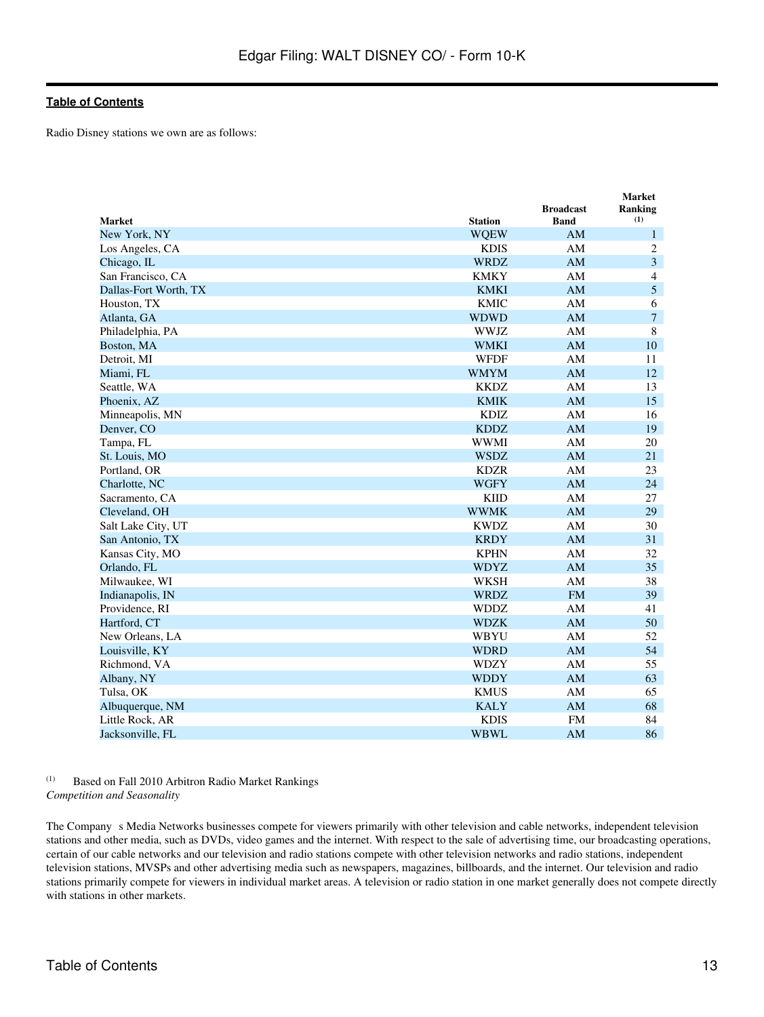Radio Disney stations we own are as follows:

|                           |                            |                                 | <b>Market</b>  |
|---------------------------|----------------------------|---------------------------------|----------------|
| <b>Market</b>             | <b>Station</b>             | <b>Broadcast</b><br><b>Band</b> | Ranking<br>(1) |
| New York, NY              | <b>WQEW</b>                | AM                              | $\mathbf{1}$   |
| Los Angeles, CA           | <b>KDIS</b>                | AM                              | $\sqrt{2}$     |
| Chicago, IL               | <b>WRDZ</b>                | AM                              | $\overline{3}$ |
| San Francisco, CA         | <b>KMKY</b>                | AM                              | $\overline{4}$ |
| Dallas-Fort Worth, TX     | <b>KMKI</b>                | AM                              | 5              |
| Houston, TX               | <b>KMIC</b>                | AM                              | 6              |
| Atlanta, GA               | <b>WDWD</b>                | AM                              | $\overline{7}$ |
|                           | <b>WWJZ</b>                | AM                              | 8              |
| Philadelphia, PA          | <b>WMKI</b>                | AM                              | 10             |
| Boston, MA<br>Detroit, MI | <b>WFDF</b>                | AM                              | 11             |
|                           | <b>WMYM</b>                | AM                              | 12             |
| Miami, FL<br>Seattle, WA  | <b>KKDZ</b>                | AM                              | 13             |
|                           | <b>KMIK</b>                | AM                              |                |
| Phoenix, AZ               | <b>KDIZ</b>                | AM                              | 15<br>16       |
| Minneapolis, MN           | <b>KDDZ</b>                | AM                              | 19             |
| Denver, CO                | <b>WWMI</b>                | AM                              | 20             |
| Tampa, FL                 |                            |                                 | 21             |
| St. Louis, MO             | <b>WSDZ</b><br><b>KDZR</b> | AM                              |                |
| Portland, OR              |                            | AM                              | 23             |
| Charlotte, NC             | <b>WGFY</b><br><b>KIID</b> | AM<br>AM                        | 24<br>27       |
| Sacramento, CA            | <b>WWMK</b>                | AM                              |                |
| Cleveland, OH             |                            |                                 | 29<br>30       |
| Salt Lake City, UT        | <b>KWDZ</b>                | AM                              |                |
| San Antonio, TX           | <b>KRDY</b>                | AM                              | 31             |
| Kansas City, MO           | <b>KPHN</b>                | AM<br>AM                        | 32<br>35       |
| Orlando, FL               | <b>WDYZ</b>                |                                 |                |
| Milwaukee, WI             | WKSH                       | AM<br><b>FM</b>                 | 38<br>39       |
| Indianapolis, IN          | <b>WRDZ</b>                |                                 |                |
| Providence, RI            | <b>WDDZ</b>                | AM                              | 41             |
| Hartford, CT              | <b>WDZK</b>                | AM                              | 50             |
| New Orleans, LA           | WBYU                       | AM<br>AM                        | 52<br>54       |
| Louisville, KY            | <b>WDRD</b>                |                                 |                |
| Richmond, VA              | <b>WDZY</b>                | AM                              | 55             |
| Albany, NY                | <b>WDDY</b>                | AM                              | 63             |
| Tulsa, OK                 | <b>KMUS</b>                | AM                              | 65             |
| Albuquerque, NM           | <b>KALY</b>                | AM                              | 68             |
| Little Rock, AR           | <b>KDIS</b>                | <b>FM</b>                       | 84             |
| Jacksonville, FL          | <b>WBWL</b>                | AM                              | 86             |

(1) Based on Fall 2010 Arbitron Radio Market Rankings *Competition and Seasonality*

The Company s Media Networks businesses compete for viewers primarily with other television and cable networks, independent television stations and other media, such as DVDs, video games and the internet. With respect to the sale of advertising time, our broadcasting operations, certain of our cable networks and our television and radio stations compete with other television networks and radio stations, independent television stations, MVSPs and other advertising media such as newspapers, magazines, billboards, and the internet. Our television and radio stations primarily compete for viewers in individual market areas. A television or radio station in one market generally does not compete directly with stations in other markets.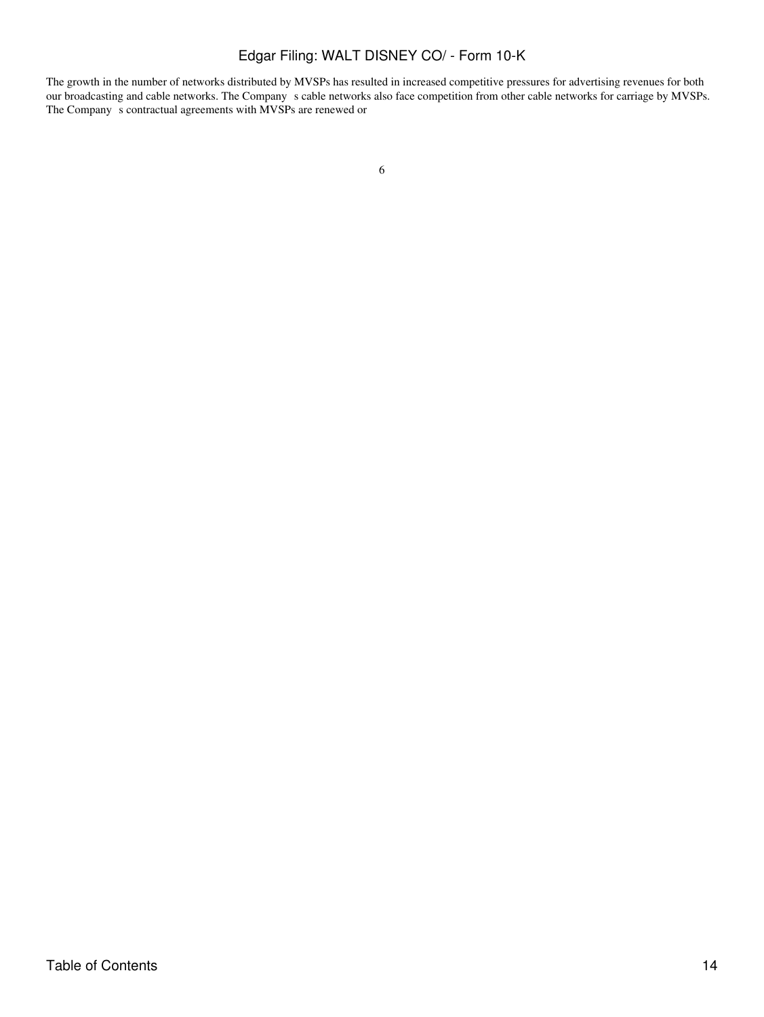The growth in the number of networks distributed by MVSPs has resulted in increased competitive pressures for advertising revenues for both our broadcasting and cable networks. The Company s cable networks also face competition from other cable networks for carriage by MVSPs. The Company s contractual agreements with MVSPs are renewed or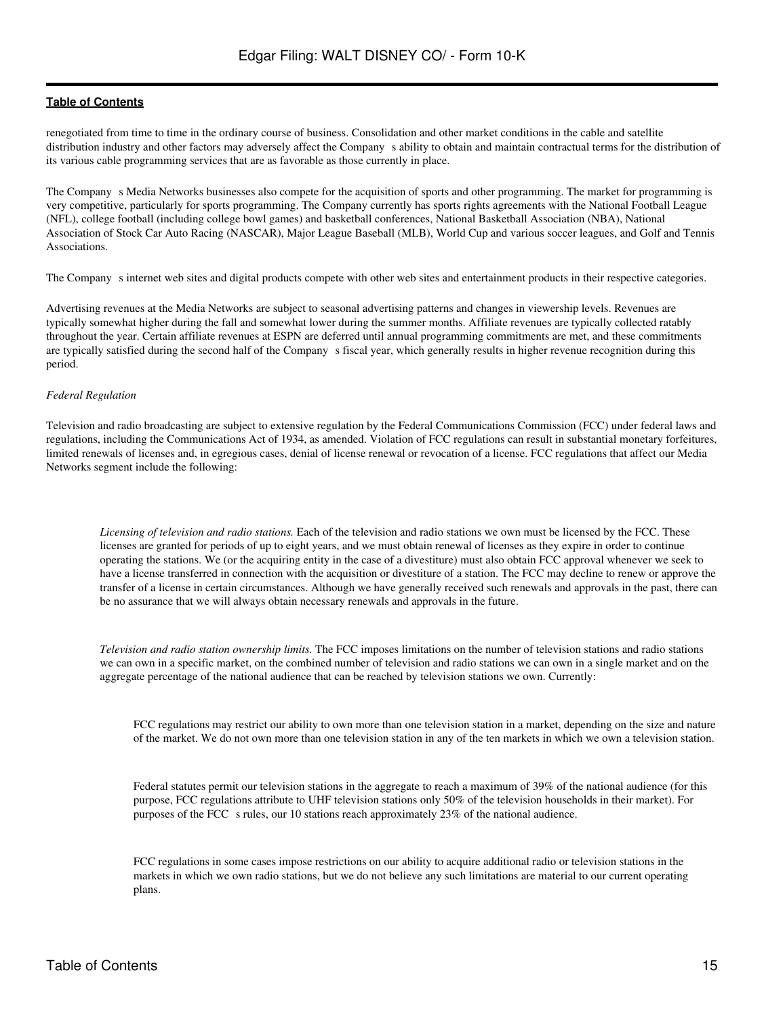renegotiated from time to time in the ordinary course of business. Consolidation and other market conditions in the cable and satellite distribution industry and other factors may adversely affect the Company s ability to obtain and maintain contractual terms for the distribution of its various cable programming services that are as favorable as those currently in place.

The Company s Media Networks businesses also compete for the acquisition of sports and other programming. The market for programming is very competitive, particularly for sports programming. The Company currently has sports rights agreements with the National Football League (NFL), college football (including college bowl games) and basketball conferences, National Basketball Association (NBA), National Association of Stock Car Auto Racing (NASCAR), Major League Baseball (MLB), World Cup and various soccer leagues, and Golf and Tennis Associations.

The Company s internet web sites and digital products compete with other web sites and entertainment products in their respective categories.

Advertising revenues at the Media Networks are subject to seasonal advertising patterns and changes in viewership levels. Revenues are typically somewhat higher during the fall and somewhat lower during the summer months. Affiliate revenues are typically collected ratably throughout the year. Certain affiliate revenues at ESPN are deferred until annual programming commitments are met, and these commitments are typically satisfied during the second half of the Company s fiscal year, which generally results in higher revenue recognition during this period.

### *Federal Regulation*

Television and radio broadcasting are subject to extensive regulation by the Federal Communications Commission (FCC) under federal laws and regulations, including the Communications Act of 1934, as amended. Violation of FCC regulations can result in substantial monetary forfeitures, limited renewals of licenses and, in egregious cases, denial of license renewal or revocation of a license. FCC regulations that affect our Media Networks segment include the following:

*Licensing of television and radio stations.* Each of the television and radio stations we own must be licensed by the FCC. These licenses are granted for periods of up to eight years, and we must obtain renewal of licenses as they expire in order to continue operating the stations. We (or the acquiring entity in the case of a divestiture) must also obtain FCC approval whenever we seek to have a license transferred in connection with the acquisition or divestiture of a station. The FCC may decline to renew or approve the transfer of a license in certain circumstances. Although we have generally received such renewals and approvals in the past, there can be no assurance that we will always obtain necessary renewals and approvals in the future.

*Television and radio station ownership limits.* The FCC imposes limitations on the number of television stations and radio stations we can own in a specific market, on the combined number of television and radio stations we can own in a single market and on the aggregate percentage of the national audience that can be reached by television stations we own. Currently:

FCC regulations may restrict our ability to own more than one television station in a market, depending on the size and nature of the market. We do not own more than one television station in any of the ten markets in which we own a television station.

Federal statutes permit our television stations in the aggregate to reach a maximum of 39% of the national audience (for this purpose, FCC regulations attribute to UHF television stations only 50% of the television households in their market). For purposes of the FCC s rules, our 10 stations reach approximately 23% of the national audience.

FCC regulations in some cases impose restrictions on our ability to acquire additional radio or television stations in the markets in which we own radio stations, but we do not believe any such limitations are material to our current operating plans.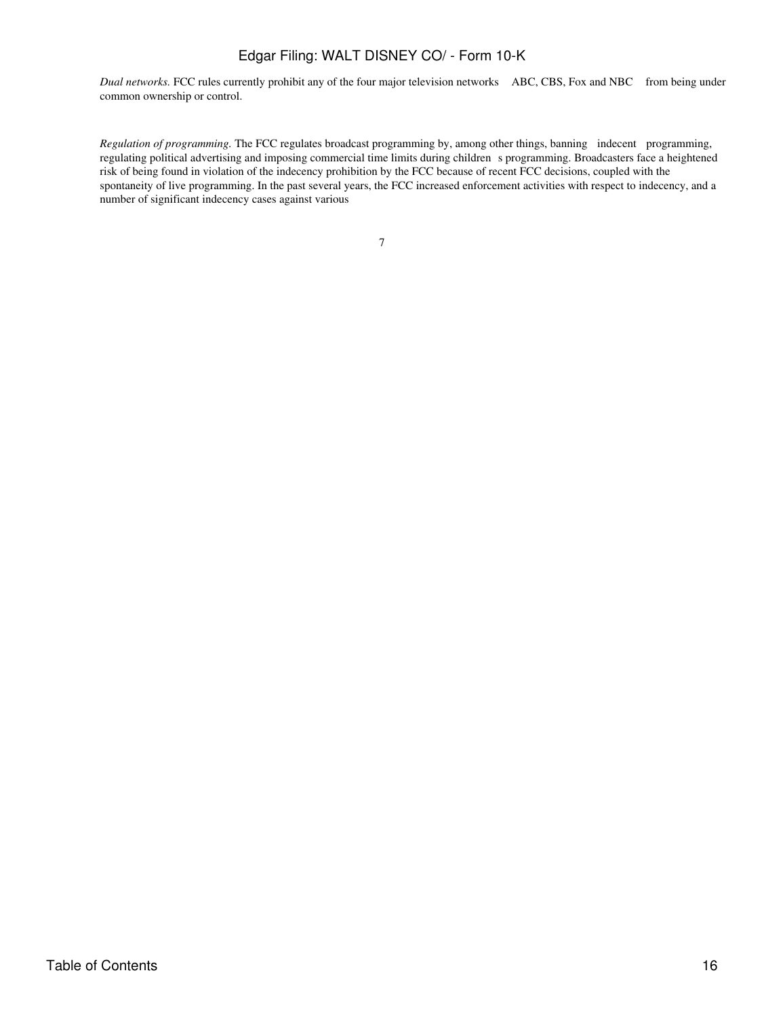*Dual networks.* FCC rules currently prohibit any of the four major television networks ABC, CBS, Fox and NBC from being under common ownership or control.

*Regulation of programming.* The FCC regulates broadcast programming by, among other things, banning indecent programming, regulating political advertising and imposing commercial time limits during children s programming. Broadcasters face a heightened risk of being found in violation of the indecency prohibition by the FCC because of recent FCC decisions, coupled with the spontaneity of live programming. In the past several years, the FCC increased enforcement activities with respect to indecency, and a number of significant indecency cases against various

7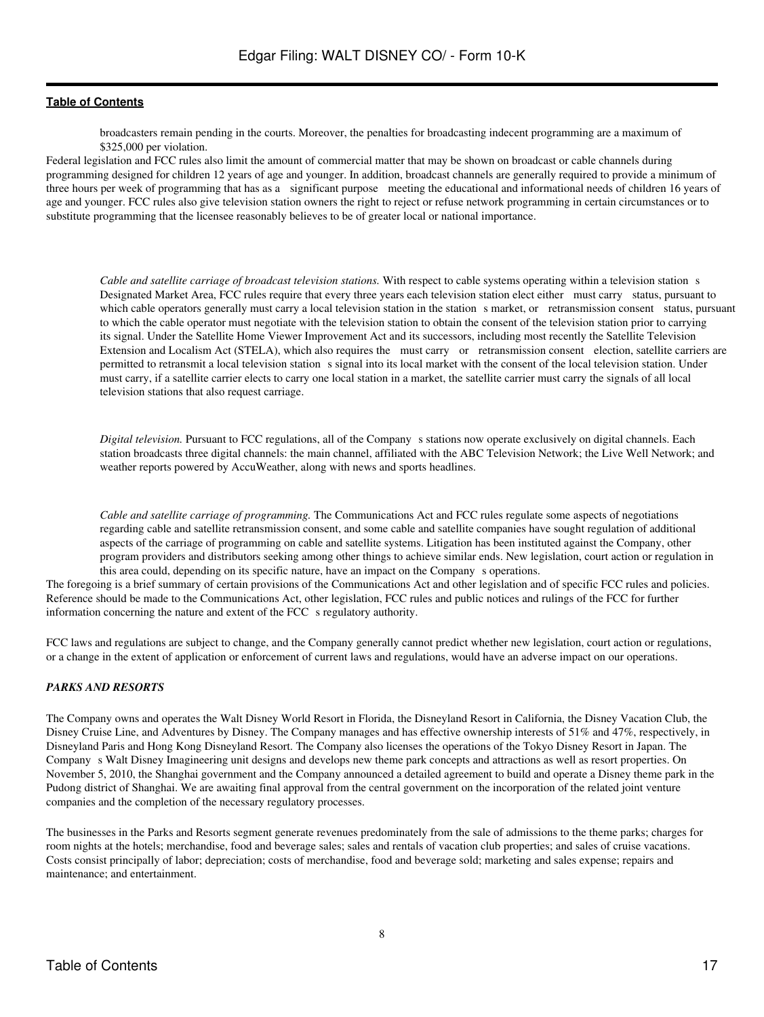broadcasters remain pending in the courts. Moreover, the penalties for broadcasting indecent programming are a maximum of \$325,000 per violation.

Federal legislation and FCC rules also limit the amount of commercial matter that may be shown on broadcast or cable channels during programming designed for children 12 years of age and younger. In addition, broadcast channels are generally required to provide a minimum of three hours per week of programming that has as a significant purpose meeting the educational and informational needs of children 16 years of age and younger. FCC rules also give television station owners the right to reject or refuse network programming in certain circumstances or to substitute programming that the licensee reasonably believes to be of greater local or national importance.

*Cable and satellite carriage of broadcast television stations.* With respect to cable systems operating within a television station s Designated Market Area, FCC rules require that every three years each television station elect either must carry status, pursuant to which cable operators generally must carry a local television station in the station s market, or retransmission consent status, pursuant to which the cable operator must negotiate with the television station to obtain the consent of the television station prior to carrying its signal. Under the Satellite Home Viewer Improvement Act and its successors, including most recently the Satellite Television Extension and Localism Act (STELA), which also requires the must carry or retransmission consent election, satellite carriers are permitted to retransmit a local television station s signal into its local market with the consent of the local television station. Under must carry, if a satellite carrier elects to carry one local station in a market, the satellite carrier must carry the signals of all local television stations that also request carriage.

*Digital television*. Pursuant to FCC regulations, all of the Company s stations now operate exclusively on digital channels. Each station broadcasts three digital channels: the main channel, affiliated with the ABC Television Network; the Live Well Network; and weather reports powered by AccuWeather, along with news and sports headlines.

*Cable and satellite carriage of programming.* The Communications Act and FCC rules regulate some aspects of negotiations regarding cable and satellite retransmission consent, and some cable and satellite companies have sought regulation of additional aspects of the carriage of programming on cable and satellite systems. Litigation has been instituted against the Company, other program providers and distributors seeking among other things to achieve similar ends. New legislation, court action or regulation in this area could, depending on its specific nature, have an impact on the Company s operations.

The foregoing is a brief summary of certain provisions of the Communications Act and other legislation and of specific FCC rules and policies. Reference should be made to the Communications Act, other legislation, FCC rules and public notices and rulings of the FCC for further information concerning the nature and extent of the FCC s regulatory authority.

FCC laws and regulations are subject to change, and the Company generally cannot predict whether new legislation, court action or regulations, or a change in the extent of application or enforcement of current laws and regulations, would have an adverse impact on our operations.

### *PARKS AND RESORTS*

The Company owns and operates the Walt Disney World Resort in Florida, the Disneyland Resort in California, the Disney Vacation Club, the Disney Cruise Line, and Adventures by Disney. The Company manages and has effective ownership interests of 51% and 47%, respectively, in Disneyland Paris and Hong Kong Disneyland Resort. The Company also licenses the operations of the Tokyo Disney Resort in Japan. The Companys Walt Disney Imagineering unit designs and develops new theme park concepts and attractions as well as resort properties. On November 5, 2010, the Shanghai government and the Company announced a detailed agreement to build and operate a Disney theme park in the Pudong district of Shanghai. We are awaiting final approval from the central government on the incorporation of the related joint venture companies and the completion of the necessary regulatory processes.

The businesses in the Parks and Resorts segment generate revenues predominately from the sale of admissions to the theme parks; charges for room nights at the hotels; merchandise, food and beverage sales; sales and rentals of vacation club properties; and sales of cruise vacations. Costs consist principally of labor; depreciation; costs of merchandise, food and beverage sold; marketing and sales expense; repairs and maintenance; and entertainment.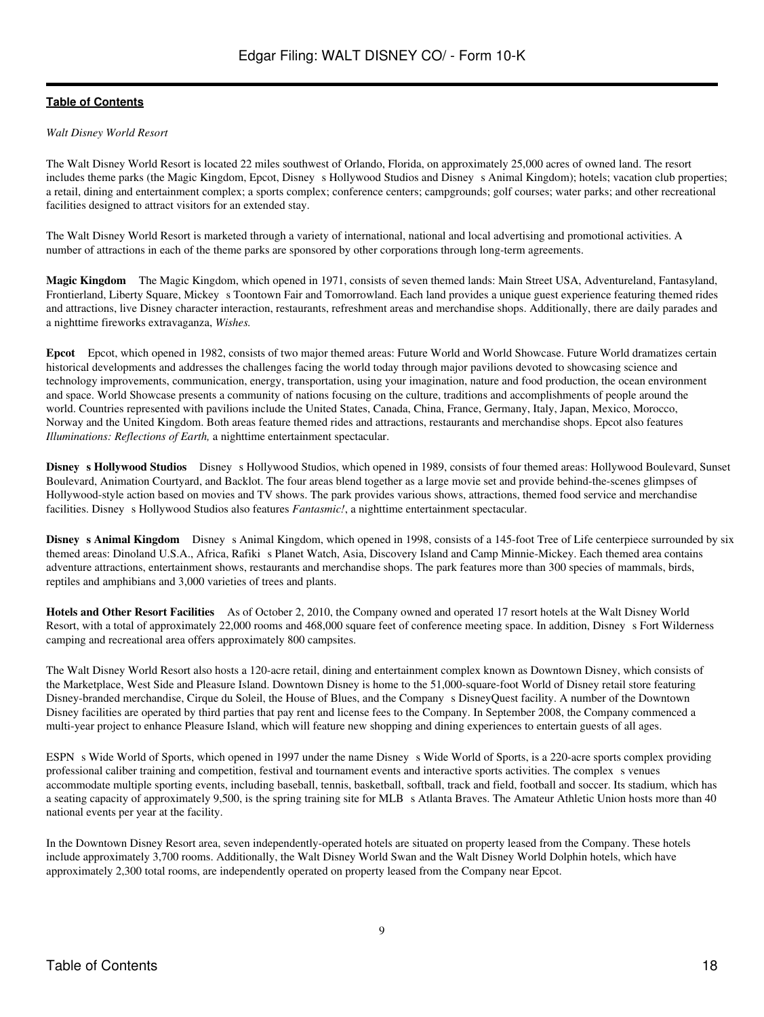### *Walt Disney World Resort*

The Walt Disney World Resort is located 22 miles southwest of Orlando, Florida, on approximately 25,000 acres of owned land. The resort includes theme parks (the Magic Kingdom, Epcot, Disney s Hollywood Studios and Disney s Animal Kingdom); hotels; vacation club properties; a retail, dining and entertainment complex; a sports complex; conference centers; campgrounds; golf courses; water parks; and other recreational facilities designed to attract visitors for an extended stay.

The Walt Disney World Resort is marketed through a variety of international, national and local advertising and promotional activities. A number of attractions in each of the theme parks are sponsored by other corporations through long-term agreements.

**Magic Kingdom** The Magic Kingdom, which opened in 1971, consists of seven themed lands: Main Street USA, Adventureland, Fantasyland, Frontierland, Liberty Square, Mickey s Toontown Fair and Tomorrowland. Each land provides a unique guest experience featuring themed rides and attractions, live Disney character interaction, restaurants, refreshment areas and merchandise shops. Additionally, there are daily parades and a nighttime fireworks extravaganza, *Wishes.*

**Epcot** Epcot, which opened in 1982, consists of two major themed areas: Future World and World Showcase. Future World dramatizes certain historical developments and addresses the challenges facing the world today through major pavilions devoted to showcasing science and technology improvements, communication, energy, transportation, using your imagination, nature and food production, the ocean environment and space. World Showcase presents a community of nations focusing on the culture, traditions and accomplishments of people around the world. Countries represented with pavilions include the United States, Canada, China, France, Germany, Italy, Japan, Mexico, Morocco, Norway and the United Kingdom. Both areas feature themed rides and attractions, restaurants and merchandise shops. Epcot also features *Illuminations: Reflections of Earth,* a nighttime entertainment spectacular.

Disney s Hollywood Studios Disney s Hollywood Studios, which opened in 1989, consists of four themed areas: Hollywood Boulevard, Sunset Boulevard, Animation Courtyard, and Backlot. The four areas blend together as a large movie set and provide behind-the-scenes glimpses of Hollywood-style action based on movies and TV shows. The park provides various shows, attractions, themed food service and merchandise facilities. Disney s Hollywood Studios also features *Fantasmic!*, a nighttime entertainment spectacular.

**Disney s Animal Kingdom** Disney s Animal Kingdom, which opened in 1998, consists of a 145-foot Tree of Life centerpiece surrounded by six themed areas: Dinoland U.S.A., Africa, Rafiki s Planet Watch, Asia, Discovery Island and Camp Minnie-Mickey. Each themed area contains adventure attractions, entertainment shows, restaurants and merchandise shops. The park features more than 300 species of mammals, birds, reptiles and amphibians and 3,000 varieties of trees and plants.

**Hotels and Other Resort Facilities** As of October 2, 2010, the Company owned and operated 17 resort hotels at the Walt Disney World Resort, with a total of approximately 22,000 rooms and 468,000 square feet of conference meeting space. In addition, Disney s Fort Wilderness camping and recreational area offers approximately 800 campsites.

The Walt Disney World Resort also hosts a 120-acre retail, dining and entertainment complex known as Downtown Disney, which consists of the Marketplace, West Side and Pleasure Island. Downtown Disney is home to the 51,000-square-foot World of Disney retail store featuring Disney-branded merchandise, Cirque du Soleil, the House of Blues, and the Company s DisneyQuest facility. A number of the Downtown Disney facilities are operated by third parties that pay rent and license fees to the Company. In September 2008, the Company commenced a multi-year project to enhance Pleasure Island, which will feature new shopping and dining experiences to entertain guests of all ages.

ESPN s Wide World of Sports, which opened in 1997 under the name Disney s Wide World of Sports, is a 220-acre sports complex providing professional caliber training and competition, festival and tournament events and interactive sports activities. The complex s venues accommodate multiple sporting events, including baseball, tennis, basketball, softball, track and field, football and soccer. Its stadium, which has a seating capacity of approximately 9,500, is the spring training site for MLB s Atlanta Braves. The Amateur Athletic Union hosts more than 40 national events per year at the facility.

In the Downtown Disney Resort area, seven independently-operated hotels are situated on property leased from the Company. These hotels include approximately 3,700 rooms. Additionally, the Walt Disney World Swan and the Walt Disney World Dolphin hotels, which have approximately 2,300 total rooms, are independently operated on property leased from the Company near Epcot.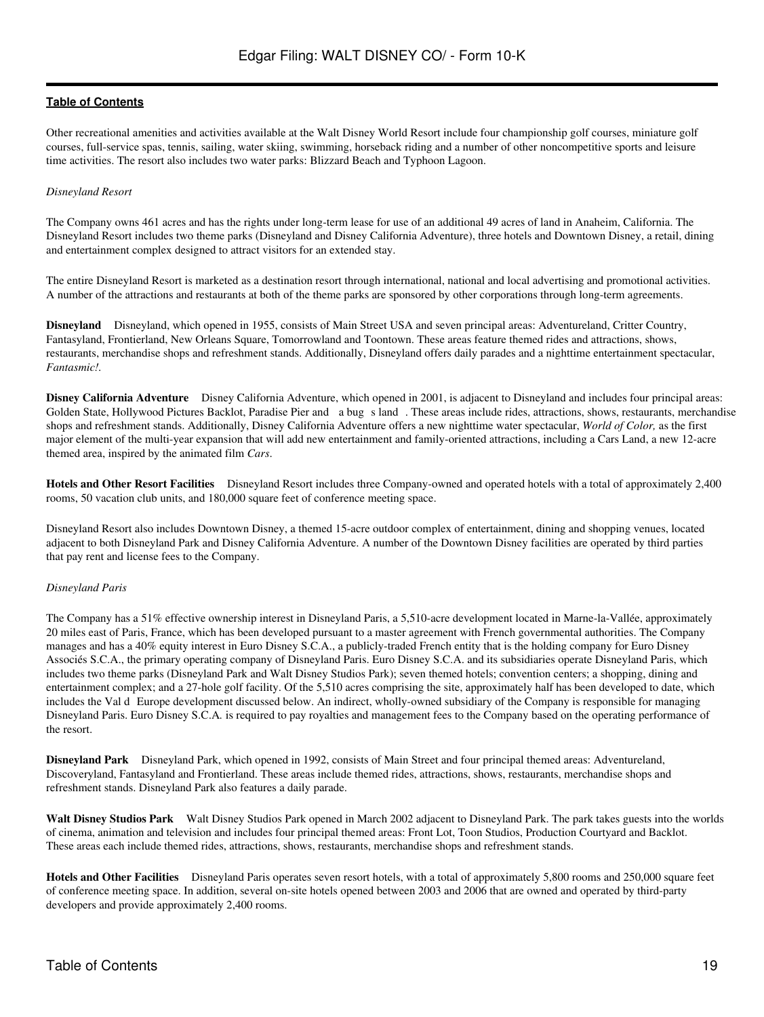Other recreational amenities and activities available at the Walt Disney World Resort include four championship golf courses, miniature golf courses, full-service spas, tennis, sailing, water skiing, swimming, horseback riding and a number of other noncompetitive sports and leisure time activities. The resort also includes two water parks: Blizzard Beach and Typhoon Lagoon.

#### *Disneyland Resort*

The Company owns 461 acres and has the rights under long-term lease for use of an additional 49 acres of land in Anaheim, California. The Disneyland Resort includes two theme parks (Disneyland and Disney California Adventure), three hotels and Downtown Disney, a retail, dining and entertainment complex designed to attract visitors for an extended stay.

The entire Disneyland Resort is marketed as a destination resort through international, national and local advertising and promotional activities. A number of the attractions and restaurants at both of the theme parks are sponsored by other corporations through long-term agreements.

**Disneyland** Disneyland, which opened in 1955, consists of Main Street USA and seven principal areas: Adventureland, Critter Country, Fantasyland, Frontierland, New Orleans Square, Tomorrowland and Toontown. These areas feature themed rides and attractions, shows, restaurants, merchandise shops and refreshment stands. Additionally, Disneyland offers daily parades and a nighttime entertainment spectacular, *Fantasmic!.*

**Disney California Adventure** Disney California Adventure, which opened in 2001, is adjacent to Disneyland and includes four principal areas: Golden State, Hollywood Pictures Backlot, Paradise Pier and a bug s land. These areas include rides, attractions, shows, restaurants, merchandise shops and refreshment stands. Additionally, Disney California Adventure offers a new nighttime water spectacular, *World of Color,* as the first major element of the multi-year expansion that will add new entertainment and family-oriented attractions, including a Cars Land, a new 12-acre themed area, inspired by the animated film *Cars*.

**Hotels and Other Resort Facilities** Disneyland Resort includes three Company-owned and operated hotels with a total of approximately 2,400 rooms, 50 vacation club units, and 180,000 square feet of conference meeting space.

Disneyland Resort also includes Downtown Disney, a themed 15-acre outdoor complex of entertainment, dining and shopping venues, located adjacent to both Disneyland Park and Disney California Adventure. A number of the Downtown Disney facilities are operated by third parties that pay rent and license fees to the Company.

### *Disneyland Paris*

The Company has a 51% effective ownership interest in Disneyland Paris, a 5,510-acre development located in Marne-la-Vallée, approximately 20 miles east of Paris, France, which has been developed pursuant to a master agreement with French governmental authorities. The Company manages and has a 40% equity interest in Euro Disney S.C.A., a publicly-traded French entity that is the holding company for Euro Disney Associés S.C.A., the primary operating company of Disneyland Paris. Euro Disney S.C.A. and its subsidiaries operate Disneyland Paris, which includes two theme parks (Disneyland Park and Walt Disney Studios Park); seven themed hotels; convention centers; a shopping, dining and entertainment complex; and a 27-hole golf facility. Of the 5,510 acres comprising the site, approximately half has been developed to date, which includes the Val detail and evelopment discussed below. An indirect, wholly-owned subsidiary of the Company is responsible for managing Disneyland Paris. Euro Disney S.C.A*.* is required to pay royalties and management fees to the Company based on the operating performance of the resort.

**Disneyland Park** Disneyland Park, which opened in 1992, consists of Main Street and four principal themed areas: Adventureland, Discoveryland, Fantasyland and Frontierland. These areas include themed rides, attractions, shows, restaurants, merchandise shops and refreshment stands. Disneyland Park also features a daily parade.

**Walt Disney Studios Park** Walt Disney Studios Park opened in March 2002 adjacent to Disneyland Park. The park takes guests into the worlds of cinema, animation and television and includes four principal themed areas: Front Lot, Toon Studios, Production Courtyard and Backlot. These areas each include themed rides, attractions, shows, restaurants, merchandise shops and refreshment stands.

**Hotels and Other Facilities** Disneyland Paris operates seven resort hotels, with a total of approximately 5,800 rooms and 250,000 square feet of conference meeting space. In addition, several on-site hotels opened between 2003 and 2006 that are owned and operated by third-party developers and provide approximately 2,400 rooms.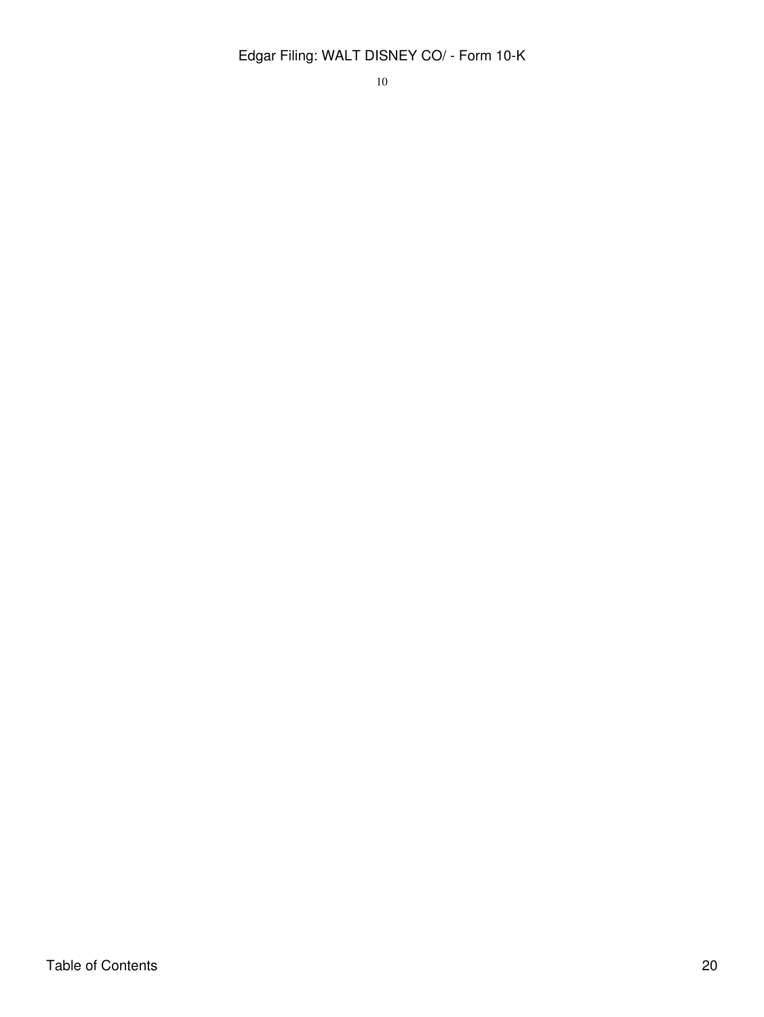10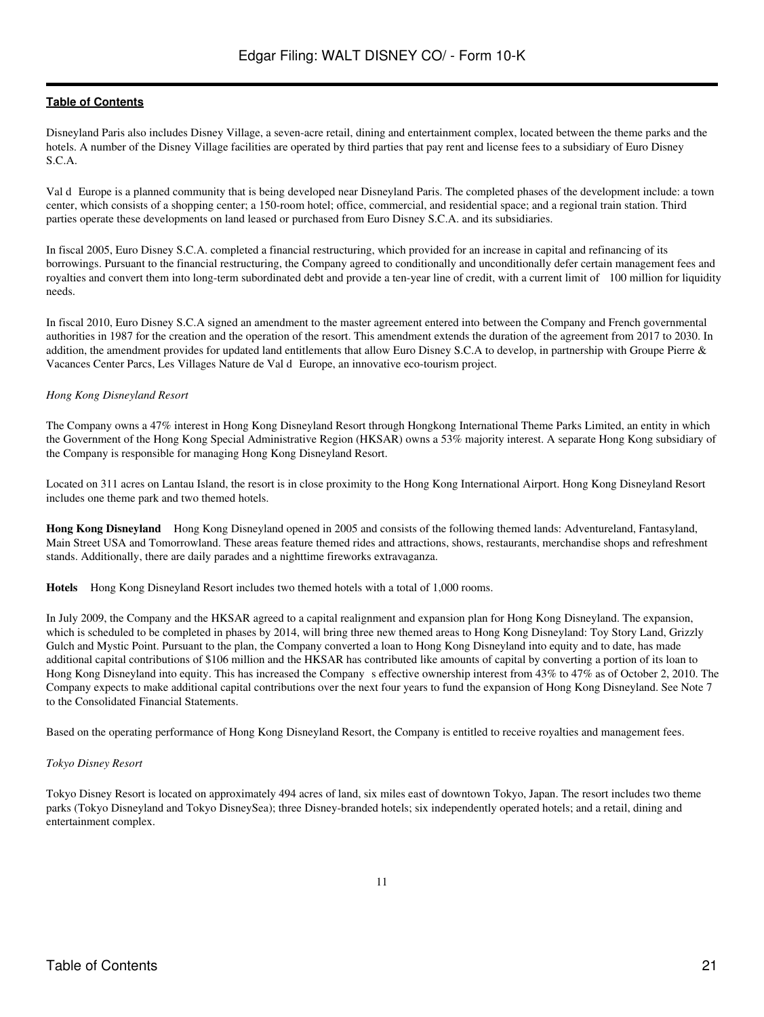Disneyland Paris also includes Disney Village, a seven-acre retail, dining and entertainment complex, located between the theme parks and the hotels. A number of the Disney Village facilities are operated by third parties that pay rent and license fees to a subsidiary of Euro Disney S.C.A.

Val d Europe is a planned community that is being developed near Disneyland Paris. The completed phases of the development include: a town center, which consists of a shopping center; a 150-room hotel; office, commercial, and residential space; and a regional train station. Third parties operate these developments on land leased or purchased from Euro Disney S.C.A. and its subsidiaries.

In fiscal 2005, Euro Disney S.C.A. completed a financial restructuring, which provided for an increase in capital and refinancing of its borrowings. Pursuant to the financial restructuring, the Company agreed to conditionally and unconditionally defer certain management fees and royalties and convert them into long-term subordinated debt and provide a ten-year line of credit, with a current limit of 100 million for liquidity needs.

In fiscal 2010, Euro Disney S.C.A signed an amendment to the master agreement entered into between the Company and French governmental authorities in 1987 for the creation and the operation of the resort. This amendment extends the duration of the agreement from 2017 to 2030. In addition, the amendment provides for updated land entitlements that allow Euro Disney S.C.A to develop, in partnership with Groupe Pierre & Vacances Center Parcs, Les Villages Nature de Val d Europe, an innovative eco-tourism project.

### *Hong Kong Disneyland Resort*

The Company owns a 47% interest in Hong Kong Disneyland Resort through Hongkong International Theme Parks Limited, an entity in which the Government of the Hong Kong Special Administrative Region (HKSAR) owns a 53% majority interest. A separate Hong Kong subsidiary of the Company is responsible for managing Hong Kong Disneyland Resort.

Located on 311 acres on Lantau Island, the resort is in close proximity to the Hong Kong International Airport. Hong Kong Disneyland Resort includes one theme park and two themed hotels.

**Hong Kong Disneyland** Hong Kong Disneyland opened in 2005 and consists of the following themed lands: Adventureland, Fantasyland, Main Street USA and Tomorrowland. These areas feature themed rides and attractions, shows, restaurants, merchandise shops and refreshment stands. Additionally, there are daily parades and a nighttime fireworks extravaganza.

**Hotels** Hong Kong Disneyland Resort includes two themed hotels with a total of 1,000 rooms.

In July 2009, the Company and the HKSAR agreed to a capital realignment and expansion plan for Hong Kong Disneyland. The expansion, which is scheduled to be completed in phases by 2014, will bring three new themed areas to Hong Kong Disneyland: Toy Story Land, Grizzly Gulch and Mystic Point. Pursuant to the plan, the Company converted a loan to Hong Kong Disneyland into equity and to date, has made additional capital contributions of \$106 million and the HKSAR has contributed like amounts of capital by converting a portion of its loan to Hong Kong Disneyland into equity. This has increased the Company s effective ownership interest from 43% to 47% as of October 2, 2010. The Company expects to make additional capital contributions over the next four years to fund the expansion of Hong Kong Disneyland. See Note 7 to the Consolidated Financial Statements.

Based on the operating performance of Hong Kong Disneyland Resort, the Company is entitled to receive royalties and management fees.

### *Tokyo Disney Resort*

Tokyo Disney Resort is located on approximately 494 acres of land, six miles east of downtown Tokyo, Japan. The resort includes two theme parks (Tokyo Disneyland and Tokyo DisneySea); three Disney-branded hotels; six independently operated hotels; and a retail, dining and entertainment complex.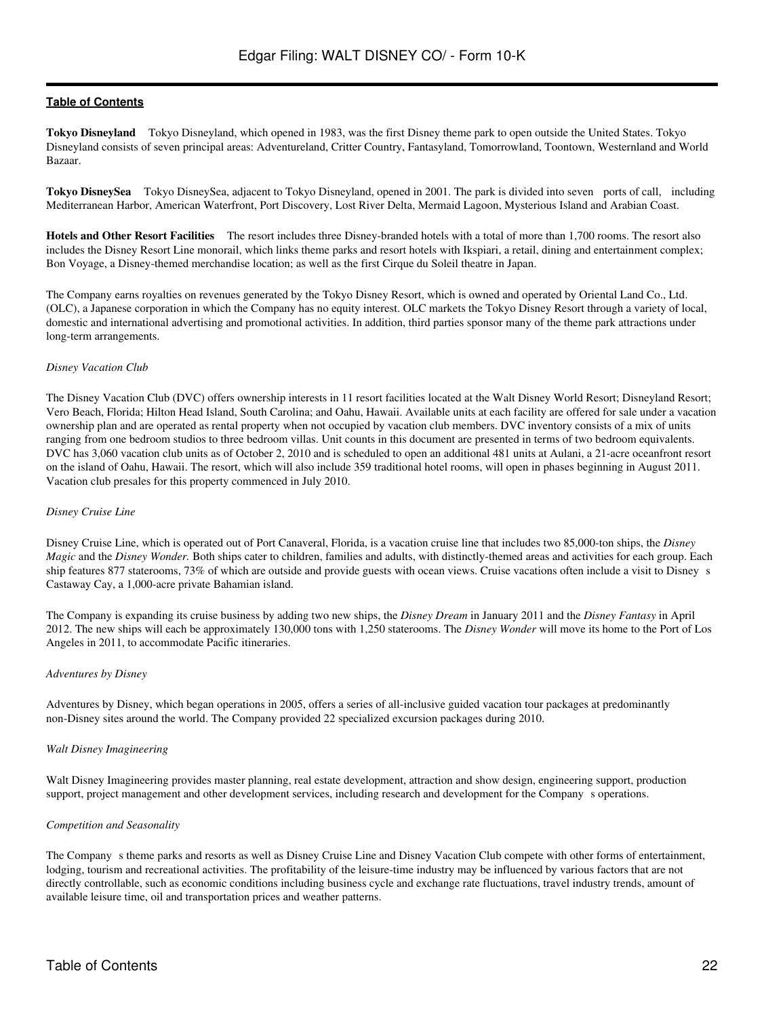**Tokyo Disneyland** Tokyo Disneyland, which opened in 1983, was the first Disney theme park to open outside the United States. Tokyo Disneyland consists of seven principal areas: Adventureland, Critter Country, Fantasyland, Tomorrowland, Toontown, Westernland and World Bazaar.

**Tokyo DisneySea** Tokyo DisneySea, adjacent to Tokyo Disneyland, opened in 2001. The park is divided into seven ports of call, including Mediterranean Harbor, American Waterfront, Port Discovery, Lost River Delta, Mermaid Lagoon, Mysterious Island and Arabian Coast.

**Hotels and Other Resort Facilities** The resort includes three Disney-branded hotels with a total of more than 1,700 rooms. The resort also includes the Disney Resort Line monorail, which links theme parks and resort hotels with Ikspiari, a retail, dining and entertainment complex; Bon Voyage, a Disney-themed merchandise location; as well as the first Cirque du Soleil theatre in Japan.

The Company earns royalties on revenues generated by the Tokyo Disney Resort, which is owned and operated by Oriental Land Co., Ltd. (OLC), a Japanese corporation in which the Company has no equity interest. OLC markets the Tokyo Disney Resort through a variety of local, domestic and international advertising and promotional activities. In addition, third parties sponsor many of the theme park attractions under long-term arrangements.

### *Disney Vacation Club*

The Disney Vacation Club (DVC) offers ownership interests in 11 resort facilities located at the Walt Disney World Resort; Disneyland Resort; Vero Beach, Florida; Hilton Head Island, South Carolina; and Oahu, Hawaii. Available units at each facility are offered for sale under a vacation ownership plan and are operated as rental property when not occupied by vacation club members. DVC inventory consists of a mix of units ranging from one bedroom studios to three bedroom villas. Unit counts in this document are presented in terms of two bedroom equivalents. DVC has 3,060 vacation club units as of October 2, 2010 and is scheduled to open an additional 481 units at Aulani, a 21-acre oceanfront resort on the island of Oahu, Hawaii. The resort, which will also include 359 traditional hotel rooms, will open in phases beginning in August 2011. Vacation club presales for this property commenced in July 2010.

#### *Disney Cruise Line*

Disney Cruise Line, which is operated out of Port Canaveral, Florida, is a vacation cruise line that includes two 85,000-ton ships, the *Disney Magic* and the *Disney Wonder*. Both ships cater to children, families and adults, with distinctly-themed areas and activities for each group. Each ship features 877 staterooms, 73% of which are outside and provide guests with ocean views. Cruise vacations often include a visit to Disneys Castaway Cay, a 1,000-acre private Bahamian island.

The Company is expanding its cruise business by adding two new ships, the *Disney Dream* in January 2011 and the *Disney Fantasy* in April 2012. The new ships will each be approximately 130,000 tons with 1,250 staterooms. The *Disney Wonder* will move its home to the Port of Los Angeles in 2011, to accommodate Pacific itineraries.

### *Adventures by Disney*

Adventures by Disney, which began operations in 2005, offers a series of all-inclusive guided vacation tour packages at predominantly non-Disney sites around the world. The Company provided 22 specialized excursion packages during 2010.

### *Walt Disney Imagineering*

Walt Disney Imagineering provides master planning, real estate development, attraction and show design, engineering support, production support, project management and other development services, including research and development for the Company s operations.

#### *Competition and Seasonality*

The Company s theme parks and resorts as well as Disney Cruise Line and Disney Vacation Club compete with other forms of entertainment, lodging, tourism and recreational activities. The profitability of the leisure-time industry may be influenced by various factors that are not directly controllable, such as economic conditions including business cycle and exchange rate fluctuations, travel industry trends, amount of available leisure time, oil and transportation prices and weather patterns.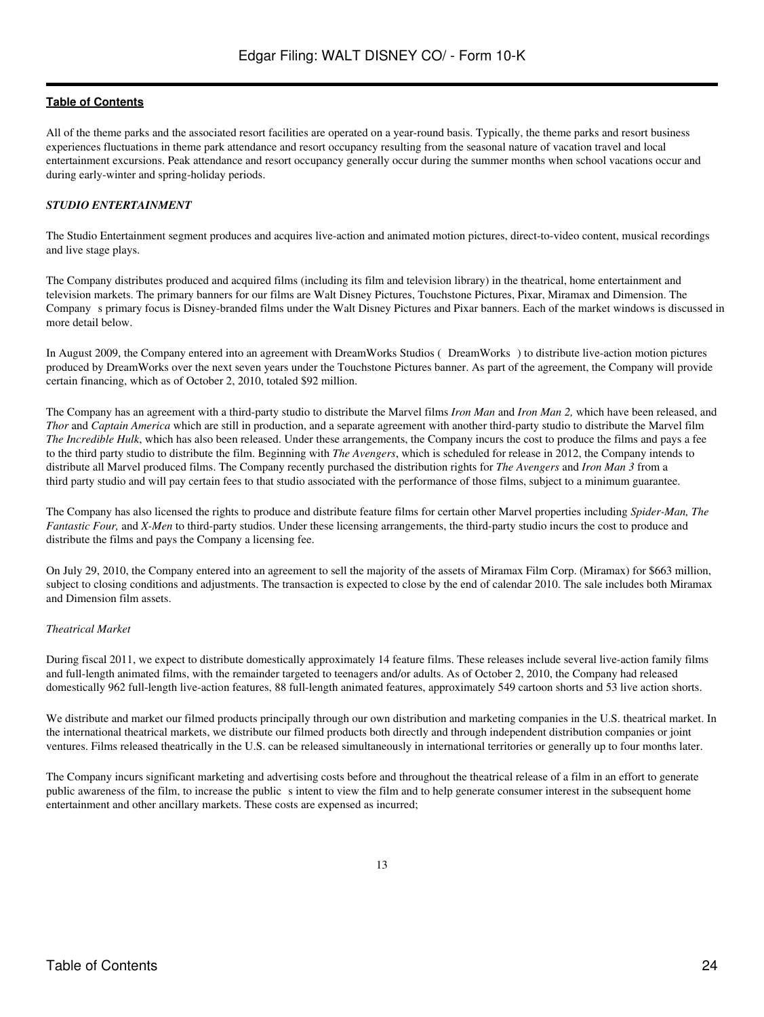All of the theme parks and the associated resort facilities are operated on a year-round basis. Typically, the theme parks and resort business experiences fluctuations in theme park attendance and resort occupancy resulting from the seasonal nature of vacation travel and local entertainment excursions. Peak attendance and resort occupancy generally occur during the summer months when school vacations occur and during early-winter and spring-holiday periods.

# *STUDIO ENTERTAINMENT*

The Studio Entertainment segment produces and acquires live-action and animated motion pictures, direct-to-video content, musical recordings and live stage plays.

The Company distributes produced and acquired films (including its film and television library) in the theatrical, home entertainment and television markets. The primary banners for our films are Walt Disney Pictures, Touchstone Pictures, Pixar, Miramax and Dimension. The Companys primary focus is Disney-branded films under the Walt Disney Pictures and Pixar banners. Each of the market windows is discussed in more detail below.

In August 2009, the Company entered into an agreement with DreamWorks Studios (DreamWorks) to distribute live-action motion pictures produced by DreamWorks over the next seven years under the Touchstone Pictures banner. As part of the agreement, the Company will provide certain financing, which as of October 2, 2010, totaled \$92 million.

The Company has an agreement with a third-party studio to distribute the Marvel films *Iron Man* and *Iron Man 2,* which have been released, and *Thor* and *Captain America* which are still in production, and a separate agreement with another third-party studio to distribute the Marvel film *The Incredible Hulk*, which has also been released. Under these arrangements, the Company incurs the cost to produce the films and pays a fee to the third party studio to distribute the film. Beginning with *The Avengers*, which is scheduled for release in 2012, the Company intends to distribute all Marvel produced films. The Company recently purchased the distribution rights for *The Avengers* and *Iron Man 3* from a third party studio and will pay certain fees to that studio associated with the performance of those films, subject to a minimum guarantee.

The Company has also licensed the rights to produce and distribute feature films for certain other Marvel properties including *Spider-Man, The Fantastic Four,* and *X-Men* to third-party studios. Under these licensing arrangements, the third-party studio incurs the cost to produce and distribute the films and pays the Company a licensing fee.

On July 29, 2010, the Company entered into an agreement to sell the majority of the assets of Miramax Film Corp. (Miramax) for \$663 million, subject to closing conditions and adjustments. The transaction is expected to close by the end of calendar 2010. The sale includes both Miramax and Dimension film assets.

### *Theatrical Market*

During fiscal 2011, we expect to distribute domestically approximately 14 feature films. These releases include several live-action family films and full-length animated films, with the remainder targeted to teenagers and/or adults. As of October 2, 2010, the Company had released domestically 962 full-length live-action features, 88 full-length animated features, approximately 549 cartoon shorts and 53 live action shorts.

We distribute and market our filmed products principally through our own distribution and marketing companies in the U.S. theatrical market. In the international theatrical markets, we distribute our filmed products both directly and through independent distribution companies or joint ventures. Films released theatrically in the U.S. can be released simultaneously in international territories or generally up to four months later.

The Company incurs significant marketing and advertising costs before and throughout the theatrical release of a film in an effort to generate public awareness of the film, to increase the public s intent to view the film and to help generate consumer interest in the subsequent home entertainment and other ancillary markets. These costs are expensed as incurred;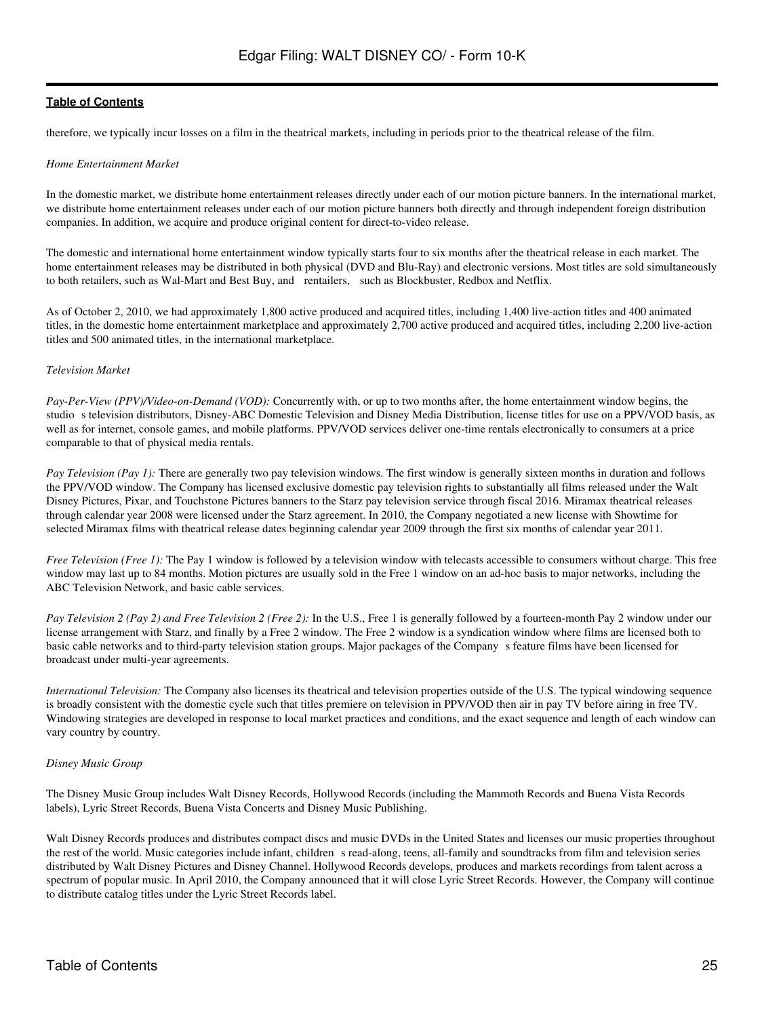therefore, we typically incur losses on a film in the theatrical markets, including in periods prior to the theatrical release of the film.

#### *Home Entertainment Market*

In the domestic market, we distribute home entertainment releases directly under each of our motion picture banners. In the international market, we distribute home entertainment releases under each of our motion picture banners both directly and through independent foreign distribution companies. In addition, we acquire and produce original content for direct-to-video release.

The domestic and international home entertainment window typically starts four to six months after the theatrical release in each market. The home entertainment releases may be distributed in both physical (DVD and Blu-Ray) and electronic versions. Most titles are sold simultaneously to both retailers, such as Wal-Mart and Best Buy, and rentailers, such as Blockbuster, Redbox and Netflix.

As of October 2, 2010, we had approximately 1,800 active produced and acquired titles, including 1,400 live-action titles and 400 animated titles, in the domestic home entertainment marketplace and approximately 2,700 active produced and acquired titles, including 2,200 live-action titles and 500 animated titles, in the international marketplace.

#### *Television Market*

*Pay-Per-View (PPV)/Video-on-Demand (VOD):* Concurrently with, or up to two months after, the home entertainment window begins, the studio s television distributors, Disney-ABC Domestic Television and Disney Media Distribution, license titles for use on a PPV/VOD basis, as well as for internet, console games, and mobile platforms. PPV/VOD services deliver one-time rentals electronically to consumers at a price comparable to that of physical media rentals.

*Pay Television (Pay 1):* There are generally two pay television windows. The first window is generally sixteen months in duration and follows the PPV/VOD window. The Company has licensed exclusive domestic pay television rights to substantially all films released under the Walt Disney Pictures, Pixar, and Touchstone Pictures banners to the Starz pay television service through fiscal 2016. Miramax theatrical releases through calendar year 2008 were licensed under the Starz agreement. In 2010, the Company negotiated a new license with Showtime for selected Miramax films with theatrical release dates beginning calendar year 2009 through the first six months of calendar year 2011.

*Free Television (Free 1):* The Pay 1 window is followed by a television window with telecasts accessible to consumers without charge. This free window may last up to 84 months. Motion pictures are usually sold in the Free 1 window on an ad-hoc basis to major networks, including the ABC Television Network, and basic cable services.

*Pay Television 2 (Pay 2) and Free Television 2 (Free 2):* In the U.S., Free 1 is generally followed by a fourteen-month Pay 2 window under our license arrangement with Starz, and finally by a Free 2 window. The Free 2 window is a syndication window where films are licensed both to basic cable networks and to third-party television station groups. Major packages of the Company s feature films have been licensed for broadcast under multi-year agreements.

*International Television:* The Company also licenses its theatrical and television properties outside of the U.S. The typical windowing sequence is broadly consistent with the domestic cycle such that titles premiere on television in PPV/VOD then air in pay TV before airing in free TV. Windowing strategies are developed in response to local market practices and conditions, and the exact sequence and length of each window can vary country by country.

#### *Disney Music Group*

The Disney Music Group includes Walt Disney Records, Hollywood Records (including the Mammoth Records and Buena Vista Records labels), Lyric Street Records, Buena Vista Concerts and Disney Music Publishing.

Walt Disney Records produces and distributes compact discs and music DVDs in the United States and licenses our music properties throughout the rest of the world. Music categories include infant, children s read-along, teens, all-family and soundtracks from film and television series distributed by Walt Disney Pictures and Disney Channel. Hollywood Records develops, produces and markets recordings from talent across a spectrum of popular music. In April 2010, the Company announced that it will close Lyric Street Records. However, the Company will continue to distribute catalog titles under the Lyric Street Records label.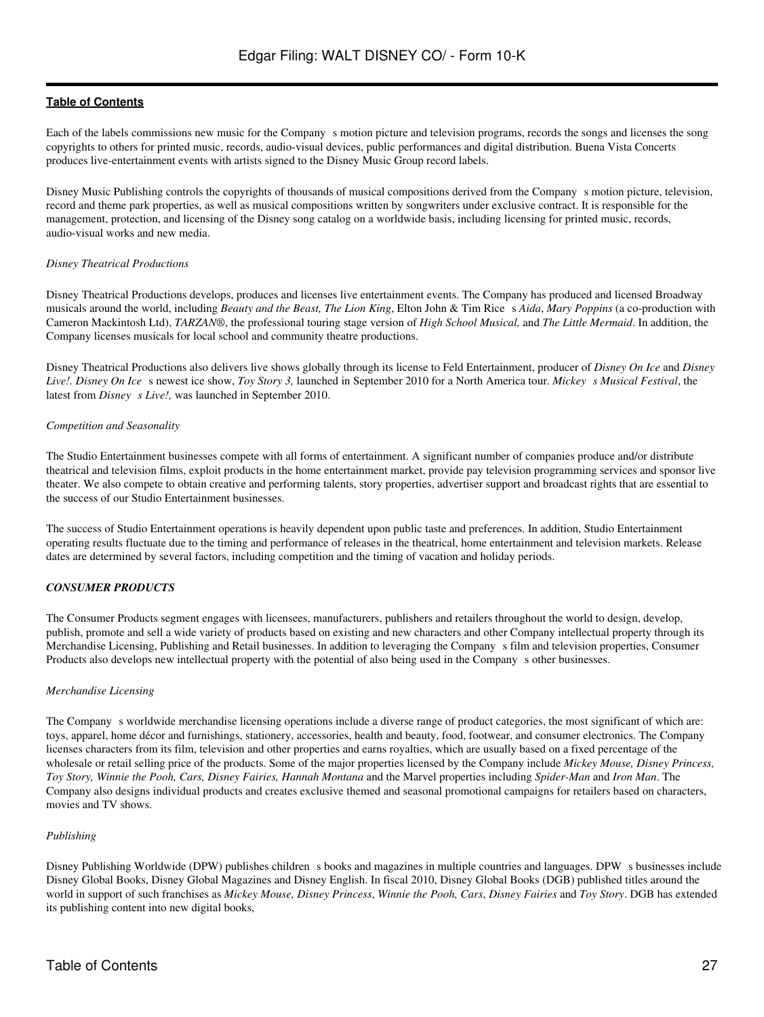Each of the labels commissions new music for the Company s motion picture and television programs, records the songs and licenses the song copyrights to others for printed music, records, audio-visual devices, public performances and digital distribution. Buena Vista Concerts produces live-entertainment events with artists signed to the Disney Music Group record labels.

Disney Music Publishing controls the copyrights of thousands of musical compositions derived from the Companys motion picture, television, record and theme park properties, as well as musical compositions written by songwriters under exclusive contract. It is responsible for the management, protection, and licensing of the Disney song catalog on a worldwide basis, including licensing for printed music, records, audio-visual works and new media.

### *Disney Theatrical Productions*

Disney Theatrical Productions develops, produces and licenses live entertainment events. The Company has produced and licensed Broadway musicals around the world, including *Beauty and the Beast, The Lion King*, Elton John & Tim Rices *Aida*, *Mary Poppins* (a co-production with Cameron Mackintosh Ltd), *TARZAN*®, the professional touring stage version of *High School Musical,* and *The Little Mermaid*. In addition, the Company licenses musicals for local school and community theatre productions.

Disney Theatrical Productions also delivers live shows globally through its license to Feld Entertainment, producer of *Disney On Ice* and *Disney Live!. Disney On Ice*s newest ice show, *Toy Story 3,* launched in September 2010 for a North America tour. *Mickeys Musical Festival*, the latest from *Disney s Live!*, was launched in September 2010.

#### *Competition and Seasonality*

The Studio Entertainment businesses compete with all forms of entertainment. A significant number of companies produce and/or distribute theatrical and television films, exploit products in the home entertainment market, provide pay television programming services and sponsor live theater. We also compete to obtain creative and performing talents, story properties, advertiser support and broadcast rights that are essential to the success of our Studio Entertainment businesses.

The success of Studio Entertainment operations is heavily dependent upon public taste and preferences. In addition, Studio Entertainment operating results fluctuate due to the timing and performance of releases in the theatrical, home entertainment and television markets. Release dates are determined by several factors, including competition and the timing of vacation and holiday periods.

### *CONSUMER PRODUCTS*

The Consumer Products segment engages with licensees, manufacturers, publishers and retailers throughout the world to design, develop, publish, promote and sell a wide variety of products based on existing and new characters and other Company intellectual property through its Merchandise Licensing, Publishing and Retail businesses. In addition to leveraging the Companys film and television properties, Consumer Products also develops new intellectual property with the potential of also being used in the Company s other businesses.

#### *Merchandise Licensing*

The Company s worldwide merchandise licensing operations include a diverse range of product categories, the most significant of which are: toys, apparel, home décor and furnishings, stationery, accessories, health and beauty, food, footwear, and consumer electronics. The Company licenses characters from its film, television and other properties and earns royalties, which are usually based on a fixed percentage of the wholesale or retail selling price of the products. Some of the major properties licensed by the Company include *Mickey Mouse, Disney Princess, Toy Story, Winnie the Pooh, Cars, Disney Fairies, Hannah Montana* and the Marvel properties including *Spider-Man* and *Iron Man*. The Company also designs individual products and creates exclusive themed and seasonal promotional campaigns for retailers based on characters, movies and TV shows.

#### *Publishing*

Disney Publishing Worldwide (DPW) publishes children s books and magazines in multiple countries and languages. DPW s businesses include Disney Global Books, Disney Global Magazines and Disney English. In fiscal 2010, Disney Global Books (DGB) published titles around the world in support of such franchises as *Mickey Mouse, Disney Princess*, *Winnie the Pooh, Cars*, *Disney Fairies* and *Toy Story*. DGB has extended its publishing content into new digital books,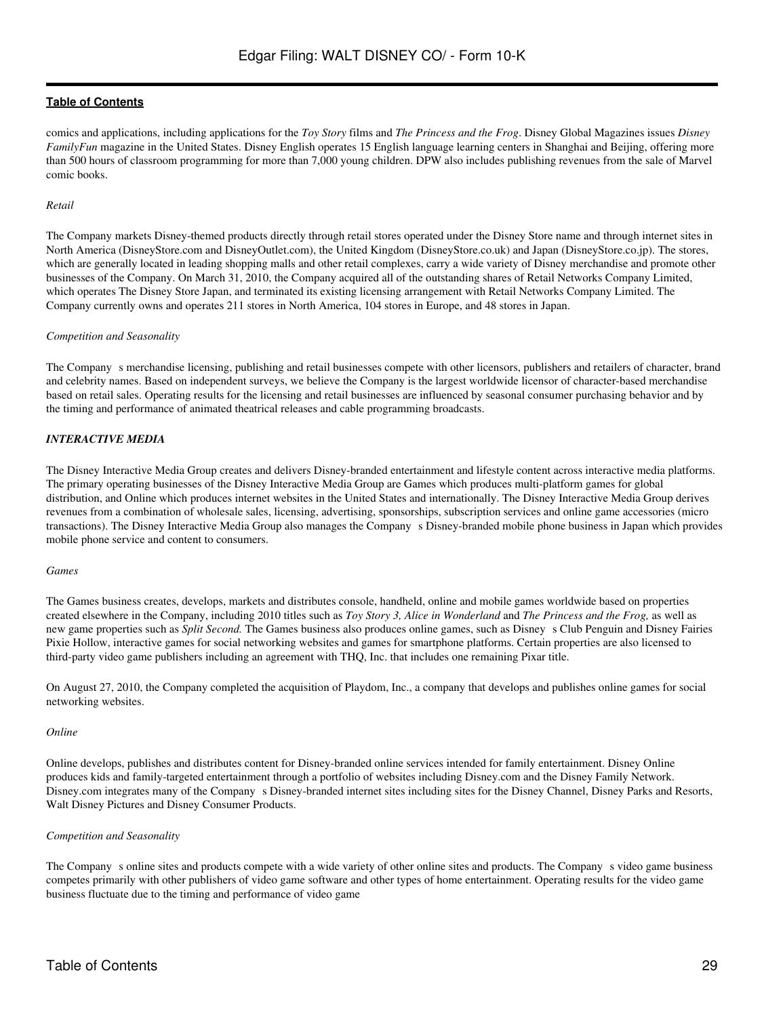comics and applications, including applications for the *Toy Story* films and *The Princess and the Frog*. Disney Global Magazines issues *Disney FamilyFun* magazine in the United States. Disney English operates 15 English language learning centers in Shanghai and Beijing, offering more than 500 hours of classroom programming for more than 7,000 young children. DPW also includes publishing revenues from the sale of Marvel comic books.

#### *Retail*

The Company markets Disney-themed products directly through retail stores operated under the Disney Store name and through internet sites in North America (DisneyStore.com and DisneyOutlet.com), the United Kingdom (DisneyStore.co.uk) and Japan (DisneyStore.co.jp). The stores, which are generally located in leading shopping malls and other retail complexes, carry a wide variety of Disney merchandise and promote other businesses of the Company. On March 31, 2010, the Company acquired all of the outstanding shares of Retail Networks Company Limited, which operates The Disney Store Japan, and terminated its existing licensing arrangement with Retail Networks Company Limited. The Company currently owns and operates 211 stores in North America, 104 stores in Europe, and 48 stores in Japan.

#### *Competition and Seasonality*

The Company s merchandise licensing, publishing and retail businesses compete with other licensors, publishers and retailers of character, brand and celebrity names. Based on independent surveys, we believe the Company is the largest worldwide licensor of character-based merchandise based on retail sales. Operating results for the licensing and retail businesses are influenced by seasonal consumer purchasing behavior and by the timing and performance of animated theatrical releases and cable programming broadcasts.

# *INTERACTIVE MEDIA*

The Disney Interactive Media Group creates and delivers Disney-branded entertainment and lifestyle content across interactive media platforms. The primary operating businesses of the Disney Interactive Media Group are Games which produces multi-platform games for global distribution, and Online which produces internet websites in the United States and internationally. The Disney Interactive Media Group derives revenues from a combination of wholesale sales, licensing, advertising, sponsorships, subscription services and online game accessories (micro transactions). The Disney Interactive Media Group also manages the Companys Disney-branded mobile phone business in Japan which provides mobile phone service and content to consumers.

#### *Games*

The Games business creates, develops, markets and distributes console, handheld, online and mobile games worldwide based on properties created elsewhere in the Company, including 2010 titles such as *Toy Story 3, Alice in Wonderland* and *The Princess and the Frog,* as well as new game properties such as *Split Second.* The Games business also produces online games, such as Disneys Club Penguin and Disney Fairies Pixie Hollow, interactive games for social networking websites and games for smartphone platforms. Certain properties are also licensed to third-party video game publishers including an agreement with THQ, Inc. that includes one remaining Pixar title.

On August 27, 2010, the Company completed the acquisition of Playdom, Inc., a company that develops and publishes online games for social networking websites.

#### *Online*

Online develops, publishes and distributes content for Disney-branded online services intended for family entertainment. Disney Online produces kids and family-targeted entertainment through a portfolio of websites including Disney.com and the Disney Family Network. Disney.com integrates many of the Company s Disney-branded internet sites including sites for the Disney Channel, Disney Parks and Resorts, Walt Disney Pictures and Disney Consumer Products.

#### *Competition and Seasonality*

The Company s online sites and products compete with a wide variety of other online sites and products. The Company s video game business competes primarily with other publishers of video game software and other types of home entertainment. Operating results for the video game business fluctuate due to the timing and performance of video game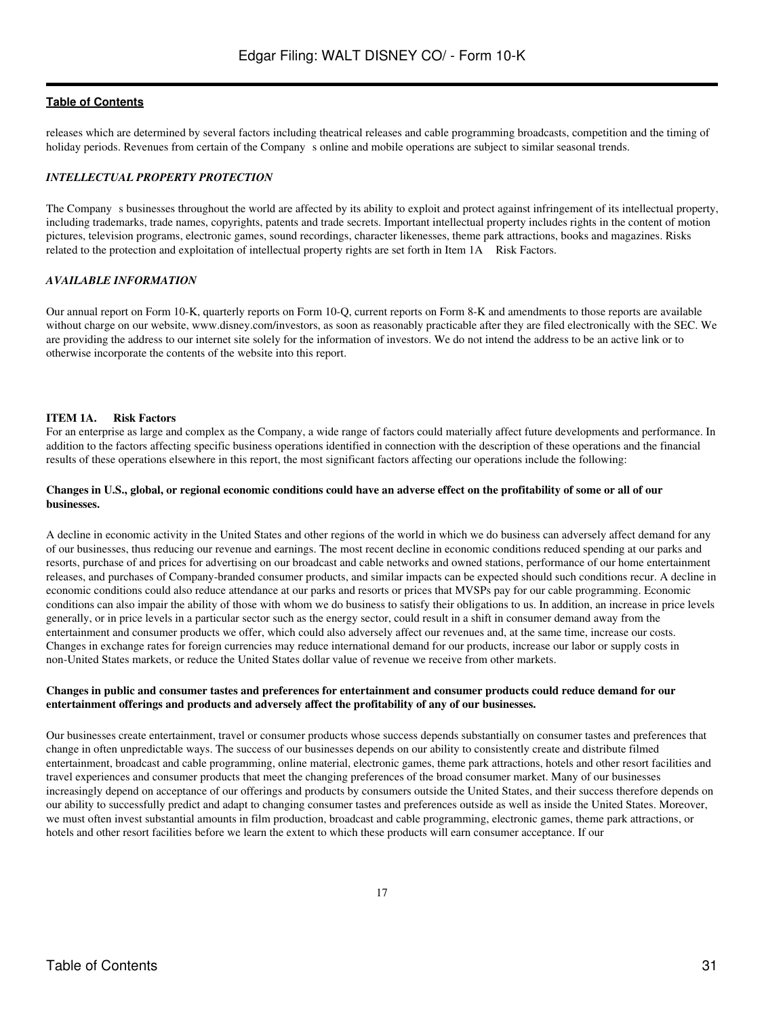releases which are determined by several factors including theatrical releases and cable programming broadcasts, competition and the timing of holiday periods. Revenues from certain of the Company s online and mobile operations are subject to similar seasonal trends.

### *INTELLECTUAL PROPERTY PROTECTION*

The Companys businesses throughout the world are affected by its ability to exploit and protect against infringement of its intellectual property, including trademarks, trade names, copyrights, patents and trade secrets. Important intellectual property includes rights in the content of motion pictures, television programs, electronic games, sound recordings, character likenesses, theme park attractions, books and magazines. Risks related to the protection and exploitation of intellectual property rights are set forth in Item 1A Risk Factors.

#### *AVAILABLE INFORMATION*

Our annual report on Form 10-K, quarterly reports on Form 10-Q, current reports on Form 8-K and amendments to those reports are available without charge on our website, www.disney.com/investors, as soon as reasonably practicable after they are filed electronically with the SEC. We are providing the address to our internet site solely for the information of investors. We do not intend the address to be an active link or to otherwise incorporate the contents of the website into this report.

#### <span id="page-30-0"></span>**ITEM 1A. Risk Factors**

For an enterprise as large and complex as the Company, a wide range of factors could materially affect future developments and performance. In addition to the factors affecting specific business operations identified in connection with the description of these operations and the financial results of these operations elsewhere in this report, the most significant factors affecting our operations include the following:

#### **Changes in U.S., global, or regional economic conditions could have an adverse effect on the profitability of some or all of our businesses.**

A decline in economic activity in the United States and other regions of the world in which we do business can adversely affect demand for any of our businesses, thus reducing our revenue and earnings. The most recent decline in economic conditions reduced spending at our parks and resorts, purchase of and prices for advertising on our broadcast and cable networks and owned stations, performance of our home entertainment releases, and purchases of Company-branded consumer products, and similar impacts can be expected should such conditions recur. A decline in economic conditions could also reduce attendance at our parks and resorts or prices that MVSPs pay for our cable programming. Economic conditions can also impair the ability of those with whom we do business to satisfy their obligations to us. In addition, an increase in price levels generally, or in price levels in a particular sector such as the energy sector, could result in a shift in consumer demand away from the entertainment and consumer products we offer, which could also adversely affect our revenues and, at the same time, increase our costs. Changes in exchange rates for foreign currencies may reduce international demand for our products, increase our labor or supply costs in non-United States markets, or reduce the United States dollar value of revenue we receive from other markets.

#### **Changes in public and consumer tastes and preferences for entertainment and consumer products could reduce demand for our entertainment offerings and products and adversely affect the profitability of any of our businesses.**

Our businesses create entertainment, travel or consumer products whose success depends substantially on consumer tastes and preferences that change in often unpredictable ways. The success of our businesses depends on our ability to consistently create and distribute filmed entertainment, broadcast and cable programming, online material, electronic games, theme park attractions, hotels and other resort facilities and travel experiences and consumer products that meet the changing preferences of the broad consumer market. Many of our businesses increasingly depend on acceptance of our offerings and products by consumers outside the United States, and their success therefore depends on our ability to successfully predict and adapt to changing consumer tastes and preferences outside as well as inside the United States. Moreover, we must often invest substantial amounts in film production, broadcast and cable programming, electronic games, theme park attractions, or hotels and other resort facilities before we learn the extent to which these products will earn consumer acceptance. If our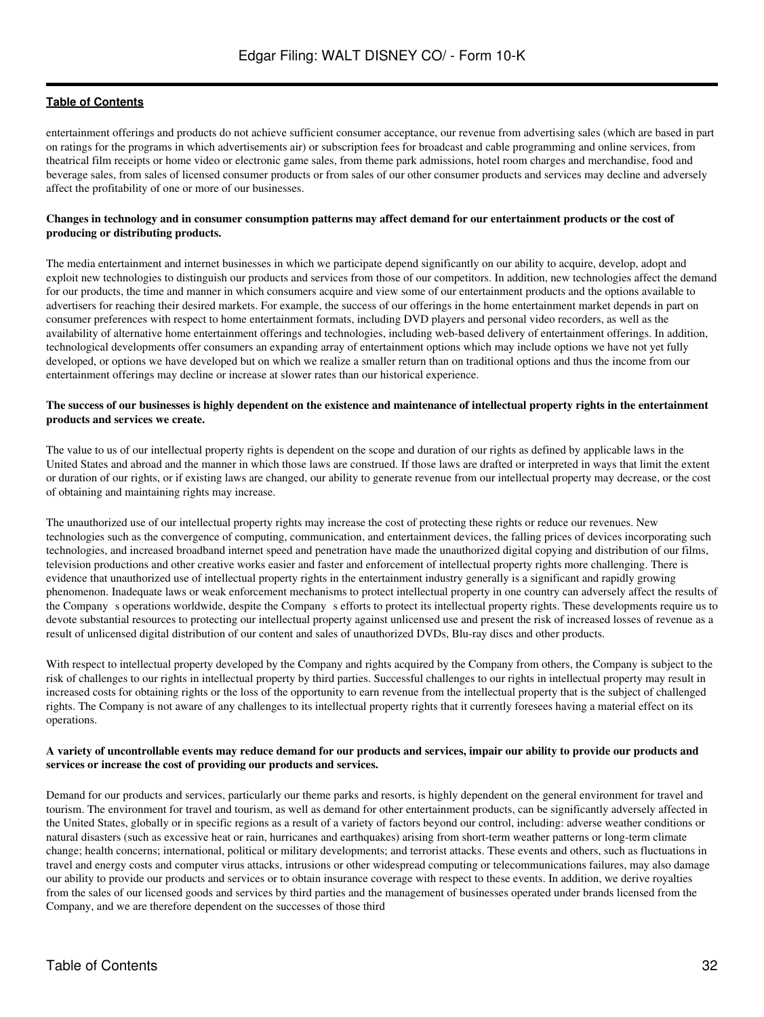entertainment offerings and products do not achieve sufficient consumer acceptance, our revenue from advertising sales (which are based in part on ratings for the programs in which advertisements air) or subscription fees for broadcast and cable programming and online services, from theatrical film receipts or home video or electronic game sales, from theme park admissions, hotel room charges and merchandise, food and beverage sales, from sales of licensed consumer products or from sales of our other consumer products and services may decline and adversely affect the profitability of one or more of our businesses.

#### **Changes in technology and in consumer consumption patterns may affect demand for our entertainment products or the cost of producing or distributing products.**

The media entertainment and internet businesses in which we participate depend significantly on our ability to acquire, develop, adopt and exploit new technologies to distinguish our products and services from those of our competitors. In addition, new technologies affect the demand for our products, the time and manner in which consumers acquire and view some of our entertainment products and the options available to advertisers for reaching their desired markets. For example, the success of our offerings in the home entertainment market depends in part on consumer preferences with respect to home entertainment formats, including DVD players and personal video recorders, as well as the availability of alternative home entertainment offerings and technologies, including web-based delivery of entertainment offerings. In addition, technological developments offer consumers an expanding array of entertainment options which may include options we have not yet fully developed, or options we have developed but on which we realize a smaller return than on traditional options and thus the income from our entertainment offerings may decline or increase at slower rates than our historical experience.

#### **The success of our businesses is highly dependent on the existence and maintenance of intellectual property rights in the entertainment products and services we create.**

The value to us of our intellectual property rights is dependent on the scope and duration of our rights as defined by applicable laws in the United States and abroad and the manner in which those laws are construed. If those laws are drafted or interpreted in ways that limit the extent or duration of our rights, or if existing laws are changed, our ability to generate revenue from our intellectual property may decrease, or the cost of obtaining and maintaining rights may increase.

The unauthorized use of our intellectual property rights may increase the cost of protecting these rights or reduce our revenues. New technologies such as the convergence of computing, communication, and entertainment devices, the falling prices of devices incorporating such technologies, and increased broadband internet speed and penetration have made the unauthorized digital copying and distribution of our films, television productions and other creative works easier and faster and enforcement of intellectual property rights more challenging. There is evidence that unauthorized use of intellectual property rights in the entertainment industry generally is a significant and rapidly growing phenomenon. Inadequate laws or weak enforcement mechanisms to protect intellectual property in one country can adversely affect the results of the Company s operations worldwide, despite the Company s efforts to protect its intellectual property rights. These developments require us to devote substantial resources to protecting our intellectual property against unlicensed use and present the risk of increased losses of revenue as a result of unlicensed digital distribution of our content and sales of unauthorized DVDs, Blu-ray discs and other products.

With respect to intellectual property developed by the Company and rights acquired by the Company from others, the Company is subject to the risk of challenges to our rights in intellectual property by third parties. Successful challenges to our rights in intellectual property may result in increased costs for obtaining rights or the loss of the opportunity to earn revenue from the intellectual property that is the subject of challenged rights. The Company is not aware of any challenges to its intellectual property rights that it currently foresees having a material effect on its operations.

#### **A variety of uncontrollable events may reduce demand for our products and services, impair our ability to provide our products and services or increase the cost of providing our products and services.**

Demand for our products and services, particularly our theme parks and resorts, is highly dependent on the general environment for travel and tourism. The environment for travel and tourism, as well as demand for other entertainment products, can be significantly adversely affected in the United States, globally or in specific regions as a result of a variety of factors beyond our control, including: adverse weather conditions or natural disasters (such as excessive heat or rain, hurricanes and earthquakes) arising from short-term weather patterns or long-term climate change; health concerns; international, political or military developments; and terrorist attacks. These events and others, such as fluctuations in travel and energy costs and computer virus attacks, intrusions or other widespread computing or telecommunications failures, may also damage our ability to provide our products and services or to obtain insurance coverage with respect to these events. In addition, we derive royalties from the sales of our licensed goods and services by third parties and the management of businesses operated under brands licensed from the Company, and we are therefore dependent on the successes of those third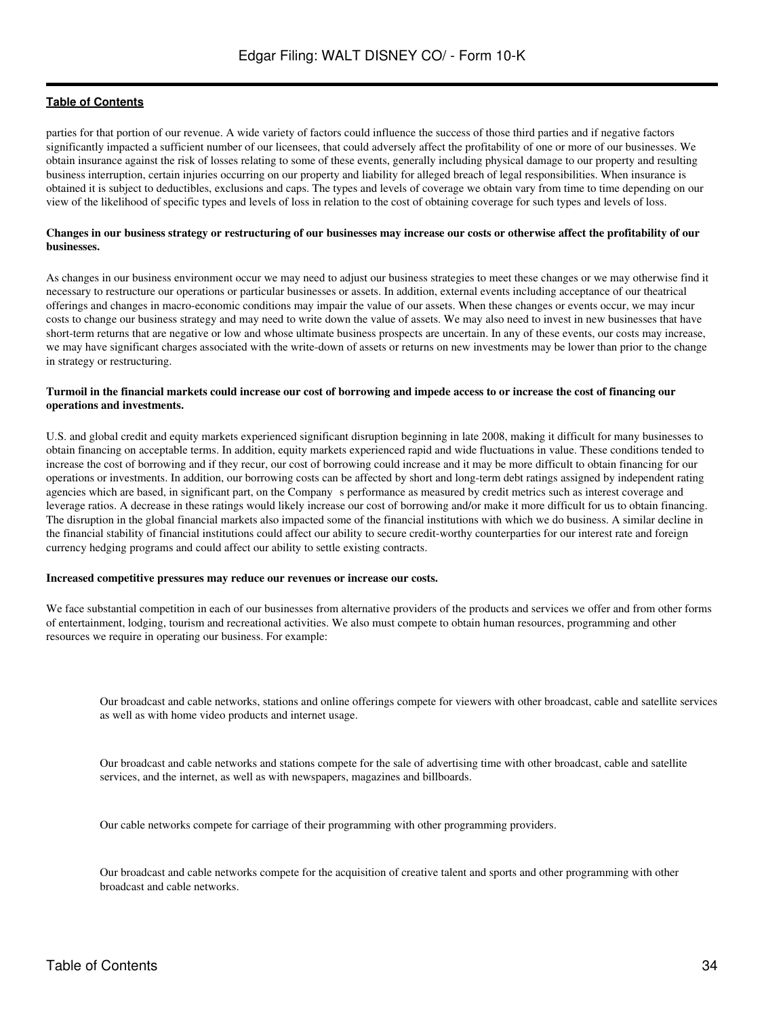parties for that portion of our revenue. A wide variety of factors could influence the success of those third parties and if negative factors significantly impacted a sufficient number of our licensees, that could adversely affect the profitability of one or more of our businesses. We obtain insurance against the risk of losses relating to some of these events, generally including physical damage to our property and resulting business interruption, certain injuries occurring on our property and liability for alleged breach of legal responsibilities. When insurance is obtained it is subject to deductibles, exclusions and caps. The types and levels of coverage we obtain vary from time to time depending on our view of the likelihood of specific types and levels of loss in relation to the cost of obtaining coverage for such types and levels of loss.

#### **Changes in our business strategy or restructuring of our businesses may increase our costs or otherwise affect the profitability of our businesses.**

As changes in our business environment occur we may need to adjust our business strategies to meet these changes or we may otherwise find it necessary to restructure our operations or particular businesses or assets. In addition, external events including acceptance of our theatrical offerings and changes in macro-economic conditions may impair the value of our assets. When these changes or events occur, we may incur costs to change our business strategy and may need to write down the value of assets. We may also need to invest in new businesses that have short-term returns that are negative or low and whose ultimate business prospects are uncertain. In any of these events, our costs may increase, we may have significant charges associated with the write-down of assets or returns on new investments may be lower than prior to the change in strategy or restructuring.

#### **Turmoil in the financial markets could increase our cost of borrowing and impede access to or increase the cost of financing our operations and investments.**

U.S. and global credit and equity markets experienced significant disruption beginning in late 2008, making it difficult for many businesses to obtain financing on acceptable terms. In addition, equity markets experienced rapid and wide fluctuations in value. These conditions tended to increase the cost of borrowing and if they recur, our cost of borrowing could increase and it may be more difficult to obtain financing for our operations or investments. In addition, our borrowing costs can be affected by short and long-term debt ratings assigned by independent rating agencies which are based, in significant part, on the Company s performance as measured by credit metrics such as interest coverage and leverage ratios. A decrease in these ratings would likely increase our cost of borrowing and/or make it more difficult for us to obtain financing. The disruption in the global financial markets also impacted some of the financial institutions with which we do business. A similar decline in the financial stability of financial institutions could affect our ability to secure credit-worthy counterparties for our interest rate and foreign currency hedging programs and could affect our ability to settle existing contracts.

#### **Increased competitive pressures may reduce our revenues or increase our costs.**

We face substantial competition in each of our businesses from alternative providers of the products and services we offer and from other forms of entertainment, lodging, tourism and recreational activities. We also must compete to obtain human resources, programming and other resources we require in operating our business. For example:

Our broadcast and cable networks, stations and online offerings compete for viewers with other broadcast, cable and satellite services as well as with home video products and internet usage.

Our broadcast and cable networks and stations compete for the sale of advertising time with other broadcast, cable and satellite services, and the internet, as well as with newspapers, magazines and billboards.

Our cable networks compete for carriage of their programming with other programming providers.

Our broadcast and cable networks compete for the acquisition of creative talent and sports and other programming with other broadcast and cable networks.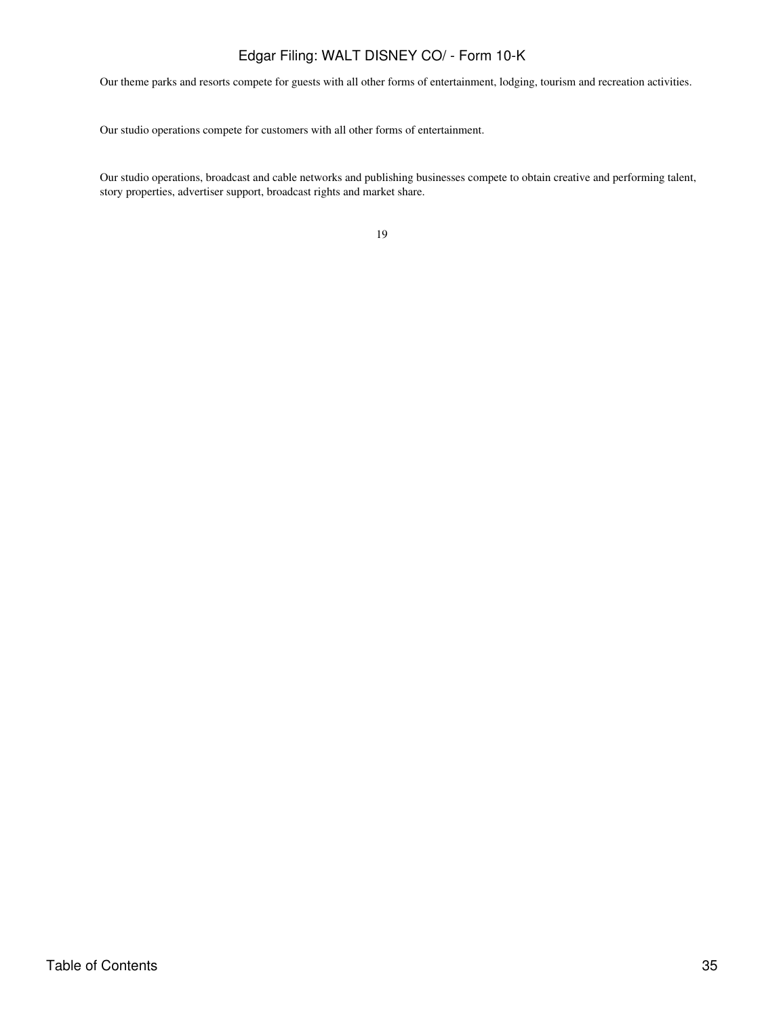Our theme parks and resorts compete for guests with all other forms of entertainment, lodging, tourism and recreation activities.

Our studio operations compete for customers with all other forms of entertainment.

Our studio operations, broadcast and cable networks and publishing businesses compete to obtain creative and performing talent, story properties, advertiser support, broadcast rights and market share.

19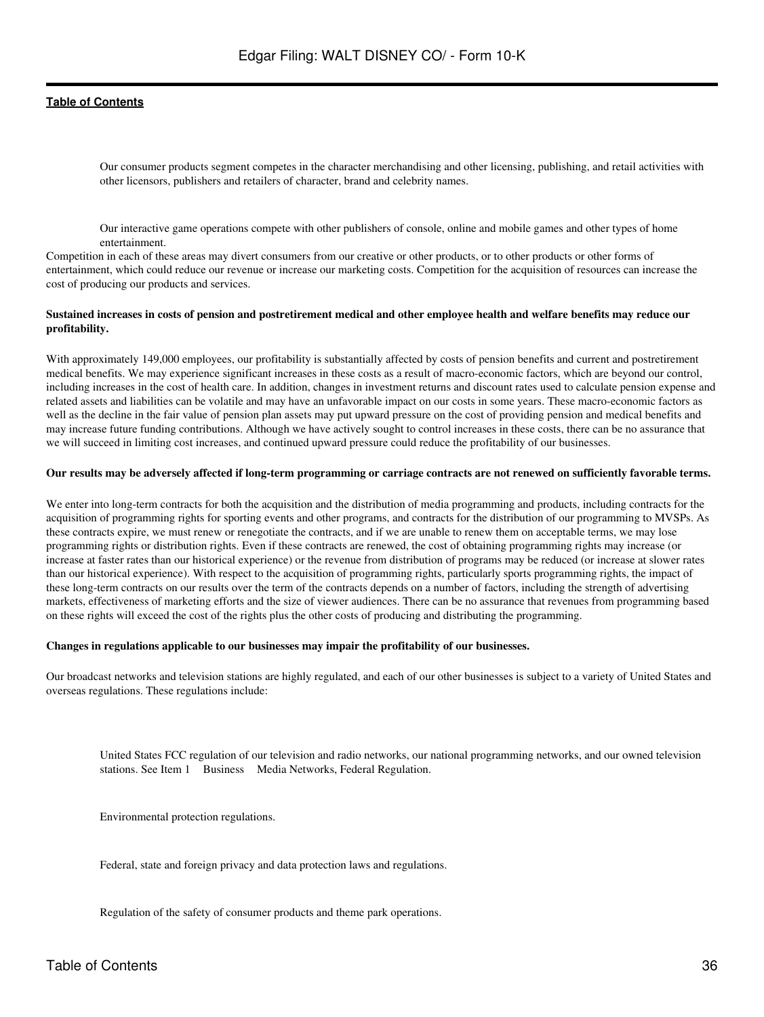Our consumer products segment competes in the character merchandising and other licensing, publishing, and retail activities with other licensors, publishers and retailers of character, brand and celebrity names.

Our interactive game operations compete with other publishers of console, online and mobile games and other types of home entertainment.

Competition in each of these areas may divert consumers from our creative or other products, or to other products or other forms of entertainment, which could reduce our revenue or increase our marketing costs. Competition for the acquisition of resources can increase the cost of producing our products and services.

#### **Sustained increases in costs of pension and postretirement medical and other employee health and welfare benefits may reduce our profitability.**

With approximately 149,000 employees, our profitability is substantially affected by costs of pension benefits and current and postretirement medical benefits. We may experience significant increases in these costs as a result of macro-economic factors, which are beyond our control, including increases in the cost of health care. In addition, changes in investment returns and discount rates used to calculate pension expense and related assets and liabilities can be volatile and may have an unfavorable impact on our costs in some years. These macro-economic factors as well as the decline in the fair value of pension plan assets may put upward pressure on the cost of providing pension and medical benefits and may increase future funding contributions. Although we have actively sought to control increases in these costs, there can be no assurance that we will succeed in limiting cost increases, and continued upward pressure could reduce the profitability of our businesses.

#### **Our results may be adversely affected if long-term programming or carriage contracts are not renewed on sufficiently favorable terms.**

We enter into long-term contracts for both the acquisition and the distribution of media programming and products, including contracts for the acquisition of programming rights for sporting events and other programs, and contracts for the distribution of our programming to MVSPs. As these contracts expire, we must renew or renegotiate the contracts, and if we are unable to renew them on acceptable terms, we may lose programming rights or distribution rights. Even if these contracts are renewed, the cost of obtaining programming rights may increase (or increase at faster rates than our historical experience) or the revenue from distribution of programs may be reduced (or increase at slower rates than our historical experience). With respect to the acquisition of programming rights, particularly sports programming rights, the impact of these long-term contracts on our results over the term of the contracts depends on a number of factors, including the strength of advertising markets, effectiveness of marketing efforts and the size of viewer audiences. There can be no assurance that revenues from programming based on these rights will exceed the cost of the rights plus the other costs of producing and distributing the programming.

#### **Changes in regulations applicable to our businesses may impair the profitability of our businesses.**

Our broadcast networks and television stations are highly regulated, and each of our other businesses is subject to a variety of United States and overseas regulations. These regulations include:

United States FCC regulation of our television and radio networks, our national programming networks, and our owned television stations. See Item 1 Business Media Networks, Federal Regulation.

Environmental protection regulations.

Federal, state and foreign privacy and data protection laws and regulations.

Regulation of the safety of consumer products and theme park operations.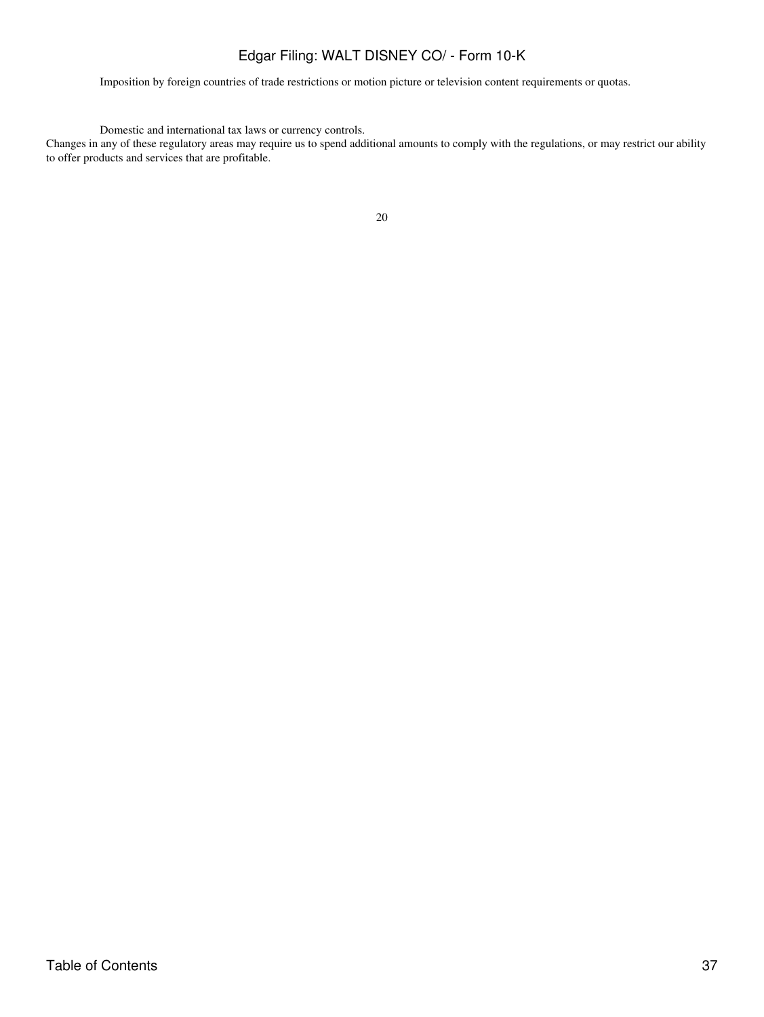Imposition by foreign countries of trade restrictions or motion picture or television content requirements or quotas.

Domestic and international tax laws or currency controls.

Changes in any of these regulatory areas may require us to spend additional amounts to comply with the regulations, or may restrict our ability to offer products and services that are profitable.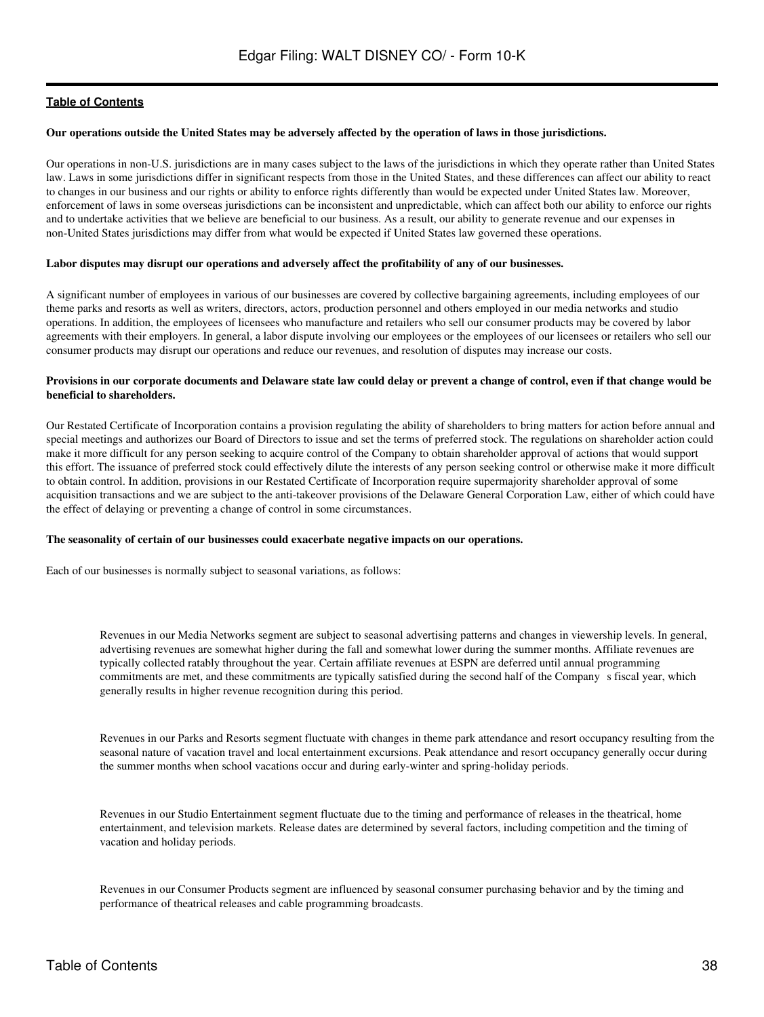#### **Our operations outside the United States may be adversely affected by the operation of laws in those jurisdictions.**

Our operations in non-U.S. jurisdictions are in many cases subject to the laws of the jurisdictions in which they operate rather than United States law. Laws in some jurisdictions differ in significant respects from those in the United States, and these differences can affect our ability to react to changes in our business and our rights or ability to enforce rights differently than would be expected under United States law. Moreover, enforcement of laws in some overseas jurisdictions can be inconsistent and unpredictable, which can affect both our ability to enforce our rights and to undertake activities that we believe are beneficial to our business. As a result, our ability to generate revenue and our expenses in non-United States jurisdictions may differ from what would be expected if United States law governed these operations.

#### **Labor disputes may disrupt our operations and adversely affect the profitability of any of our businesses.**

A significant number of employees in various of our businesses are covered by collective bargaining agreements, including employees of our theme parks and resorts as well as writers, directors, actors, production personnel and others employed in our media networks and studio operations. In addition, the employees of licensees who manufacture and retailers who sell our consumer products may be covered by labor agreements with their employers. In general, a labor dispute involving our employees or the employees of our licensees or retailers who sell our consumer products may disrupt our operations and reduce our revenues, and resolution of disputes may increase our costs.

#### **Provisions in our corporate documents and Delaware state law could delay or prevent a change of control, even if that change would be beneficial to shareholders.**

Our Restated Certificate of Incorporation contains a provision regulating the ability of shareholders to bring matters for action before annual and special meetings and authorizes our Board of Directors to issue and set the terms of preferred stock. The regulations on shareholder action could make it more difficult for any person seeking to acquire control of the Company to obtain shareholder approval of actions that would support this effort. The issuance of preferred stock could effectively dilute the interests of any person seeking control or otherwise make it more difficult to obtain control. In addition, provisions in our Restated Certificate of Incorporation require supermajority shareholder approval of some acquisition transactions and we are subject to the anti-takeover provisions of the Delaware General Corporation Law, either of which could have the effect of delaying or preventing a change of control in some circumstances.

#### **The seasonality of certain of our businesses could exacerbate negative impacts on our operations.**

Each of our businesses is normally subject to seasonal variations, as follows:

Revenues in our Media Networks segment are subject to seasonal advertising patterns and changes in viewership levels. In general, advertising revenues are somewhat higher during the fall and somewhat lower during the summer months. Affiliate revenues are typically collected ratably throughout the year. Certain affiliate revenues at ESPN are deferred until annual programming commitments are met, and these commitments are typically satisfied during the second half of the Company s fiscal year, which generally results in higher revenue recognition during this period.

Revenues in our Parks and Resorts segment fluctuate with changes in theme park attendance and resort occupancy resulting from the seasonal nature of vacation travel and local entertainment excursions. Peak attendance and resort occupancy generally occur during the summer months when school vacations occur and during early-winter and spring-holiday periods.

Revenues in our Studio Entertainment segment fluctuate due to the timing and performance of releases in the theatrical, home entertainment, and television markets. Release dates are determined by several factors, including competition and the timing of vacation and holiday periods.

Revenues in our Consumer Products segment are influenced by seasonal consumer purchasing behavior and by the timing and performance of theatrical releases and cable programming broadcasts.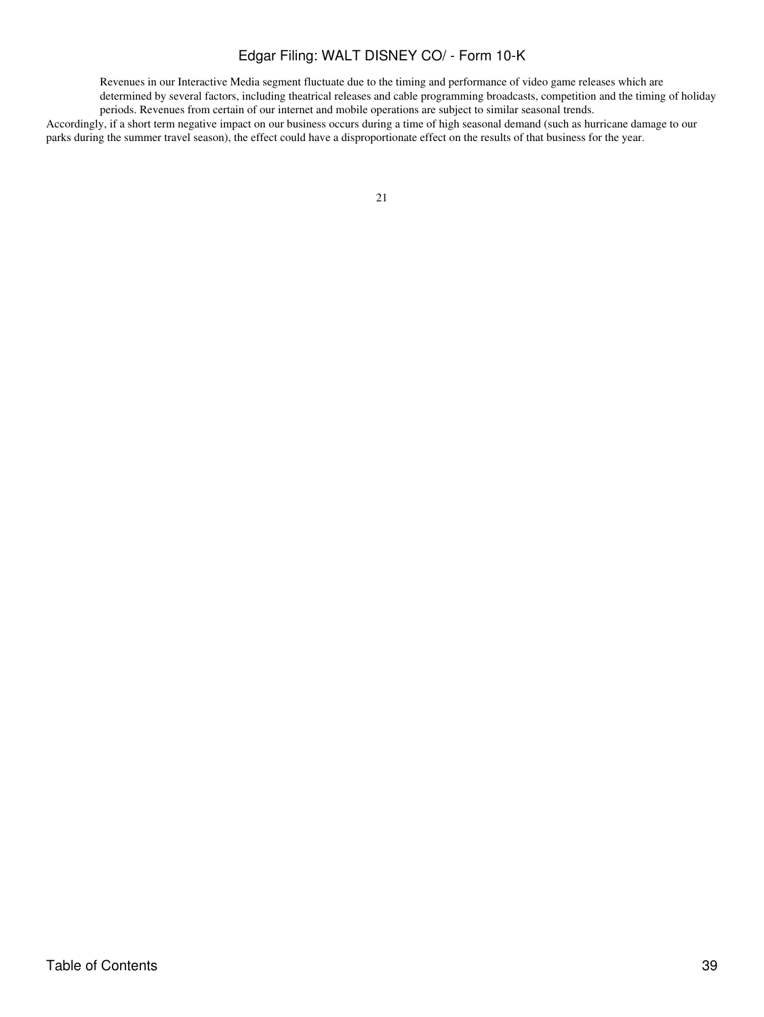Revenues in our Interactive Media segment fluctuate due to the timing and performance of video game releases which are determined by several factors, including theatrical releases and cable programming broadcasts, competition and the timing of holiday periods. Revenues from certain of our internet and mobile operations are subject to similar seasonal trends.

Accordingly, if a short term negative impact on our business occurs during a time of high seasonal demand (such as hurricane damage to our parks during the summer travel season), the effect could have a disproportionate effect on the results of that business for the year.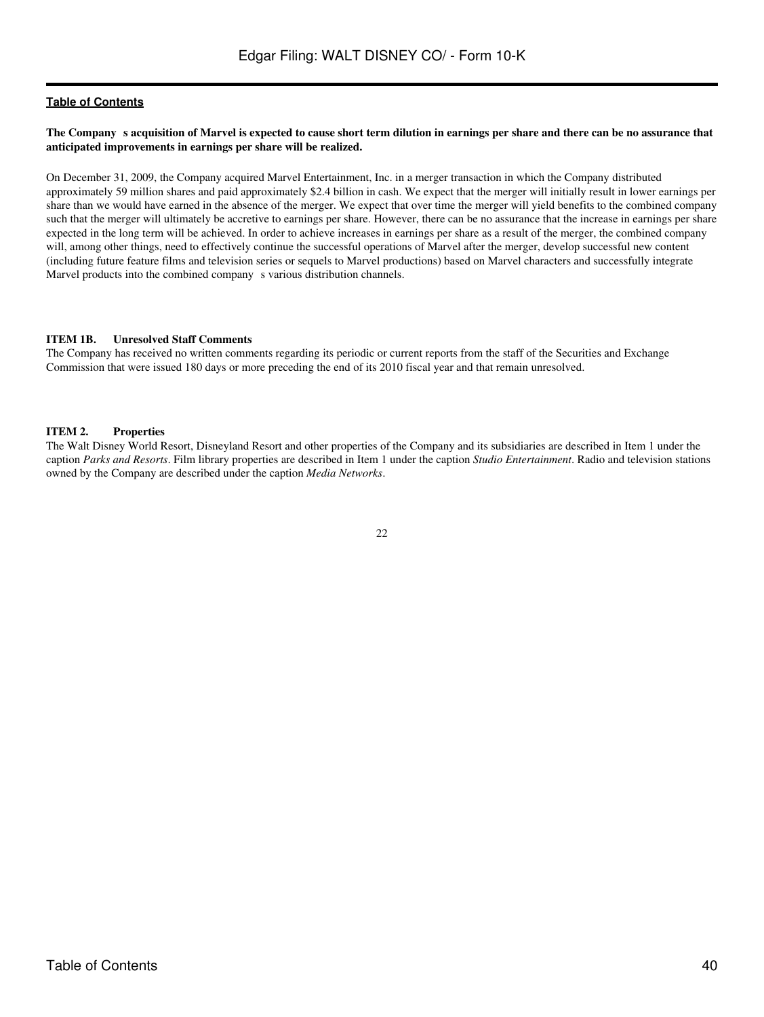#### **The Companys acquisition of Marvel is expected to cause short term dilution in earnings per share and there can be no assurance that anticipated improvements in earnings per share will be realized.**

On December 31, 2009, the Company acquired Marvel Entertainment, Inc. in a merger transaction in which the Company distributed approximately 59 million shares and paid approximately \$2.4 billion in cash. We expect that the merger will initially result in lower earnings per share than we would have earned in the absence of the merger. We expect that over time the merger will yield benefits to the combined company such that the merger will ultimately be accretive to earnings per share. However, there can be no assurance that the increase in earnings per share expected in the long term will be achieved. In order to achieve increases in earnings per share as a result of the merger, the combined company will, among other things, need to effectively continue the successful operations of Marvel after the merger, develop successful new content (including future feature films and television series or sequels to Marvel productions) based on Marvel characters and successfully integrate Marvel products into the combined company s various distribution channels.

#### **ITEM 1B. Unresolved Staff Comments**

The Company has received no written comments regarding its periodic or current reports from the staff of the Securities and Exchange Commission that were issued 180 days or more preceding the end of its 2010 fiscal year and that remain unresolved.

#### **ITEM 2. Properties**

The Walt Disney World Resort, Disneyland Resort and other properties of the Company and its subsidiaries are described in Item 1 under the caption *Parks and Resorts*. Film library properties are described in Item 1 under the caption *Studio Entertainment*. Radio and television stations owned by the Company are described under the caption *Media Networks*.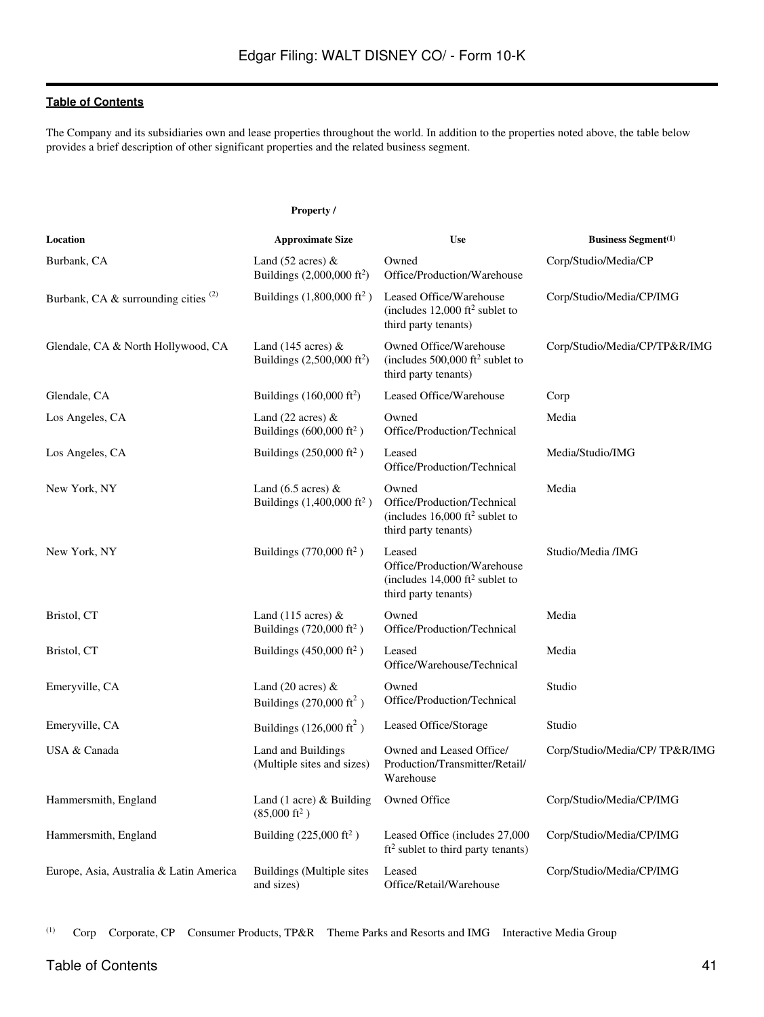The Company and its subsidiaries own and lease properties throughout the world. In addition to the properties noted above, the table below provides a brief description of other significant properties and the related business segment.

#### **Property /**

| Location                                  | <b>Approximate Size</b>                                               | <b>Use</b>                                                                                                    | <b>Business Segment</b> <sup>(1)</sup> |
|-------------------------------------------|-----------------------------------------------------------------------|---------------------------------------------------------------------------------------------------------------|----------------------------------------|
| Burbank, CA                               | Land $(52 \text{ acres})$ &<br>Buildings (2,000,000 ft <sup>2</sup> ) | Owned<br>Office/Production/Warehouse                                                                          | Corp/Studio/Media/CP                   |
| Burbank, CA & surrounding cities $^{(2)}$ | Buildings (1,800,000 ft <sup>2</sup> )                                | Leased Office/Warehouse<br>(includes $12,000$ ft <sup>2</sup> sublet to<br>third party tenants)               | Corp/Studio/Media/CP/IMG               |
| Glendale, CA & North Hollywood, CA        | Land (145 acres) $\&$<br>Buildings (2,500,000 ft <sup>2</sup> )       | Owned Office/Warehouse<br>(includes $500,000$ ft <sup>2</sup> sublet to<br>third party tenants)               | Corp/Studio/Media/CP/TP&R/IMG          |
| Glendale, CA                              | Buildings $(160,000 \text{ ft}^2)$                                    | Leased Office/Warehouse                                                                                       | Corp                                   |
| Los Angeles, CA                           | Land $(22 \text{ acres})$ &<br>Buildings $(600,000 \text{ ft}^2)$     | Owned<br>Office/Production/Technical                                                                          | Media                                  |
| Los Angeles, CA                           | Buildings $(250,000 \text{ ft}^2)$                                    | Leased<br>Office/Production/Technical                                                                         | Media/Studio/IMG                       |
| New York, NY                              | Land (6.5 acres) $\&$<br>Buildings $(1,400,000 \text{ ft}^2)$         | Owned<br>Office/Production/Technical<br>(includes $16,000$ ft <sup>2</sup> sublet to<br>third party tenants)  | Media                                  |
| New York, NY                              | Buildings $(770,000 \text{ ft}^2)$                                    | Leased<br>Office/Production/Warehouse<br>(includes $14,000$ ft <sup>2</sup> sublet to<br>third party tenants) | Studio/Media /IMG                      |
| Bristol, CT                               | Land $(115 \text{ acres})$ &<br>Buildings $(720,000 \text{ ft}^2)$    | Owned<br>Office/Production/Technical                                                                          | Media                                  |
| Bristol, CT                               | Buildings $(450,000 \text{ ft}^2)$                                    | Leased<br>Office/Warehouse/Technical                                                                          | Media                                  |
| Emeryville, CA                            | Land $(20 \text{ acres})$ &<br>Buildings $(270,000 \text{ ft}^2)$     | Owned<br>Office/Production/Technical                                                                          | Studio                                 |
| Emeryville, CA                            | Buildings $(126,000 \text{ ft}^2)$                                    | Leased Office/Storage                                                                                         | Studio                                 |
| USA & Canada                              | Land and Buildings<br>(Multiple sites and sizes)                      | Owned and Leased Office/<br>Production/Transmitter/Retail/<br>Warehouse                                       | Corp/Studio/Media/CP/TP&R/IMG          |
| Hammersmith, England                      | Land $(1 \text{ acre})$ & Building<br>$(85,000 \text{ ft}^2)$         | Owned Office                                                                                                  | Corp/Studio/Media/CP/IMG               |
| Hammersmith, England                      | Building $(225,000 \text{ ft}^2)$                                     | Leased Office (includes 27,000)<br>$ft2$ sublet to third party tenants)                                       | Corp/Studio/Media/CP/IMG               |
| Europe, Asia, Australia & Latin America   | Buildings (Multiple sites<br>and sizes)                               | Leased<br>Office/Retail/Warehouse                                                                             | Corp/Studio/Media/CP/IMG               |

(1) Corp Corporate, CP Consumer Products, TP&R Theme Parks and Resorts and IMG Interactive Media Group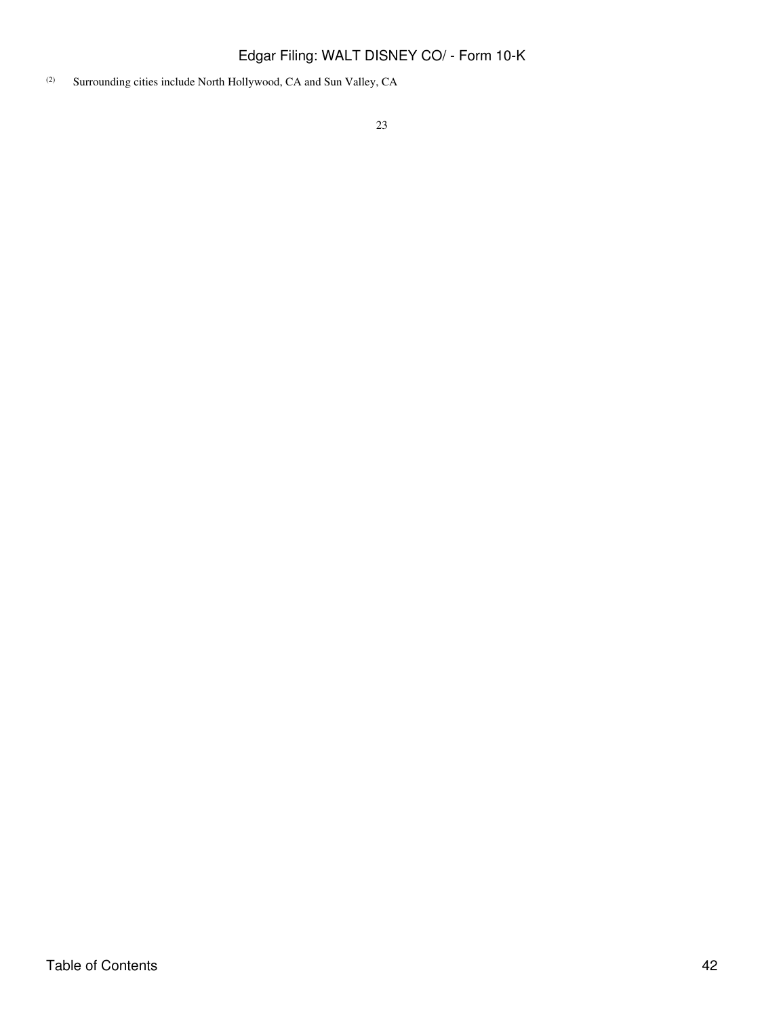(2) Surrounding cities include North Hollywood, CA and Sun Valley, CA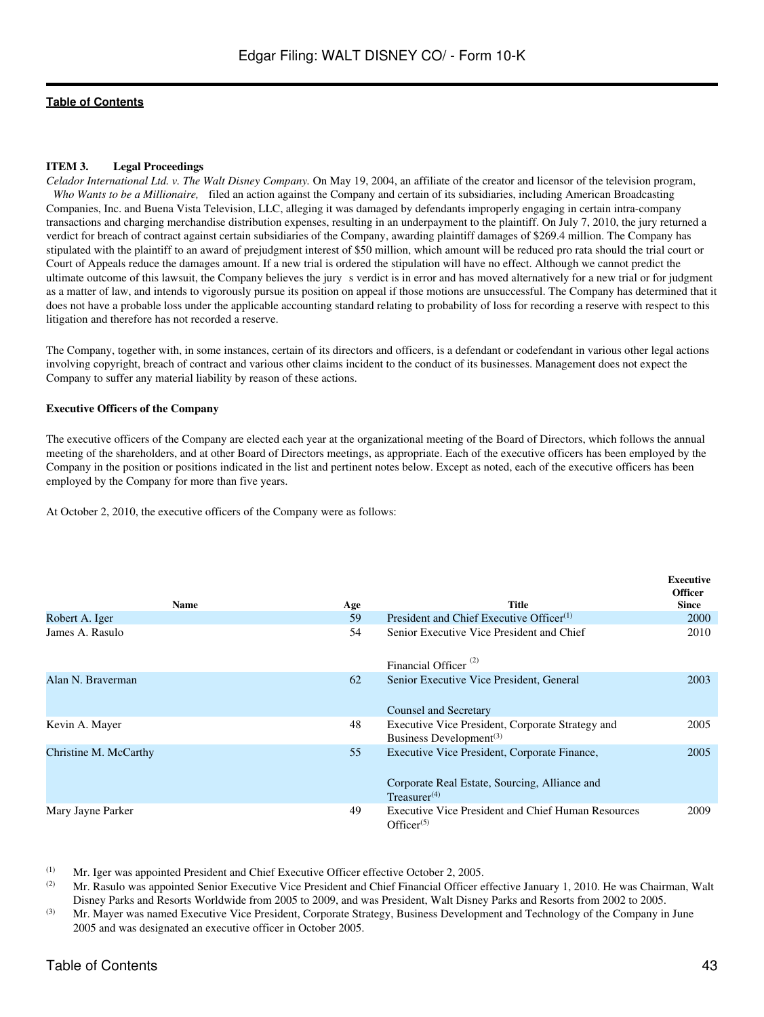#### **ITEM 3. Legal Proceedings**

*Celador International Ltd. v. The Walt Disney Company.* On May 19, 2004, an affiliate of the creator and licensor of the television program, *Who Wants to be a Millionaire,* filed an action against the Company and certain of its subsidiaries, including American Broadcasting Companies, Inc. and Buena Vista Television, LLC, alleging it was damaged by defendants improperly engaging in certain intra-company transactions and charging merchandise distribution expenses, resulting in an underpayment to the plaintiff. On July 7, 2010, the jury returned a verdict for breach of contract against certain subsidiaries of the Company, awarding plaintiff damages of \$269.4 million. The Company has stipulated with the plaintiff to an award of prejudgment interest of \$50 million, which amount will be reduced pro rata should the trial court or Court of Appeals reduce the damages amount. If a new trial is ordered the stipulation will have no effect. Although we cannot predict the ultimate outcome of this lawsuit, the Company believes the jury s verdict is in error and has moved alternatively for a new trial or for judgment as a matter of law, and intends to vigorously pursue its position on appeal if those motions are unsuccessful. The Company has determined that it does not have a probable loss under the applicable accounting standard relating to probability of loss for recording a reserve with respect to this litigation and therefore has not recorded a reserve.

The Company, together with, in some instances, certain of its directors and officers, is a defendant or codefendant in various other legal actions involving copyright, breach of contract and various other claims incident to the conduct of its businesses. Management does not expect the Company to suffer any material liability by reason of these actions.

#### **Executive Officers of the Company**

The executive officers of the Company are elected each year at the organizational meeting of the Board of Directors, which follows the annual meeting of the shareholders, and at other Board of Directors meetings, as appropriate. Each of the executive officers has been employed by the Company in the position or positions indicated in the list and pertinent notes below. Except as noted, each of the executive officers has been employed by the Company for more than five years.

At October 2, 2010, the executive officers of the Company were as follows:

|                       | <b>Name</b> | Age | <b>Title</b>                                                                              | <b>Executive</b><br><b>Officer</b><br><b>Since</b> |
|-----------------------|-------------|-----|-------------------------------------------------------------------------------------------|----------------------------------------------------|
| Robert A. Iger        |             | 59  | President and Chief Executive Officer <sup>(1)</sup>                                      | <b>2000</b>                                        |
| James A. Rasulo       |             | 54  | Senior Executive Vice President and Chief                                                 | 2010                                               |
|                       |             |     | Financial Officer <sup>(2)</sup>                                                          |                                                    |
| Alan N. Braverman     |             | 62  | Senior Executive Vice President, General                                                  | 2003                                               |
|                       |             |     | Counsel and Secretary                                                                     |                                                    |
| Kevin A. Mayer        |             | 48  | Executive Vice President, Corporate Strategy and<br>Business Development <sup>(3)</sup>   | 2005                                               |
| Christine M. McCarthy |             | 55  | Executive Vice President, Corporate Finance,                                              | 2005                                               |
|                       |             |     | Corporate Real Estate, Sourcing, Alliance and<br>$T$ reasurer <sup><math>(4)</math></sup> |                                                    |
| Mary Jayne Parker     |             | 49  | Executive Vice President and Chief Human Resources<br>$Officer^{(5)}$                     | 2009                                               |

(1) Mr. Iger was appointed President and Chief Executive Officer effective October 2, 2005.<br>
Mr. Pasulo was appointed Senior Executive Vice President and Chief Einangial Officer a

Mr. Rasulo was appointed Senior Executive Vice President and Chief Financial Officer effective January 1, 2010. He was Chairman, Walt Disney Parks and Resorts Worldwide from 2005 to 2009, and was President, Walt Disney Parks and Resorts from 2002 to 2005.

(3) Mr. Mayer was named Executive Vice President, Corporate Strategy, Business Development and Technology of the Company in June 2005 and was designated an executive officer in October 2005.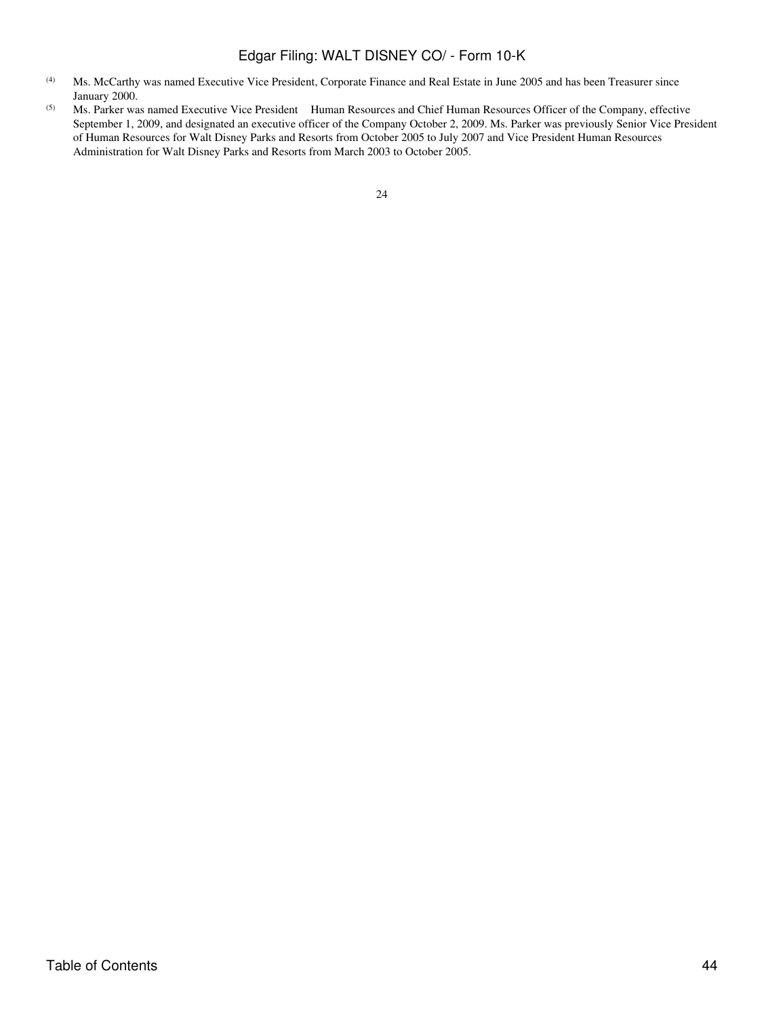- (4) Ms. McCarthy was named Executive Vice President, Corporate Finance and Real Estate in June 2005 and has been Treasurer since January 2000.
- (5) Ms. Parker was named Executive Vice President Human Resources and Chief Human Resources Officer of the Company, effective September 1, 2009, and designated an executive officer of the Company October 2, 2009. Ms. Parker was previously Senior Vice President of Human Resources for Walt Disney Parks and Resorts from October 2005 to July 2007 and Vice President Human Resources Administration for Walt Disney Parks and Resorts from March 2003 to October 2005.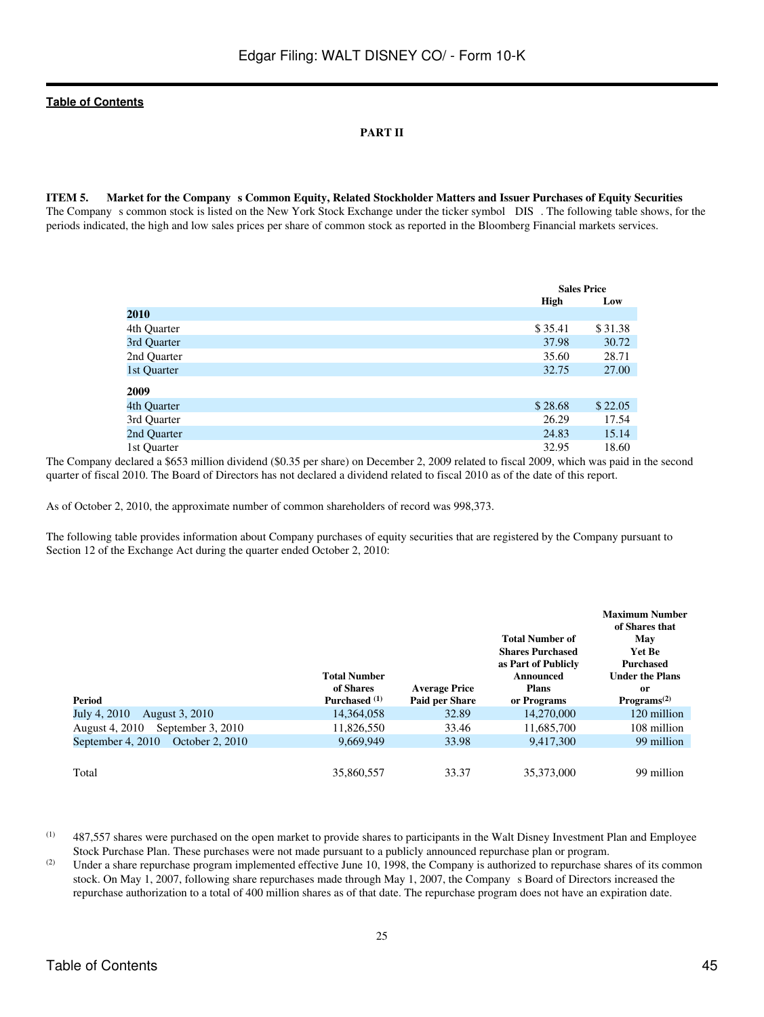#### **PART II**

**ITEM 5. Market for the Companys Common Equity, Related Stockholder Matters and Issuer Purchases of Equity Securities** The Company s common stock is listed on the New York Stock Exchange under the ticker symbol DIS . The following table shows, for the periods indicated, the high and low sales prices per share of common stock as reported in the Bloomberg Financial markets services.

|             |         | <b>Sales Price</b> |
|-------------|---------|--------------------|
|             | High    | Low                |
| 2010        |         |                    |
| 4th Quarter | \$35.41 | \$31.38            |
| 3rd Quarter | 37.98   | 30.72              |
| 2nd Quarter | 35.60   | 28.71              |
| 1st Quarter | 32.75   | 27.00              |
| 2009        |         |                    |
| 4th Quarter | \$28.68 | \$22.05            |
| 3rd Quarter | 26.29   | 17.54              |
| 2nd Quarter | 24.83   | 15.14              |
| 1st Quarter | 32.95   | 18.60              |

The Company declared a \$653 million dividend (\$0.35 per share) on December 2, 2009 related to fiscal 2009, which was paid in the second quarter of fiscal 2010. The Board of Directors has not declared a dividend related to fiscal 2010 as of the date of this report.

As of October 2, 2010, the approximate number of common shareholders of record was 998,373.

The following table provides information about Company purchases of equity securities that are registered by the Company pursuant to Section 12 of the Exchange Act during the quarter ended October 2, 2010:

|                                      | <b>Total Number</b><br>of Shares | <b>Average Price</b> | <b>Total Number of</b><br><b>Shares Purchased</b><br>as Part of Publicly<br>Announced<br><b>Plans</b> | <b>Maximum Number</b><br>of Shares that<br>May<br><b>Yet Be</b><br><b>Purchased</b><br><b>Under the Plans</b><br>or |
|--------------------------------------|----------------------------------|----------------------|-------------------------------------------------------------------------------------------------------|---------------------------------------------------------------------------------------------------------------------|
| <b>Period</b>                        | Purchased <sup>(1)</sup>         | Paid per Share       | or Programs                                                                                           | Programs <sup>(2)</sup>                                                                                             |
| July 4, 2010<br>August 3, 2010       | 14,364,058                       | 32.89                | 14,270,000                                                                                            | 120 million                                                                                                         |
| August 4, 2010<br>September 3, 2010  | 11,826,550                       | 33.46                | 11,685,700                                                                                            | 108 million                                                                                                         |
| September 4, 2010<br>October 2, 2010 | 9,669,949                        | 33.98                | 9,417,300                                                                                             | 99 million                                                                                                          |
| Total                                | 35,860,557                       | 33.37                | 35,373,000                                                                                            | 99 million                                                                                                          |

 $(1)$  487,557 shares were purchased on the open market to provide shares to participants in the Walt Disney Investment Plan and Employee Stock Purchase Plan. These purchases were not made pursuant to a publicly announced repurchase plan or program.

<sup>(2)</sup> Under a share repurchase program implemented effective June 10, 1998, the Company is authorized to repurchase shares of its common stock. On May 1, 2007, following share repurchases made through May 1, 2007, the Companys Board of Directors increased the repurchase authorization to a total of 400 million shares as of that date. The repurchase program does not have an expiration date.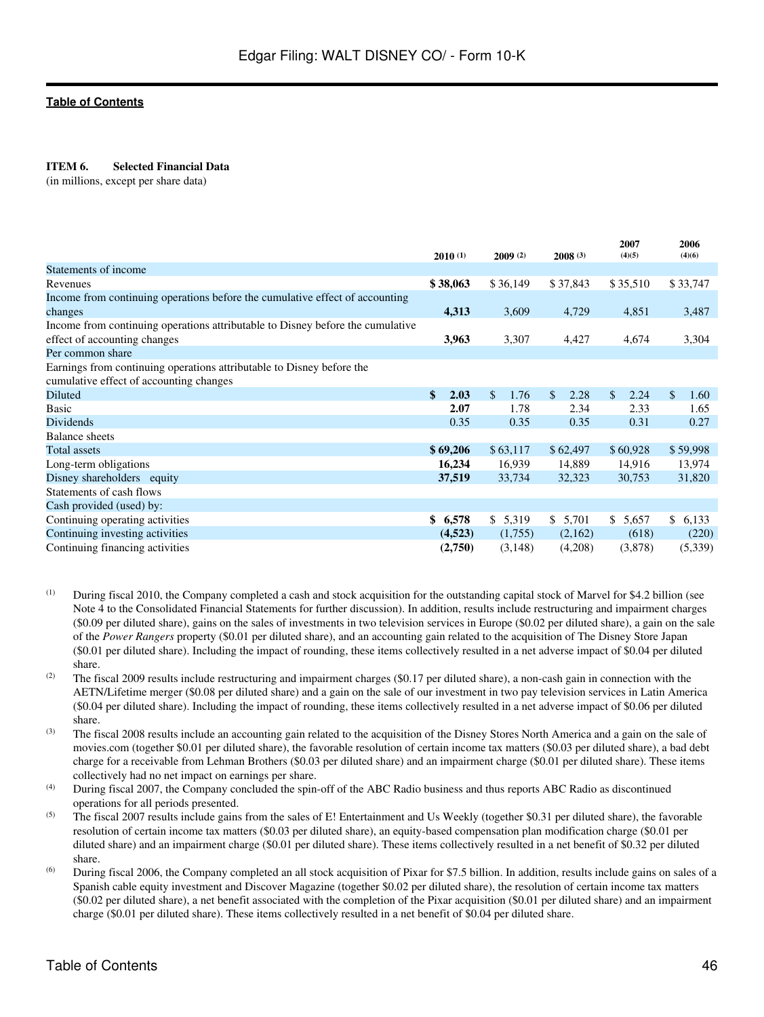#### **ITEM 6. Selected Financial Data**

(in millions, except per share data)

|                                                                                                                  | $2010^{(1)}$ | 2009(2)    | $2008^{(3)}$ | 2007<br>(4)(5)       | 2006<br>(4)(6)        |
|------------------------------------------------------------------------------------------------------------------|--------------|------------|--------------|----------------------|-----------------------|
| Statements of income                                                                                             |              |            |              |                      |                       |
| Revenues                                                                                                         | \$38,063     | \$36,149   | \$37,843     | \$35,510             | \$33,747              |
| Income from continuing operations before the cumulative effect of accounting<br>changes                          | 4,313        | 3,609      | 4,729        | 4,851                | 3,487                 |
| Income from continuing operations attributable to Disney before the cumulative<br>effect of accounting changes   | 3,963        | 3,307      | 4,427        | 4,674                | 3,304                 |
| Per common share                                                                                                 |              |            |              |                      |                       |
| Earnings from continuing operations attributable to Disney before the<br>cumulative effect of accounting changes |              |            |              |                      |                       |
| Diluted                                                                                                          | \$<br>2.03   | \$<br>1.76 | 2.28<br>\$.  | $\mathbb{S}$<br>2.24 | $\mathcal{S}$<br>1.60 |
| Basic                                                                                                            | 2.07         | 1.78       | 2.34         | 2.33                 | 1.65                  |
| Dividends                                                                                                        | 0.35         | 0.35       | 0.35         | 0.31                 | 0.27                  |
| Balance sheets                                                                                                   |              |            |              |                      |                       |
| Total assets                                                                                                     | \$69,206     | \$63,117   | \$62,497     | \$60,928             | \$59,998              |
| Long-term obligations                                                                                            | 16,234       | 16,939     | 14,889       | 14,916               | 13,974                |
| Disney shareholders equity                                                                                       | 37,519       | 33,734     | 32,323       | 30,753               | 31,820                |
| Statements of cash flows                                                                                         |              |            |              |                      |                       |
| Cash provided (used) by:                                                                                         |              |            |              |                      |                       |
| Continuing operating activities                                                                                  | \$6,578      | \$5,319    | \$5,701      | \$5,657              | \$<br>6,133           |
| Continuing investing activities                                                                                  | (4,523)      | (1,755)    | (2,162)      | (618)                | (220)                 |
| Continuing financing activities                                                                                  | (2,750)      | (3,148)    | (4,208)      | (3,878)              | (5,339)               |

- (1) During fiscal 2010, the Company completed a cash and stock acquisition for the outstanding capital stock of Marvel for \$4.2 billion (see Note 4 to the Consolidated Financial Statements for further discussion). In addition, results include restructuring and impairment charges (\$0.09 per diluted share), gains on the sales of investments in two television services in Europe (\$0.02 per diluted share), a gain on the sale of the *Power Rangers* property (\$0.01 per diluted share), and an accounting gain related to the acquisition of The Disney Store Japan (\$0.01 per diluted share). Including the impact of rounding, these items collectively resulted in a net adverse impact of \$0.04 per diluted share.
- $(2)$  The fiscal 2009 results include restructuring and impairment charges (\$0.17 per diluted share), a non-cash gain in connection with the AETN/Lifetime merger (\$0.08 per diluted share) and a gain on the sale of our investment in two pay television services in Latin America (\$0.04 per diluted share). Including the impact of rounding, these items collectively resulted in a net adverse impact of \$0.06 per diluted share.
- <sup>(3)</sup> The fiscal 2008 results include an accounting gain related to the acquisition of the Disney Stores North America and a gain on the sale of movies.com (together \$0.01 per diluted share), the favorable resolution of certain income tax matters (\$0.03 per diluted share), a bad debt charge for a receivable from Lehman Brothers (\$0.03 per diluted share) and an impairment charge (\$0.01 per diluted share). These items collectively had no net impact on earnings per share.
- (4) During fiscal 2007, the Company concluded the spin-off of the ABC Radio business and thus reports ABC Radio as discontinued operations for all periods presented.
- $(5)$  The fiscal 2007 results include gains from the sales of E! Entertainment and Us Weekly (together \$0.31 per diluted share), the favorable resolution of certain income tax matters (\$0.03 per diluted share), an equity-based compensation plan modification charge (\$0.01 per diluted share) and an impairment charge (\$0.01 per diluted share). These items collectively resulted in a net benefit of \$0.32 per diluted share.
- (6) During fiscal 2006, the Company completed an all stock acquisition of Pixar for \$7.5 billion. In addition, results include gains on sales of a Spanish cable equity investment and Discover Magazine (together \$0.02 per diluted share), the resolution of certain income tax matters (\$0.02 per diluted share), a net benefit associated with the completion of the Pixar acquisition (\$0.01 per diluted share) and an impairment charge (\$0.01 per diluted share). These items collectively resulted in a net benefit of \$0.04 per diluted share.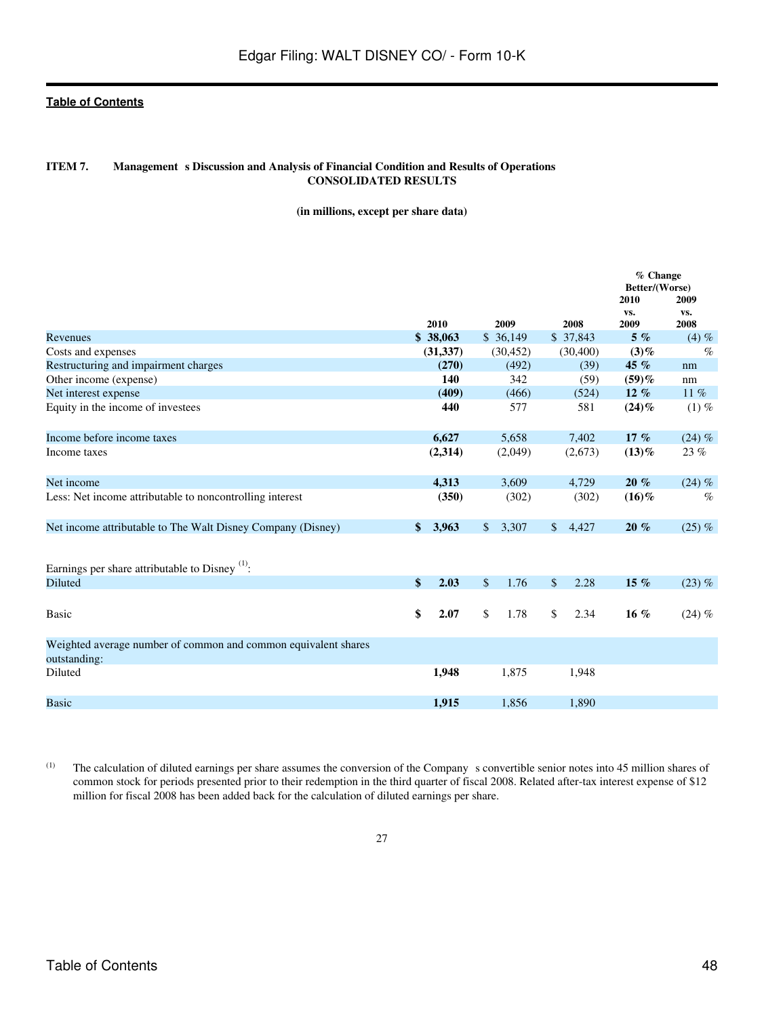#### **ITEM 7. Management s Discussion and Analysis of Financial Condition and Results of Operations CONSOLIDATED RESULTS**

**(in millions, except per share data)**

|                                                                                |             |                       |                       | % Change<br>Better/(Worse)<br>2010<br>VS. | 2009<br>VS. |
|--------------------------------------------------------------------------------|-------------|-----------------------|-----------------------|-------------------------------------------|-------------|
|                                                                                | 2010        | 2009                  | 2008                  | 2009                                      | 2008        |
| Revenues                                                                       | \$38,063    | \$36,149              | \$37,843              | 5%                                        | $(4) \%$    |
| Costs and expenses                                                             | (31, 337)   | (30, 452)             | (30, 400)             | $(3)\%$                                   | $\%$        |
| Restructuring and impairment charges                                           | (270)       | (492)                 | (39)                  | 45 %                                      | nm          |
| Other income (expense)                                                         | 140         | 342                   | (59)                  | $(59)$ %                                  | nm          |
| Net interest expense                                                           | (409)       | (466)                 | (524)                 | $12\%$                                    | $11\%$      |
| Equity in the income of investees                                              | 440         | 577                   | 581                   | $(24)\%$                                  | $(1) \%$    |
| Income before income taxes                                                     | 6,627       | 5,658                 | 7,402                 | $17\%$                                    | $(24) \%$   |
| Income taxes                                                                   | (2, 314)    | (2,049)               | (2,673)               | $(13)\%$                                  | 23%         |
| Net income                                                                     | 4,313       | 3,609                 | 4,729                 | $20 \%$                                   | $(24) \%$   |
| Less: Net income attributable to noncontrolling interest                       | (350)       | (302)                 | (302)                 | $(16)\%$                                  | $\%$        |
| Net income attributable to The Walt Disney Company (Disney)                    | \$<br>3,963 | 3,307<br>$\mathbb{S}$ | 4,427<br>$\mathbb{S}$ | $20 \%$                                   | $(25) \%$   |
| Earnings per share attributable to Disney $(1)$ :                              |             |                       |                       |                                           |             |
| <b>Diluted</b>                                                                 | \$<br>2.03  | \$<br>1.76            | \$<br>2.28            | $15\%$                                    | $(23) \%$   |
| <b>Basic</b>                                                                   | \$<br>2.07  | \$<br>1.78            | \$<br>2.34            | 16 $%$                                    | $(24) \%$   |
| Weighted average number of common and common equivalent shares<br>outstanding: |             |                       |                       |                                           |             |
| Diluted                                                                        | 1,948       | 1,875                 | 1,948                 |                                           |             |
| <b>Basic</b>                                                                   | 1,915       | 1,856                 | 1.890                 |                                           |             |

(1) The calculation of diluted earnings per share assumes the conversion of the Company s convertible senior notes into 45 million shares of common stock for periods presented prior to their redemption in the third quarter of fiscal 2008. Related after-tax interest expense of \$12 million for fiscal 2008 has been added back for the calculation of diluted earnings per share.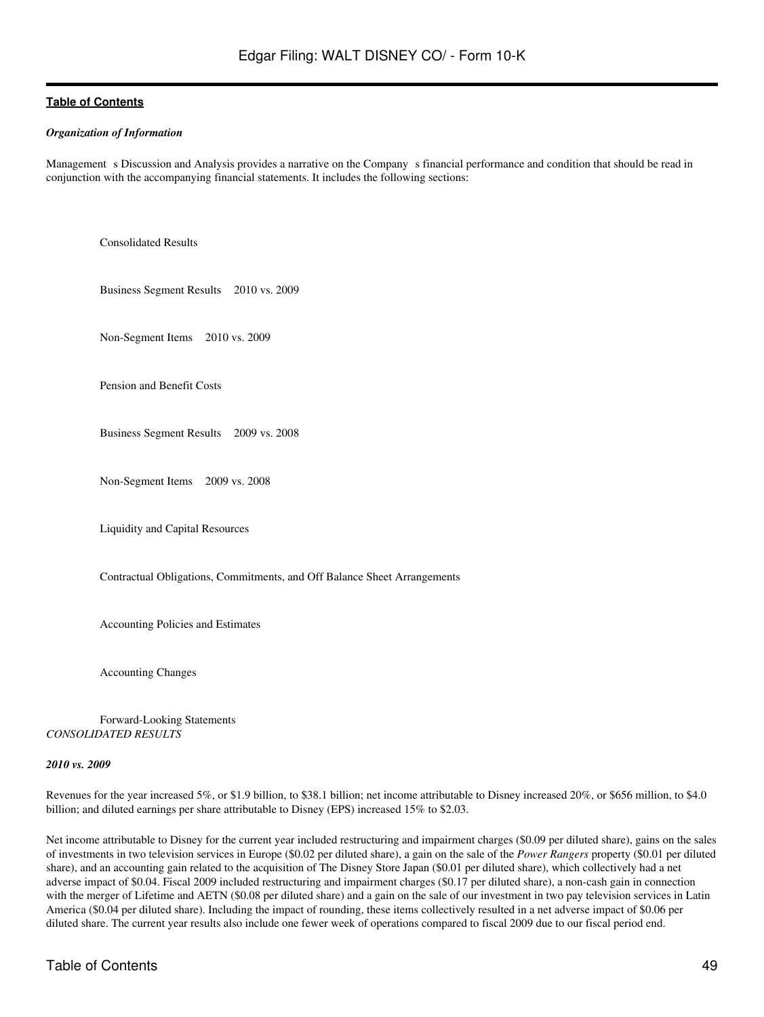#### *Organization of Information*

Management s Discussion and Analysis provides a narrative on the Company s financial performance and condition that should be read in conjunction with the accompanying financial statements. It includes the following sections:

Consolidated Results

Business Segment Results 2010 vs. 2009

Non-Segment Items 2010 vs. 2009

Pension and Benefit Costs

Business Segment Results 2009 vs. 2008

Non-Segment Items 2009 vs. 2008

Liquidity and Capital Resources

Contractual Obligations, Commitments, and Off Balance Sheet Arrangements

Accounting Policies and Estimates

Accounting Changes

Forward-Looking Statements *CONSOLIDATED RESULTS*

#### *2010 vs. 2009*

Revenues for the year increased 5%, or \$1.9 billion, to \$38.1 billion; net income attributable to Disney increased 20%, or \$656 million, to \$4.0 billion; and diluted earnings per share attributable to Disney (EPS) increased 15% to \$2.03.

Net income attributable to Disney for the current year included restructuring and impairment charges (\$0.09 per diluted share), gains on the sales of investments in two television services in Europe (\$0.02 per diluted share), a gain on the sale of the *Power Rangers* property (\$0.01 per diluted share), and an accounting gain related to the acquisition of The Disney Store Japan (\$0.01 per diluted share), which collectively had a net adverse impact of \$0.04. Fiscal 2009 included restructuring and impairment charges (\$0.17 per diluted share), a non-cash gain in connection with the merger of Lifetime and AETN (\$0.08 per diluted share) and a gain on the sale of our investment in two pay television services in Latin America (\$0.04 per diluted share). Including the impact of rounding, these items collectively resulted in a net adverse impact of \$0.06 per diluted share. The current year results also include one fewer week of operations compared to fiscal 2009 due to our fiscal period end.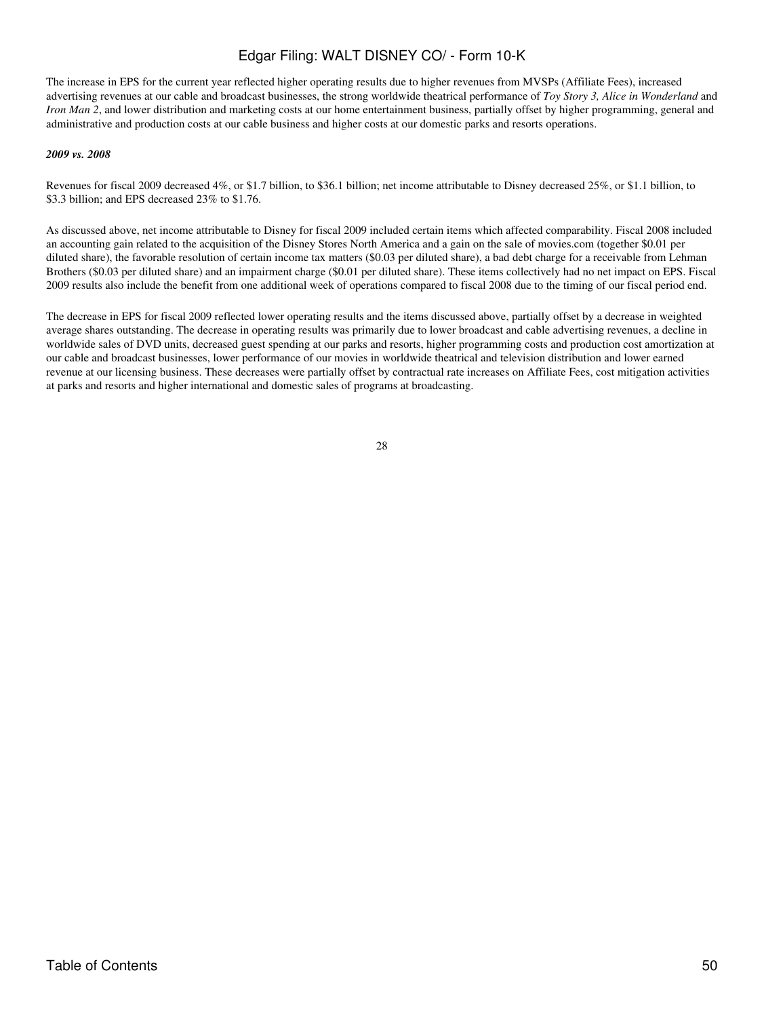The increase in EPS for the current year reflected higher operating results due to higher revenues from MVSPs (Affiliate Fees), increased advertising revenues at our cable and broadcast businesses, the strong worldwide theatrical performance of *Toy Story 3, Alice in Wonderland* and *Iron Man 2*, and lower distribution and marketing costs at our home entertainment business, partially offset by higher programming, general and administrative and production costs at our cable business and higher costs at our domestic parks and resorts operations.

#### *2009 vs. 2008*

Revenues for fiscal 2009 decreased 4%, or \$1.7 billion, to \$36.1 billion; net income attributable to Disney decreased 25%, or \$1.1 billion, to \$3.3 billion; and EPS decreased 23% to \$1.76.

As discussed above, net income attributable to Disney for fiscal 2009 included certain items which affected comparability. Fiscal 2008 included an accounting gain related to the acquisition of the Disney Stores North America and a gain on the sale of movies.com (together \$0.01 per diluted share), the favorable resolution of certain income tax matters (\$0.03 per diluted share), a bad debt charge for a receivable from Lehman Brothers (\$0.03 per diluted share) and an impairment charge (\$0.01 per diluted share). These items collectively had no net impact on EPS. Fiscal 2009 results also include the benefit from one additional week of operations compared to fiscal 2008 due to the timing of our fiscal period end.

The decrease in EPS for fiscal 2009 reflected lower operating results and the items discussed above, partially offset by a decrease in weighted average shares outstanding. The decrease in operating results was primarily due to lower broadcast and cable advertising revenues, a decline in worldwide sales of DVD units, decreased guest spending at our parks and resorts, higher programming costs and production cost amortization at our cable and broadcast businesses, lower performance of our movies in worldwide theatrical and television distribution and lower earned revenue at our licensing business. These decreases were partially offset by contractual rate increases on Affiliate Fees, cost mitigation activities at parks and resorts and higher international and domestic sales of programs at broadcasting.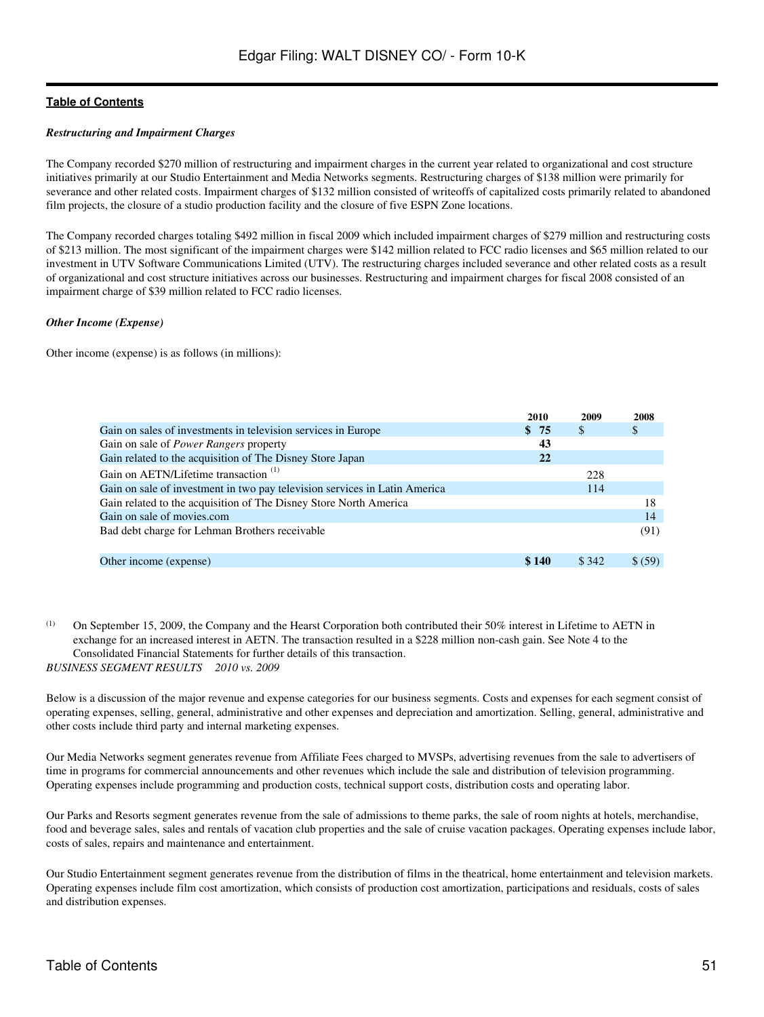#### *Restructuring and Impairment Charges*

The Company recorded \$270 million of restructuring and impairment charges in the current year related to organizational and cost structure initiatives primarily at our Studio Entertainment and Media Networks segments. Restructuring charges of \$138 million were primarily for severance and other related costs. Impairment charges of \$132 million consisted of writeoffs of capitalized costs primarily related to abandoned film projects, the closure of a studio production facility and the closure of five ESPN Zone locations.

The Company recorded charges totaling \$492 million in fiscal 2009 which included impairment charges of \$279 million and restructuring costs of \$213 million. The most significant of the impairment charges were \$142 million related to FCC radio licenses and \$65 million related to our investment in UTV Software Communications Limited (UTV). The restructuring charges included severance and other related costs as a result of organizational and cost structure initiatives across our businesses. Restructuring and impairment charges for fiscal 2008 consisted of an impairment charge of \$39 million related to FCC radio licenses.

#### *Other Income (Expense)*

Other income (expense) is as follows (in millions):

|                                                                            | 2010  | 2009   | 2008    |
|----------------------------------------------------------------------------|-------|--------|---------|
| Gain on sales of investments in television services in Europe              | \$75  | \$     | \$      |
| Gain on sale of <i>Power Rangers</i> property                              | 43    |        |         |
| Gain related to the acquisition of The Disney Store Japan                  | 22    |        |         |
| Gain on AETN/Lifetime transaction <sup>(1)</sup>                           |       | 228    |         |
| Gain on sale of investment in two pay television services in Latin America |       | 114    |         |
| Gain related to the acquisition of The Disney Store North America          |       |        | 18      |
| Gain on sale of movies.com                                                 |       |        | 14      |
| Bad debt charge for Lehman Brothers receivable                             |       |        | (91)    |
|                                                                            |       |        |         |
| Other income (expense)                                                     | \$140 | \$ 342 | \$ (59) |

(1) On September 15, 2009, the Company and the Hearst Corporation both contributed their 50% interest in Lifetime to AETN in exchange for an increased interest in AETN. The transaction resulted in a \$228 million non-cash gain. See Note 4 to the Consolidated Financial Statements for further details of this transaction. *BUSINESS SEGMENT RESULTS 2010 vs. 2009*

Below is a discussion of the major revenue and expense categories for our business segments. Costs and expenses for each segment consist of operating expenses, selling, general, administrative and other expenses and depreciation and amortization. Selling, general, administrative and other costs include third party and internal marketing expenses.

Our Media Networks segment generates revenue from Affiliate Fees charged to MVSPs, advertising revenues from the sale to advertisers of time in programs for commercial announcements and other revenues which include the sale and distribution of television programming. Operating expenses include programming and production costs, technical support costs, distribution costs and operating labor.

Our Parks and Resorts segment generates revenue from the sale of admissions to theme parks, the sale of room nights at hotels, merchandise, food and beverage sales, sales and rentals of vacation club properties and the sale of cruise vacation packages. Operating expenses include labor, costs of sales, repairs and maintenance and entertainment.

Our Studio Entertainment segment generates revenue from the distribution of films in the theatrical, home entertainment and television markets. Operating expenses include film cost amortization, which consists of production cost amortization, participations and residuals, costs of sales and distribution expenses.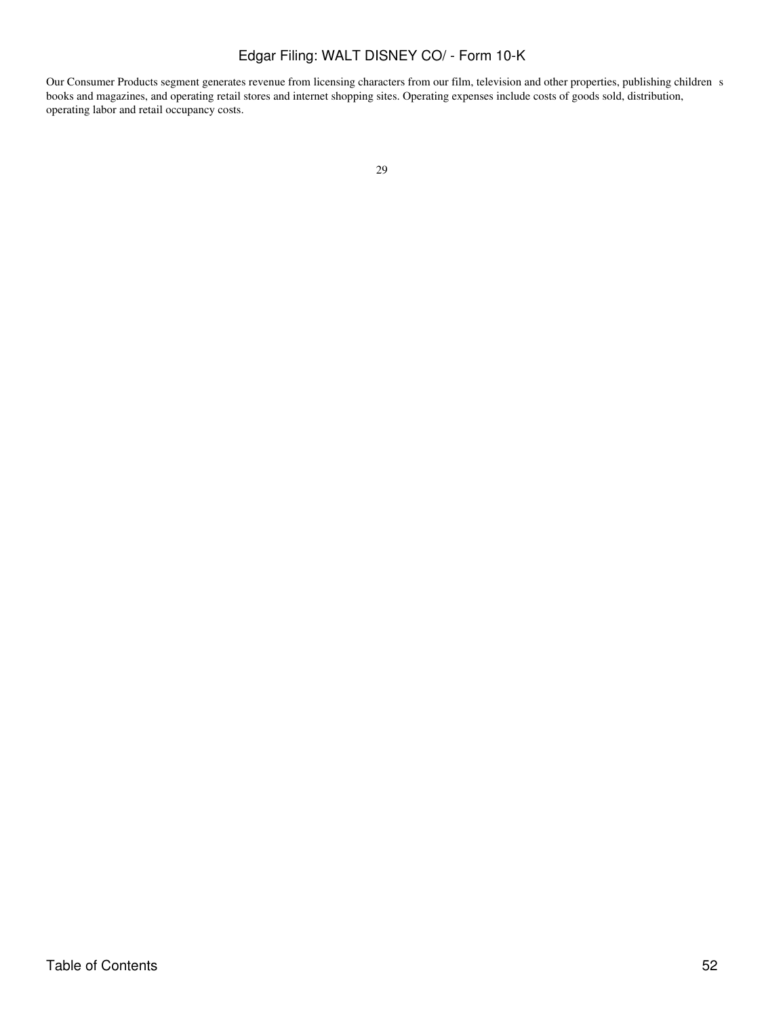Our Consumer Products segment generates revenue from licensing characters from our film, television and other properties, publishing children s books and magazines, and operating retail stores and internet shopping sites. Operating expenses include costs of goods sold, distribution, operating labor and retail occupancy costs.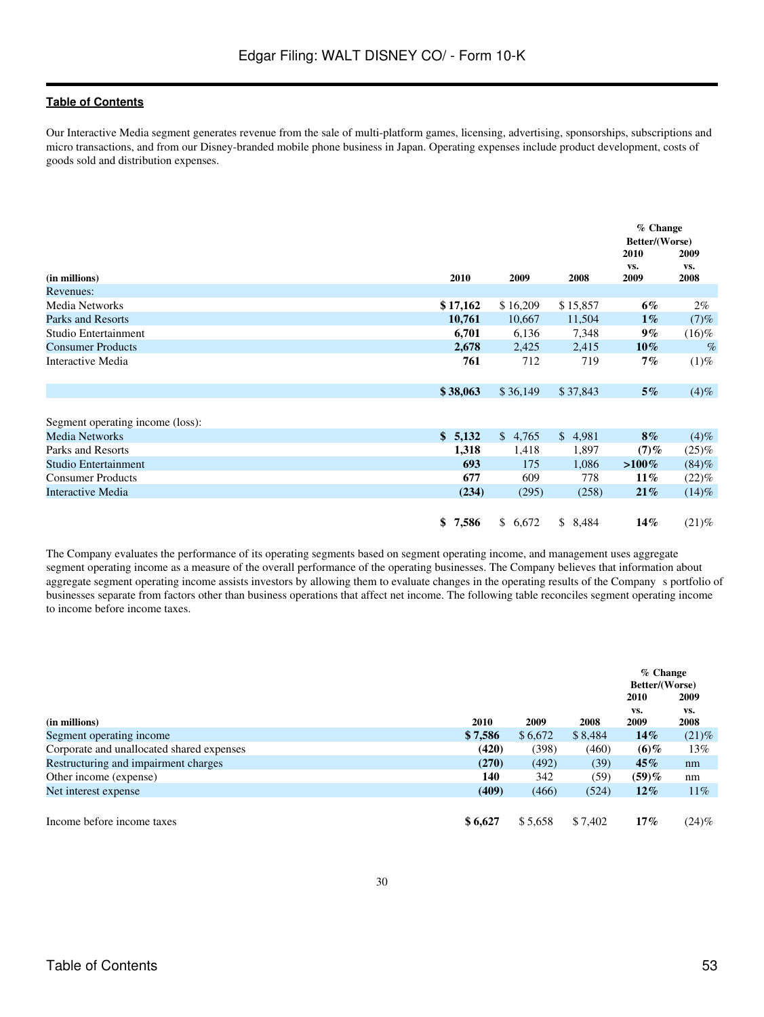Our Interactive Media segment generates revenue from the sale of multi-platform games, licensing, advertising, sponsorships, subscriptions and micro transactions, and from our Disney-branded mobile phone business in Japan. Operating expenses include product development, costs of goods sold and distribution expenses.

|                                  |             |             |                       | $%$ Change<br>Better/(Worse)<br>2010 | 2009        |
|----------------------------------|-------------|-------------|-----------------------|--------------------------------------|-------------|
| (in millions)                    | 2010        | 2009        | 2008                  | VS.<br>2009                          | VS.<br>2008 |
| Revenues:                        |             |             |                       |                                      |             |
| Media Networks                   | \$17,162    | \$16,209    | \$15,857              | 6%                                   | $2\%$       |
| Parks and Resorts                | 10,761      | 10,667      | 11,504                | $1\%$                                | (7)%        |
| Studio Entertainment             | 6,701       | 6,136       | 7,348                 | $9\%$                                | $(16)\%$    |
| <b>Consumer Products</b>         | 2,678       | 2,425       | 2,415                 | $10\%$                               | $\%$        |
| Interactive Media                | 761         | 712         | 719                   | $7\%$                                | $(1)\%$     |
|                                  | \$38,063    | \$36,149    | \$37,843              | $5\%$                                | (4)%        |
| Segment operating income (loss): |             |             |                       |                                      |             |
| <b>Media Networks</b>            | \$5,132     | \$4,765     | $\mathbb{S}$<br>4,981 | 8%                                   | (4)%        |
| Parks and Resorts                | 1,318       | 1,418       | 1,897                 | $(7)\%$                              | (25)%       |
| Studio Entertainment             | 693         | 175         | 1,086                 | $>100\%$                             | (84)%       |
| <b>Consumer Products</b>         | 677         | 609         | 778                   | $11\%$                               | $(22)\%$    |
| Interactive Media                | (234)       | (295)       | (258)                 | $21\%$                               | $(14)\%$    |
|                                  | 7,586<br>\$ | \$<br>6,672 | \$<br>8,484           | 14%                                  | $(21)\%$    |

The Company evaluates the performance of its operating segments based on segment operating income, and management uses aggregate segment operating income as a measure of the overall performance of the operating businesses. The Company believes that information about aggregate segment operating income assists investors by allowing them to evaluate changes in the operating results of the Company s portfolio of businesses separate from factors other than business operations that affect net income. The following table reconciles segment operating income to income before income taxes.

|                                           |         |         |         | $%$ Change<br>Better/(Worse) |             |
|-------------------------------------------|---------|---------|---------|------------------------------|-------------|
|                                           |         |         |         | 2010                         | 2009        |
| (in millions)                             | 2010    | 2009    | 2008    | VS.<br>2009                  | VS.<br>2008 |
| Segment operating income                  | \$7,586 | \$6,672 | \$8,484 | 14%                          | $(21)\%$    |
| Corporate and unallocated shared expenses | (420)   | (398)   | (460)   | $(6)\%$                      | 13%         |
| Restructuring and impairment charges      | (270)   | (492)   | (39)    | 45%                          | nm          |
| Other income (expense)                    | 140     | 342     | (59)    | $(59) \%$                    | nm          |
| Net interest expense                      | (409)   | (466)   | (524)   | $12\%$                       | 11%         |
|                                           |         |         |         |                              |             |
| Income before income taxes                | \$6,627 | \$5,658 | \$7.402 | 17%                          | $(24)\%$    |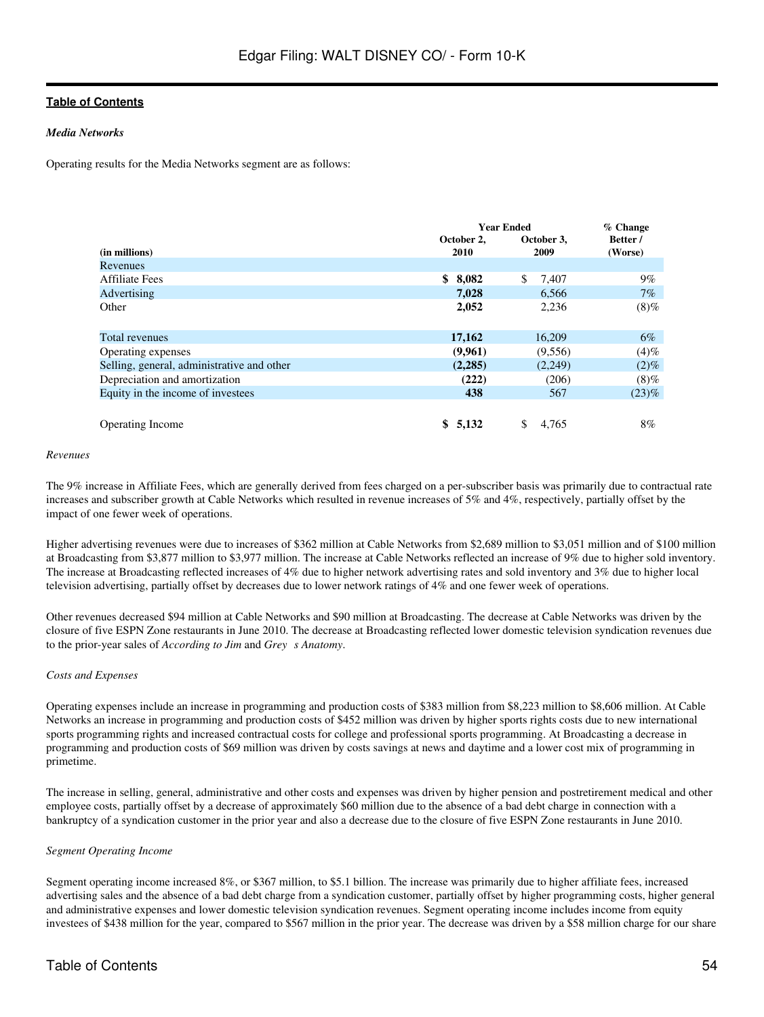#### *Media Networks*

Operating results for the Media Networks segment are as follows:

|                                            |                    | <b>Year Ended</b>  | $%$ Change          |  |
|--------------------------------------------|--------------------|--------------------|---------------------|--|
| (in millions)                              | October 2,<br>2010 | October 3,<br>2009 | Better /<br>(Worse) |  |
| Revenues                                   |                    |                    |                     |  |
| <b>Affiliate Fees</b>                      | \$8,082            | \$<br>7,407        | 9%                  |  |
| Advertising                                | 7,028              | 6,566              | 7%                  |  |
| Other                                      | 2,052              | 2,236              | $(8)\%$             |  |
| Total revenues                             | 17,162             | 16,209             | 6%                  |  |
| Operating expenses                         | (9,961)            | (9,556)            | (4)%                |  |
| Selling, general, administrative and other | (2,285)            | (2,249)            | $(2)\%$             |  |
| Depreciation and amortization              | (222)              | (206)              | $(8)\%$             |  |
| Equity in the income of investees          | 438                | 567                | $(23)\%$            |  |
| <b>Operating Income</b>                    | \$5,132            | \$<br>4,765        | 8%                  |  |

#### *Revenues*

The 9% increase in Affiliate Fees, which are generally derived from fees charged on a per-subscriber basis was primarily due to contractual rate increases and subscriber growth at Cable Networks which resulted in revenue increases of 5% and 4%, respectively, partially offset by the impact of one fewer week of operations.

Higher advertising revenues were due to increases of \$362 million at Cable Networks from \$2,689 million to \$3,051 million and of \$100 million at Broadcasting from \$3,877 million to \$3,977 million. The increase at Cable Networks reflected an increase of 9% due to higher sold inventory. The increase at Broadcasting reflected increases of 4% due to higher network advertising rates and sold inventory and 3% due to higher local television advertising, partially offset by decreases due to lower network ratings of 4% and one fewer week of operations.

Other revenues decreased \$94 million at Cable Networks and \$90 million at Broadcasting. The decrease at Cable Networks was driven by the closure of five ESPN Zone restaurants in June 2010. The decrease at Broadcasting reflected lower domestic television syndication revenues due to the prior-year sales of *According to Jim* and *Grey s Anatomy*.

#### *Costs and Expenses*

Operating expenses include an increase in programming and production costs of \$383 million from \$8,223 million to \$8,606 million. At Cable Networks an increase in programming and production costs of \$452 million was driven by higher sports rights costs due to new international sports programming rights and increased contractual costs for college and professional sports programming. At Broadcasting a decrease in programming and production costs of \$69 million was driven by costs savings at news and daytime and a lower cost mix of programming in primetime.

The increase in selling, general, administrative and other costs and expenses was driven by higher pension and postretirement medical and other employee costs, partially offset by a decrease of approximately \$60 million due to the absence of a bad debt charge in connection with a bankruptcy of a syndication customer in the prior year and also a decrease due to the closure of five ESPN Zone restaurants in June 2010.

#### *Segment Operating Income*

Segment operating income increased 8%, or \$367 million, to \$5.1 billion. The increase was primarily due to higher affiliate fees, increased advertising sales and the absence of a bad debt charge from a syndication customer, partially offset by higher programming costs, higher general and administrative expenses and lower domestic television syndication revenues. Segment operating income includes income from equity investees of \$438 million for the year, compared to \$567 million in the prior year. The decrease was driven by a \$58 million charge for our share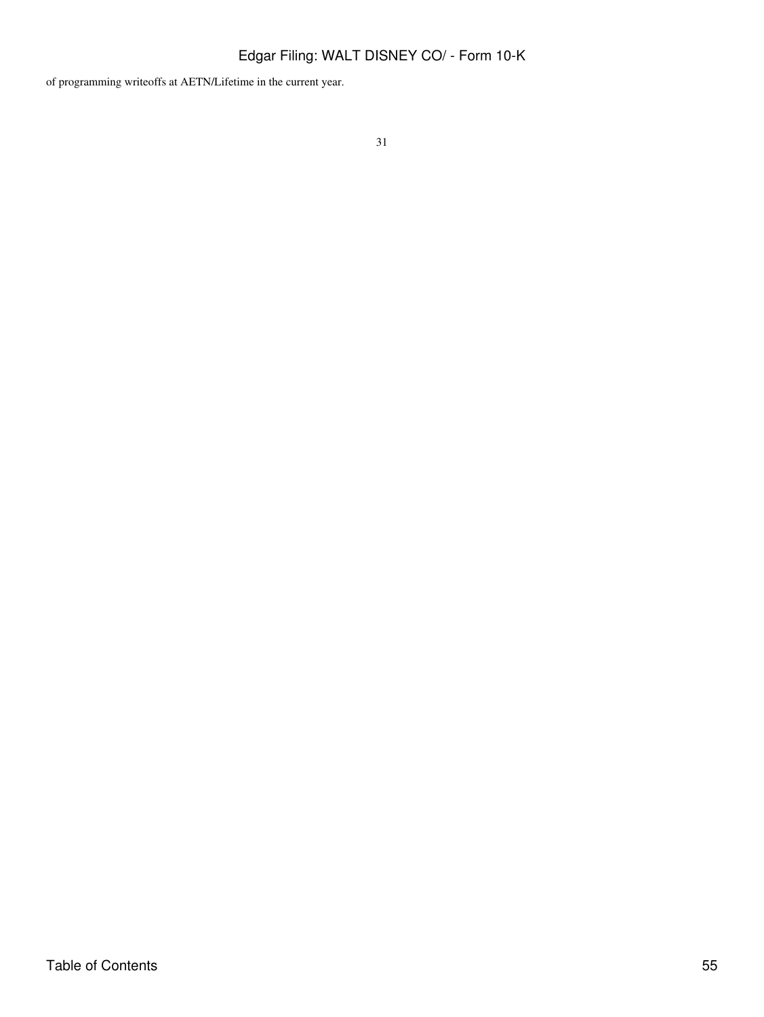of programming writeoffs at AETN/Lifetime in the current year.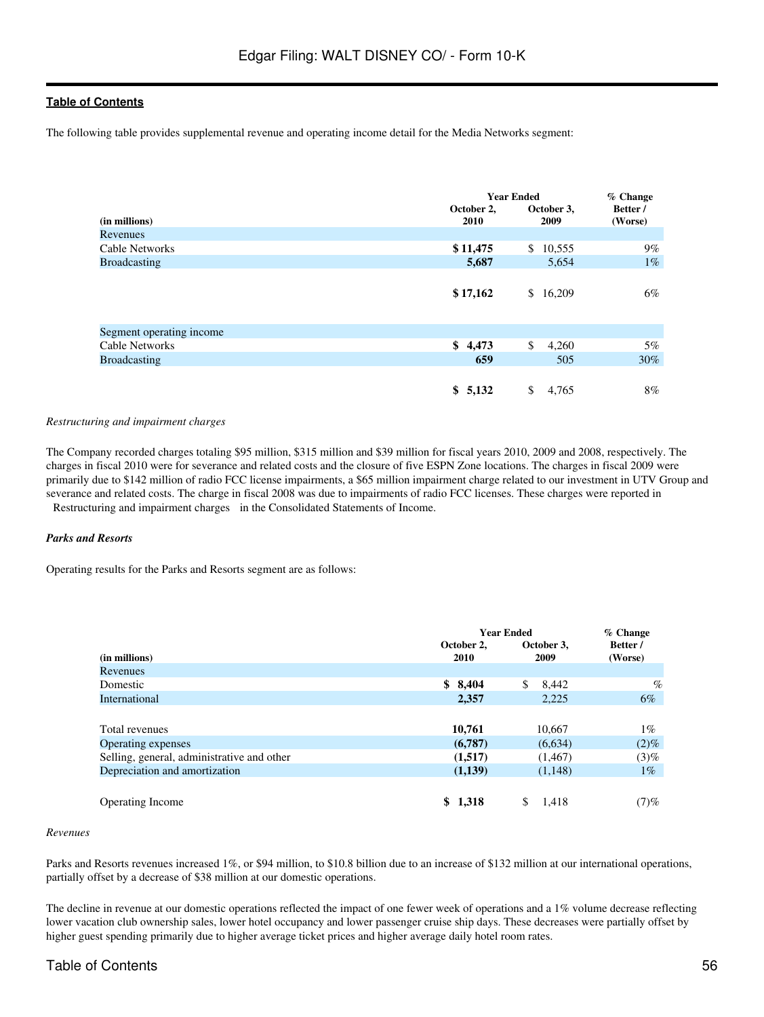The following table provides supplemental revenue and operating income detail for the Media Networks segment:

|                          | <b>Year Ended</b>         |                    | $%$ Change          |  |
|--------------------------|---------------------------|--------------------|---------------------|--|
| (in millions)            | October 2,<br><b>2010</b> | October 3,<br>2009 | Better /<br>(Worse) |  |
| Revenues                 |                           |                    |                     |  |
| Cable Networks           | \$11,475                  | \$<br>10,555       | $9\%$               |  |
| <b>Broadcasting</b>      | 5,687                     | 5,654              | $1\%$               |  |
|                          | \$17,162                  | \$16,209           | $6\%$               |  |
| Segment operating income |                           |                    |                     |  |
| Cable Networks           | \$4,473                   | \$<br>4,260        | 5%                  |  |
| <b>Broadcasting</b>      | 659                       | 505                | $30\%$              |  |
|                          | \$5,132                   | \$<br>4.765        | 8%                  |  |

#### *Restructuring and impairment charges*

The Company recorded charges totaling \$95 million, \$315 million and \$39 million for fiscal years 2010, 2009 and 2008, respectively. The charges in fiscal 2010 were for severance and related costs and the closure of five ESPN Zone locations. The charges in fiscal 2009 were primarily due to \$142 million of radio FCC license impairments, a \$65 million impairment charge related to our investment in UTV Group and severance and related costs. The charge in fiscal 2008 was due to impairments of radio FCC licenses. These charges were reported in Restructuring and impairment charges in the Consolidated Statements of Income.

#### *Parks and Resorts*

Operating results for the Parks and Resorts segment are as follows:

|                                            | <b>Year Ended</b>  | $%$ Change         |                     |
|--------------------------------------------|--------------------|--------------------|---------------------|
| (in millions)                              | October 2,<br>2010 | October 3,<br>2009 | Better /<br>(Worse) |
| Revenues                                   |                    |                    |                     |
| Domestic                                   | \$8,404            | \$<br>8,442        | $\%$                |
| International                              | 2,357              | 2,225              | $6\%$               |
|                                            |                    |                    |                     |
| Total revenues                             | 10,761             | 10,667             | $1\%$               |
| Operating expenses                         | (6,787)            | (6,634)            | (2)%                |
| Selling, general, administrative and other | (1,517)            | (1, 467)           | $(3)\%$             |
| Depreciation and amortization              | (1,139)            | (1,148)            | $1\%$               |
|                                            |                    |                    |                     |
| <b>Operating Income</b>                    | \$1,318            | \$<br>1,418        | (7)%                |

#### *Revenues*

Parks and Resorts revenues increased 1%, or \$94 million, to \$10.8 billion due to an increase of \$132 million at our international operations, partially offset by a decrease of \$38 million at our domestic operations.

The decline in revenue at our domestic operations reflected the impact of one fewer week of operations and a 1% volume decrease reflecting lower vacation club ownership sales, lower hotel occupancy and lower passenger cruise ship days. These decreases were partially offset by higher guest spending primarily due to higher average ticket prices and higher average daily hotel room rates.

## Table of Contents 56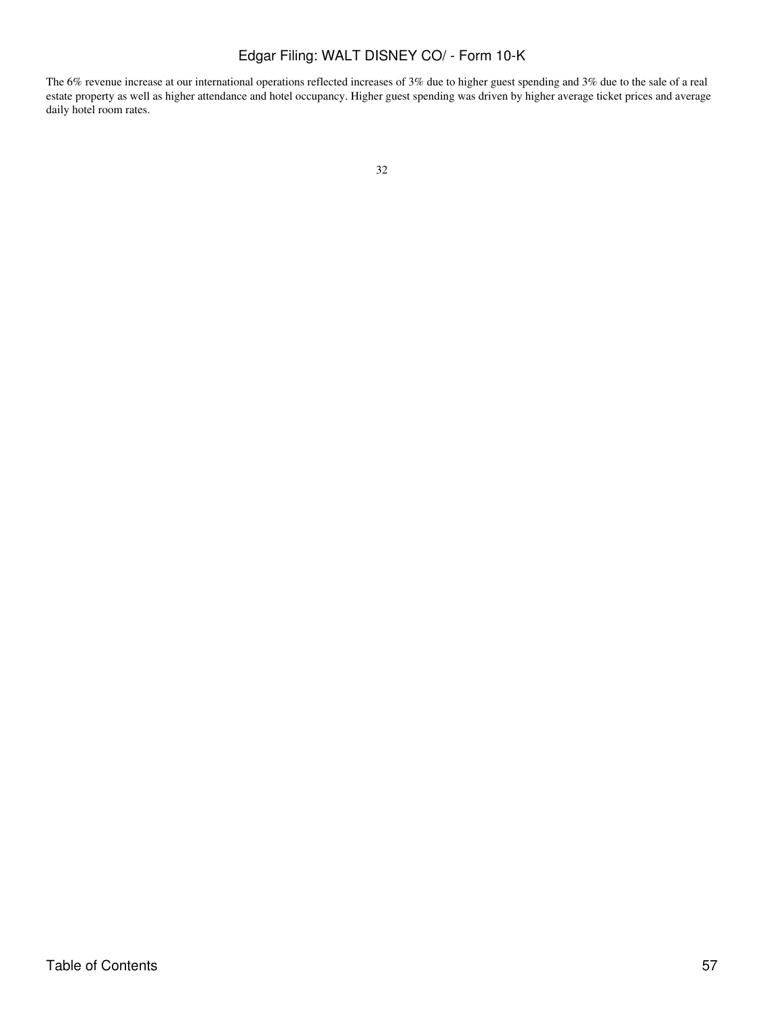The 6% revenue increase at our international operations reflected increases of 3% due to higher guest spending and 3% due to the sale of a real estate property as well as higher attendance and hotel occupancy. Higher guest spending was driven by higher average ticket prices and average daily hotel room rates.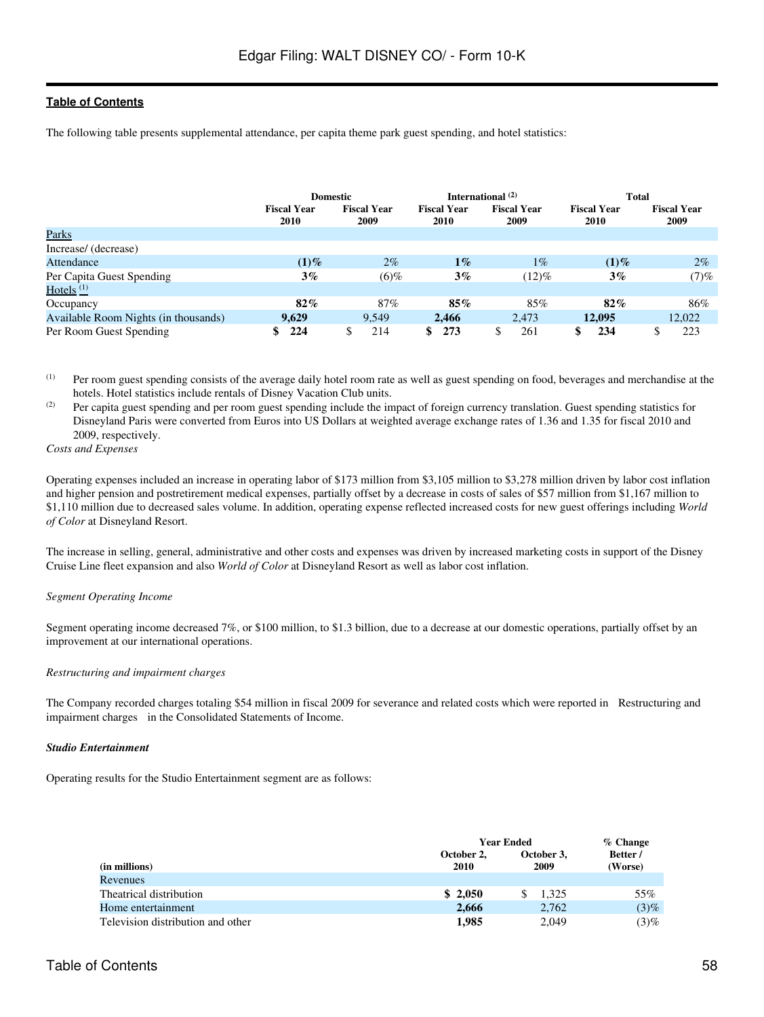The following table presents supplemental attendance, per capita theme park guest spending, and hotel statistics:

|                                      | <b>Domestic</b>            |                            |                            | International $(2)$        | Total                      |                            |  |
|--------------------------------------|----------------------------|----------------------------|----------------------------|----------------------------|----------------------------|----------------------------|--|
|                                      | <b>Fiscal Year</b><br>2010 | <b>Fiscal Year</b><br>2009 | <b>Fiscal Year</b><br>2010 | <b>Fiscal Year</b><br>2009 | <b>Fiscal Year</b><br>2010 | <b>Fiscal Year</b><br>2009 |  |
| Parks                                |                            |                            |                            |                            |                            |                            |  |
| Increase/ (decrease)                 |                            |                            |                            |                            |                            |                            |  |
| Attendance                           | $(1)\%$                    | $2\%$                      | $1\%$                      | $1\%$                      | $(1)\%$                    | $2\%$                      |  |
| Per Capita Guest Spending            | $3\%$                      | $(6)$ %                    | 3%                         | $(12)\%$                   | 3%                         | (7)%                       |  |
| $Hotels$ <sup>(1)</sup>              |                            |                            |                            |                            |                            |                            |  |
| Occupancy                            | 82%                        | 87%                        | 85%                        | 85%                        | 82%                        | 86%                        |  |
| Available Room Nights (in thousands) | 9.629                      | 9.549                      | 2.466                      | 2,473                      | 12,095                     | 12,022                     |  |
| Per Room Guest Spending              | 224                        | 214                        | 273                        | 261                        | 234                        | 223                        |  |

<sup>(1)</sup> Per room guest spending consists of the average daily hotel room rate as well as guest spending on food, beverages and merchandise at the hotels. Hotel statistics include rentals of Disney Vacation Club units.

(2) Per capita guest spending and per room guest spending include the impact of foreign currency translation. Guest spending statistics for Disneyland Paris were converted from Euros into US Dollars at weighted average exchange rates of 1.36 and 1.35 for fiscal 2010 and 2009, respectively.

## *Costs and Expenses*

Operating expenses included an increase in operating labor of \$173 million from \$3,105 million to \$3,278 million driven by labor cost inflation and higher pension and postretirement medical expenses, partially offset by a decrease in costs of sales of \$57 million from \$1,167 million to \$1,110 million due to decreased sales volume. In addition, operating expense reflected increased costs for new guest offerings including *World of Color* at Disneyland Resort.

The increase in selling, general, administrative and other costs and expenses was driven by increased marketing costs in support of the Disney Cruise Line fleet expansion and also *World of Color* at Disneyland Resort as well as labor cost inflation.

#### *Segment Operating Income*

Segment operating income decreased 7%, or \$100 million, to \$1.3 billion, due to a decrease at our domestic operations, partially offset by an improvement at our international operations.

#### *Restructuring and impairment charges*

The Company recorded charges totaling \$54 million in fiscal 2009 for severance and related costs which were reported in Restructuring and impairment charges in the Consolidated Statements of Income.

#### *Studio Entertainment*

Operating results for the Studio Entertainment segment are as follows:

|                                   |            | <b>Year Ended</b> |          |  |
|-----------------------------------|------------|-------------------|----------|--|
|                                   | October 2, | October 3.        | Better / |  |
| (in millions)                     | 2010       | 2009              | (Worse)  |  |
| Revenues                          |            |                   |          |  |
| Theatrical distribution           | \$2,050    | 1.325             | 55%      |  |
| Home entertainment                | 2.666      | 2.762             | $(3)\%$  |  |
| Television distribution and other | 1.985      | 2.049             | $(3)\%$  |  |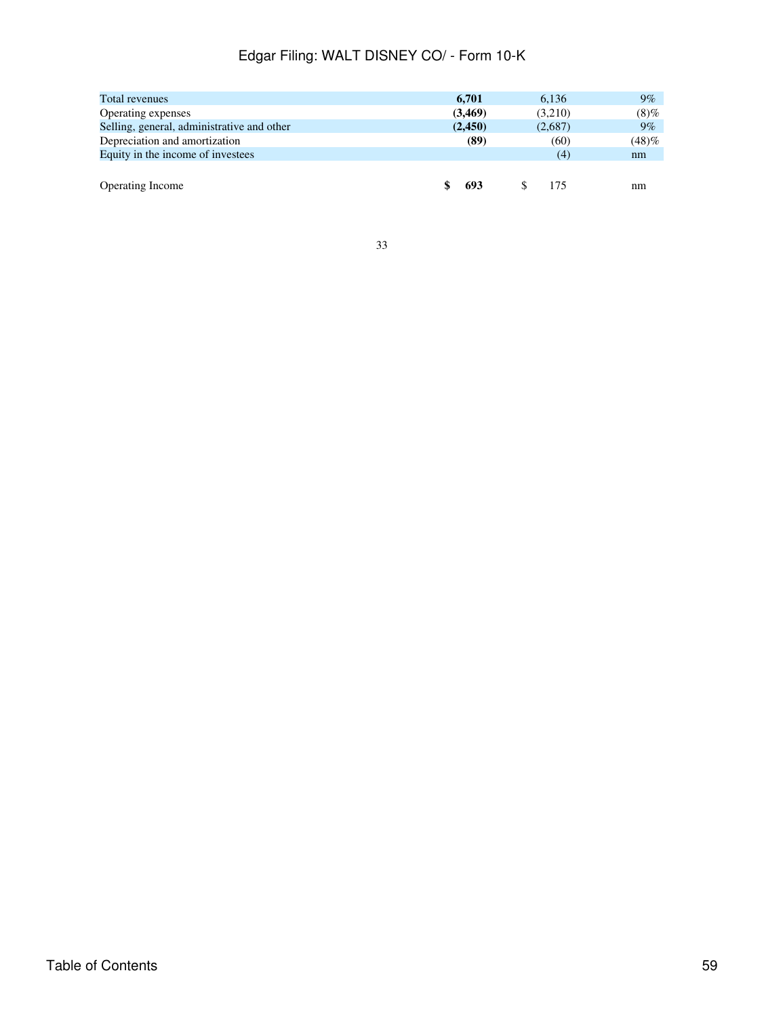| Total revenues                             | 6,701   | 6.136   | $9\%$    |
|--------------------------------------------|---------|---------|----------|
| Operating expenses                         | (3,469) | (3,210) | $(8)\%$  |
| Selling, general, administrative and other | (2,450) | (2,687) | $9\%$    |
| Depreciation and amortization              | (89)    | (60)    | $(48)\%$ |
| Equity in the income of investees          |         | (4)     | nm       |
|                                            |         |         |          |
| <b>Operating Income</b>                    | 693     | 175     | nm       |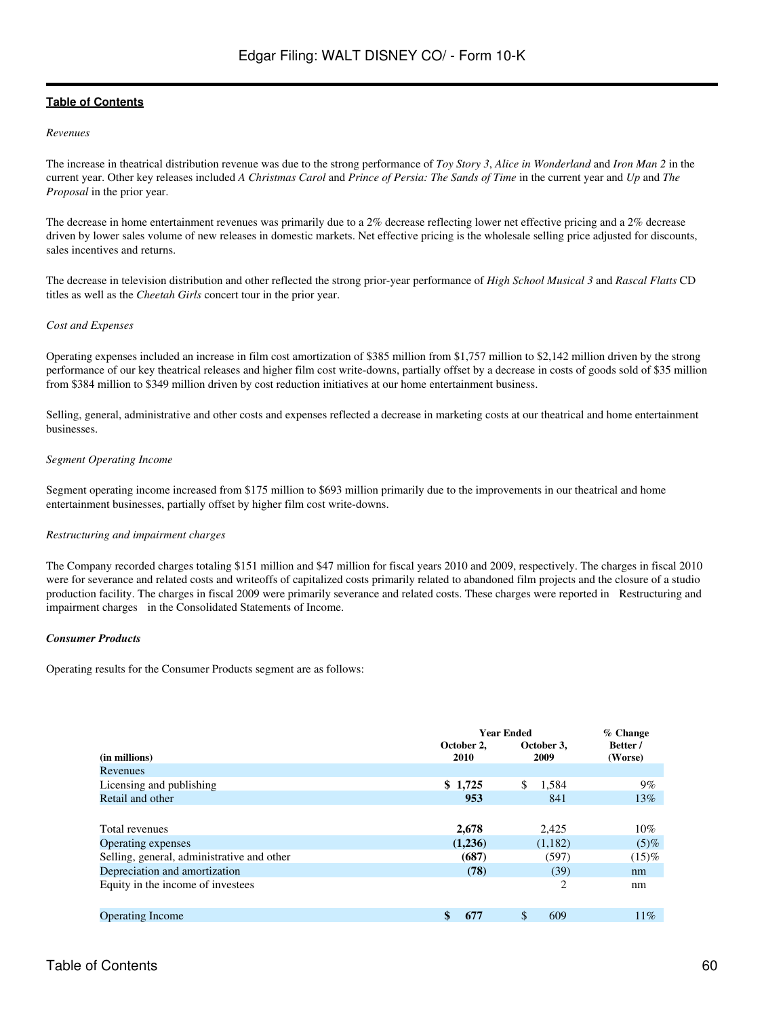#### *Revenues*

The increase in theatrical distribution revenue was due to the strong performance of *Toy Story 3*, *Alice in Wonderland* and *Iron Man 2* in the current year. Other key releases included *A Christmas Carol* and *Prince of Persia: The Sands of Time* in the current year and *Up* and *The Proposal* in the prior year.

The decrease in home entertainment revenues was primarily due to a 2% decrease reflecting lower net effective pricing and a 2% decrease driven by lower sales volume of new releases in domestic markets. Net effective pricing is the wholesale selling price adjusted for discounts, sales incentives and returns.

The decrease in television distribution and other reflected the strong prior-year performance of *High School Musical 3* and *Rascal Flatts* CD titles as well as the *Cheetah Girls* concert tour in the prior year.

#### *Cost and Expenses*

Operating expenses included an increase in film cost amortization of \$385 million from \$1,757 million to \$2,142 million driven by the strong performance of our key theatrical releases and higher film cost write-downs, partially offset by a decrease in costs of goods sold of \$35 million from \$384 million to \$349 million driven by cost reduction initiatives at our home entertainment business.

Selling, general, administrative and other costs and expenses reflected a decrease in marketing costs at our theatrical and home entertainment businesses.

#### *Segment Operating Income*

Segment operating income increased from \$175 million to \$693 million primarily due to the improvements in our theatrical and home entertainment businesses, partially offset by higher film cost write-downs.

#### *Restructuring and impairment charges*

The Company recorded charges totaling \$151 million and \$47 million for fiscal years 2010 and 2009, respectively. The charges in fiscal 2010 were for severance and related costs and writeoffs of capitalized costs primarily related to abandoned film projects and the closure of a studio production facility. The charges in fiscal 2009 were primarily severance and related costs. These charges were reported in Restructuring and impairment charges in the Consolidated Statements of Income.

#### *Consumer Products*

Operating results for the Consumer Products segment are as follows:

|                                            |                    | <b>Year Ended</b>  |                     |  |  |
|--------------------------------------------|--------------------|--------------------|---------------------|--|--|
| (in millions)                              | October 2,<br>2010 | October 3,<br>2009 | Better /<br>(Worse) |  |  |
| Revenues                                   |                    |                    |                     |  |  |
| Licensing and publishing                   | \$1,725            | \$<br>1,584        | $9\%$               |  |  |
| Retail and other                           | 953                | 841                | 13%                 |  |  |
|                                            |                    |                    |                     |  |  |
| Total revenues                             | 2,678              | 2,425              | $10\%$              |  |  |
| Operating expenses                         | (1,236)            | (1,182)            | $(5)\%$             |  |  |
| Selling, general, administrative and other | (687)              | (597)              | $(15)\%$            |  |  |
| Depreciation and amortization              | (78)               | (39)               | nm                  |  |  |
| Equity in the income of investees          |                    | 2                  | nm                  |  |  |
|                                            |                    |                    |                     |  |  |
| <b>Operating Income</b>                    | \$<br>677          | \$<br>609          | $11\%$              |  |  |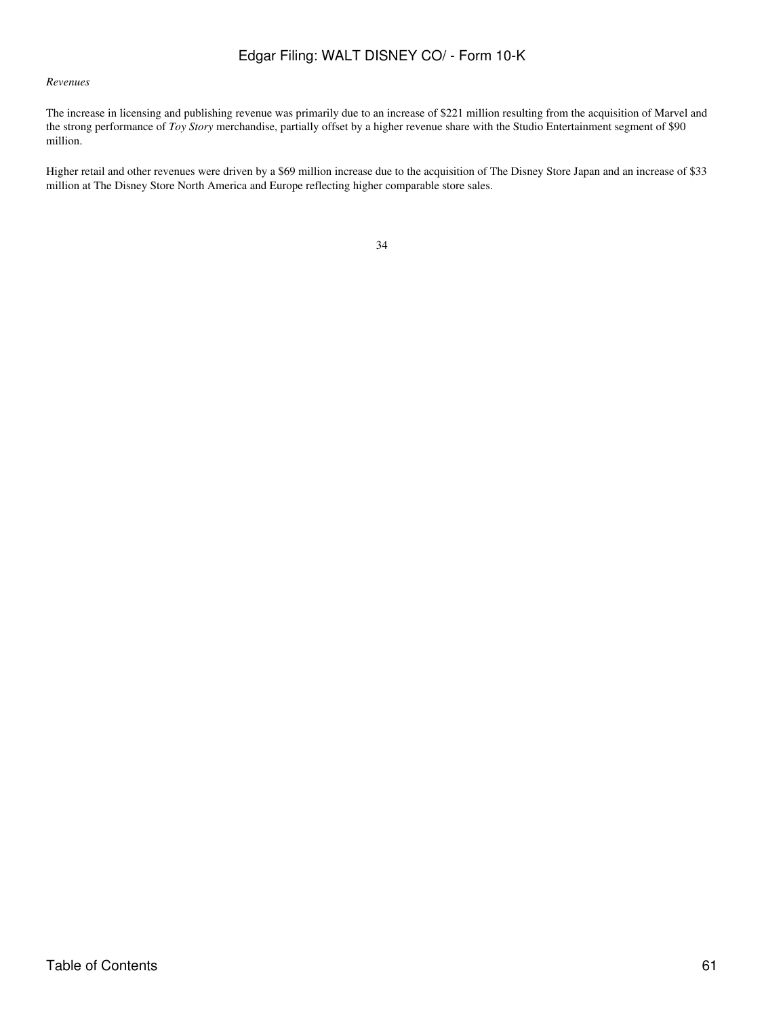#### *Revenues*

The increase in licensing and publishing revenue was primarily due to an increase of \$221 million resulting from the acquisition of Marvel and the strong performance of *Toy Story* merchandise, partially offset by a higher revenue share with the Studio Entertainment segment of \$90 million.

Higher retail and other revenues were driven by a \$69 million increase due to the acquisition of The Disney Store Japan and an increase of \$33 million at The Disney Store North America and Europe reflecting higher comparable store sales.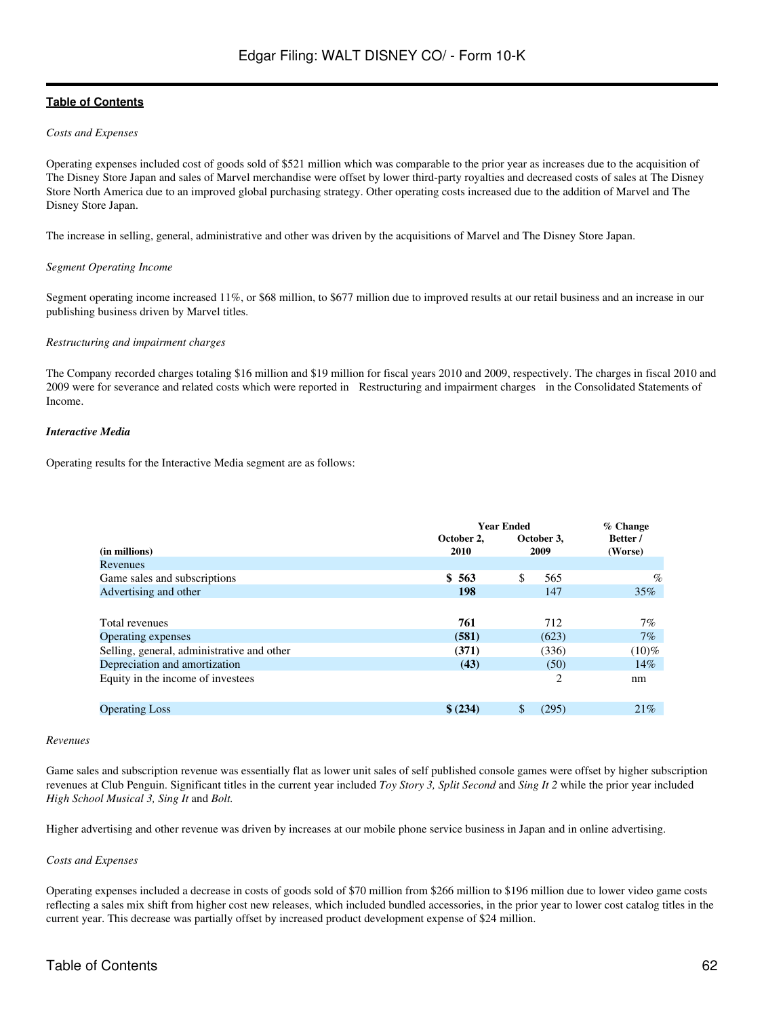#### *Costs and Expenses*

Operating expenses included cost of goods sold of \$521 million which was comparable to the prior year as increases due to the acquisition of The Disney Store Japan and sales of Marvel merchandise were offset by lower third-party royalties and decreased costs of sales at The Disney Store North America due to an improved global purchasing strategy. Other operating costs increased due to the addition of Marvel and The Disney Store Japan.

The increase in selling, general, administrative and other was driven by the acquisitions of Marvel and The Disney Store Japan.

#### *Segment Operating Income*

Segment operating income increased 11%, or \$68 million, to \$677 million due to improved results at our retail business and an increase in our publishing business driven by Marvel titles.

#### *Restructuring and impairment charges*

The Company recorded charges totaling \$16 million and \$19 million for fiscal years 2010 and 2009, respectively. The charges in fiscal 2010 and 2009 were for severance and related costs which were reported in Restructuring and impairment charges in the Consolidated Statements of Income.

#### *Interactive Media*

Operating results for the Interactive Media segment are as follows:

|                                            | <b>Year Ended</b>  | $%$ Change         |                     |
|--------------------------------------------|--------------------|--------------------|---------------------|
| (in millions)                              | October 2,<br>2010 | October 3,<br>2009 | Better /<br>(Worse) |
|                                            |                    |                    |                     |
| Revenues                                   |                    |                    |                     |
| Game sales and subscriptions               | \$563              | \$.<br>565         | $\%$                |
| Advertising and other                      | 198                | 147                | 35%                 |
|                                            |                    |                    |                     |
| Total revenues                             | 761                | 712                | $7\%$               |
| Operating expenses                         | (581)              | (623)              | $7\%$               |
| Selling, general, administrative and other | (371)              | (336)              | $(10)\%$            |
| Depreciation and amortization              | (43)               | (50)               | $14\%$              |
| Equity in the income of investees          |                    | 2                  | nm                  |
|                                            |                    |                    |                     |
| <b>Operating Loss</b>                      | \$ (234)           | \$<br>(295)        | 21%                 |

#### *Revenues*

Game sales and subscription revenue was essentially flat as lower unit sales of self published console games were offset by higher subscription revenues at Club Penguin. Significant titles in the current year included *Toy Story 3, Split Second* and *Sing It 2* while the prior year included *High School Musical 3, Sing It* and *Bolt.*

Higher advertising and other revenue was driven by increases at our mobile phone service business in Japan and in online advertising.

#### *Costs and Expenses*

Operating expenses included a decrease in costs of goods sold of \$70 million from \$266 million to \$196 million due to lower video game costs reflecting a sales mix shift from higher cost new releases, which included bundled accessories, in the prior year to lower cost catalog titles in the current year. This decrease was partially offset by increased product development expense of \$24 million.

## Table of Contents 62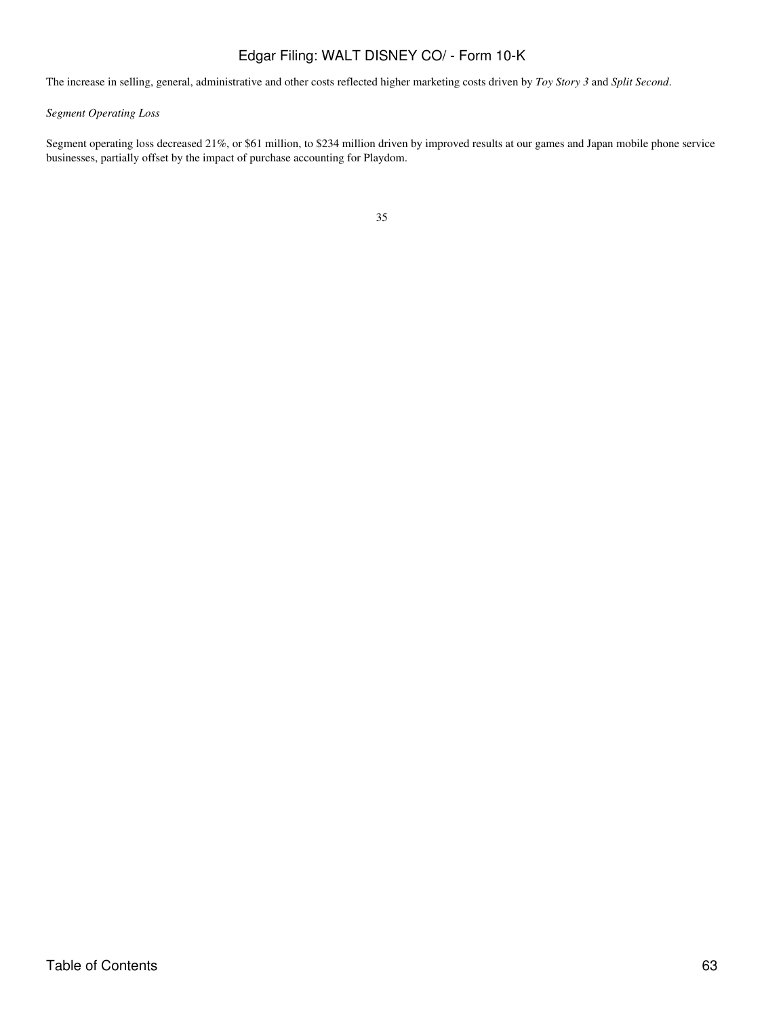The increase in selling, general, administrative and other costs reflected higher marketing costs driven by *Toy Story 3* and *Split Second*.

## *Segment Operating Loss*

Segment operating loss decreased 21%, or \$61 million, to \$234 million driven by improved results at our games and Japan mobile phone service businesses, partially offset by the impact of purchase accounting for Playdom.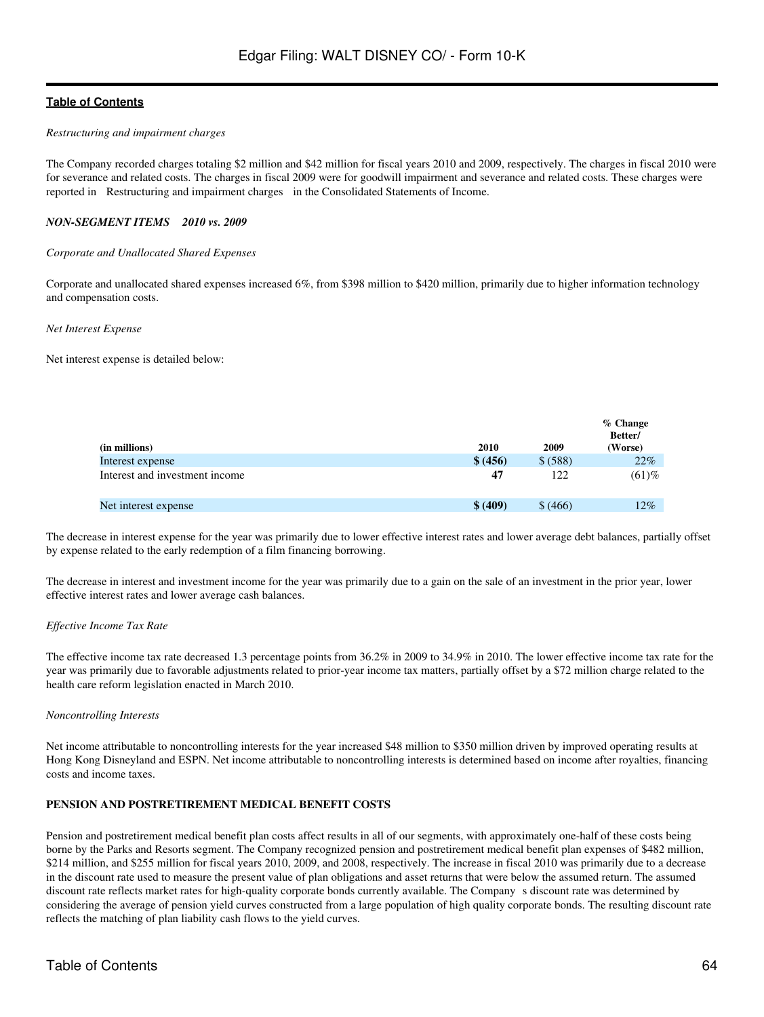#### *Restructuring and impairment charges*

The Company recorded charges totaling \$2 million and \$42 million for fiscal years 2010 and 2009, respectively. The charges in fiscal 2010 were for severance and related costs. The charges in fiscal 2009 were for goodwill impairment and severance and related costs. These charges were reported in Restructuring and impairment charges in the Consolidated Statements of Income.

#### *NON-SEGMENT ITEMS 2010 vs. 2009*

#### *Corporate and Unallocated Shared Expenses*

Corporate and unallocated shared expenses increased 6%, from \$398 million to \$420 million, primarily due to higher information technology and compensation costs.

#### *Net Interest Expense*

Net interest expense is detailed below:

| (in millions)                  | 2010     | 2009     | $%$ Change<br>Better/<br>(Worse) |
|--------------------------------|----------|----------|----------------------------------|
| Interest expense               | \$ (456) | \$ (588) | 22%                              |
| Interest and investment income | 47       | 122      | $(61)$ %                         |
| Net interest expense           | \$ (409) | \$ (466) | 12%                              |

The decrease in interest expense for the year was primarily due to lower effective interest rates and lower average debt balances, partially offset by expense related to the early redemption of a film financing borrowing.

The decrease in interest and investment income for the year was primarily due to a gain on the sale of an investment in the prior year, lower effective interest rates and lower average cash balances.

#### *Effective Income Tax Rate*

The effective income tax rate decreased 1.3 percentage points from 36.2% in 2009 to 34.9% in 2010. The lower effective income tax rate for the year was primarily due to favorable adjustments related to prior-year income tax matters, partially offset by a \$72 million charge related to the health care reform legislation enacted in March 2010.

#### *Noncontrolling Interests*

Net income attributable to noncontrolling interests for the year increased \$48 million to \$350 million driven by improved operating results at Hong Kong Disneyland and ESPN. Net income attributable to noncontrolling interests is determined based on income after royalties, financing costs and income taxes.

## **PENSION AND POSTRETIREMENT MEDICAL BENEFIT COSTS**

Pension and postretirement medical benefit plan costs affect results in all of our segments, with approximately one-half of these costs being borne by the Parks and Resorts segment. The Company recognized pension and postretirement medical benefit plan expenses of \$482 million, \$214 million, and \$255 million for fiscal years 2010, 2009, and 2008, respectively. The increase in fiscal 2010 was primarily due to a decrease in the discount rate used to measure the present value of plan obligations and asset returns that were below the assumed return. The assumed discount rate reflects market rates for high-quality corporate bonds currently available. The Companys discount rate was determined by considering the average of pension yield curves constructed from a large population of high quality corporate bonds. The resulting discount rate reflects the matching of plan liability cash flows to the yield curves.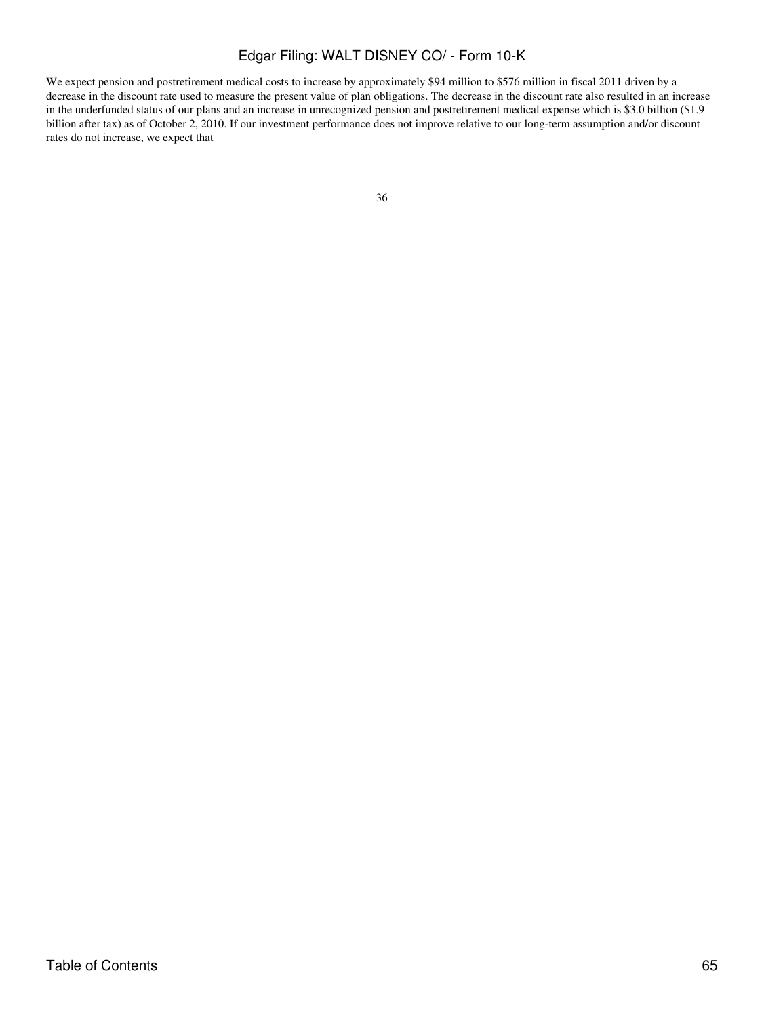We expect pension and postretirement medical costs to increase by approximately \$94 million to \$576 million in fiscal 2011 driven by a decrease in the discount rate used to measure the present value of plan obligations. The decrease in the discount rate also resulted in an increase in the underfunded status of our plans and an increase in unrecognized pension and postretirement medical expense which is \$3.0 billion (\$1.9 billion after tax) as of October 2, 2010. If our investment performance does not improve relative to our long-term assumption and/or discount rates do not increase, we expect that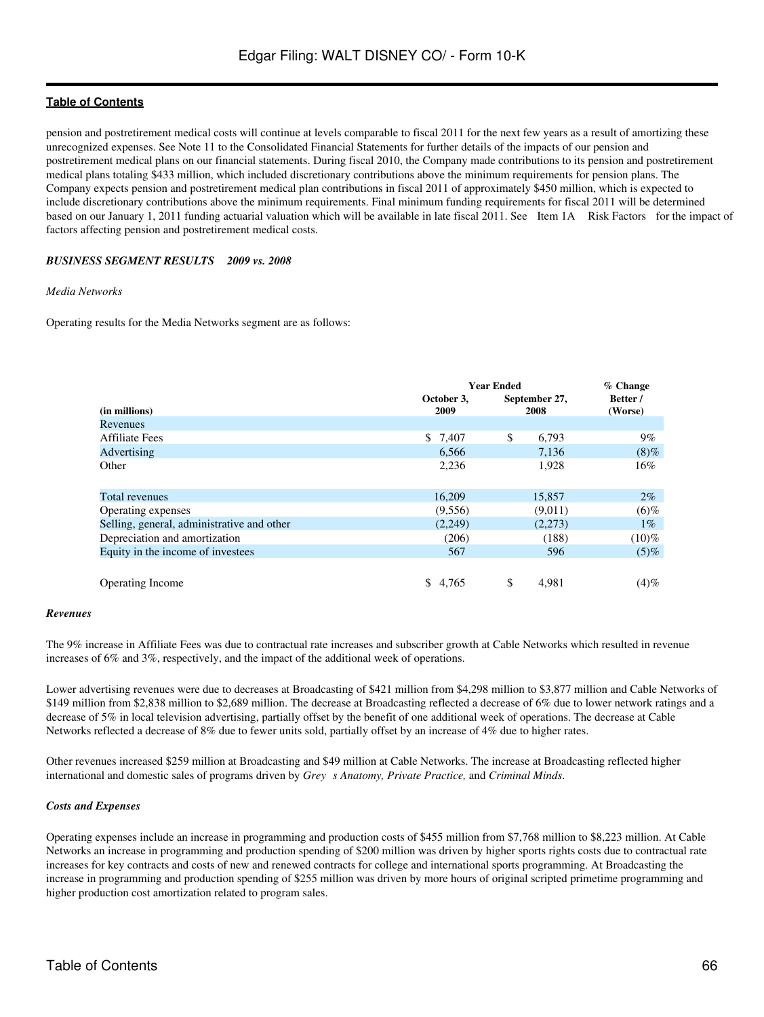pension and postretirement medical costs will continue at levels comparable to fiscal 2011 for the next few years as a result of amortizing these unrecognized expenses. See Note 11 to the Consolidated Financial Statements for further details of the impacts of our pension and postretirement medical plans on our financial statements. During fiscal 2010, the Company made contributions to its pension and postretirement medical plans totaling \$433 million, which included discretionary contributions above the minimum requirements for pension plans. The Company expects pension and postretirement medical plan contributions in fiscal 2011 of approximately \$450 million, which is expected to include discretionary contributions above the minimum requirements. Final minimum funding requirements for fiscal 2011 will be determined based on our January 1, 2011 funding actuarial valuation which will be available in late fiscal 2011. See Item 1A Risk Factors for the impact of factors affecting pension and postretirement medical costs.

#### *BUSINESS SEGMENT RESULTS 2009 vs. 2008*

#### *Media Networks*

Operating results for the Media Networks segment are as follows:

|                                            | <b>Year Ended</b>  | $%$ Change |                       |                     |  |
|--------------------------------------------|--------------------|------------|-----------------------|---------------------|--|
| (in millions)                              | October 3,<br>2009 |            | September 27,<br>2008 | Better /<br>(Worse) |  |
| Revenues                                   |                    |            |                       |                     |  |
| <b>Affiliate Fees</b>                      | \$7,407            | \$         | 6,793                 | $9\%$               |  |
| Advertising                                | 6,566              |            | 7,136                 | $(8)\%$             |  |
| Other                                      | 2,236              |            | 1,928                 | $16\%$              |  |
| Total revenues                             | 16,209             |            | 15,857                | $2\%$               |  |
| Operating expenses                         | (9,556)            |            | (9,011)               | $(6)$ %             |  |
| Selling, general, administrative and other | (2,249)            |            | (2,273)               | $1\%$               |  |
| Depreciation and amortization              | (206)              |            | (188)                 | $(10)\%$            |  |
| Equity in the income of investees          | 567                |            | 596                   | $(5)\%$             |  |
| <b>Operating Income</b>                    | \$4,765            | \$         | 4.981                 | $(4)\%$             |  |

#### *Revenues*

The 9% increase in Affiliate Fees was due to contractual rate increases and subscriber growth at Cable Networks which resulted in revenue increases of 6% and 3%, respectively, and the impact of the additional week of operations.

Lower advertising revenues were due to decreases at Broadcasting of \$421 million from \$4,298 million to \$3,877 million and Cable Networks of \$149 million from \$2,838 million to \$2,689 million. The decrease at Broadcasting reflected a decrease of 6% due to lower network ratings and a decrease of 5% in local television advertising, partially offset by the benefit of one additional week of operations. The decrease at Cable Networks reflected a decrease of 8% due to fewer units sold, partially offset by an increase of 4% due to higher rates.

Other revenues increased \$259 million at Broadcasting and \$49 million at Cable Networks. The increase at Broadcasting reflected higher international and domestic sales of programs driven by *Greys Anatomy, Private Practice,* and *Criminal Minds*.

#### *Costs and Expenses*

Operating expenses include an increase in programming and production costs of \$455 million from \$7,768 million to \$8,223 million. At Cable Networks an increase in programming and production spending of \$200 million was driven by higher sports rights costs due to contractual rate increases for key contracts and costs of new and renewed contracts for college and international sports programming. At Broadcasting the increase in programming and production spending of \$255 million was driven by more hours of original scripted primetime programming and higher production cost amortization related to program sales.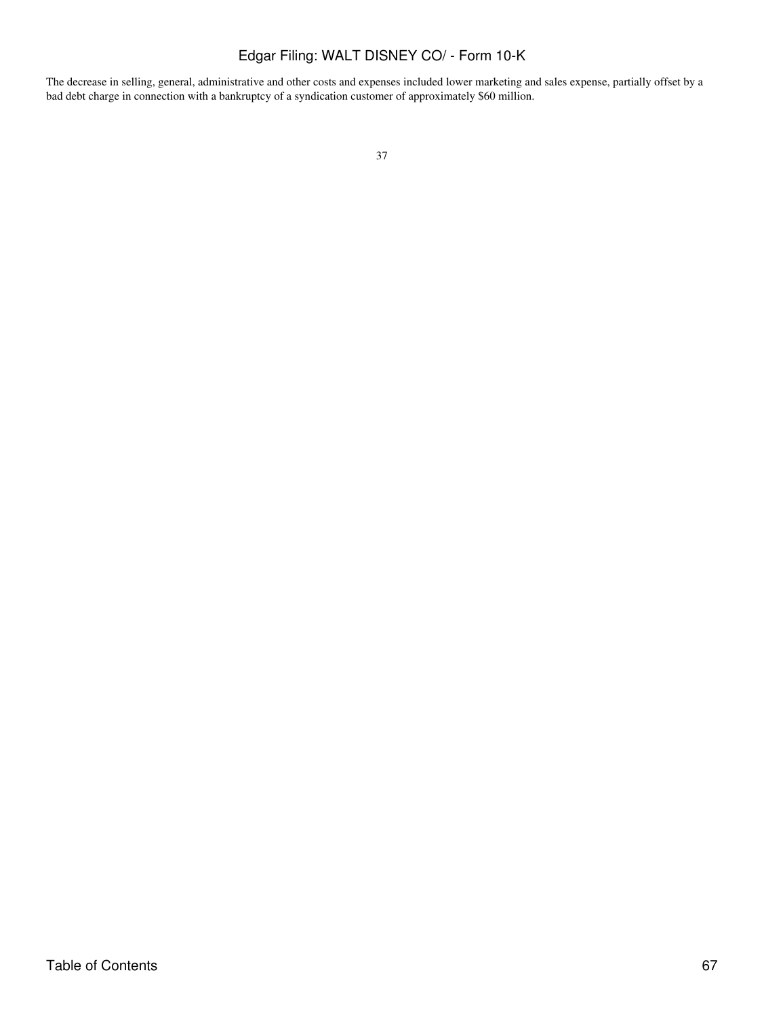The decrease in selling, general, administrative and other costs and expenses included lower marketing and sales expense, partially offset by a bad debt charge in connection with a bankruptcy of a syndication customer of approximately \$60 million.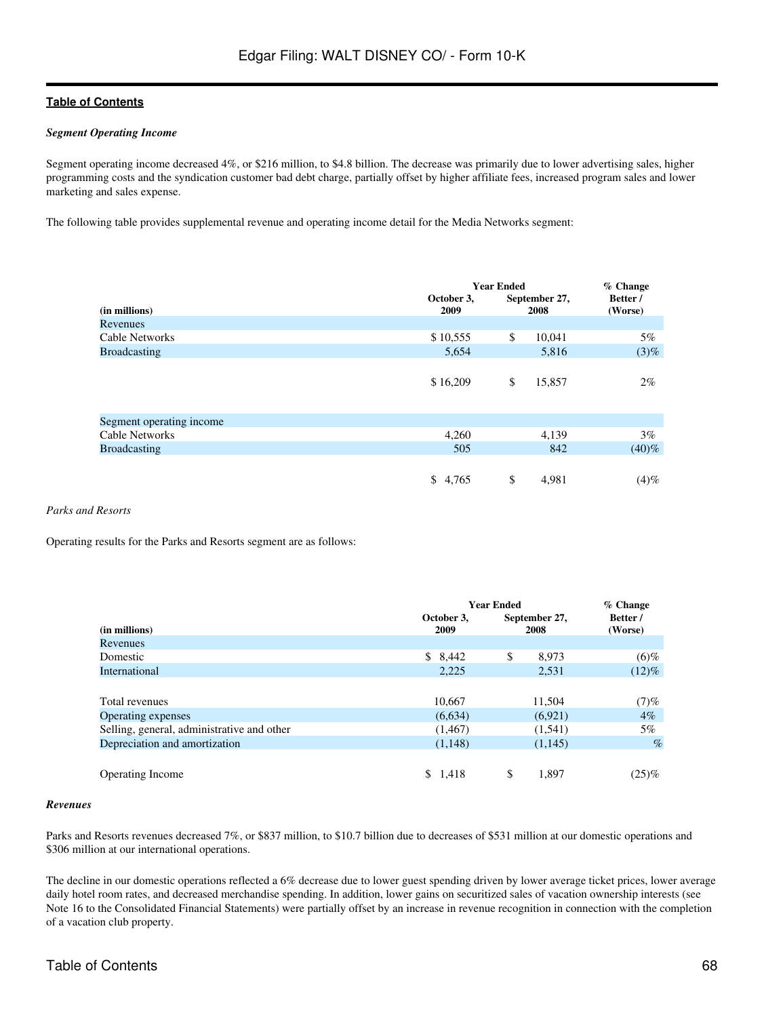#### *Segment Operating Income*

Segment operating income decreased 4%, or \$216 million, to \$4.8 billion. The decrease was primarily due to lower advertising sales, higher programming costs and the syndication customer bad debt charge, partially offset by higher affiliate fees, increased program sales and lower marketing and sales expense.

The following table provides supplemental revenue and operating income detail for the Media Networks segment:

|                          |                    | <b>Year Ended</b> |                       |                     |  |
|--------------------------|--------------------|-------------------|-----------------------|---------------------|--|
| (in millions)            | October 3,<br>2009 |                   | September 27,<br>2008 | Better /<br>(Worse) |  |
| Revenues                 |                    |                   |                       |                     |  |
| Cable Networks           | \$10,555           | \$                | 10,041                | 5%                  |  |
| <b>Broadcasting</b>      | 5,654              |                   | 5,816                 | (3)%                |  |
|                          | \$16,209           | \$                | 15,857                | $2\%$               |  |
| Segment operating income |                    |                   |                       |                     |  |
| Cable Networks           | 4,260              |                   | 4,139                 | $3\%$               |  |
| <b>Broadcasting</b>      | 505                |                   | 842                   | $(40)\%$            |  |
|                          | \$4,765            | \$                | 4,981                 | (4)%                |  |

#### *Parks and Resorts*

Operating results for the Parks and Resorts segment are as follows:

|                                            |                    | <b>Year Ended</b> |                       |                     |  |
|--------------------------------------------|--------------------|-------------------|-----------------------|---------------------|--|
| (in millions)                              | October 3,<br>2009 |                   | September 27,<br>2008 | Better /<br>(Worse) |  |
| Revenues                                   |                    |                   |                       |                     |  |
| Domestic                                   | \$8,442            | \$                | 8,973                 | $(6)$ %             |  |
| International                              | 2.225              |                   | 2,531                 | $(12)\%$            |  |
|                                            |                    |                   |                       |                     |  |
| Total revenues                             | 10,667             |                   | 11,504                | (7)%                |  |
| Operating expenses                         | (6,634)            |                   | (6,921)               | $4\%$               |  |
| Selling, general, administrative and other | (1, 467)           |                   | (1, 541)              | 5%                  |  |
| Depreciation and amortization              | (1,148)            |                   | (1,145)               | $\%$                |  |
|                                            |                    |                   |                       |                     |  |
| <b>Operating Income</b>                    | \$1,418            | \$                | 1,897                 | $(25)\%$            |  |

#### *Revenues*

Parks and Resorts revenues decreased 7%, or \$837 million, to \$10.7 billion due to decreases of \$531 million at our domestic operations and \$306 million at our international operations.

The decline in our domestic operations reflected a 6% decrease due to lower guest spending driven by lower average ticket prices, lower average daily hotel room rates, and decreased merchandise spending. In addition, lower gains on securitized sales of vacation ownership interests (see Note 16 to the Consolidated Financial Statements) were partially offset by an increase in revenue recognition in connection with the completion of a vacation club property.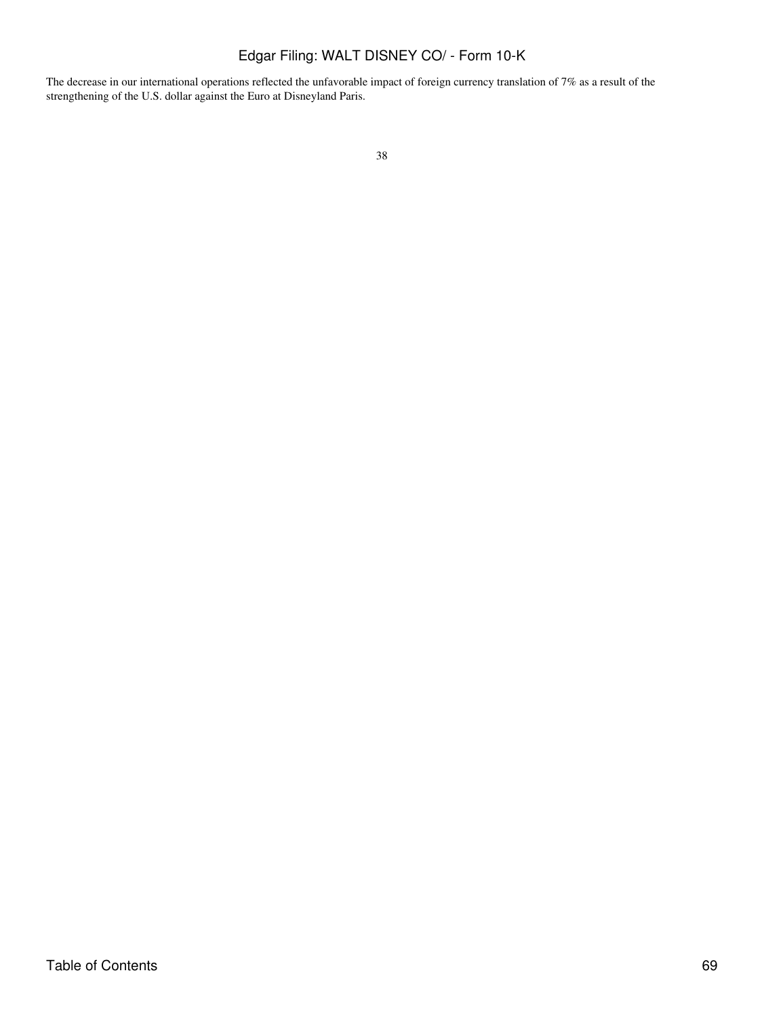The decrease in our international operations reflected the unfavorable impact of foreign currency translation of 7% as a result of the strengthening of the U.S. dollar against the Euro at Disneyland Paris.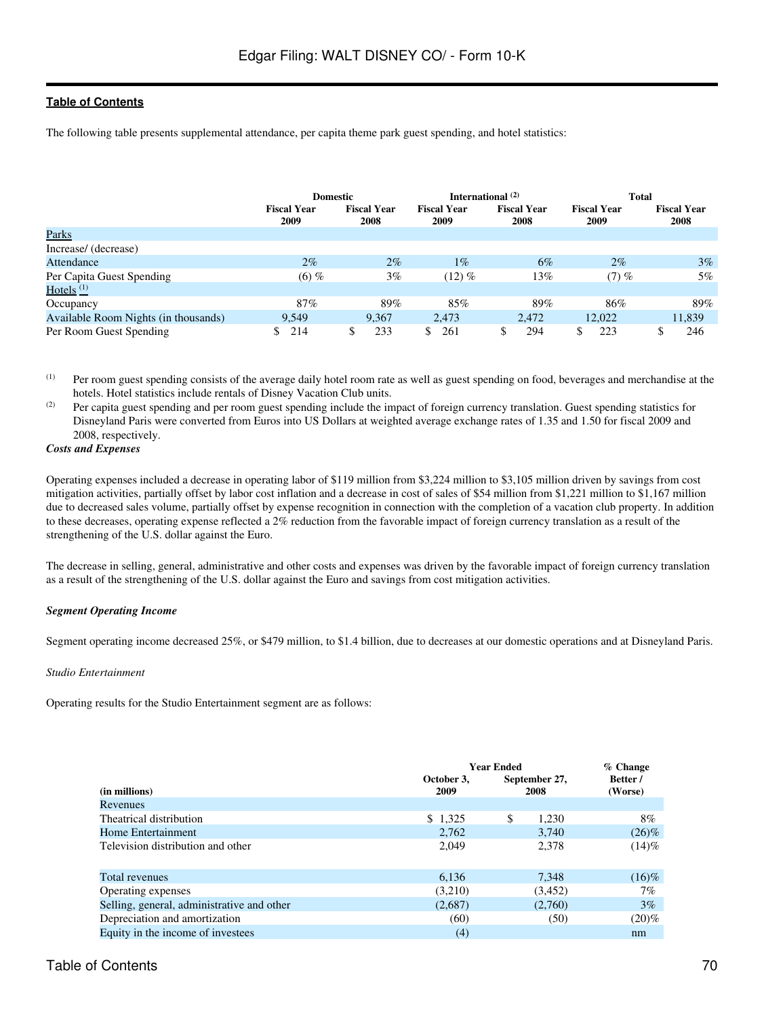The following table presents supplemental attendance, per capita theme park guest spending, and hotel statistics:

|                                      | <b>Domestic</b>            |                            |                            | International $(2)$        | <b>Total</b>               |                            |  |
|--------------------------------------|----------------------------|----------------------------|----------------------------|----------------------------|----------------------------|----------------------------|--|
|                                      | <b>Fiscal Year</b><br>2009 | <b>Fiscal Year</b><br>2008 | <b>Fiscal Year</b><br>2009 | <b>Fiscal Year</b><br>2008 | <b>Fiscal Year</b><br>2009 | <b>Fiscal Year</b><br>2008 |  |
| Parks                                |                            |                            |                            |                            |                            |                            |  |
| Increase/ (decrease)                 |                            |                            |                            |                            |                            |                            |  |
| Attendance                           | $2\%$                      | $2\%$                      | $1\%$                      | $6\%$                      | $2\%$                      | $3\%$                      |  |
| Per Capita Guest Spending            | $(6)$ %                    | $3\%$                      | $(12) \%$                  | 13%                        | $(7)$ %                    | $5\%$                      |  |
| $Hotels$ <sup>(1)</sup>              |                            |                            |                            |                            |                            |                            |  |
| Occupancy                            | 87%                        | 89%                        | 85%                        | 89%                        | 86%                        | 89%                        |  |
| Available Room Nights (in thousands) | 9.549                      | 9,367                      | 2.473                      | 2,472                      | 12,022                     | 11,839                     |  |
| Per Room Guest Spending              | 214                        | 233                        | 261                        | 294                        | 223                        | 246                        |  |

<sup>(1)</sup> Per room guest spending consists of the average daily hotel room rate as well as guest spending on food, beverages and merchandise at the hotels. Hotel statistics include rentals of Disney Vacation Club units.

(2) Per capita guest spending and per room guest spending include the impact of foreign currency translation. Guest spending statistics for Disneyland Paris were converted from Euros into US Dollars at weighted average exchange rates of 1.35 and 1.50 for fiscal 2009 and 2008, respectively.

## *Costs and Expenses*

Operating expenses included a decrease in operating labor of \$119 million from \$3,224 million to \$3,105 million driven by savings from cost mitigation activities, partially offset by labor cost inflation and a decrease in cost of sales of \$54 million from \$1,221 million to \$1,167 million due to decreased sales volume, partially offset by expense recognition in connection with the completion of a vacation club property. In addition to these decreases, operating expense reflected a 2% reduction from the favorable impact of foreign currency translation as a result of the strengthening of the U.S. dollar against the Euro.

The decrease in selling, general, administrative and other costs and expenses was driven by the favorable impact of foreign currency translation as a result of the strengthening of the U.S. dollar against the Euro and savings from cost mitigation activities.

#### *Segment Operating Income*

Segment operating income decreased 25%, or \$479 million, to \$1.4 billion, due to decreases at our domestic operations and at Disneyland Paris.

#### *Studio Entertainment*

Operating results for the Studio Entertainment segment are as follows:

|                                            |                    | <b>Year Ended</b> |                       |                     |  |
|--------------------------------------------|--------------------|-------------------|-----------------------|---------------------|--|
| (in millions)                              | October 3,<br>2009 |                   | September 27,<br>2008 | Better /<br>(Worse) |  |
| Revenues                                   |                    |                   |                       |                     |  |
| Theatrical distribution                    | \$1,325            | \$                | 1,230                 | 8%                  |  |
| Home Entertainment                         | 2,762              |                   | 3.740                 | $(26)\%$            |  |
| Television distribution and other          | 2.049              |                   | 2,378                 | (14)%               |  |
| Total revenues                             | 6,136              |                   | 7,348                 | $(16)\%$            |  |
| Operating expenses                         | (3,210)            |                   | (3,452)               | 7%                  |  |
| Selling, general, administrative and other | (2,687)            |                   | (2,760)               | $3\%$               |  |
| Depreciation and amortization              | (60)               |                   | (50)                  | (20)%               |  |
| Equity in the income of investees          | (4)                |                   |                       | nm                  |  |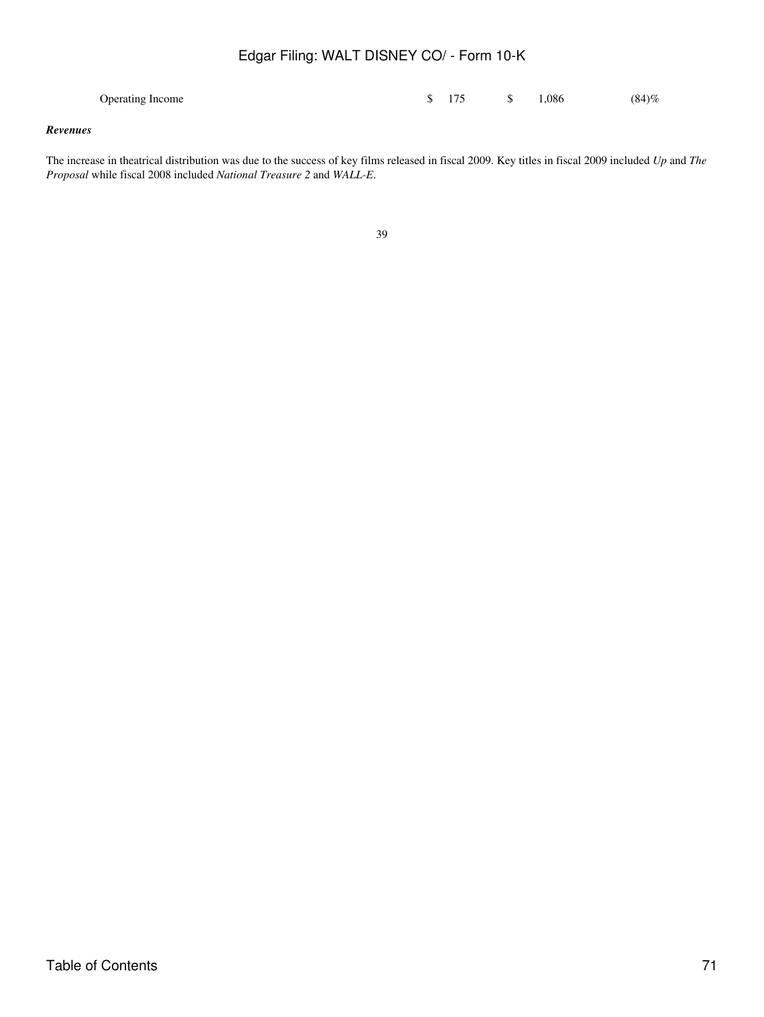| Operating Income | $$175$ $$1,086$ |  | (84)% |
|------------------|-----------------|--|-------|
|                  |                 |  |       |

## *Revenues*

The increase in theatrical distribution was due to the success of key films released in fiscal 2009. Key titles in fiscal 2009 included *Up* and *The Proposal* while fiscal 2008 included *National Treasure 2* and *WALL-E*.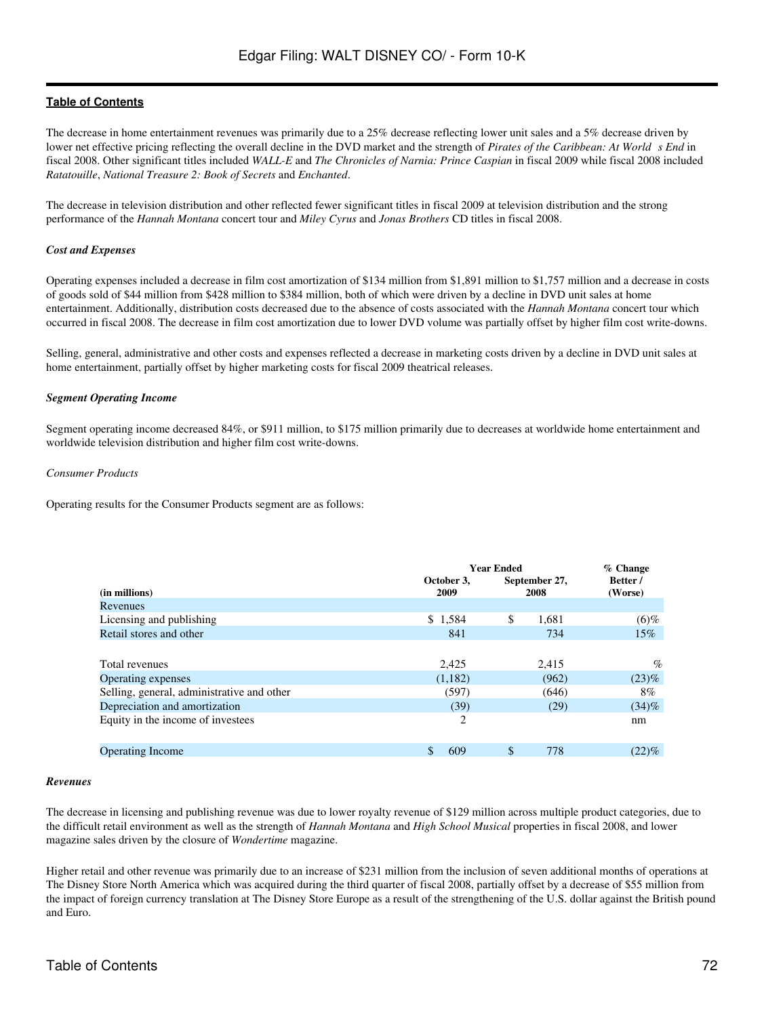The decrease in home entertainment revenues was primarily due to a 25% decrease reflecting lower unit sales and a 5% decrease driven by lower net effective pricing reflecting the overall decline in the DVD market and the strength of *Pirates of the Caribbean: At Worlds End* in fiscal 2008. Other significant titles included *WALL-E* and *The Chronicles of Narnia: Prince Caspian* in fiscal 2009 while fiscal 2008 included *Ratatouille*, *National Treasure 2: Book of Secrets* and *Enchanted*.

The decrease in television distribution and other reflected fewer significant titles in fiscal 2009 at television distribution and the strong performance of the *Hannah Montana* concert tour and *Miley Cyrus* and *Jonas Brothers* CD titles in fiscal 2008.

#### *Cost and Expenses*

Operating expenses included a decrease in film cost amortization of \$134 million from \$1,891 million to \$1,757 million and a decrease in costs of goods sold of \$44 million from \$428 million to \$384 million, both of which were driven by a decline in DVD unit sales at home entertainment. Additionally, distribution costs decreased due to the absence of costs associated with the *Hannah Montana* concert tour which occurred in fiscal 2008. The decrease in film cost amortization due to lower DVD volume was partially offset by higher film cost write-downs.

Selling, general, administrative and other costs and expenses reflected a decrease in marketing costs driven by a decline in DVD unit sales at home entertainment, partially offset by higher marketing costs for fiscal 2009 theatrical releases.

#### *Segment Operating Income*

Segment operating income decreased 84%, or \$911 million, to \$175 million primarily due to decreases at worldwide home entertainment and worldwide television distribution and higher film cost write-downs.

#### *Consumer Products*

Operating results for the Consumer Products segment are as follows:

| (in millions)                              | <b>Year Ended</b>  |                       |       | $%$ Change                 |
|--------------------------------------------|--------------------|-----------------------|-------|----------------------------|
|                                            | October 3,<br>2009 | September 27,<br>2008 |       | <b>Better</b> /<br>(Worse) |
| Revenues                                   |                    |                       |       |                            |
| Licensing and publishing                   | \$1,584            | \$                    | 1,681 | $(6)$ %                    |
| Retail stores and other                    | 841                |                       | 734   | $15\%$                     |
|                                            |                    |                       |       |                            |
| Total revenues                             | 2,425              |                       | 2,415 | $\%$                       |
| Operating expenses                         | (1,182)            |                       | (962) | $(23)\%$                   |
| Selling, general, administrative and other | (597)              |                       | (646) | 8%                         |
| Depreciation and amortization              | (39)               |                       | (29)  | $(34)\%$                   |
| Equity in the income of investees          | 2                  |                       |       | nm                         |
|                                            |                    |                       |       |                            |
| <b>Operating Income</b>                    | \$<br>609          | \$                    | 778   | $(22)\%$                   |

#### *Revenues*

The decrease in licensing and publishing revenue was due to lower royalty revenue of \$129 million across multiple product categories, due to the difficult retail environment as well as the strength of *Hannah Montana* and *High School Musical* properties in fiscal 2008, and lower magazine sales driven by the closure of *Wondertime* magazine.

Higher retail and other revenue was primarily due to an increase of \$231 million from the inclusion of seven additional months of operations at The Disney Store North America which was acquired during the third quarter of fiscal 2008, partially offset by a decrease of \$55 million from the impact of foreign currency translation at The Disney Store Europe as a result of the strengthening of the U.S. dollar against the British pound and Euro.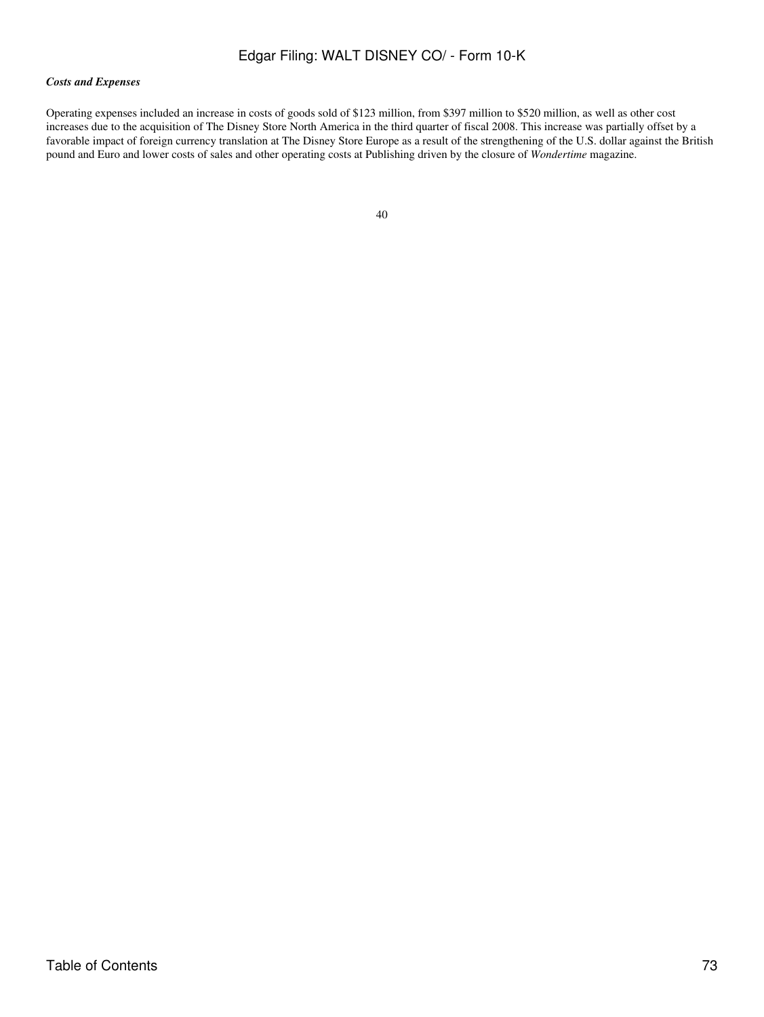## *Costs and Expenses*

Operating expenses included an increase in costs of goods sold of \$123 million, from \$397 million to \$520 million, as well as other cost increases due to the acquisition of The Disney Store North America in the third quarter of fiscal 2008. This increase was partially offset by a favorable impact of foreign currency translation at The Disney Store Europe as a result of the strengthening of the U.S. dollar against the British pound and Euro and lower costs of sales and other operating costs at Publishing driven by the closure of *Wondertime* magazine.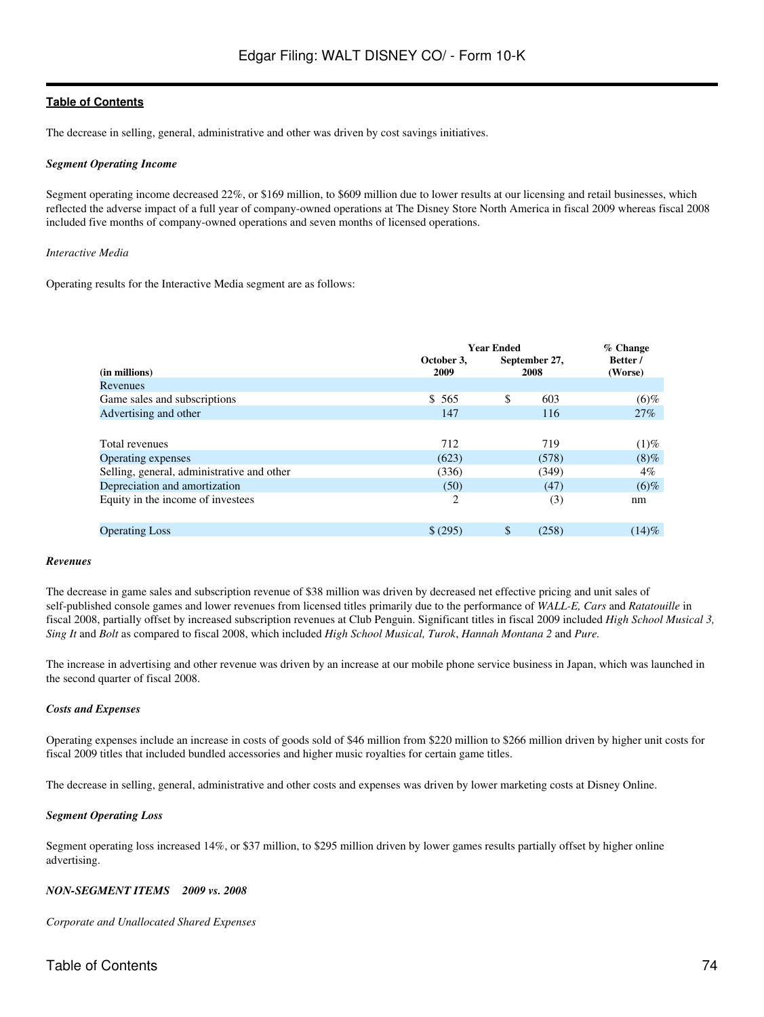The decrease in selling, general, administrative and other was driven by cost savings initiatives.

#### *Segment Operating Income*

Segment operating income decreased 22%, or \$169 million, to \$609 million due to lower results at our licensing and retail businesses, which reflected the adverse impact of a full year of company-owned operations at The Disney Store North America in fiscal 2009 whereas fiscal 2008 included five months of company-owned operations and seven months of licensed operations.

#### *Interactive Media*

Operating results for the Interactive Media segment are as follows:

|                                            |                    | <b>Year Ended</b> |                       |                     |  |
|--------------------------------------------|--------------------|-------------------|-----------------------|---------------------|--|
| (in millions)                              | October 3,<br>2009 |                   | September 27,<br>2008 | Better /<br>(Worse) |  |
| Revenues                                   |                    |                   |                       |                     |  |
| Game sales and subscriptions               | \$565              | \$                | 603                   | $(6)\%$             |  |
| Advertising and other                      | 147                |                   | 116                   | 27%                 |  |
|                                            |                    |                   |                       |                     |  |
| Total revenues                             | 712                |                   | 719                   | $(1)\%$             |  |
| Operating expenses                         | (623)              |                   | (578)                 | $(8)\%$             |  |
| Selling, general, administrative and other | (336)              |                   | (349)                 | $4\%$               |  |
| Depreciation and amortization              | (50)               |                   | (47)                  | $(6)$ %             |  |
| Equity in the income of investees          | 2                  |                   | (3)                   | nm                  |  |
|                                            |                    |                   |                       |                     |  |
| <b>Operating Loss</b>                      | \$(295)            | \$                | (258)                 | (14)%               |  |

#### *Revenues*

The decrease in game sales and subscription revenue of \$38 million was driven by decreased net effective pricing and unit sales of self-published console games and lower revenues from licensed titles primarily due to the performance of *WALL-E, Cars* and *Ratatouille* in fiscal 2008, partially offset by increased subscription revenues at Club Penguin. Significant titles in fiscal 2009 included *High School Musical 3, Sing It* and *Bolt* as compared to fiscal 2008, which included *High School Musical, Turok*, *Hannah Montana 2* and *Pure.*

The increase in advertising and other revenue was driven by an increase at our mobile phone service business in Japan, which was launched in the second quarter of fiscal 2008.

## *Costs and Expenses*

Operating expenses include an increase in costs of goods sold of \$46 million from \$220 million to \$266 million driven by higher unit costs for fiscal 2009 titles that included bundled accessories and higher music royalties for certain game titles.

The decrease in selling, general, administrative and other costs and expenses was driven by lower marketing costs at Disney Online.

#### *Segment Operating Loss*

Segment operating loss increased 14%, or \$37 million, to \$295 million driven by lower games results partially offset by higher online advertising.

#### *NON-SEGMENT ITEMS 2009 vs. 2008*

*Corporate and Unallocated Shared Expenses*

## Table of Contents 74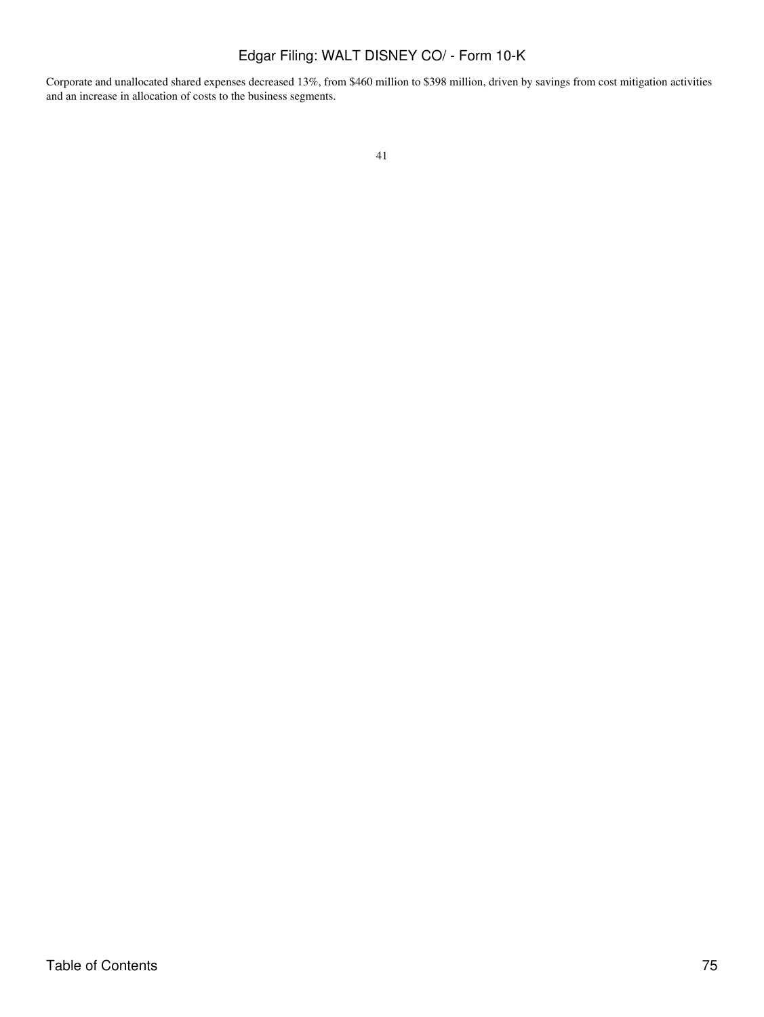Corporate and unallocated shared expenses decreased 13%, from \$460 million to \$398 million, driven by savings from cost mitigation activities and an increase in allocation of costs to the business segments.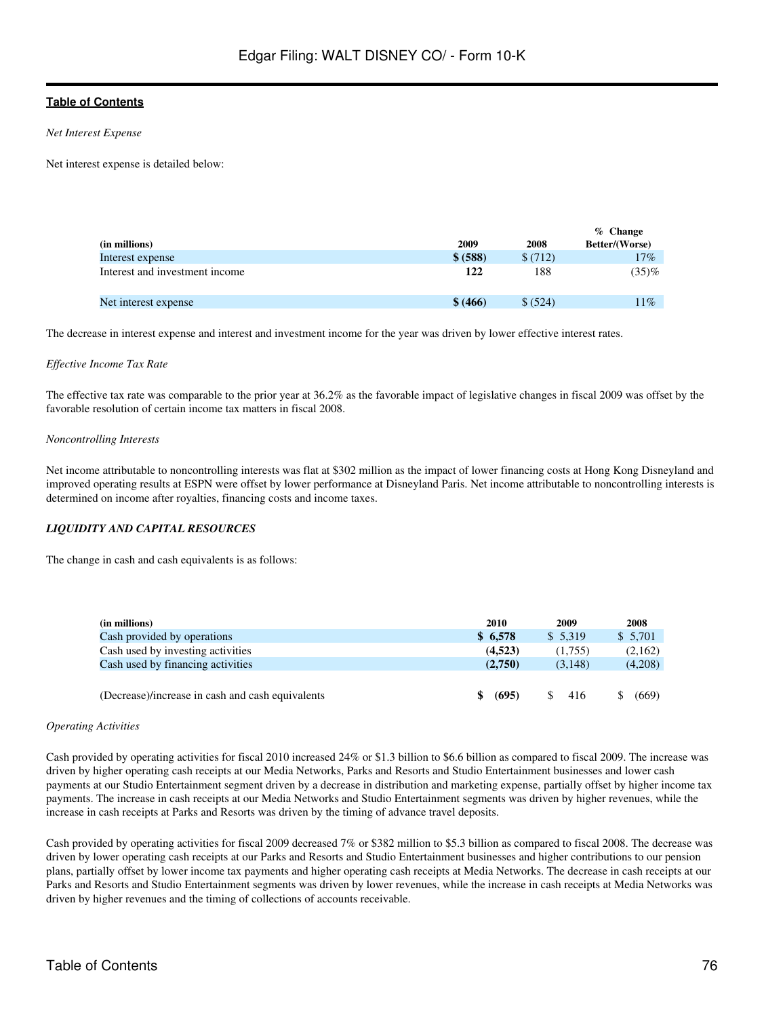#### *Net Interest Expense*

Net interest expense is detailed below:

|                                |          |          | $%$ Change     |
|--------------------------------|----------|----------|----------------|
| (in millions)                  | 2009     | 2008     | Better/(Worse) |
| Interest expense               | \$ (588) | \$(712)  | 17%            |
| Interest and investment income | 122      | 188      | $(35)\%$       |
| Net interest expense           | \$ (466) | \$ (524) | 11%            |

The decrease in interest expense and interest and investment income for the year was driven by lower effective interest rates.

#### *Effective Income Tax Rate*

The effective tax rate was comparable to the prior year at 36.2% as the favorable impact of legislative changes in fiscal 2009 was offset by the favorable resolution of certain income tax matters in fiscal 2008.

#### *Noncontrolling Interests*

Net income attributable to noncontrolling interests was flat at \$302 million as the impact of lower financing costs at Hong Kong Disneyland and improved operating results at ESPN were offset by lower performance at Disneyland Paris. Net income attributable to noncontrolling interests is determined on income after royalties, financing costs and income taxes.

## *LIQUIDITY AND CAPITAL RESOURCES*

The change in cash and cash equivalents is as follows:

| (in millions)                                    | 2010    | 2009    | 2008     |
|--------------------------------------------------|---------|---------|----------|
| Cash provided by operations                      | \$6.578 | \$5,319 | \$ 5.701 |
| Cash used by investing activities                | (4.523) | (1.755) | (2,162)  |
| Cash used by financing activities                | (2.750) | (3.148) | (4,208)  |
|                                                  |         |         |          |
| (Decrease)/increase in cash and cash equivalents | (695)   | 416     | (669)    |

## *Operating Activities*

Cash provided by operating activities for fiscal 2010 increased 24% or \$1.3 billion to \$6.6 billion as compared to fiscal 2009. The increase was driven by higher operating cash receipts at our Media Networks, Parks and Resorts and Studio Entertainment businesses and lower cash payments at our Studio Entertainment segment driven by a decrease in distribution and marketing expense, partially offset by higher income tax payments. The increase in cash receipts at our Media Networks and Studio Entertainment segments was driven by higher revenues, while the increase in cash receipts at Parks and Resorts was driven by the timing of advance travel deposits.

Cash provided by operating activities for fiscal 2009 decreased 7% or \$382 million to \$5.3 billion as compared to fiscal 2008. The decrease was driven by lower operating cash receipts at our Parks and Resorts and Studio Entertainment businesses and higher contributions to our pension plans, partially offset by lower income tax payments and higher operating cash receipts at Media Networks. The decrease in cash receipts at our Parks and Resorts and Studio Entertainment segments was driven by lower revenues, while the increase in cash receipts at Media Networks was driven by higher revenues and the timing of collections of accounts receivable.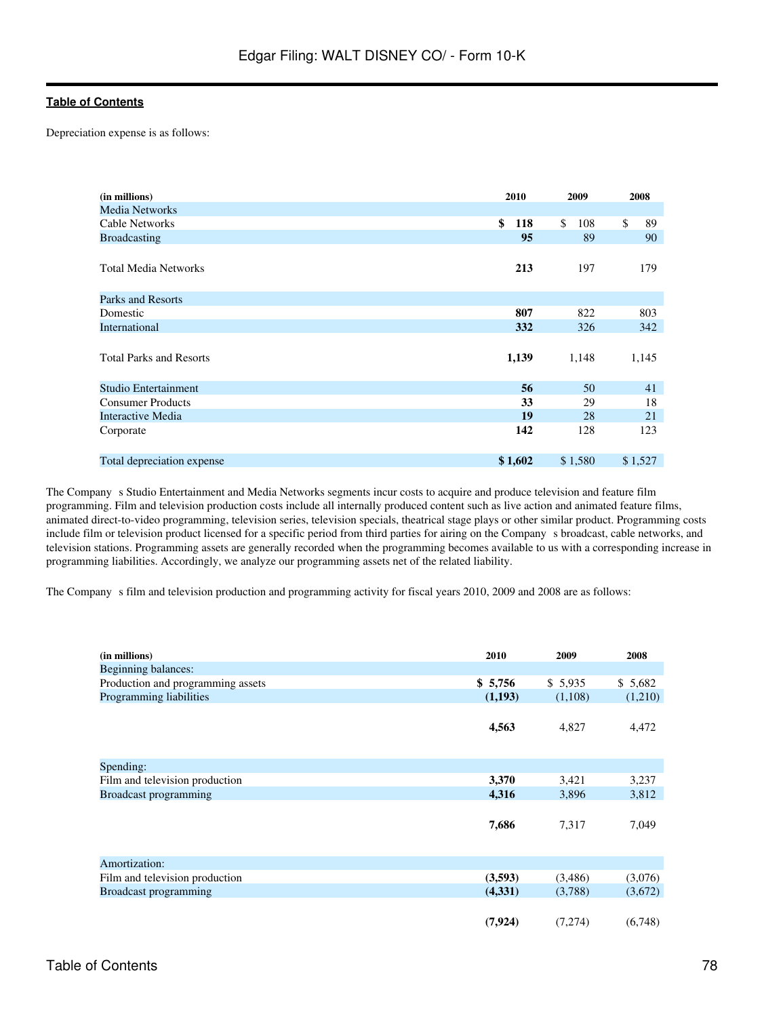Depreciation expense is as follows:

| (in millions)                  | 2010      | 2009      | 2008     |
|--------------------------------|-----------|-----------|----------|
| Media Networks                 |           |           |          |
| <b>Cable Networks</b>          | \$<br>118 | \$<br>108 | \$<br>89 |
| <b>Broadcasting</b>            | 95        | 89        | 90       |
| <b>Total Media Networks</b>    | 213       | 197       | 179      |
| Parks and Resorts              |           |           |          |
| Domestic                       | 807       | 822       | 803      |
| International                  | 332       | 326       | 342      |
| <b>Total Parks and Resorts</b> | 1,139     | 1,148     | 1,145    |
| Studio Entertainment           | 56        | 50        | 41       |
| <b>Consumer Products</b>       | 33        | 29        | 18       |
| Interactive Media              | 19        | 28        | 21       |
| Corporate                      | 142       | 128       | 123      |
| Total depreciation expense     | \$1,602   | \$1,580   | \$1,527  |

The Company s Studio Entertainment and Media Networks segments incur costs to acquire and produce television and feature film programming. Film and television production costs include all internally produced content such as live action and animated feature films, animated direct-to-video programming, television series, television specials, theatrical stage plays or other similar product. Programming costs include film or television product licensed for a specific period from third parties for airing on the Company s broadcast, cable networks, and television stations. Programming assets are generally recorded when the programming becomes available to us with a corresponding increase in programming liabilities. Accordingly, we analyze our programming assets net of the related liability.

The Company s film and television production and programming activity for fiscal years 2010, 2009 and 2008 are as follows:

| (in millions)                     | 2010     | 2009    | 2008    |
|-----------------------------------|----------|---------|---------|
| Beginning balances:               |          |         |         |
| Production and programming assets | \$5,756  | \$5,935 | \$5,682 |
| Programming liabilities           | (1,193)  | (1,108) | (1,210) |
|                                   | 4,563    | 4,827   | 4,472   |
| Spending:                         |          |         |         |
| Film and television production    | 3,370    | 3,421   | 3,237   |
| Broadcast programming             | 4,316    | 3,896   | 3,812   |
|                                   | 7,686    | 7,317   | 7,049   |
| Amortization:                     |          |         |         |
| Film and television production    | (3,593)  | (3,486) | (3,076) |
| Broadcast programming             | (4,331)  | (3,788) | (3,672) |
|                                   | (7, 924) | (7,274) | (6,748) |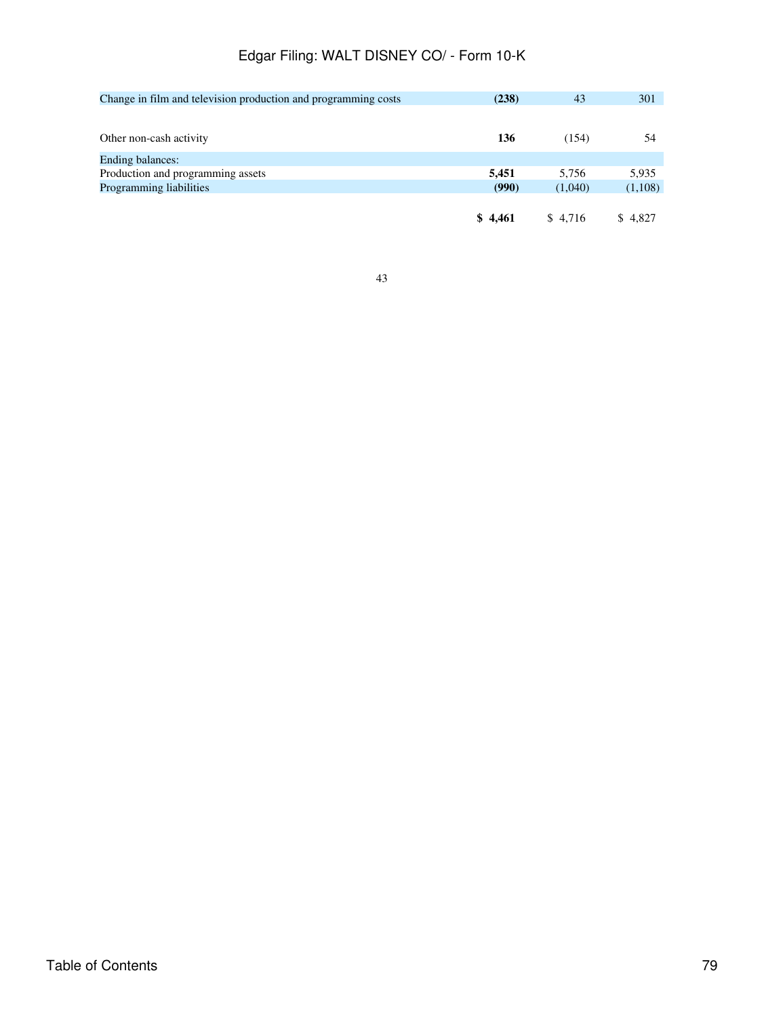| Change in film and television production and programming costs | (238)   | 43      | 301     |
|----------------------------------------------------------------|---------|---------|---------|
|                                                                |         |         |         |
| Other non-cash activity                                        | 136     | (154)   | 54      |
| Ending balances:                                               |         |         |         |
| Production and programming assets                              | 5,451   | 5.756   | 5,935   |
| Programming liabilities                                        | (990)   | (1,040) | (1,108) |
|                                                                |         |         |         |
|                                                                | \$4,461 | \$4.716 | \$4.827 |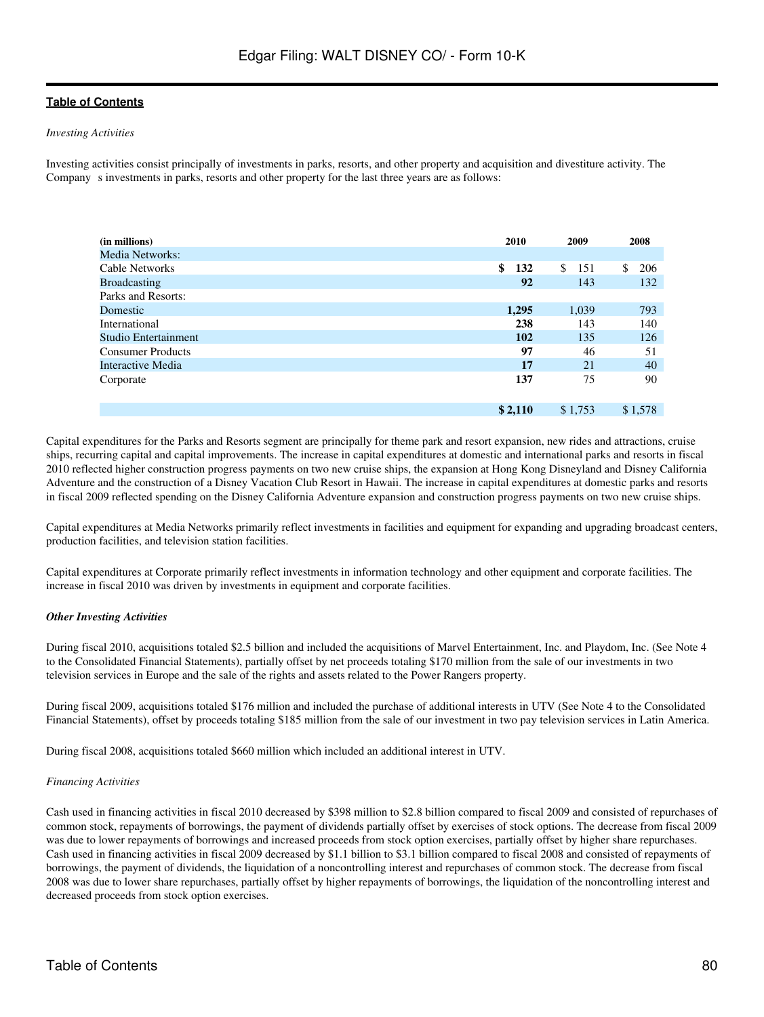#### *Investing Activities*

Investing activities consist principally of investments in parks, resorts, and other property and acquisition and divestiture activity. The Company s investments in parks, resorts and other property for the last three years are as follows:

| (in millions)            | 2010       | 2009      | 2008      |
|--------------------------|------------|-----------|-----------|
| Media Networks:          |            |           |           |
| Cable Networks           | \$<br>132  | \$<br>151 | \$<br>206 |
| <b>Broadcasting</b>      | 92         | 143       | 132       |
| Parks and Resorts:       |            |           |           |
| Domestic                 | 1,295      | 1,039     | 793       |
| International            | 238        | 143       | 140       |
| Studio Entertainment     | <b>102</b> | 135       | 126       |
| <b>Consumer Products</b> | 97         | 46        | 51        |
| Interactive Media        | 17         | 21        | 40        |
| Corporate                | 137        | 75        | 90        |
|                          |            |           |           |
|                          | \$2,110    | \$1,753   | \$1,578   |

Capital expenditures for the Parks and Resorts segment are principally for theme park and resort expansion, new rides and attractions, cruise ships, recurring capital and capital improvements. The increase in capital expenditures at domestic and international parks and resorts in fiscal 2010 reflected higher construction progress payments on two new cruise ships, the expansion at Hong Kong Disneyland and Disney California Adventure and the construction of a Disney Vacation Club Resort in Hawaii. The increase in capital expenditures at domestic parks and resorts in fiscal 2009 reflected spending on the Disney California Adventure expansion and construction progress payments on two new cruise ships.

Capital expenditures at Media Networks primarily reflect investments in facilities and equipment for expanding and upgrading broadcast centers, production facilities, and television station facilities.

Capital expenditures at Corporate primarily reflect investments in information technology and other equipment and corporate facilities. The increase in fiscal 2010 was driven by investments in equipment and corporate facilities.

## *Other Investing Activities*

During fiscal 2010, acquisitions totaled \$2.5 billion and included the acquisitions of Marvel Entertainment, Inc. and Playdom, Inc. (See Note 4 to the Consolidated Financial Statements), partially offset by net proceeds totaling \$170 million from the sale of our investments in two television services in Europe and the sale of the rights and assets related to the Power Rangers property.

During fiscal 2009, acquisitions totaled \$176 million and included the purchase of additional interests in UTV (See Note 4 to the Consolidated Financial Statements), offset by proceeds totaling \$185 million from the sale of our investment in two pay television services in Latin America.

During fiscal 2008, acquisitions totaled \$660 million which included an additional interest in UTV.

#### *Financing Activities*

Cash used in financing activities in fiscal 2010 decreased by \$398 million to \$2.8 billion compared to fiscal 2009 and consisted of repurchases of common stock, repayments of borrowings, the payment of dividends partially offset by exercises of stock options. The decrease from fiscal 2009 was due to lower repayments of borrowings and increased proceeds from stock option exercises, partially offset by higher share repurchases. Cash used in financing activities in fiscal 2009 decreased by \$1.1 billion to \$3.1 billion compared to fiscal 2008 and consisted of repayments of borrowings, the payment of dividends, the liquidation of a noncontrolling interest and repurchases of common stock. The decrease from fiscal 2008 was due to lower share repurchases, partially offset by higher repayments of borrowings, the liquidation of the noncontrolling interest and decreased proceeds from stock option exercises.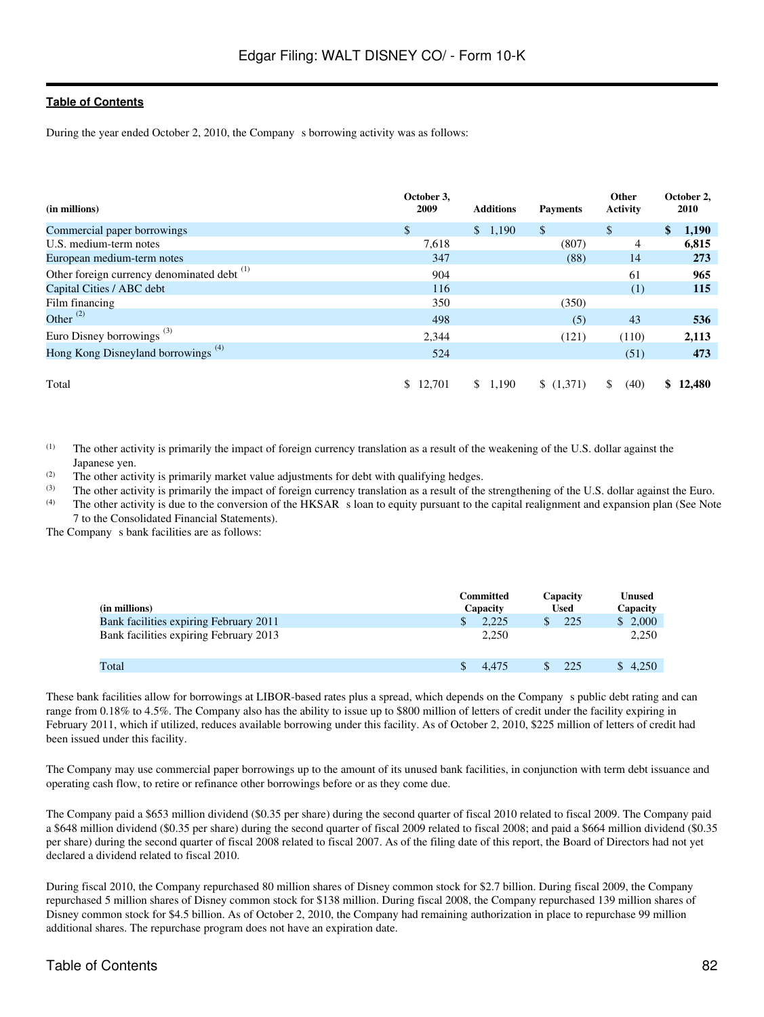During the year ended October 2, 2010, the Company s borrowing activity was as follows:

| (in millions)                                          | October 3,<br>2009 | <b>Additions</b> | <b>Payments</b> | Other<br><b>Activity</b> | October 2,<br><b>2010</b> |
|--------------------------------------------------------|--------------------|------------------|-----------------|--------------------------|---------------------------|
| Commercial paper borrowings                            | \$                 | \$1,190          | \$              | \$                       | \$<br>1,190               |
| U.S. medium-term notes                                 | 7,618              |                  | (807)           | 4                        | 6,815                     |
| European medium-term notes                             | 347                |                  | (88)            | 14                       | 273                       |
| Other foreign currency denominated debt <sup>(1)</sup> | 904                |                  |                 | 61                       | 965                       |
| Capital Cities / ABC debt                              | 116                |                  |                 | (1)                      | 115                       |
| Film financing                                         | 350                |                  | (350)           |                          |                           |
| Other $^{(2)}$                                         | 498                |                  | (5)             | 43                       | 536                       |
| Euro Disney borrowings <sup>(3)</sup>                  | 2,344              |                  | (121)           | (110)                    | 2,113                     |
| Hong Kong Disneyland borrowings <sup>(4)</sup>         | 524                |                  |                 | (51)                     | 473                       |
| Total                                                  | 12,701<br>\$.      | \$.<br>1.190     | \$(1,371)       | (40)<br>\$               | \$<br>12,480              |

(1) The other activity is primarily the impact of foreign currency translation as a result of the weakening of the U.S. dollar against the Japanese yen.

(2) The other activity is primarily market value adjustments for debt with qualifying hedges.<br>
The other activity is primarily the impact of foreign currency translation as a result of the

(3) The other activity is primarily the impact of foreign currency translation as a result of the strengthening of the U.S. dollar against the Euro.<br>(4) The other activity is due to the conversion of the HKSAB, also to eq

The other activity is due to the conversion of the HKSAR s loan to equity pursuant to the capital realignment and expansion plan (See Note 7 to the Consolidated Financial Statements).

The Company s bank facilities are as follows:

|                                        | Committed | Capacity    | <b>Unused</b> |
|----------------------------------------|-----------|-------------|---------------|
| (in millions)                          | Capacity  | <b>Used</b> | Capacity      |
| Bank facilities expiring February 2011 | 2,225     | 225         | \$2,000       |
| Bank facilities expiring February 2013 | 2.250     |             | 2,250         |
| Total                                  | 4.475     | 225         | \$4,250       |

These bank facilities allow for borrowings at LIBOR-based rates plus a spread, which depends on the Company s public debt rating and can range from 0.18% to 4.5%. The Company also has the ability to issue up to \$800 million of letters of credit under the facility expiring in February 2011, which if utilized, reduces available borrowing under this facility. As of October 2, 2010, \$225 million of letters of credit had been issued under this facility.

The Company may use commercial paper borrowings up to the amount of its unused bank facilities, in conjunction with term debt issuance and operating cash flow, to retire or refinance other borrowings before or as they come due.

The Company paid a \$653 million dividend (\$0.35 per share) during the second quarter of fiscal 2010 related to fiscal 2009. The Company paid a \$648 million dividend (\$0.35 per share) during the second quarter of fiscal 2009 related to fiscal 2008; and paid a \$664 million dividend (\$0.35 per share) during the second quarter of fiscal 2008 related to fiscal 2007. As of the filing date of this report, the Board of Directors had not yet declared a dividend related to fiscal 2010.

During fiscal 2010, the Company repurchased 80 million shares of Disney common stock for \$2.7 billion. During fiscal 2009, the Company repurchased 5 million shares of Disney common stock for \$138 million. During fiscal 2008, the Company repurchased 139 million shares of Disney common stock for \$4.5 billion. As of October 2, 2010, the Company had remaining authorization in place to repurchase 99 million additional shares. The repurchase program does not have an expiration date.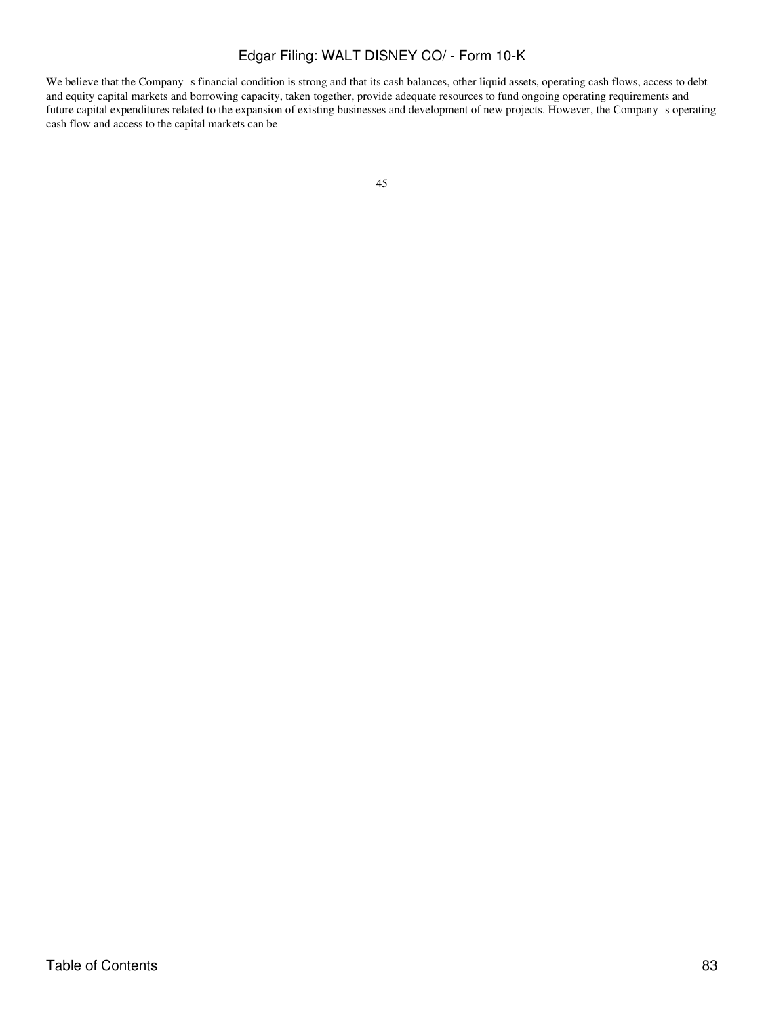We believe that the Company s financial condition is strong and that its cash balances, other liquid assets, operating cash flows, access to debt and equity capital markets and borrowing capacity, taken together, provide adequate resources to fund ongoing operating requirements and future capital expenditures related to the expansion of existing businesses and development of new projects. However, the Company s operating cash flow and access to the capital markets can be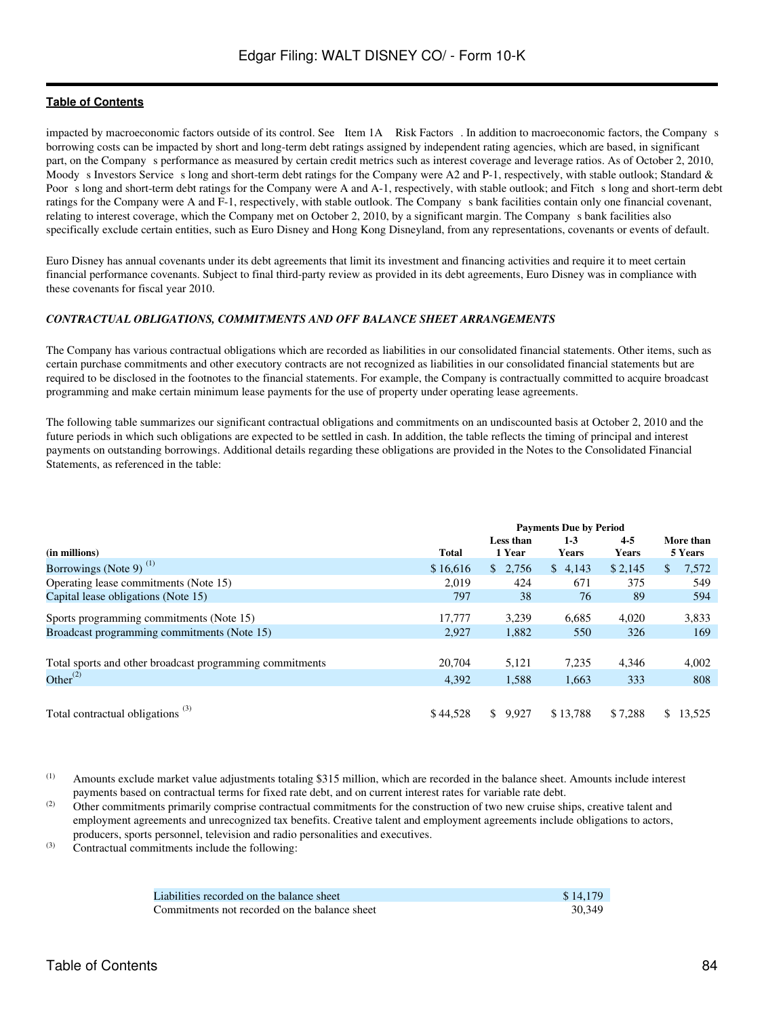impacted by macroeconomic factors outside of its control. See Item 1A Risk Factors. In addition to macroeconomic factors, the Companys borrowing costs can be impacted by short and long-term debt ratings assigned by independent rating agencies, which are based, in significant part, on the Company s performance as measured by certain credit metrics such as interest coverage and leverage ratios. As of October 2, 2010, Moody s Investors Service s long and short-term debt ratings for the Company were A2 and P-1, respectively, with stable outlook; Standard & Poor s long and short-term debt ratings for the Company were A and A-1, respectively, with stable outlook; and Fitch s long and short-term debt ratings for the Company were A and F-1, respectively, with stable outlook. The Company s bank facilities contain only one financial covenant, relating to interest coverage, which the Company met on October 2, 2010, by a significant margin. The Company s bank facilities also specifically exclude certain entities, such as Euro Disney and Hong Kong Disneyland, from any representations, covenants or events of default.

Euro Disney has annual covenants under its debt agreements that limit its investment and financing activities and require it to meet certain financial performance covenants. Subject to final third-party review as provided in its debt agreements, Euro Disney was in compliance with these covenants for fiscal year 2010.

## *CONTRACTUAL OBLIGATIONS, COMMITMENTS AND OFF BALANCE SHEET ARRANGEMENTS*

The Company has various contractual obligations which are recorded as liabilities in our consolidated financial statements. Other items, such as certain purchase commitments and other executory contracts are not recognized as liabilities in our consolidated financial statements but are required to be disclosed in the footnotes to the financial statements. For example, the Company is contractually committed to acquire broadcast programming and make certain minimum lease payments for the use of property under operating lease agreements.

The following table summarizes our significant contractual obligations and commitments on an undiscounted basis at October 2, 2010 and the future periods in which such obligations are expected to be settled in cash. In addition, the table reflects the timing of principal and interest payments on outstanding borrowings. Additional details regarding these obligations are provided in the Notes to the Consolidated Financial Statements, as referenced in the table:

|                                                          | <b>Payments Due by Period</b> |                            |                |                |                      |
|----------------------------------------------------------|-------------------------------|----------------------------|----------------|----------------|----------------------|
| (in millions)                                            | <b>Total</b>                  | <b>Less than</b><br>1 Year | $1-3$<br>Years | $4-5$<br>Years | More than<br>5 Years |
| Borrowings (Note 9) <sup>(1)</sup>                       | \$16,616                      | \$2,756                    | \$4,143        | \$2,145        | \$.<br>7,572         |
| Operating lease commitments (Note 15)                    | 2.019                         | 424                        | 671            | 375            | 549                  |
| Capital lease obligations (Note 15)                      | 797                           | 38                         | 76             | 89             | 594                  |
| Sports programming commitments (Note 15)                 | 17.777                        | 3.239                      | 6,685          | 4,020          | 3,833                |
| Broadcast programming commitments (Note 15)              | 2.927                         | 1,882                      | 550            | 326            | 169                  |
| Total sports and other broadcast programming commitments | 20,704                        | 5,121                      | 7,235          | 4,346          | 4,002                |
| Other $^{(2)}$                                           | 4,392                         | 1,588                      | 1,663          | 333            | 808                  |
| Total contractual obligations <sup>(3)</sup>             | \$44.528                      | \$9,927                    | \$13.788       | \$7.288        | 13,525<br>S.         |

- (1) Amounts exclude market value adjustments totaling \$315 million, which are recorded in the balance sheet. Amounts include interest payments based on contractual terms for fixed rate debt, and on current interest rates for variable rate debt.
- <sup>(2)</sup> Other commitments primarily comprise contractual commitments for the construction of two new cruise ships, creative talent and employment agreements and unrecognized tax benefits. Creative talent and employment agreements include obligations to actors, producers, sports personnel, television and radio personalities and executives.

(3) Contractual commitments include the following:

| Liabilities recorded on the balance sheet     | \$14,179 |
|-----------------------------------------------|----------|
| Commitments not recorded on the balance sheet | 30.349   |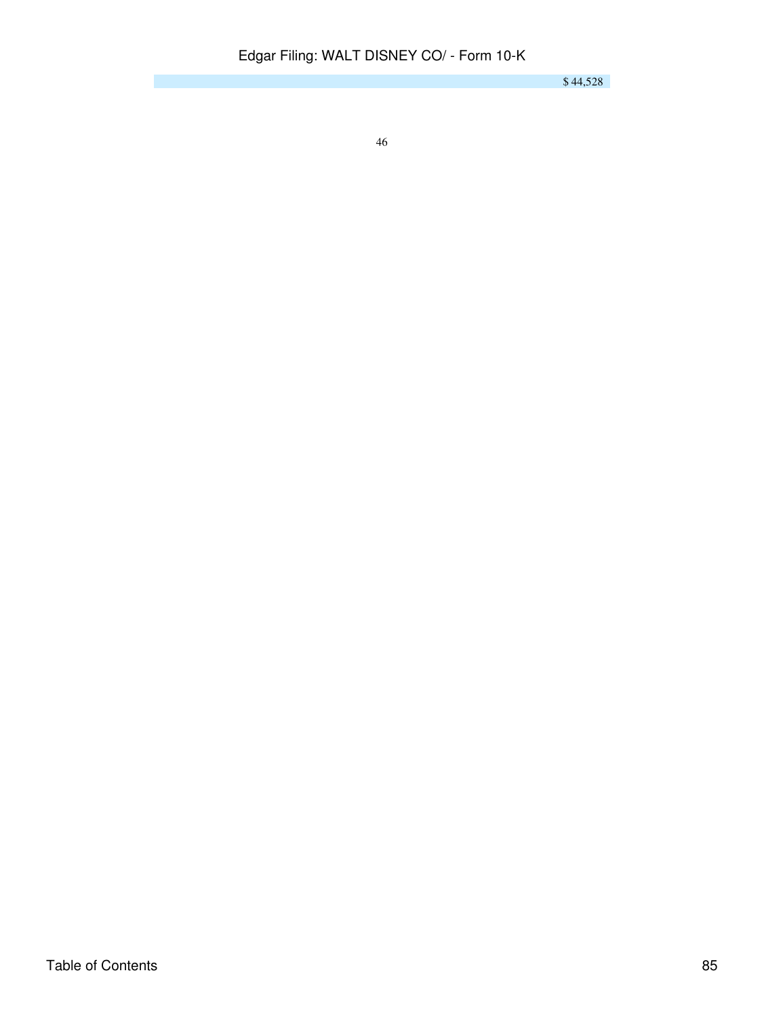\$ 44,528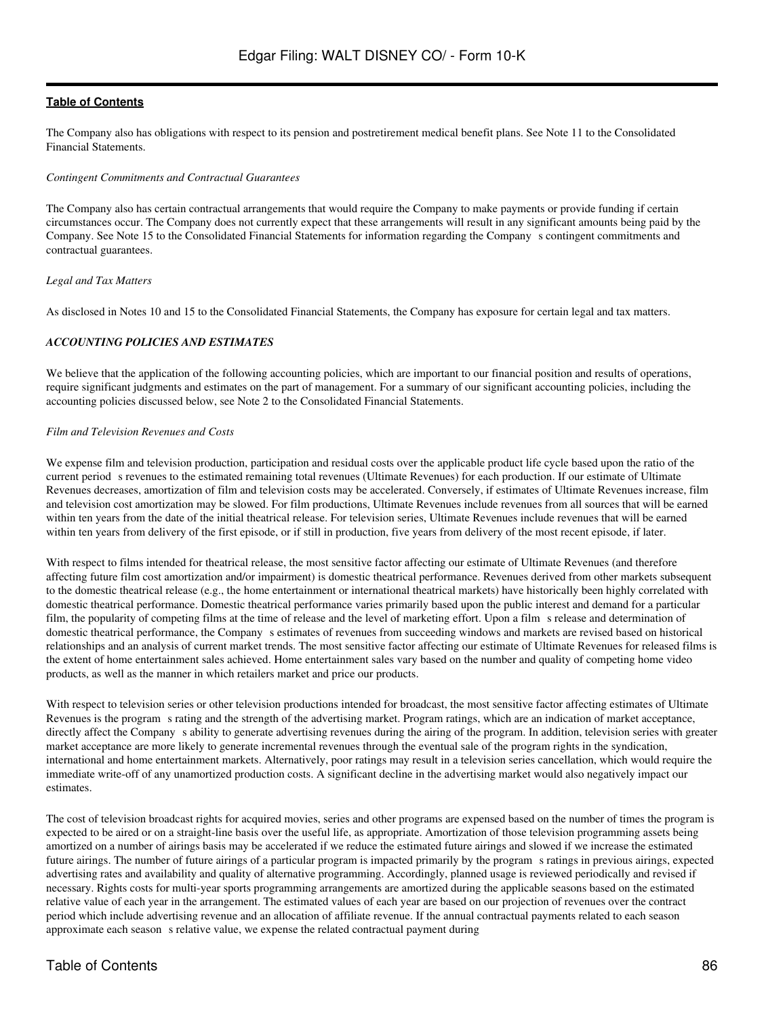The Company also has obligations with respect to its pension and postretirement medical benefit plans. See Note 11 to the Consolidated Financial Statements.

#### *Contingent Commitments and Contractual Guarantees*

The Company also has certain contractual arrangements that would require the Company to make payments or provide funding if certain circumstances occur. The Company does not currently expect that these arrangements will result in any significant amounts being paid by the Company. See Note 15 to the Consolidated Financial Statements for information regarding the Companys contingent commitments and contractual guarantees.

#### *Legal and Tax Matters*

As disclosed in Notes 10 and 15 to the Consolidated Financial Statements, the Company has exposure for certain legal and tax matters.

## *ACCOUNTING POLICIES AND ESTIMATES*

We believe that the application of the following accounting policies, which are important to our financial position and results of operations, require significant judgments and estimates on the part of management. For a summary of our significant accounting policies, including the accounting policies discussed below, see Note 2 to the Consolidated Financial Statements.

### *Film and Television Revenues and Costs*

We expense film and television production, participation and residual costs over the applicable product life cycle based upon the ratio of the current period s revenues to the estimated remaining total revenues (Ultimate Revenues) for each production. If our estimate of Ultimate Revenues decreases, amortization of film and television costs may be accelerated. Conversely, if estimates of Ultimate Revenues increase, film and television cost amortization may be slowed. For film productions, Ultimate Revenues include revenues from all sources that will be earned within ten years from the date of the initial theatrical release. For television series, Ultimate Revenues include revenues that will be earned within ten years from delivery of the first episode, or if still in production, five years from delivery of the most recent episode, if later.

With respect to films intended for theatrical release, the most sensitive factor affecting our estimate of Ultimate Revenues (and therefore affecting future film cost amortization and/or impairment) is domestic theatrical performance. Revenues derived from other markets subsequent to the domestic theatrical release (e.g., the home entertainment or international theatrical markets) have historically been highly correlated with domestic theatrical performance. Domestic theatrical performance varies primarily based upon the public interest and demand for a particular film, the popularity of competing films at the time of release and the level of marketing effort. Upon a film s release and determination of domestic theatrical performance, the Company s estimates of revenues from succeeding windows and markets are revised based on historical relationships and an analysis of current market trends. The most sensitive factor affecting our estimate of Ultimate Revenues for released films is the extent of home entertainment sales achieved. Home entertainment sales vary based on the number and quality of competing home video products, as well as the manner in which retailers market and price our products.

With respect to television series or other television productions intended for broadcast, the most sensitive factor affecting estimates of Ultimate Revenues is the program s rating and the strength of the advertising market. Program ratings, which are an indication of market acceptance, directly affect the Company s ability to generate advertising revenues during the airing of the program. In addition, television series with greater market acceptance are more likely to generate incremental revenues through the eventual sale of the program rights in the syndication, international and home entertainment markets. Alternatively, poor ratings may result in a television series cancellation, which would require the immediate write-off of any unamortized production costs. A significant decline in the advertising market would also negatively impact our estimates.

The cost of television broadcast rights for acquired movies, series and other programs are expensed based on the number of times the program is expected to be aired or on a straight-line basis over the useful life, as appropriate. Amortization of those television programming assets being amortized on a number of airings basis may be accelerated if we reduce the estimated future airings and slowed if we increase the estimated future airings. The number of future airings of a particular program is impacted primarily by the programs ratings in previous airings, expected advertising rates and availability and quality of alternative programming. Accordingly, planned usage is reviewed periodically and revised if necessary. Rights costs for multi-year sports programming arrangements are amortized during the applicable seasons based on the estimated relative value of each year in the arrangement. The estimated values of each year are based on our projection of revenues over the contract period which include advertising revenue and an allocation of affiliate revenue. If the annual contractual payments related to each season approximate each season s relative value, we expense the related contractual payment during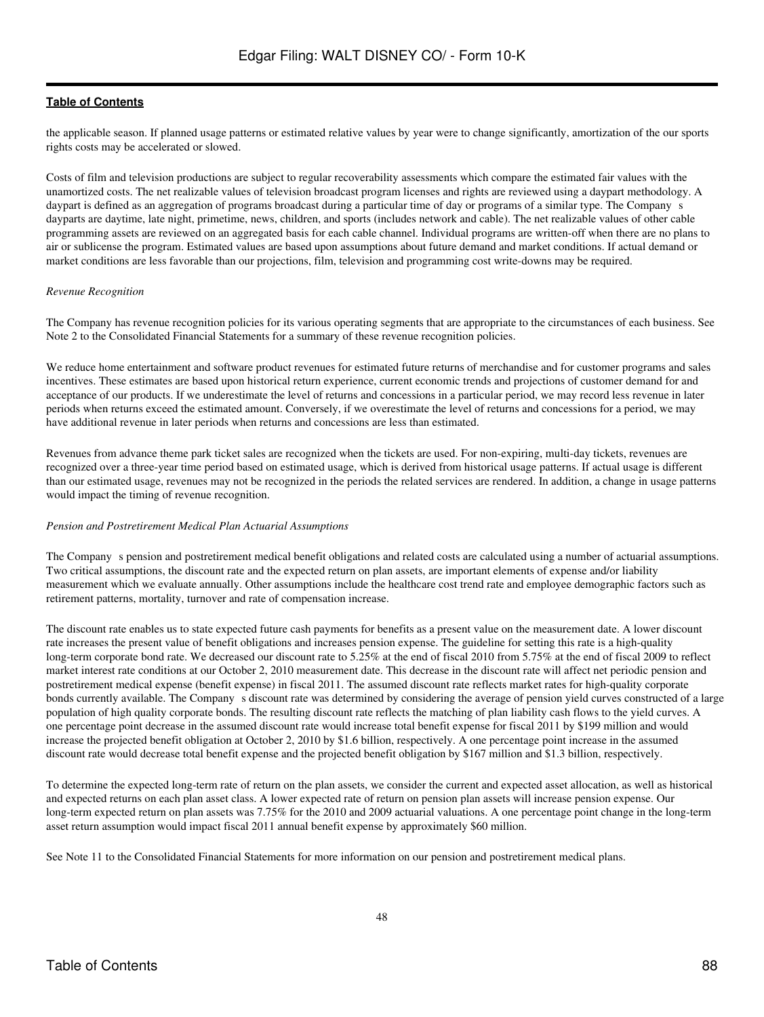the applicable season. If planned usage patterns or estimated relative values by year were to change significantly, amortization of the our sports rights costs may be accelerated or slowed.

Costs of film and television productions are subject to regular recoverability assessments which compare the estimated fair values with the unamortized costs. The net realizable values of television broadcast program licenses and rights are reviewed using a daypart methodology. A daypart is defined as an aggregation of programs broadcast during a particular time of day or programs of a similar type. The Company s dayparts are daytime, late night, primetime, news, children, and sports (includes network and cable). The net realizable values of other cable programming assets are reviewed on an aggregated basis for each cable channel. Individual programs are written-off when there are no plans to air or sublicense the program. Estimated values are based upon assumptions about future demand and market conditions. If actual demand or market conditions are less favorable than our projections, film, television and programming cost write-downs may be required.

#### *Revenue Recognition*

The Company has revenue recognition policies for its various operating segments that are appropriate to the circumstances of each business. See Note 2 to the Consolidated Financial Statements for a summary of these revenue recognition policies.

We reduce home entertainment and software product revenues for estimated future returns of merchandise and for customer programs and sales incentives. These estimates are based upon historical return experience, current economic trends and projections of customer demand for and acceptance of our products. If we underestimate the level of returns and concessions in a particular period, we may record less revenue in later periods when returns exceed the estimated amount. Conversely, if we overestimate the level of returns and concessions for a period, we may have additional revenue in later periods when returns and concessions are less than estimated.

Revenues from advance theme park ticket sales are recognized when the tickets are used. For non-expiring, multi-day tickets, revenues are recognized over a three-year time period based on estimated usage, which is derived from historical usage patterns. If actual usage is different than our estimated usage, revenues may not be recognized in the periods the related services are rendered. In addition, a change in usage patterns would impact the timing of revenue recognition.

## *Pension and Postretirement Medical Plan Actuarial Assumptions*

The Company s pension and postretirement medical benefit obligations and related costs are calculated using a number of actuarial assumptions. Two critical assumptions, the discount rate and the expected return on plan assets, are important elements of expense and/or liability measurement which we evaluate annually. Other assumptions include the healthcare cost trend rate and employee demographic factors such as retirement patterns, mortality, turnover and rate of compensation increase.

The discount rate enables us to state expected future cash payments for benefits as a present value on the measurement date. A lower discount rate increases the present value of benefit obligations and increases pension expense. The guideline for setting this rate is a high-quality long-term corporate bond rate. We decreased our discount rate to 5.25% at the end of fiscal 2010 from 5.75% at the end of fiscal 2009 to reflect market interest rate conditions at our October 2, 2010 measurement date. This decrease in the discount rate will affect net periodic pension and postretirement medical expense (benefit expense) in fiscal 2011. The assumed discount rate reflects market rates for high-quality corporate bonds currently available. The Company s discount rate was determined by considering the average of pension yield curves constructed of a large population of high quality corporate bonds. The resulting discount rate reflects the matching of plan liability cash flows to the yield curves. A one percentage point decrease in the assumed discount rate would increase total benefit expense for fiscal 2011 by \$199 million and would increase the projected benefit obligation at October 2, 2010 by \$1.6 billion, respectively. A one percentage point increase in the assumed discount rate would decrease total benefit expense and the projected benefit obligation by \$167 million and \$1.3 billion, respectively.

To determine the expected long-term rate of return on the plan assets, we consider the current and expected asset allocation, as well as historical and expected returns on each plan asset class. A lower expected rate of return on pension plan assets will increase pension expense. Our long-term expected return on plan assets was 7.75% for the 2010 and 2009 actuarial valuations. A one percentage point change in the long-term asset return assumption would impact fiscal 2011 annual benefit expense by approximately \$60 million.

See Note 11 to the Consolidated Financial Statements for more information on our pension and postretirement medical plans.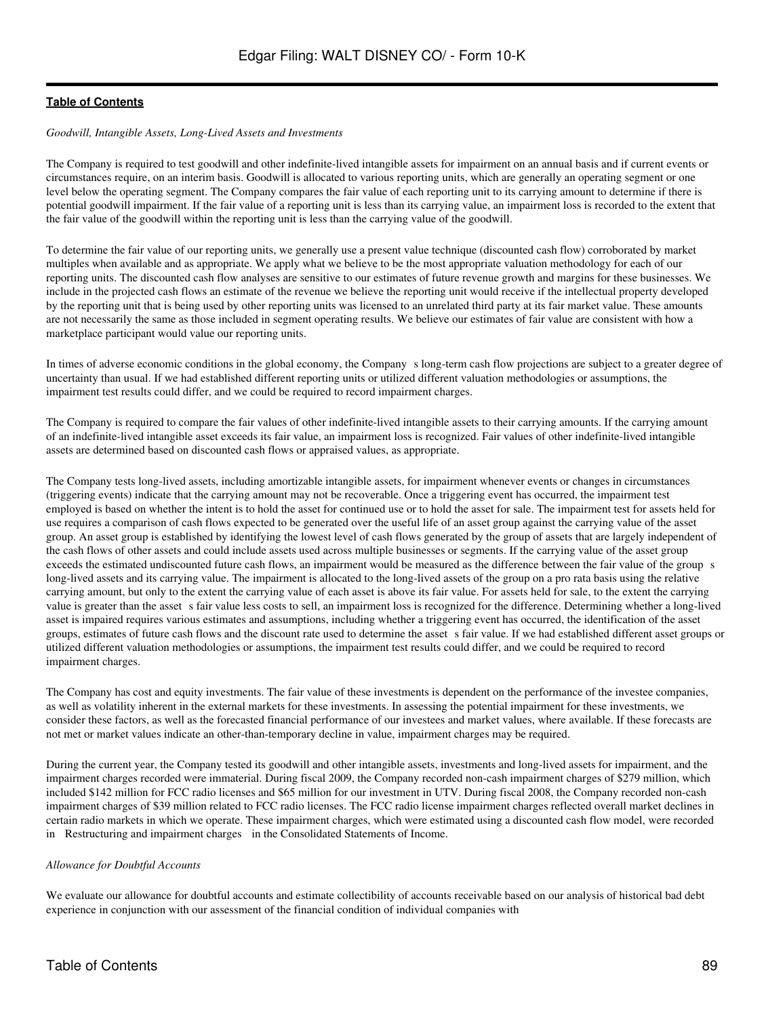#### *Goodwill, Intangible Assets, Long-Lived Assets and Investments*

The Company is required to test goodwill and other indefinite-lived intangible assets for impairment on an annual basis and if current events or circumstances require, on an interim basis. Goodwill is allocated to various reporting units, which are generally an operating segment or one level below the operating segment. The Company compares the fair value of each reporting unit to its carrying amount to determine if there is potential goodwill impairment. If the fair value of a reporting unit is less than its carrying value, an impairment loss is recorded to the extent that the fair value of the goodwill within the reporting unit is less than the carrying value of the goodwill.

To determine the fair value of our reporting units, we generally use a present value technique (discounted cash flow) corroborated by market multiples when available and as appropriate. We apply what we believe to be the most appropriate valuation methodology for each of our reporting units. The discounted cash flow analyses are sensitive to our estimates of future revenue growth and margins for these businesses. We include in the projected cash flows an estimate of the revenue we believe the reporting unit would receive if the intellectual property developed by the reporting unit that is being used by other reporting units was licensed to an unrelated third party at its fair market value. These amounts are not necessarily the same as those included in segment operating results. We believe our estimates of fair value are consistent with how a marketplace participant would value our reporting units.

In times of adverse economic conditions in the global economy, the Company s long-term cash flow projections are subject to a greater degree of uncertainty than usual. If we had established different reporting units or utilized different valuation methodologies or assumptions, the impairment test results could differ, and we could be required to record impairment charges.

The Company is required to compare the fair values of other indefinite-lived intangible assets to their carrying amounts. If the carrying amount of an indefinite-lived intangible asset exceeds its fair value, an impairment loss is recognized. Fair values of other indefinite-lived intangible assets are determined based on discounted cash flows or appraised values, as appropriate.

The Company tests long-lived assets, including amortizable intangible assets, for impairment whenever events or changes in circumstances (triggering events) indicate that the carrying amount may not be recoverable. Once a triggering event has occurred, the impairment test employed is based on whether the intent is to hold the asset for continued use or to hold the asset for sale. The impairment test for assets held for use requires a comparison of cash flows expected to be generated over the useful life of an asset group against the carrying value of the asset group. An asset group is established by identifying the lowest level of cash flows generated by the group of assets that are largely independent of the cash flows of other assets and could include assets used across multiple businesses or segments. If the carrying value of the asset group exceeds the estimated undiscounted future cash flows, an impairment would be measured as the difference between the fair value of the group s long-lived assets and its carrying value. The impairment is allocated to the long-lived assets of the group on a pro rata basis using the relative carrying amount, but only to the extent the carrying value of each asset is above its fair value. For assets held for sale, to the extent the carrying value is greater than the asset s fair value less costs to sell, an impairment loss is recognized for the difference. Determining whether a long-lived asset is impaired requires various estimates and assumptions, including whether a triggering event has occurred, the identification of the asset groups, estimates of future cash flows and the discount rate used to determine the assets fair value. If we had established different asset groups or utilized different valuation methodologies or assumptions, the impairment test results could differ, and we could be required to record impairment charges.

The Company has cost and equity investments. The fair value of these investments is dependent on the performance of the investee companies, as well as volatility inherent in the external markets for these investments. In assessing the potential impairment for these investments, we consider these factors, as well as the forecasted financial performance of our investees and market values, where available. If these forecasts are not met or market values indicate an other-than-temporary decline in value, impairment charges may be required.

During the current year, the Company tested its goodwill and other intangible assets, investments and long-lived assets for impairment, and the impairment charges recorded were immaterial. During fiscal 2009, the Company recorded non-cash impairment charges of \$279 million, which included \$142 million for FCC radio licenses and \$65 million for our investment in UTV. During fiscal 2008, the Company recorded non-cash impairment charges of \$39 million related to FCC radio licenses. The FCC radio license impairment charges reflected overall market declines in certain radio markets in which we operate. These impairment charges, which were estimated using a discounted cash flow model, were recorded in Restructuring and impairment charges in the Consolidated Statements of Income.

#### *Allowance for Doubtful Accounts*

We evaluate our allowance for doubtful accounts and estimate collectibility of accounts receivable based on our analysis of historical bad debt experience in conjunction with our assessment of the financial condition of individual companies with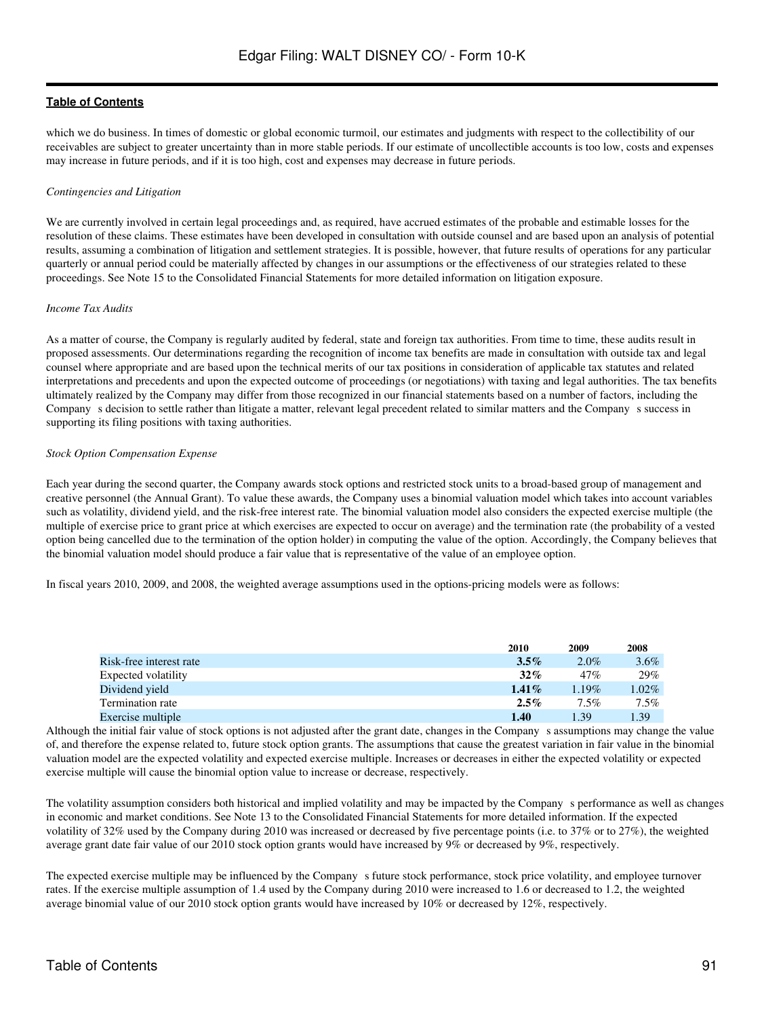which we do business. In times of domestic or global economic turmoil, our estimates and judgments with respect to the collectibility of our receivables are subject to greater uncertainty than in more stable periods. If our estimate of uncollectible accounts is too low, costs and expenses may increase in future periods, and if it is too high, cost and expenses may decrease in future periods.

#### *Contingencies and Litigation*

We are currently involved in certain legal proceedings and, as required, have accrued estimates of the probable and estimable losses for the resolution of these claims. These estimates have been developed in consultation with outside counsel and are based upon an analysis of potential results, assuming a combination of litigation and settlement strategies. It is possible, however, that future results of operations for any particular quarterly or annual period could be materially affected by changes in our assumptions or the effectiveness of our strategies related to these proceedings. See Note 15 to the Consolidated Financial Statements for more detailed information on litigation exposure.

#### *Income Tax Audits*

As a matter of course, the Company is regularly audited by federal, state and foreign tax authorities. From time to time, these audits result in proposed assessments. Our determinations regarding the recognition of income tax benefits are made in consultation with outside tax and legal counsel where appropriate and are based upon the technical merits of our tax positions in consideration of applicable tax statutes and related interpretations and precedents and upon the expected outcome of proceedings (or negotiations) with taxing and legal authorities. The tax benefits ultimately realized by the Company may differ from those recognized in our financial statements based on a number of factors, including the Company s decision to settle rather than litigate a matter, relevant legal precedent related to similar matters and the Company s success in supporting its filing positions with taxing authorities.

#### *Stock Option Compensation Expense*

Each year during the second quarter, the Company awards stock options and restricted stock units to a broad-based group of management and creative personnel (the Annual Grant). To value these awards, the Company uses a binomial valuation model which takes into account variables such as volatility, dividend yield, and the risk-free interest rate. The binomial valuation model also considers the expected exercise multiple (the multiple of exercise price to grant price at which exercises are expected to occur on average) and the termination rate (the probability of a vested option being cancelled due to the termination of the option holder) in computing the value of the option. Accordingly, the Company believes that the binomial valuation model should produce a fair value that is representative of the value of an employee option.

In fiscal years 2010, 2009, and 2008, the weighted average assumptions used in the options-pricing models were as follows:

|                         | 2010     | 2009     | 2008     |
|-------------------------|----------|----------|----------|
| Risk-free interest rate | $3.5\%$  | $2.0\%$  | $3.6\%$  |
| Expected volatility     | $32\%$   | 47%      | 29%      |
| Dividend yield          | $1.41\%$ | $1.19\%$ | $1.02\%$ |
| Termination rate        | $2.5\%$  | $7.5\%$  | $7.5\%$  |
| Exercise multiple       | 1.40     | 1.39     | 1.39     |

Although the initial fair value of stock options is not adjusted after the grant date, changes in the Companys assumptions may change the value of, and therefore the expense related to, future stock option grants. The assumptions that cause the greatest variation in fair value in the binomial valuation model are the expected volatility and expected exercise multiple. Increases or decreases in either the expected volatility or expected exercise multiple will cause the binomial option value to increase or decrease, respectively.

The volatility assumption considers both historical and implied volatility and may be impacted by the Companys performance as well as changes in economic and market conditions. See Note 13 to the Consolidated Financial Statements for more detailed information. If the expected volatility of 32% used by the Company during 2010 was increased or decreased by five percentage points (i.e. to 37% or to 27%), the weighted average grant date fair value of our 2010 stock option grants would have increased by 9% or decreased by 9%, respectively.

The expected exercise multiple may be influenced by the Company s future stock performance, stock price volatility, and employee turnover rates. If the exercise multiple assumption of 1.4 used by the Company during 2010 were increased to 1.6 or decreased to 1.2, the weighted average binomial value of our 2010 stock option grants would have increased by 10% or decreased by 12%, respectively.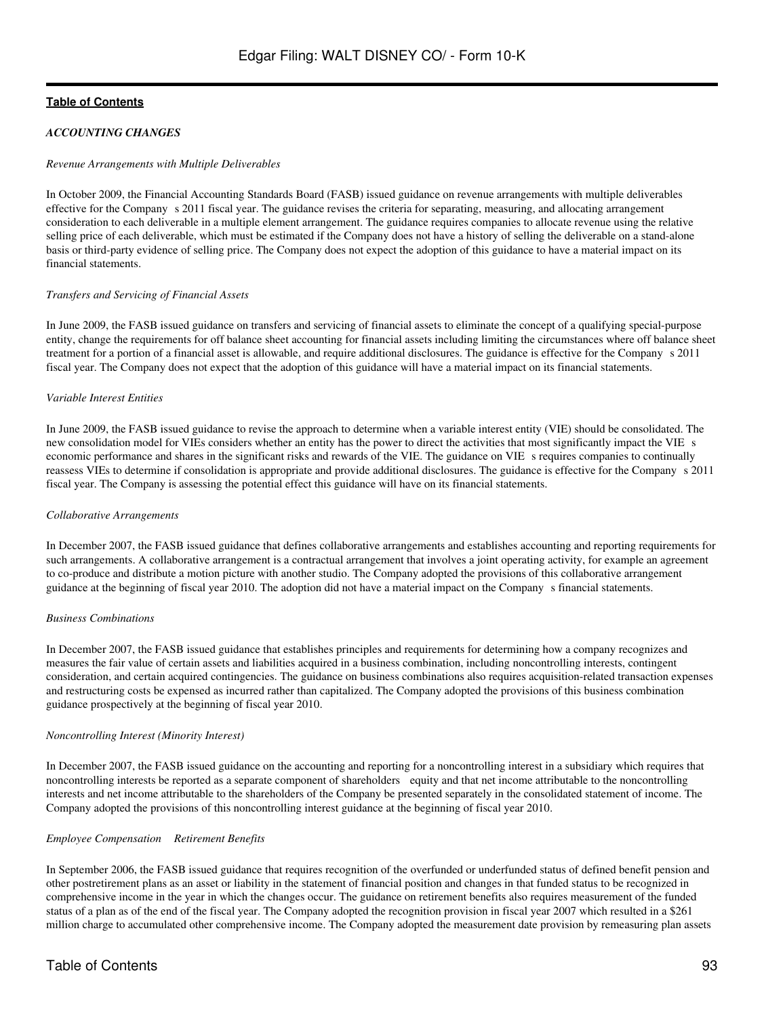### *ACCOUNTING CHANGES*

#### *Revenue Arrangements with Multiple Deliverables*

In October 2009, the Financial Accounting Standards Board (FASB) issued guidance on revenue arrangements with multiple deliverables effective for the Companys 2011 fiscal year. The guidance revises the criteria for separating, measuring, and allocating arrangement consideration to each deliverable in a multiple element arrangement. The guidance requires companies to allocate revenue using the relative selling price of each deliverable, which must be estimated if the Company does not have a history of selling the deliverable on a stand-alone basis or third-party evidence of selling price. The Company does not expect the adoption of this guidance to have a material impact on its financial statements.

#### *Transfers and Servicing of Financial Assets*

In June 2009, the FASB issued guidance on transfers and servicing of financial assets to eliminate the concept of a qualifying special-purpose entity, change the requirements for off balance sheet accounting for financial assets including limiting the circumstances where off balance sheet treatment for a portion of a financial asset is allowable, and require additional disclosures. The guidance is effective for the Companys 2011 fiscal year. The Company does not expect that the adoption of this guidance will have a material impact on its financial statements.

#### *Variable Interest Entities*

In June 2009, the FASB issued guidance to revise the approach to determine when a variable interest entity (VIE) should be consolidated. The new consolidation model for VIEs considers whether an entity has the power to direct the activities that most significantly impact the VIEs economic performance and shares in the significant risks and rewards of the VIE. The guidance on VIE s requires companies to continually reassess VIEs to determine if consolidation is appropriate and provide additional disclosures. The guidance is effective for the Companys 2011 fiscal year. The Company is assessing the potential effect this guidance will have on its financial statements.

#### *Collaborative Arrangements*

In December 2007, the FASB issued guidance that defines collaborative arrangements and establishes accounting and reporting requirements for such arrangements. A collaborative arrangement is a contractual arrangement that involves a joint operating activity, for example an agreement to co-produce and distribute a motion picture with another studio. The Company adopted the provisions of this collaborative arrangement guidance at the beginning of fiscal year 2010. The adoption did not have a material impact on the Companys financial statements.

#### *Business Combinations*

In December 2007, the FASB issued guidance that establishes principles and requirements for determining how a company recognizes and measures the fair value of certain assets and liabilities acquired in a business combination, including noncontrolling interests, contingent consideration, and certain acquired contingencies. The guidance on business combinations also requires acquisition-related transaction expenses and restructuring costs be expensed as incurred rather than capitalized. The Company adopted the provisions of this business combination guidance prospectively at the beginning of fiscal year 2010.

#### *Noncontrolling Interest (Minority Interest)*

In December 2007, the FASB issued guidance on the accounting and reporting for a noncontrolling interest in a subsidiary which requires that noncontrolling interests be reported as a separate component of shareholders equity and that net income attributable to the noncontrolling interests and net income attributable to the shareholders of the Company be presented separately in the consolidated statement of income. The Company adopted the provisions of this noncontrolling interest guidance at the beginning of fiscal year 2010.

#### *Employee Compensation Retirement Benefits*

In September 2006, the FASB issued guidance that requires recognition of the overfunded or underfunded status of defined benefit pension and other postretirement plans as an asset or liability in the statement of financial position and changes in that funded status to be recognized in comprehensive income in the year in which the changes occur. The guidance on retirement benefits also requires measurement of the funded status of a plan as of the end of the fiscal year. The Company adopted the recognition provision in fiscal year 2007 which resulted in a \$261 million charge to accumulated other comprehensive income. The Company adopted the measurement date provision by remeasuring plan assets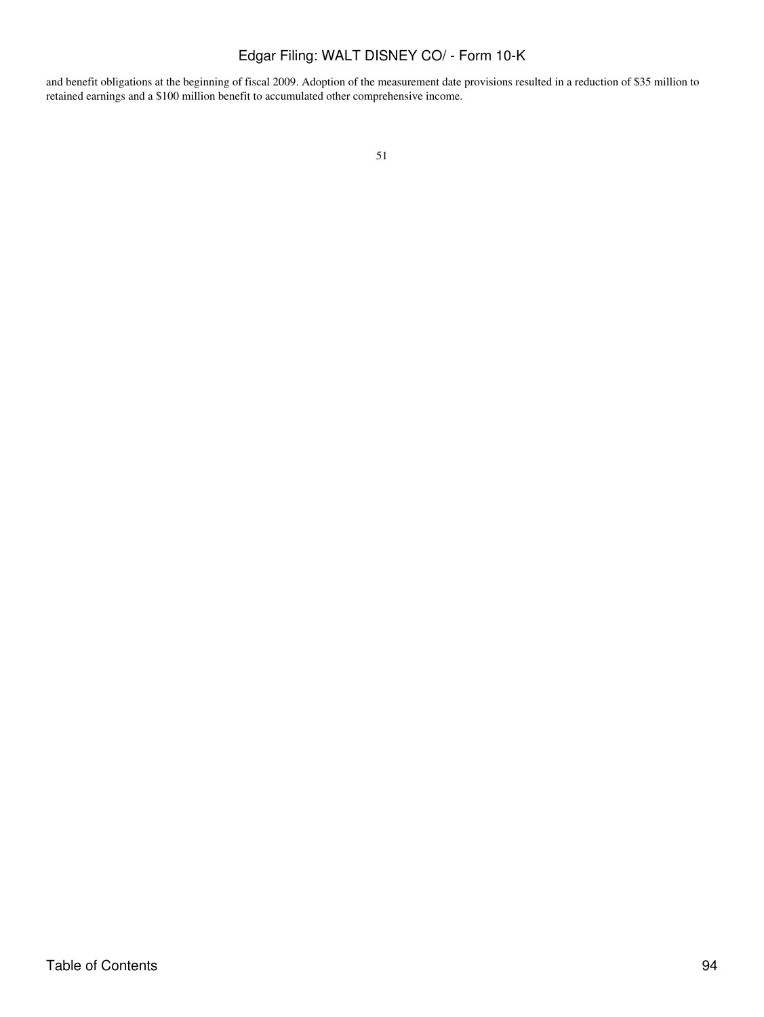and benefit obligations at the beginning of fiscal 2009. Adoption of the measurement date provisions resulted in a reduction of \$35 million to retained earnings and a \$100 million benefit to accumulated other comprehensive income.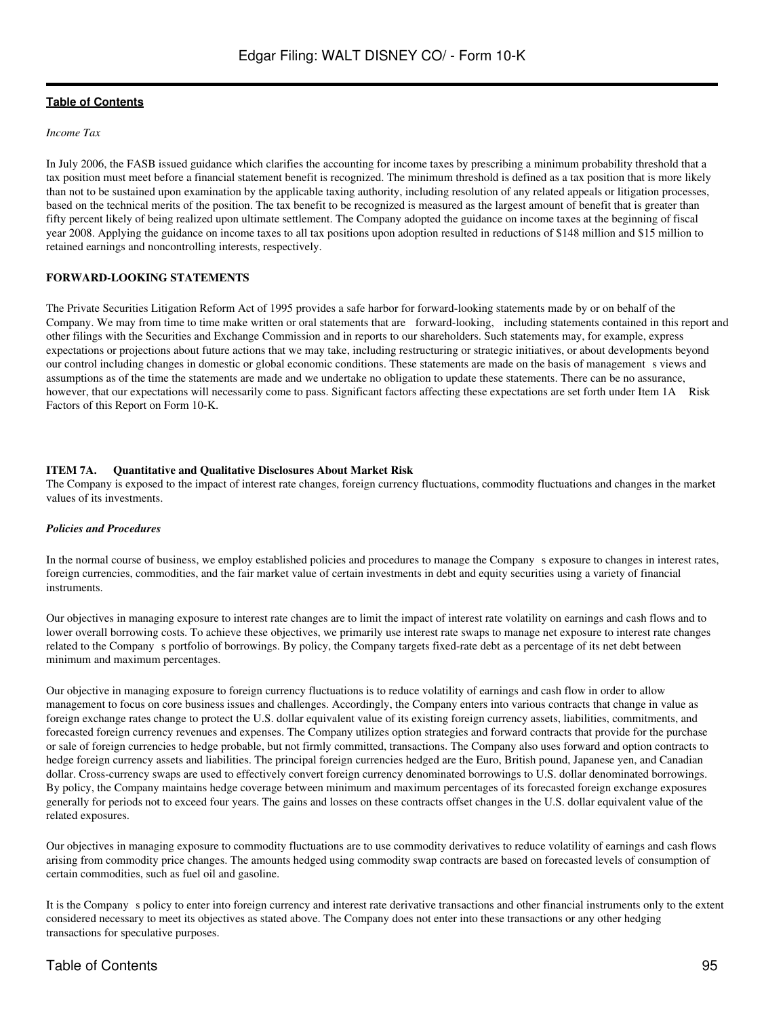#### *Income Tax*

In July 2006, the FASB issued guidance which clarifies the accounting for income taxes by prescribing a minimum probability threshold that a tax position must meet before a financial statement benefit is recognized. The minimum threshold is defined as a tax position that is more likely than not to be sustained upon examination by the applicable taxing authority, including resolution of any related appeals or litigation processes, based on the technical merits of the position. The tax benefit to be recognized is measured as the largest amount of benefit that is greater than fifty percent likely of being realized upon ultimate settlement. The Company adopted the guidance on income taxes at the beginning of fiscal year 2008. Applying the guidance on income taxes to all tax positions upon adoption resulted in reductions of \$148 million and \$15 million to retained earnings and noncontrolling interests, respectively.

## **FORWARD-LOOKING STATEMENTS**

The Private Securities Litigation Reform Act of 1995 provides a safe harbor for forward-looking statements made by or on behalf of the Company. We may from time to time make written or oral statements that are forward-looking, including statements contained in this report and other filings with the Securities and Exchange Commission and in reports to our shareholders. Such statements may, for example, express expectations or projections about future actions that we may take, including restructuring or strategic initiatives, or about developments beyond our control including changes in domestic or global economic conditions. These statements are made on the basis of management s views and assumptions as of the time the statements are made and we undertake no obligation to update these statements. There can be no assurance, however, that our expectations will necessarily come to pass. Significant factors affecting these expectations are set forth under Item 1A Risk Factors of this Report on Form 10-K.

## **ITEM 7A. Quantitative and Qualitative Disclosures About Market Risk**

The Company is exposed to the impact of interest rate changes, foreign currency fluctuations, commodity fluctuations and changes in the market values of its investments.

## *Policies and Procedures*

In the normal course of business, we employ established policies and procedures to manage the Companys exposure to changes in interest rates, foreign currencies, commodities, and the fair market value of certain investments in debt and equity securities using a variety of financial instruments.

Our objectives in managing exposure to interest rate changes are to limit the impact of interest rate volatility on earnings and cash flows and to lower overall borrowing costs. To achieve these objectives, we primarily use interest rate swaps to manage net exposure to interest rate changes related to the Company s portfolio of borrowings. By policy, the Company targets fixed-rate debt as a percentage of its net debt between minimum and maximum percentages.

Our objective in managing exposure to foreign currency fluctuations is to reduce volatility of earnings and cash flow in order to allow management to focus on core business issues and challenges. Accordingly, the Company enters into various contracts that change in value as foreign exchange rates change to protect the U.S. dollar equivalent value of its existing foreign currency assets, liabilities, commitments, and forecasted foreign currency revenues and expenses. The Company utilizes option strategies and forward contracts that provide for the purchase or sale of foreign currencies to hedge probable, but not firmly committed, transactions. The Company also uses forward and option contracts to hedge foreign currency assets and liabilities. The principal foreign currencies hedged are the Euro, British pound, Japanese yen, and Canadian dollar. Cross-currency swaps are used to effectively convert foreign currency denominated borrowings to U.S. dollar denominated borrowings. By policy, the Company maintains hedge coverage between minimum and maximum percentages of its forecasted foreign exchange exposures generally for periods not to exceed four years. The gains and losses on these contracts offset changes in the U.S. dollar equivalent value of the related exposures.

Our objectives in managing exposure to commodity fluctuations are to use commodity derivatives to reduce volatility of earnings and cash flows arising from commodity price changes. The amounts hedged using commodity swap contracts are based on forecasted levels of consumption of certain commodities, such as fuel oil and gasoline.

It is the Companys policy to enter into foreign currency and interest rate derivative transactions and other financial instruments only to the extent considered necessary to meet its objectives as stated above. The Company does not enter into these transactions or any other hedging transactions for speculative purposes.

## Table of Contents 95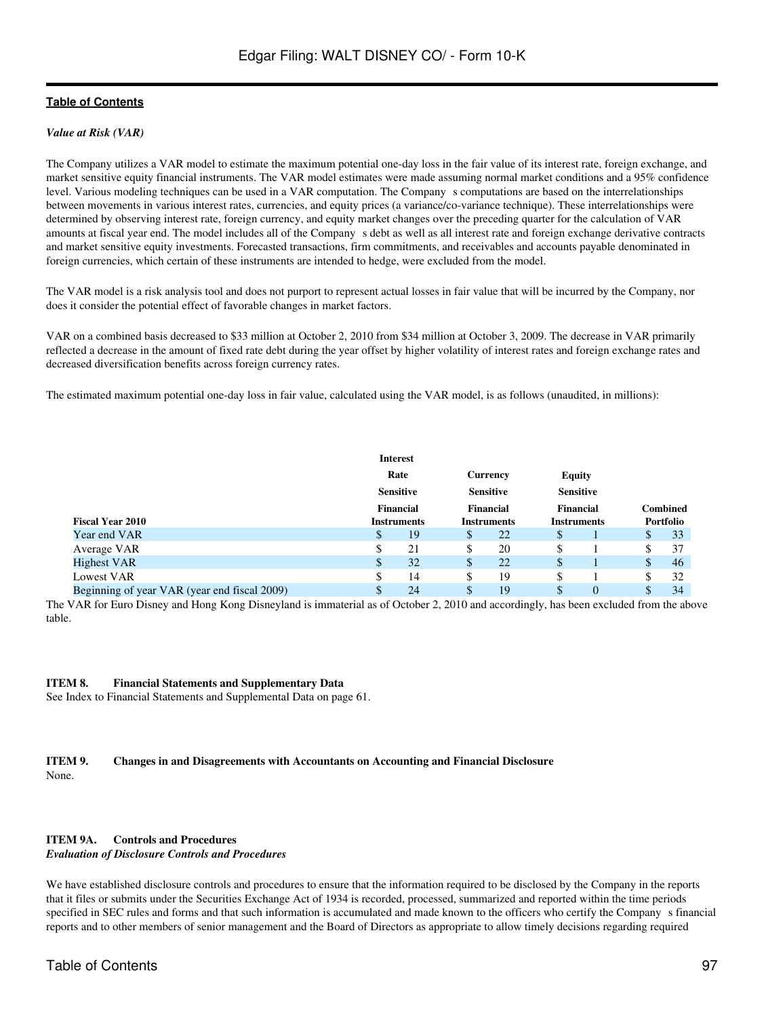## *Value at Risk (VAR)*

The Company utilizes a VAR model to estimate the maximum potential one-day loss in the fair value of its interest rate, foreign exchange, and market sensitive equity financial instruments. The VAR model estimates were made assuming normal market conditions and a 95% confidence level. Various modeling techniques can be used in a VAR computation. The Company s computations are based on the interrelationships between movements in various interest rates, currencies, and equity prices (a variance/co-variance technique). These interrelationships were determined by observing interest rate, foreign currency, and equity market changes over the preceding quarter for the calculation of VAR amounts at fiscal year end. The model includes all of the Companys debt as well as all interest rate and foreign exchange derivative contracts and market sensitive equity investments. Forecasted transactions, firm commitments, and receivables and accounts payable denominated in foreign currencies, which certain of these instruments are intended to hedge, were excluded from the model.

The VAR model is a risk analysis tool and does not purport to represent actual losses in fair value that will be incurred by the Company, nor does it consider the potential effect of favorable changes in market factors.

VAR on a combined basis decreased to \$33 million at October 2, 2010 from \$34 million at October 3, 2009. The decrease in VAR primarily reflected a decrease in the amount of fixed rate debt during the year offset by higher volatility of interest rates and foreign exchange rates and decreased diversification benefits across foreign currency rates.

The estimated maximum potential one-day loss in fair value, calculated using the VAR model, is as follows (unaudited, in millions):

|                                              | <b>Interest</b><br>Rate |              | Currency           |     | <b>Equity</b>      |    |                 |
|----------------------------------------------|-------------------------|--------------|--------------------|-----|--------------------|----|-----------------|
|                                              | <b>Sensitive</b>        |              | <b>Sensitive</b>   |     | <b>Sensitive</b>   |    |                 |
|                                              | <b>Financial</b>        |              | <b>Financial</b>   |     | Financial          |    | <b>Combined</b> |
| <b>Fiscal Year 2010</b>                      | Instruments             |              | <b>Instruments</b> |     | <b>Instruments</b> |    | Portfolio       |
| Year end VAR                                 | \$<br>19                | $\mathbb{S}$ | 22                 | \$. |                    | \$ | 33              |
| Average VAR                                  | \$<br>21                | \$           | 20                 | \$  |                    |    | 37              |
| <b>Highest VAR</b>                           | \$<br>32                | $\mathbb{S}$ | 22                 | \$. |                    | \$ | 46              |
| Lowest VAR                                   | \$<br>14                | \$           | 19                 | \$  |                    |    | 32              |
| Beginning of year VAR (year end fiscal 2009) | \$<br>24                | \$           | 19                 | \$  | $\overline{0}$     |    | 34              |

The VAR for Euro Disney and Hong Kong Disneyland is immaterial as of October 2, 2010 and accordingly, has been excluded from the above table.

## **ITEM 8. Financial Statements and Supplementary Data**

See Index to Financial Statements and Supplemental Data on page 61.

## **ITEM 9. Changes in and Disagreements with Accountants on Accounting and Financial Disclosure**

None.

## **ITEM 9A. Controls and Procedures**

## *Evaluation of Disclosure Controls and Procedures*

We have established disclosure controls and procedures to ensure that the information required to be disclosed by the Company in the reports that it files or submits under the Securities Exchange Act of 1934 is recorded, processed, summarized and reported within the time periods specified in SEC rules and forms and that such information is accumulated and made known to the officers who certify the Company s financial reports and to other members of senior management and the Board of Directors as appropriate to allow timely decisions regarding required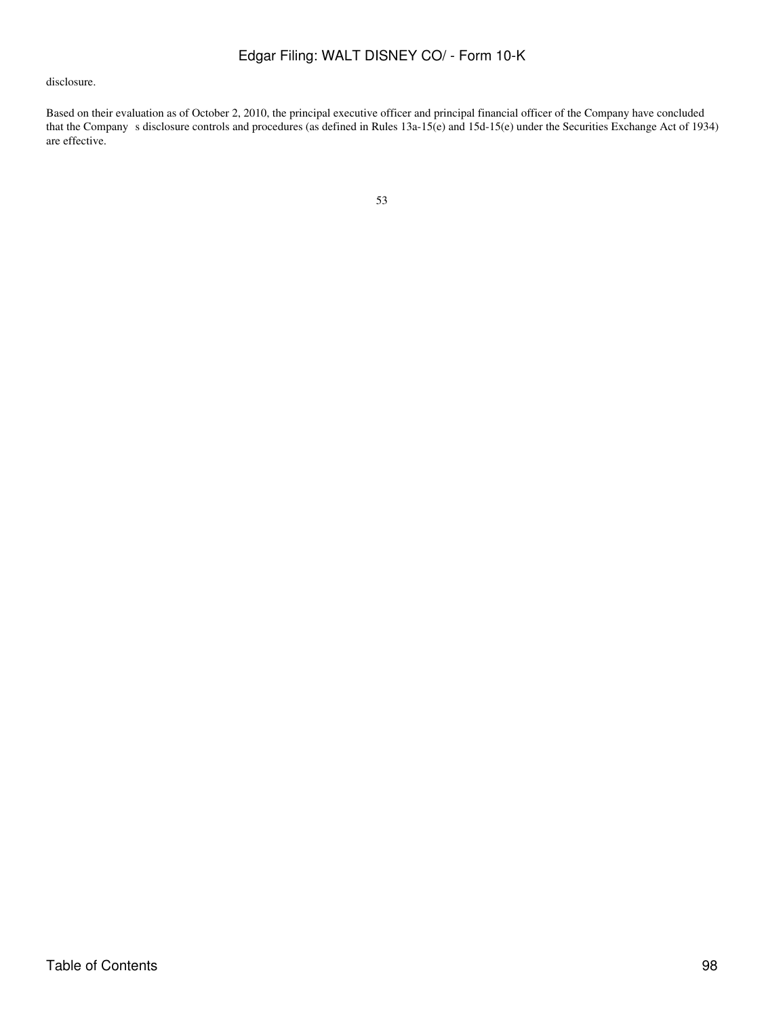### disclosure.

Based on their evaluation as of October 2, 2010, the principal executive officer and principal financial officer of the Company have concluded that the Company s disclosure controls and procedures (as defined in Rules 13a-15(e) and 15d-15(e) under the Securities Exchange Act of 1934) are effective.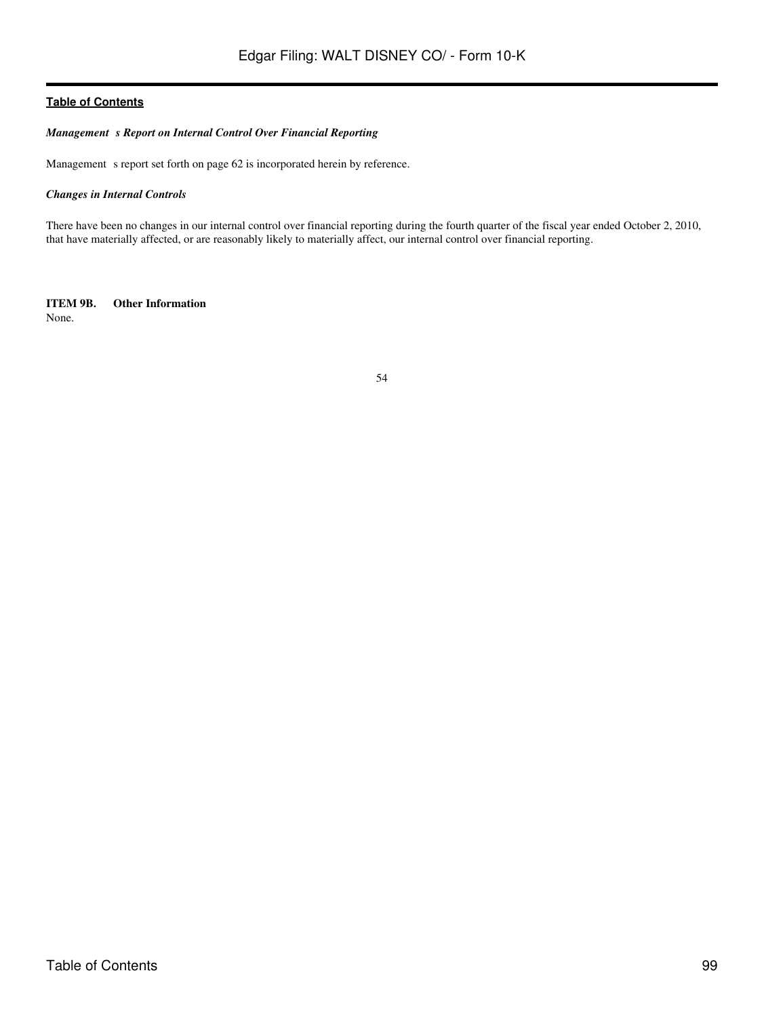## *Management s Report on Internal Control Over Financial Reporting*

Management s report set forth on page 62 is incorporated herein by reference.

### *Changes in Internal Controls*

There have been no changes in our internal control over financial reporting during the fourth quarter of the fiscal year ended October 2, 2010, that have materially affected, or are reasonably likely to materially affect, our internal control over financial reporting.

**ITEM 9B. Other Information** None.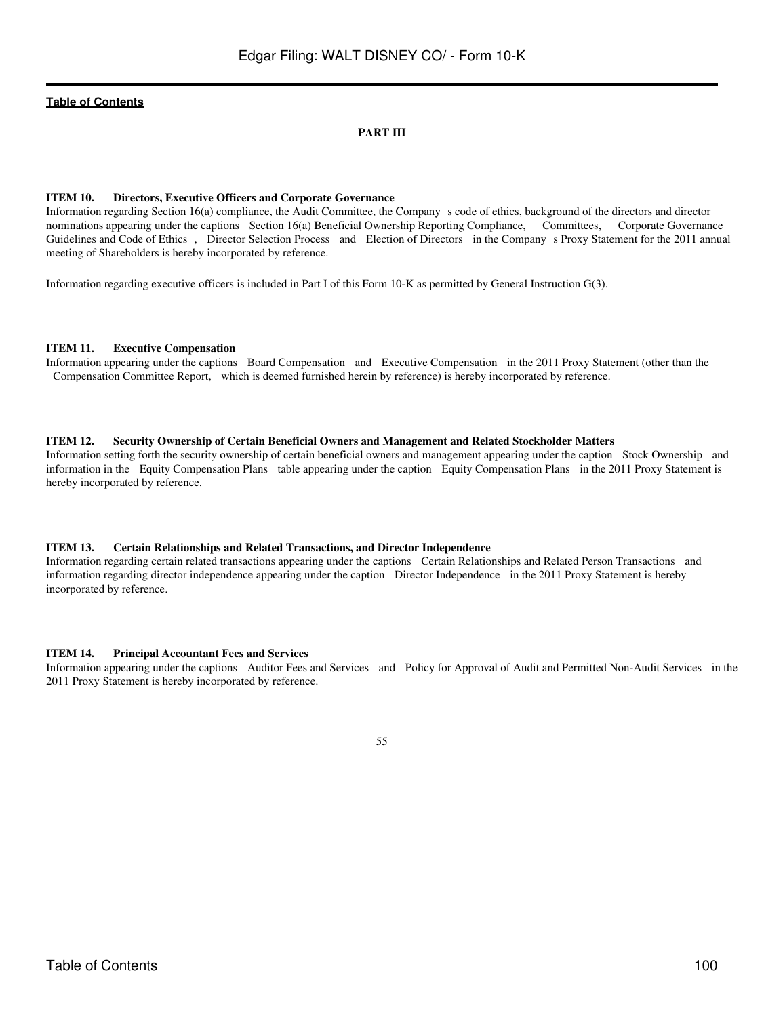### **PART III**

#### **ITEM 10. Directors, Executive Officers and Corporate Governance**

Information regarding Section 16(a) compliance, the Audit Committee, the Companys code of ethics, background of the directors and director nominations appearing under the captions Section 16(a) Beneficial Ownership Reporting Compliance, Committees, Corporate Governance Guidelines and Code of Ethics, Director Selection Process and Election of Directors in the Company s Proxy Statement for the 2011 annual meeting of Shareholders is hereby incorporated by reference.

Information regarding executive officers is included in Part I of this Form 10-K as permitted by General Instruction G(3).

#### **ITEM 11. Executive Compensation**

Information appearing under the captions Board Compensation and Executive Compensation in the 2011 Proxy Statement (other than the Compensation Committee Report, which is deemed furnished herein by reference) is hereby incorporated by reference.

## **ITEM 12. Security Ownership of Certain Beneficial Owners and Management and Related Stockholder Matters**

Information setting forth the security ownership of certain beneficial owners and management appearing under the caption Stock Ownership and information in the Equity Compensation Plans table appearing under the caption Equity Compensation Plans in the 2011 Proxy Statement is hereby incorporated by reference.

## **ITEM 13. Certain Relationships and Related Transactions, and Director Independence**

Information regarding certain related transactions appearing under the captions Certain Relationships and Related Person Transactions and information regarding director independence appearing under the caption Director Independence in the 2011 Proxy Statement is hereby incorporated by reference.

## **ITEM 14. Principal Accountant Fees and Services**

Information appearing under the captions Auditor Fees and Services and Policy for Approval of Audit and Permitted Non-Audit Services in the 2011 Proxy Statement is hereby incorporated by reference.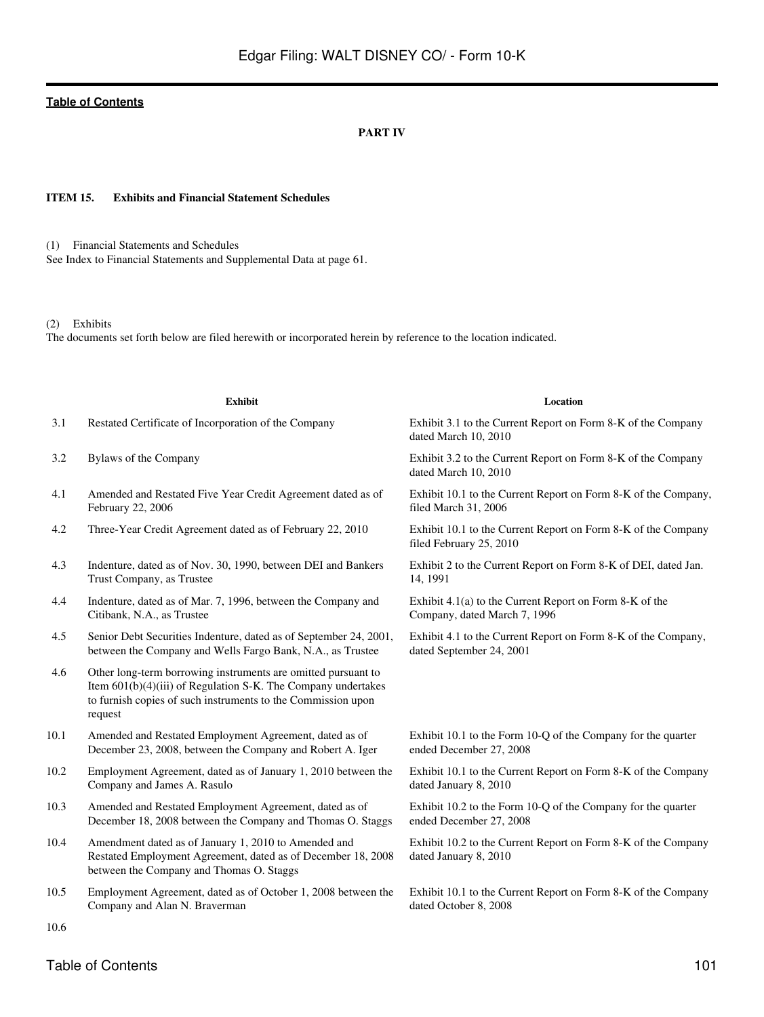## **PART IV**

## **ITEM 15. Exhibits and Financial Statement Schedules**

(1) Financial Statements and Schedules See Index to Financial Statements and Supplemental Data at page 61.

(2) Exhibits

The documents set forth below are filed herewith or incorporated herein by reference to the location indicated.

|      | <b>Exhibit</b>                                                                                                                                                                                            | Location                                                                                  |
|------|-----------------------------------------------------------------------------------------------------------------------------------------------------------------------------------------------------------|-------------------------------------------------------------------------------------------|
| 3.1  | Restated Certificate of Incorporation of the Company                                                                                                                                                      | Exhibit 3.1 to the Current Report on Form 8-K of the Company<br>dated March 10, 2010      |
| 3.2  | Bylaws of the Company                                                                                                                                                                                     | Exhibit 3.2 to the Current Report on Form 8-K of the Company<br>dated March 10, 2010      |
| 4.1  | Amended and Restated Five Year Credit Agreement dated as of<br>February 22, 2006                                                                                                                          | Exhibit 10.1 to the Current Report on Form 8-K of the Company,<br>filed March 31, 2006    |
| 4.2  | Three-Year Credit Agreement dated as of February 22, 2010                                                                                                                                                 | Exhibit 10.1 to the Current Report on Form 8-K of the Company<br>filed February 25, 2010  |
| 4.3  | Indenture, dated as of Nov. 30, 1990, between DEI and Bankers<br>Trust Company, as Trustee                                                                                                                | Exhibit 2 to the Current Report on Form 8-K of DEI, dated Jan.<br>14, 1991                |
| 4.4  | Indenture, dated as of Mar. 7, 1996, between the Company and<br>Citibank, N.A., as Trustee                                                                                                                | Exhibit $4.1(a)$ to the Current Report on Form 8-K of the<br>Company, dated March 7, 1996 |
| 4.5  | Senior Debt Securities Indenture, dated as of September 24, 2001,<br>between the Company and Wells Fargo Bank, N.A., as Trustee                                                                           | Exhibit 4.1 to the Current Report on Form 8-K of the Company,<br>dated September 24, 2001 |
| 4.6  | Other long-term borrowing instruments are omitted pursuant to<br>Item 601(b)(4)(iii) of Regulation S-K. The Company undertakes<br>to furnish copies of such instruments to the Commission upon<br>request |                                                                                           |
| 10.1 | Amended and Restated Employment Agreement, dated as of<br>December 23, 2008, between the Company and Robert A. Iger                                                                                       | Exhibit 10.1 to the Form 10-Q of the Company for the quarter<br>ended December 27, 2008   |
| 10.2 | Employment Agreement, dated as of January 1, 2010 between the<br>Company and James A. Rasulo                                                                                                              | Exhibit 10.1 to the Current Report on Form 8-K of the Company<br>dated January 8, 2010    |
| 10.3 | Amended and Restated Employment Agreement, dated as of<br>December 18, 2008 between the Company and Thomas O. Staggs                                                                                      | Exhibit 10.2 to the Form 10-Q of the Company for the quarter<br>ended December 27, 2008   |
| 10.4 | Amendment dated as of January 1, 2010 to Amended and<br>Restated Employment Agreement, dated as of December 18, 2008<br>between the Company and Thomas O. Staggs                                          | Exhibit 10.2 to the Current Report on Form 8-K of the Company<br>dated January 8, 2010    |
| 10.5 | Employment Agreement, dated as of October 1, 2008 between the<br>Company and Alan N. Braverman                                                                                                            | Exhibit 10.1 to the Current Report on Form 8-K of the Company<br>dated October 8, 2008    |
| 10.6 |                                                                                                                                                                                                           |                                                                                           |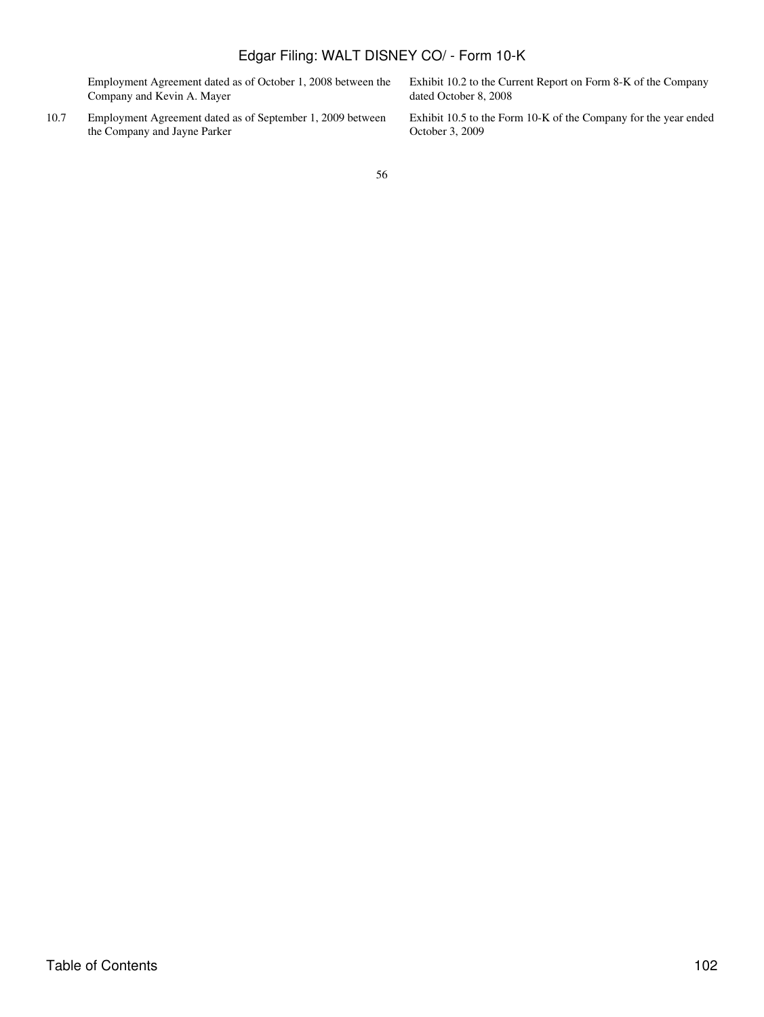Employment Agreement dated as of October 1, 2008 between the Company and Kevin A. Mayer

10.7 Employment Agreement dated as of September 1, 2009 between the Company and Jayne Parker

Exhibit 10.2 to the Current Report on Form 8-K of the Company dated October 8, 2008

Exhibit 10.5 to the Form 10-K of the Company for the year ended October 3, 2009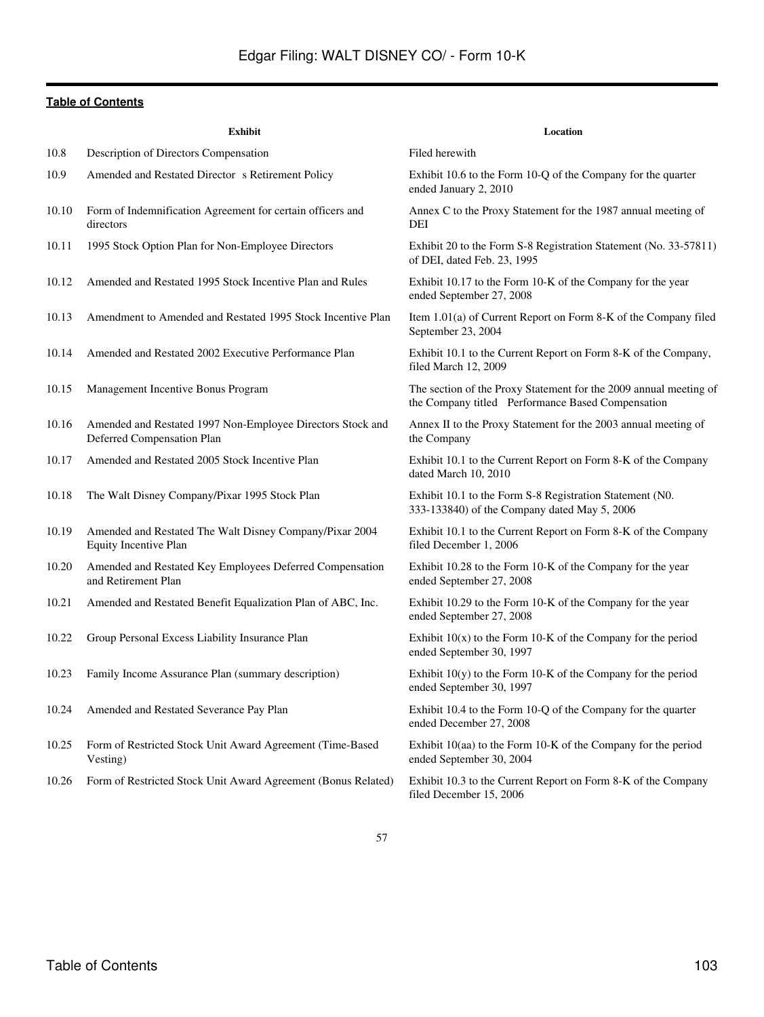|       | <b>Exhibit</b>                                                                           | Location                                                                                                               |
|-------|------------------------------------------------------------------------------------------|------------------------------------------------------------------------------------------------------------------------|
| 10.8  | Description of Directors Compensation                                                    | Filed herewith                                                                                                         |
| 10.9  | Amended and Restated Director s Retirement Policy                                        | Exhibit 10.6 to the Form 10-Q of the Company for the quarter<br>ended January 2, 2010                                  |
| 10.10 | Form of Indemnification Agreement for certain officers and<br>directors                  | Annex C to the Proxy Statement for the 1987 annual meeting of<br>DEI                                                   |
| 10.11 | 1995 Stock Option Plan for Non-Employee Directors                                        | Exhibit 20 to the Form S-8 Registration Statement (No. 33-57811)<br>of DEI, dated Feb. 23, 1995                        |
| 10.12 | Amended and Restated 1995 Stock Incentive Plan and Rules                                 | Exhibit 10.17 to the Form 10-K of the Company for the year<br>ended September 27, 2008                                 |
| 10.13 | Amendment to Amended and Restated 1995 Stock Incentive Plan                              | Item 1.01(a) of Current Report on Form 8-K of the Company filed<br>September 23, 2004                                  |
| 10.14 | Amended and Restated 2002 Executive Performance Plan                                     | Exhibit 10.1 to the Current Report on Form 8-K of the Company,<br>filed March 12, 2009                                 |
| 10.15 | Management Incentive Bonus Program                                                       | The section of the Proxy Statement for the 2009 annual meeting of<br>the Company titled Performance Based Compensation |
| 10.16 | Amended and Restated 1997 Non-Employee Directors Stock and<br>Deferred Compensation Plan | Annex II to the Proxy Statement for the 2003 annual meeting of<br>the Company                                          |
| 10.17 | Amended and Restated 2005 Stock Incentive Plan                                           | Exhibit 10.1 to the Current Report on Form 8-K of the Company<br>dated March 10, 2010                                  |
| 10.18 | The Walt Disney Company/Pixar 1995 Stock Plan                                            | Exhibit 10.1 to the Form S-8 Registration Statement (N0.<br>333-133840) of the Company dated May 5, 2006               |
| 10.19 | Amended and Restated The Walt Disney Company/Pixar 2004<br>Equity Incentive Plan         | Exhibit 10.1 to the Current Report on Form 8-K of the Company<br>filed December 1, 2006                                |
| 10.20 | Amended and Restated Key Employees Deferred Compensation<br>and Retirement Plan          | Exhibit 10.28 to the Form 10-K of the Company for the year<br>ended September 27, 2008                                 |
| 10.21 | Amended and Restated Benefit Equalization Plan of ABC, Inc.                              | Exhibit 10.29 to the Form 10-K of the Company for the year<br>ended September 27, 2008                                 |
| 10.22 | Group Personal Excess Liability Insurance Plan                                           | Exhibit $10(x)$ to the Form 10-K of the Company for the period<br>ended September 30, 1997                             |
| 10.23 | Family Income Assurance Plan (summary description)                                       | Exhibit $10(y)$ to the Form 10-K of the Company for the period<br>ended September 30, 1997                             |
| 10.24 | Amended and Restated Severance Pay Plan                                                  | Exhibit 10.4 to the Form 10-Q of the Company for the quarter<br>ended December 27, 2008                                |
| 10.25 | Form of Restricted Stock Unit Award Agreement (Time-Based<br>Vesting)                    | Exhibit 10(aa) to the Form 10-K of the Company for the period<br>ended September 30, 2004                              |
| 10.26 | Form of Restricted Stock Unit Award Agreement (Bonus Related)                            | Exhibit 10.3 to the Current Report on Form 8-K of the Company<br>filed December 15, 2006                               |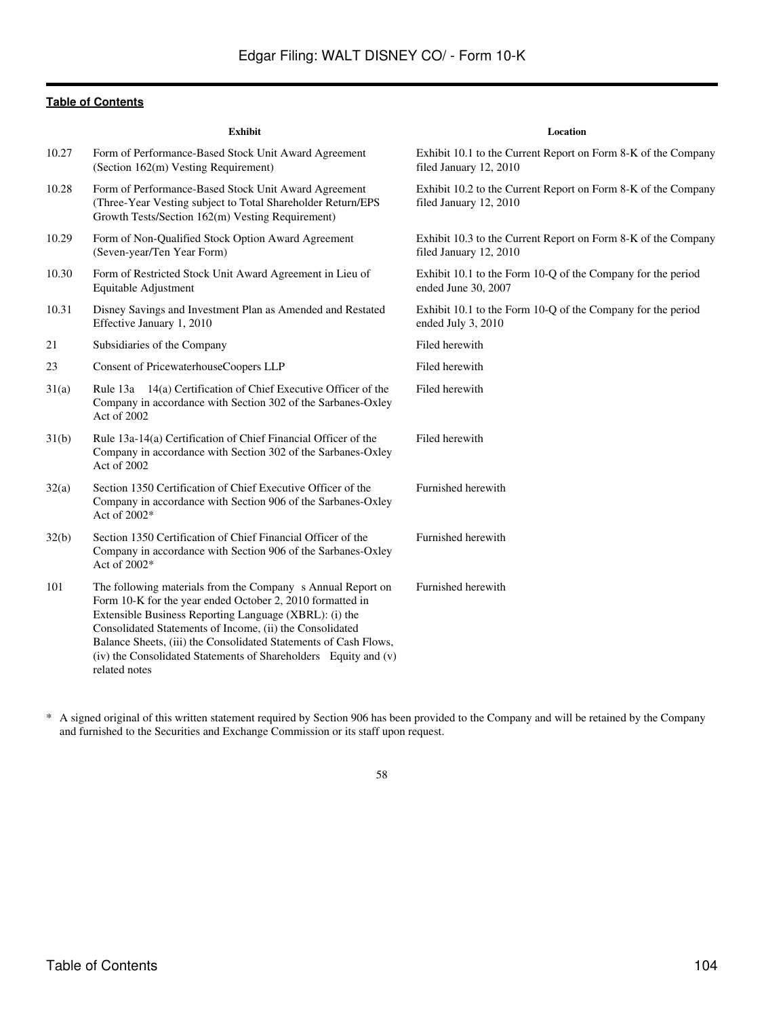|       | <b>Exhibit</b>                                                                                                                                                                                                                                                                                                                                                                                         | Location                                                                                |
|-------|--------------------------------------------------------------------------------------------------------------------------------------------------------------------------------------------------------------------------------------------------------------------------------------------------------------------------------------------------------------------------------------------------------|-----------------------------------------------------------------------------------------|
| 10.27 | Form of Performance-Based Stock Unit Award Agreement<br>(Section 162(m) Vesting Requirement)                                                                                                                                                                                                                                                                                                           | Exhibit 10.1 to the Current Report on Form 8-K of the Company<br>filed January 12, 2010 |
| 10.28 | Form of Performance-Based Stock Unit Award Agreement<br>(Three-Year Vesting subject to Total Shareholder Return/EPS<br>Growth Tests/Section 162(m) Vesting Requirement)                                                                                                                                                                                                                                | Exhibit 10.2 to the Current Report on Form 8-K of the Company<br>filed January 12, 2010 |
| 10.29 | Form of Non-Qualified Stock Option Award Agreement<br>(Seven-year/Ten Year Form)                                                                                                                                                                                                                                                                                                                       | Exhibit 10.3 to the Current Report on Form 8-K of the Company<br>filed January 12, 2010 |
| 10.30 | Form of Restricted Stock Unit Award Agreement in Lieu of<br>Equitable Adjustment                                                                                                                                                                                                                                                                                                                       | Exhibit 10.1 to the Form 10-Q of the Company for the period<br>ended June 30, 2007      |
| 10.31 | Disney Savings and Investment Plan as Amended and Restated<br>Effective January 1, 2010                                                                                                                                                                                                                                                                                                                | Exhibit 10.1 to the Form 10-Q of the Company for the period<br>ended July 3, 2010       |
| 21    | Subsidiaries of the Company                                                                                                                                                                                                                                                                                                                                                                            | Filed herewith                                                                          |
| 23    | Consent of PricewaterhouseCoopers LLP                                                                                                                                                                                                                                                                                                                                                                  | Filed herewith                                                                          |
| 31(a) | Rule 13a 14(a) Certification of Chief Executive Officer of the<br>Company in accordance with Section 302 of the Sarbanes-Oxley<br>Act of 2002                                                                                                                                                                                                                                                          | Filed herewith                                                                          |
| 31(b) | Rule 13a-14(a) Certification of Chief Financial Officer of the<br>Company in accordance with Section 302 of the Sarbanes-Oxley<br>Act of 2002                                                                                                                                                                                                                                                          | Filed herewith                                                                          |
| 32(a) | Section 1350 Certification of Chief Executive Officer of the<br>Company in accordance with Section 906 of the Sarbanes-Oxley<br>Act of 2002*                                                                                                                                                                                                                                                           | Furnished herewith                                                                      |
| 32(b) | Section 1350 Certification of Chief Financial Officer of the<br>Company in accordance with Section 906 of the Sarbanes-Oxley<br>Act of 2002*                                                                                                                                                                                                                                                           | Furnished herewith                                                                      |
| 101   | The following materials from the Company s Annual Report on<br>Form 10-K for the year ended October 2, 2010 formatted in<br>Extensible Business Reporting Language (XBRL): (i) the<br>Consolidated Statements of Income, (ii) the Consolidated<br>Balance Sheets, (iii) the Consolidated Statements of Cash Flows,<br>(iv) the Consolidated Statements of Shareholders Equity and (v)<br>related notes | Furnished herewith                                                                      |

\* A signed original of this written statement required by Section 906 has been provided to the Company and will be retained by the Company and furnished to the Securities and Exchange Commission or its staff upon request.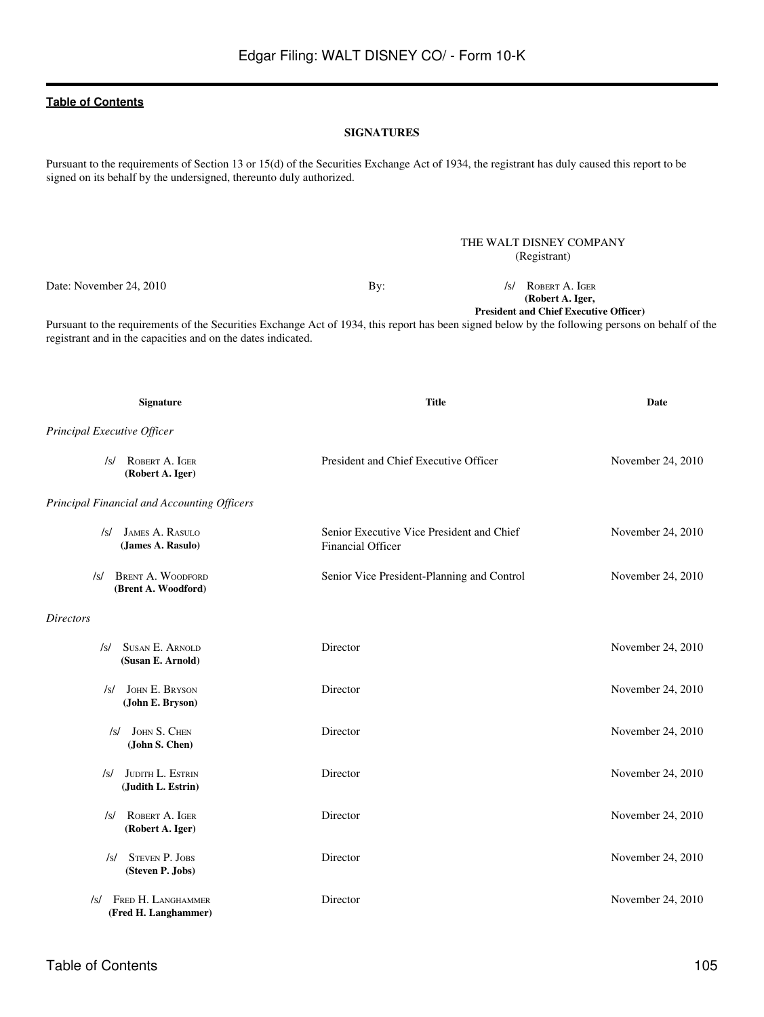**(Fred H. Langhammer)**

## **[Table of Contents](#page-3-0)**

## **SIGNATURES**

Pursuant to the requirements of Section 13 or 15(d) of the Securities Exchange Act of 1934, the registrant has duly caused this report to be signed on its behalf by the undersigned, thereunto duly authorized. THE WALT DISNEY COMPANY (Registrant) Date: November 24, 2010 By: /S/ ROBERT A. IGER **(Robert A. Iger, President and Chief Executive Officer)** Pursuant to the requirements of the Securities Exchange Act of 1934, this report has been signed below by the following persons on behalf of the registrant and in the capacities and on the dates indicated. **Signature Title Date** *Principal Executive Officer* /S/ ROBERT A. IGER President and Chief Executive Officer November 24, 2010 **(Robert A. Iger)** *Principal Financial and Accounting Officers* /S/ JAMES A. RASULO Senior Executive Vice President and Chief Financial Officer November 24, 2010 **(James A. Rasulo)** /S/ BRENT A. WOODFORD Senior Vice President-Planning and Control November 24, 2010 **(Brent A. Woodford)** *Directors* /S/ SUSAN E. ARNOLD Director November 24, 2010 **(Susan E. Arnold)** /S/ JOHN E. BRYSON Director November 24, 2010 **(John E. Bryson)** /S/ JOHN S. CHEN Director November 24, 2010 **(John S. Chen)** /S/ JUDITH L. ESTRIN Director November 24, 2010 **(Judith L. Estrin)** /S/ ROBERT A. IGER Director November 24, 2010 **(Robert A. Iger)** /S/ STEVEN P. JOBS Director November 24, 2010 **(Steven P. Jobs)**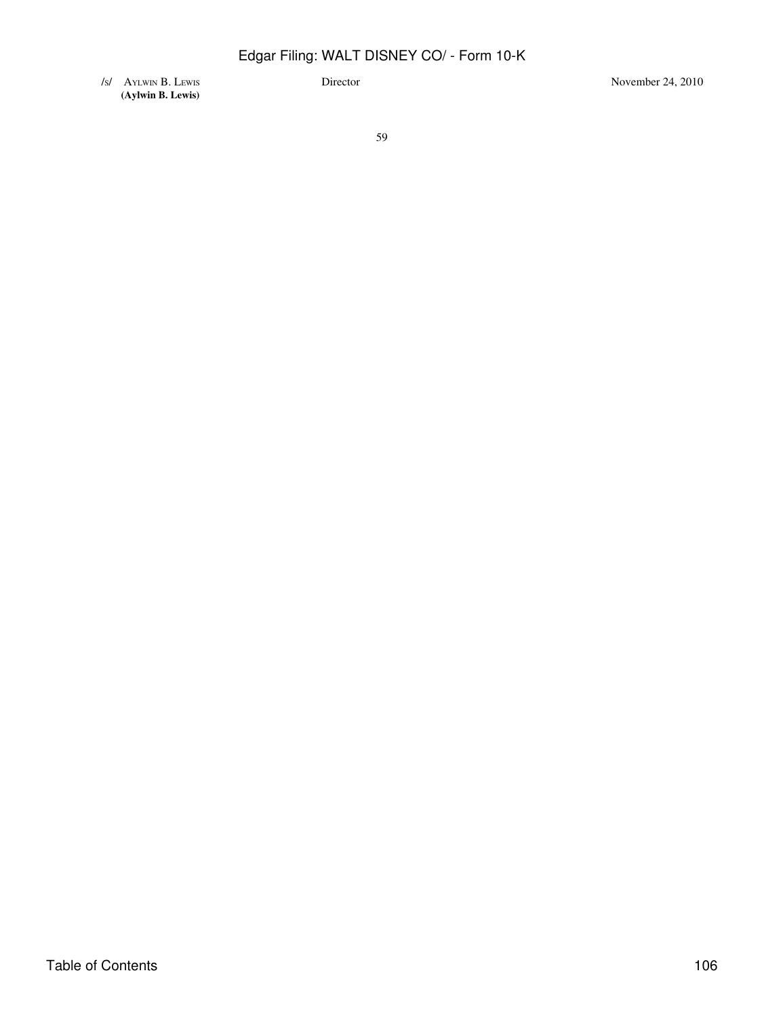/S/ AYLWIN B. LEWIS Director November 24, 2010 **(Aylwin B. Lewis)**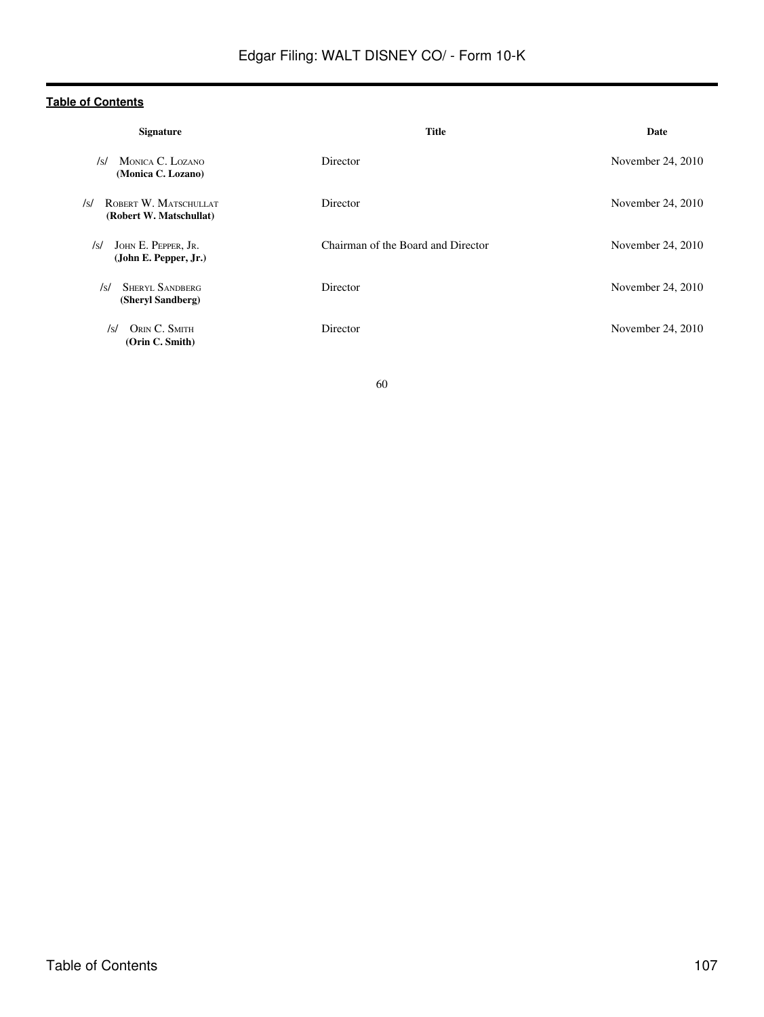| <b>Signature</b>                                        | <b>Title</b>                       | Date              |
|---------------------------------------------------------|------------------------------------|-------------------|
| MONICA C. LOZANO<br>$\sqrt{s}$<br>(Monica C. Lozano)    | Director                           | November 24, 2010 |
| ROBERT W. MATSCHULLAT<br>/s/<br>(Robert W. Matschullat) | Director                           | November 24, 2010 |
| JOHN E. PEPPER, JR.<br>/s/<br>(John E. Pepper, Jr.)     | Chairman of the Board and Director | November 24, 2010 |
| SHERYL SANDBERG<br>/s/<br>(Sheryl Sandberg)             | Director                           | November 24, 2010 |
| ORIN C. SMITH<br>/s/<br>(Orin C. Smith)                 | Director                           | November 24, 2010 |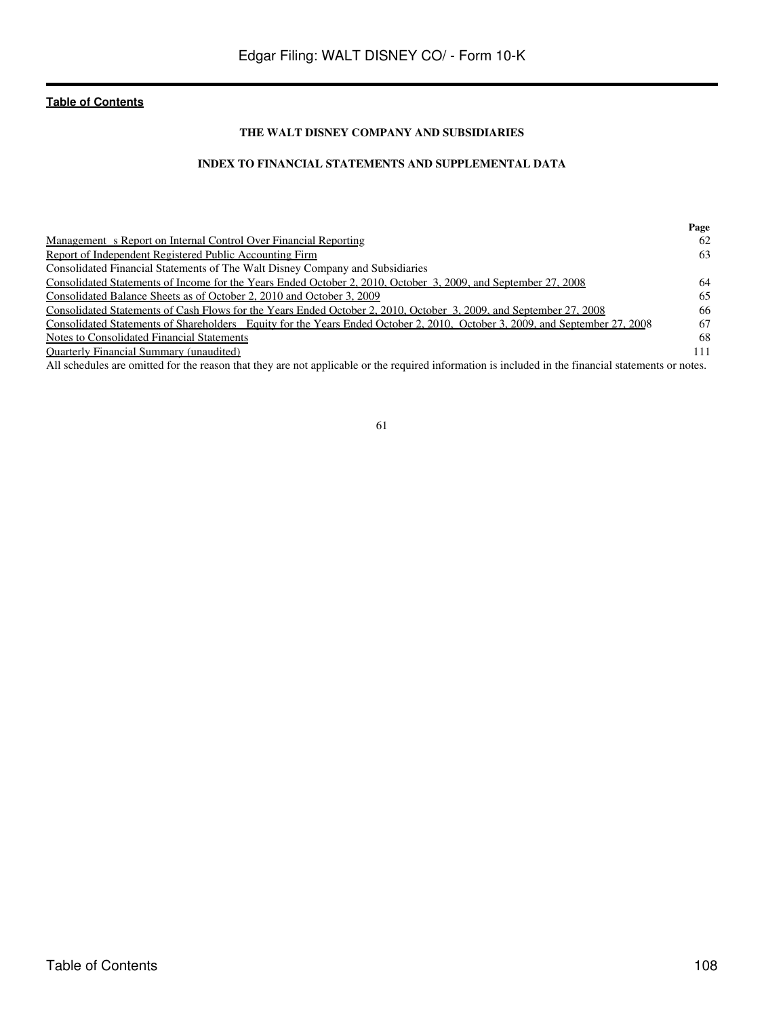## **THE WALT DISNEY COMPANY AND SUBSIDIARIES**

## **INDEX TO FINANCIAL STATEMENTS AND SUPPLEMENTAL DATA**

|                                                                                                                                                     | Page |
|-----------------------------------------------------------------------------------------------------------------------------------------------------|------|
| Management s Report on Internal Control Over Financial Reporting                                                                                    | 62   |
| Report of Independent Registered Public Accounting Firm                                                                                             | 63   |
| Consolidated Financial Statements of The Walt Disney Company and Subsidiaries                                                                       |      |
| Consolidated Statements of Income for the Years Ended October 2, 2010, October 3, 2009, and September 27, 2008                                      | 64   |
| Consolidated Balance Sheets as of October 2, 2010 and October 3, 2009                                                                               | 65   |
| Consolidated Statements of Cash Flows for the Years Ended October 2, 2010, October 3, 2009, and September 27, 2008                                  | 66   |
| Consolidated Statements of Shareholders Equity for the Years Ended October 2, 2010, October 3, 2009, and September 27, 2008                         | 67   |
| Notes to Consolidated Financial Statements                                                                                                          | 68   |
| <b>Ouarterly Financial Summary (unaudited)</b>                                                                                                      | 111  |
| All schedules are omitted for the reason that they are not applicable or the required information is included in the financial statements or notes. |      |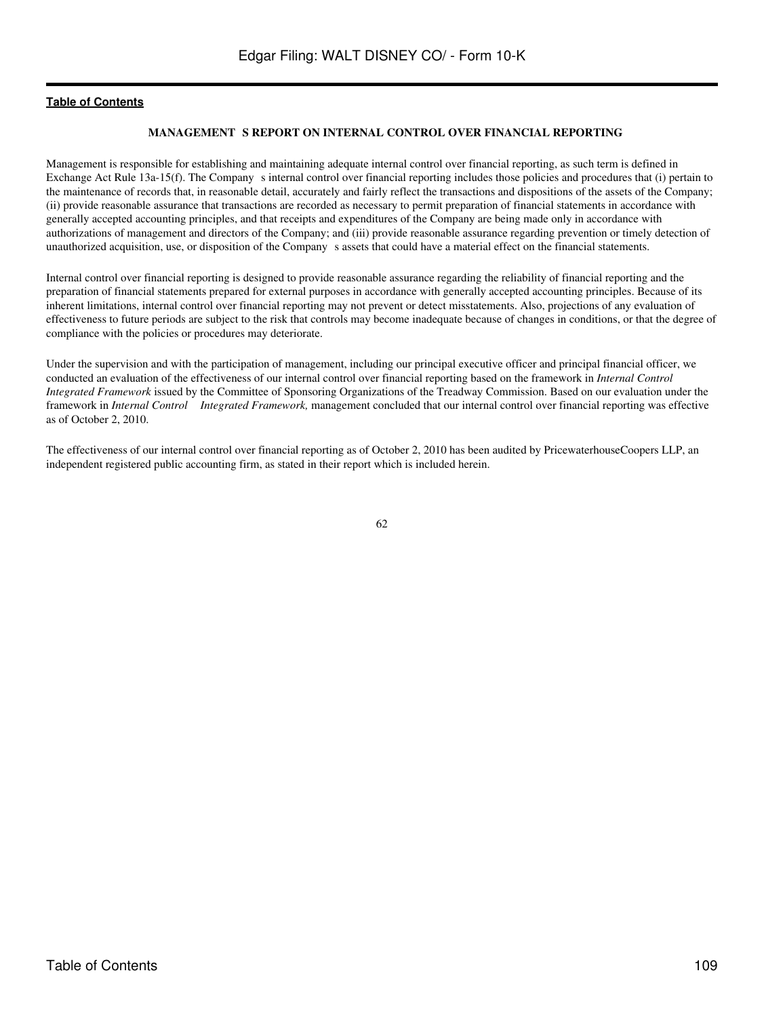#### **MANAGEMENT S REPORT ON INTERNAL CONTROL OVER FINANCIAL REPORTING**

Management is responsible for establishing and maintaining adequate internal control over financial reporting, as such term is defined in Exchange Act Rule 13a-15(f). The Company s internal control over financial reporting includes those policies and procedures that (i) pertain to the maintenance of records that, in reasonable detail, accurately and fairly reflect the transactions and dispositions of the assets of the Company; (ii) provide reasonable assurance that transactions are recorded as necessary to permit preparation of financial statements in accordance with generally accepted accounting principles, and that receipts and expenditures of the Company are being made only in accordance with authorizations of management and directors of the Company; and (iii) provide reasonable assurance regarding prevention or timely detection of unauthorized acquisition, use, or disposition of the Companys assets that could have a material effect on the financial statements.

Internal control over financial reporting is designed to provide reasonable assurance regarding the reliability of financial reporting and the preparation of financial statements prepared for external purposes in accordance with generally accepted accounting principles. Because of its inherent limitations, internal control over financial reporting may not prevent or detect misstatements. Also, projections of any evaluation of effectiveness to future periods are subject to the risk that controls may become inadequate because of changes in conditions, or that the degree of compliance with the policies or procedures may deteriorate.

Under the supervision and with the participation of management, including our principal executive officer and principal financial officer, we conducted an evaluation of the effectiveness of our internal control over financial reporting based on the framework in *Internal Control Integrated Framework* issued by the Committee of Sponsoring Organizations of the Treadway Commission. Based on our evaluation under the framework in *Internal Control Integrated Framework,* management concluded that our internal control over financial reporting was effective as of October 2, 2010.

The effectiveness of our internal control over financial reporting as of October 2, 2010 has been audited by PricewaterhouseCoopers LLP, an independent registered public accounting firm, as stated in their report which is included herein.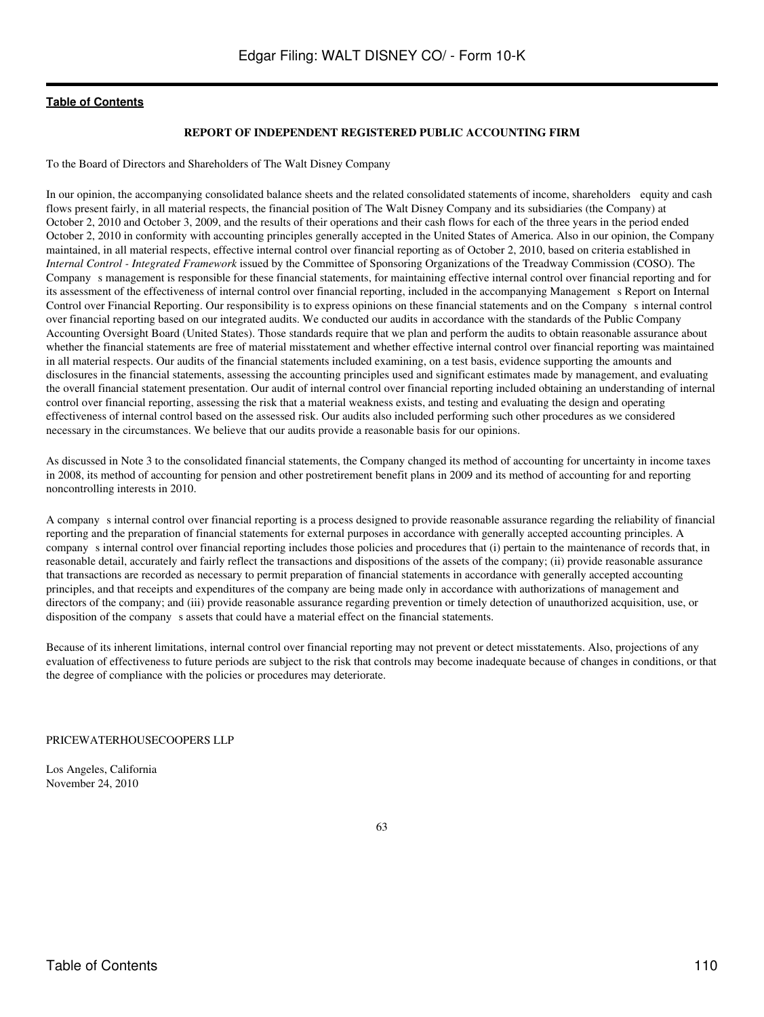## **REPORT OF INDEPENDENT REGISTERED PUBLIC ACCOUNTING FIRM**

To the Board of Directors and Shareholders of The Walt Disney Company

In our opinion, the accompanying consolidated balance sheets and the related consolidated statements of income, shareholders equity and cash flows present fairly, in all material respects, the financial position of The Walt Disney Company and its subsidiaries (the Company) at October 2, 2010 and October 3, 2009, and the results of their operations and their cash flows for each of the three years in the period ended October 2, 2010 in conformity with accounting principles generally accepted in the United States of America. Also in our opinion, the Company maintained, in all material respects, effective internal control over financial reporting as of October 2, 2010, based on criteria established in *Internal Control - Integrated Framework* issued by the Committee of Sponsoring Organizations of the Treadway Commission (COSO). The Companys management is responsible for these financial statements, for maintaining effective internal control over financial reporting and for its assessment of the effectiveness of internal control over financial reporting, included in the accompanying Management s Report on Internal Control over Financial Reporting. Our responsibility is to express opinions on these financial statements and on the Companys internal control over financial reporting based on our integrated audits. We conducted our audits in accordance with the standards of the Public Company Accounting Oversight Board (United States). Those standards require that we plan and perform the audits to obtain reasonable assurance about whether the financial statements are free of material misstatement and whether effective internal control over financial reporting was maintained in all material respects. Our audits of the financial statements included examining, on a test basis, evidence supporting the amounts and disclosures in the financial statements, assessing the accounting principles used and significant estimates made by management, and evaluating the overall financial statement presentation. Our audit of internal control over financial reporting included obtaining an understanding of internal control over financial reporting, assessing the risk that a material weakness exists, and testing and evaluating the design and operating effectiveness of internal control based on the assessed risk. Our audits also included performing such other procedures as we considered necessary in the circumstances. We believe that our audits provide a reasonable basis for our opinions.

As discussed in Note 3 to the consolidated financial statements, the Company changed its method of accounting for uncertainty in income taxes in 2008, its method of accounting for pension and other postretirement benefit plans in 2009 and its method of accounting for and reporting noncontrolling interests in 2010.

A companys internal control over financial reporting is a process designed to provide reasonable assurance regarding the reliability of financial reporting and the preparation of financial statements for external purposes in accordance with generally accepted accounting principles. A companys internal control over financial reporting includes those policies and procedures that (i) pertain to the maintenance of records that, in reasonable detail, accurately and fairly reflect the transactions and dispositions of the assets of the company; (ii) provide reasonable assurance that transactions are recorded as necessary to permit preparation of financial statements in accordance with generally accepted accounting principles, and that receipts and expenditures of the company are being made only in accordance with authorizations of management and directors of the company; and (iii) provide reasonable assurance regarding prevention or timely detection of unauthorized acquisition, use, or disposition of the company s assets that could have a material effect on the financial statements.

Because of its inherent limitations, internal control over financial reporting may not prevent or detect misstatements. Also, projections of any evaluation of effectiveness to future periods are subject to the risk that controls may become inadequate because of changes in conditions, or that the degree of compliance with the policies or procedures may deteriorate.

PRICEWATERHOUSECOOPERS LLP

Los Angeles, California November 24, 2010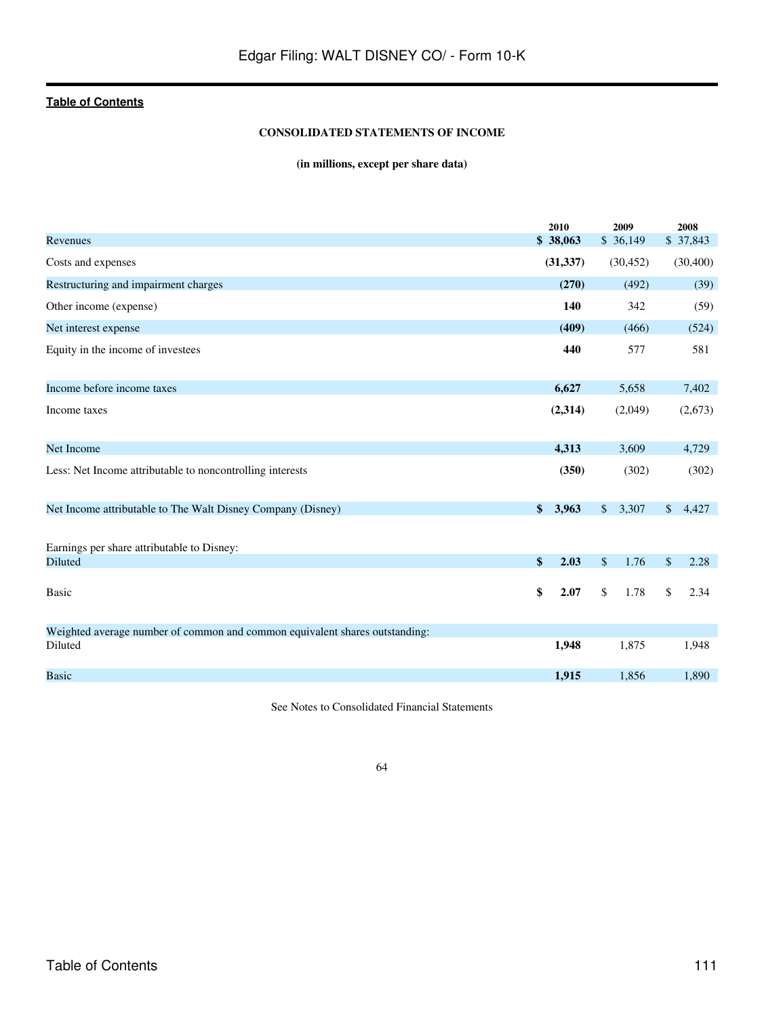## **CONSOLIDATED STATEMENTS OF INCOME**

## **(in millions, except per share data)**

|                                                                             |               | 2010     |              | 2009      |              | 2008      |
|-----------------------------------------------------------------------------|---------------|----------|--------------|-----------|--------------|-----------|
| Revenues                                                                    |               | \$38,063 |              | \$36,149  |              | \$37,843  |
| Costs and expenses                                                          |               | (31,337) |              | (30, 452) |              | (30, 400) |
| Restructuring and impairment charges                                        |               | (270)    |              | (492)     |              | (39)      |
| Other income (expense)                                                      |               | 140      |              | 342       |              | (59)      |
| Net interest expense                                                        |               | (409)    |              | (466)     |              | (524)     |
| Equity in the income of investees                                           |               | 440      |              | 577       |              | 581       |
| Income before income taxes                                                  |               | 6,627    |              | 5,658     |              | 7,402     |
| Income taxes                                                                |               | (2,314)  |              | (2,049)   |              | (2,673)   |
| Net Income                                                                  |               | 4,313    |              | 3,609     |              | 4,729     |
| Less: Net Income attributable to noncontrolling interests                   |               | (350)    |              | (302)     |              | (302)     |
| Net Income attributable to The Walt Disney Company (Disney)                 | $\mathbf{\$}$ | 3,963    | $\mathbb{S}$ | 3,307     | $\mathbb{S}$ | 4,427     |
| Earnings per share attributable to Disney:                                  |               |          |              |           |              |           |
| <b>Diluted</b>                                                              | $\mathbf{\$}$ | 2.03     | $\mathbb{S}$ | 1.76      | \$           | 2.28      |
| <b>Basic</b>                                                                | \$            | 2.07     | \$           | 1.78      | \$           | 2.34      |
| Weighted average number of common and common equivalent shares outstanding: |               |          |              |           |              |           |
| Diluted                                                                     |               | 1,948    |              | 1,875     |              | 1,948     |
| <b>Basic</b>                                                                |               | 1,915    |              | 1,856     |              | 1,890     |

See Notes to Consolidated Financial Statements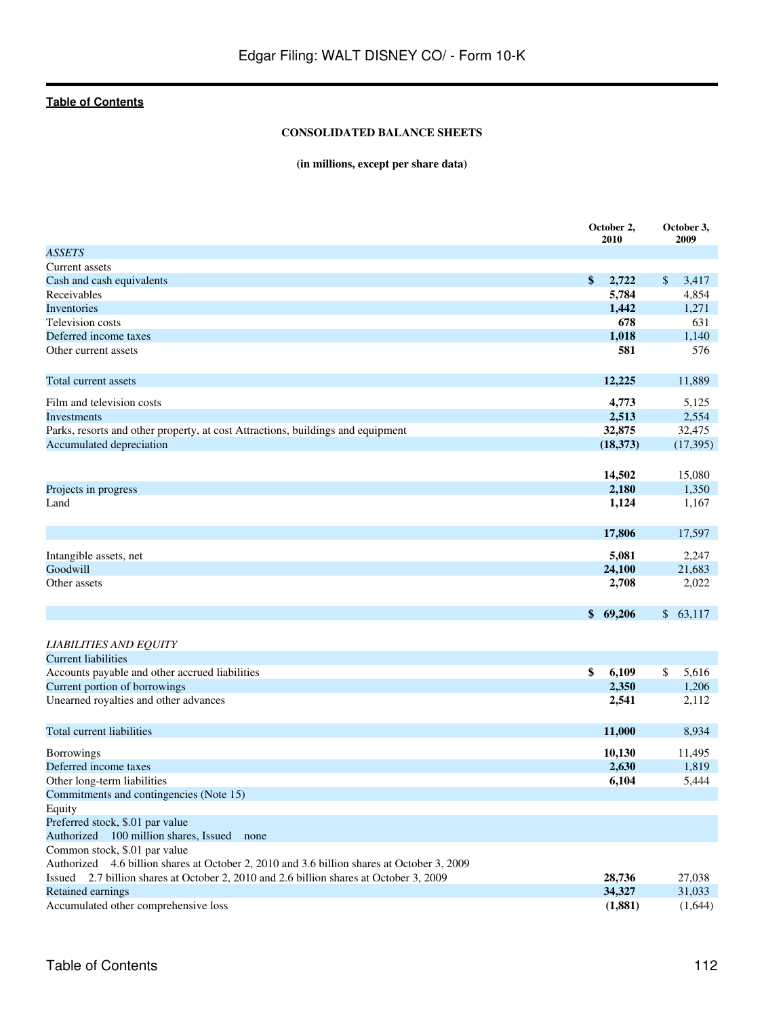## **CONSOLIDATED BALANCE SHEETS**

## **(in millions, except per share data)**

|                                                                                            | October 2,<br>2010 | October 3,<br>2009 |
|--------------------------------------------------------------------------------------------|--------------------|--------------------|
| <b>ASSETS</b>                                                                              |                    |                    |
| Current assets                                                                             |                    |                    |
| Cash and cash equivalents                                                                  | \$<br>2,722        | \$<br>3,417        |
| Receivables                                                                                | 5,784              | 4,854              |
| Inventories                                                                                | 1,442              | 1,271              |
| Television costs                                                                           | 678                | 631                |
| Deferred income taxes                                                                      | 1,018              | 1,140              |
| Other current assets                                                                       | 581                | 576                |
| Total current assets                                                                       | 12,225             | 11,889             |
| Film and television costs                                                                  | 4,773              | 5,125              |
| Investments                                                                                | 2,513              | 2,554              |
| Parks, resorts and other property, at cost Attractions, buildings and equipment            | 32,875             | 32,475             |
| Accumulated depreciation                                                                   | (18, 373)          | (17, 395)          |
|                                                                                            |                    |                    |
|                                                                                            | 14,502             | 15,080             |
| Projects in progress                                                                       | 2,180              | 1,350              |
| Land                                                                                       | 1,124              | 1,167              |
|                                                                                            |                    |                    |
|                                                                                            | 17,806             | 17,597             |
| Intangible assets, net                                                                     | 5,081              | 2,247              |
| Goodwill                                                                                   | 24,100             | 21,683             |
| Other assets                                                                               | 2,708              | 2,022              |
|                                                                                            |                    |                    |
|                                                                                            | \$69,206           | \$63,117           |
| <b>LIABILITIES AND EQUITY</b>                                                              |                    |                    |
| <b>Current liabilities</b>                                                                 |                    |                    |
| Accounts payable and other accrued liabilities                                             | \$<br>6,109        | \$<br>5,616        |
| Current portion of borrowings                                                              | 2,350              | 1,206              |
| Unearned royalties and other advances                                                      | 2,541              | 2,112              |
|                                                                                            |                    |                    |
| Total current liabilities                                                                  | 11,000             | 8,934              |
| Borrowings                                                                                 | 10,130             | 11,495             |
| Deferred income taxes                                                                      | 2,630              | 1,819              |
| Other long-term liabilities                                                                | 6,104              | 5,444              |
| Commitments and contingencies (Note 15)                                                    |                    |                    |
| Equity                                                                                     |                    |                    |
| Preferred stock, \$.01 par value                                                           |                    |                    |
| Authorized 100 million shares, Issued none                                                 |                    |                    |
| Common stock, \$.01 par value                                                              |                    |                    |
| Authorized 4.6 billion shares at October 2, 2010 and 3.6 billion shares at October 3, 2009 |                    |                    |
| Issued 2.7 billion shares at October 2, 2010 and 2.6 billion shares at October 3, 2009     | 28,736             | 27,038             |
| Retained earnings                                                                          | 34,327             | 31,033             |
| Accumulated other comprehensive loss                                                       | (1,881)            | (1,644)            |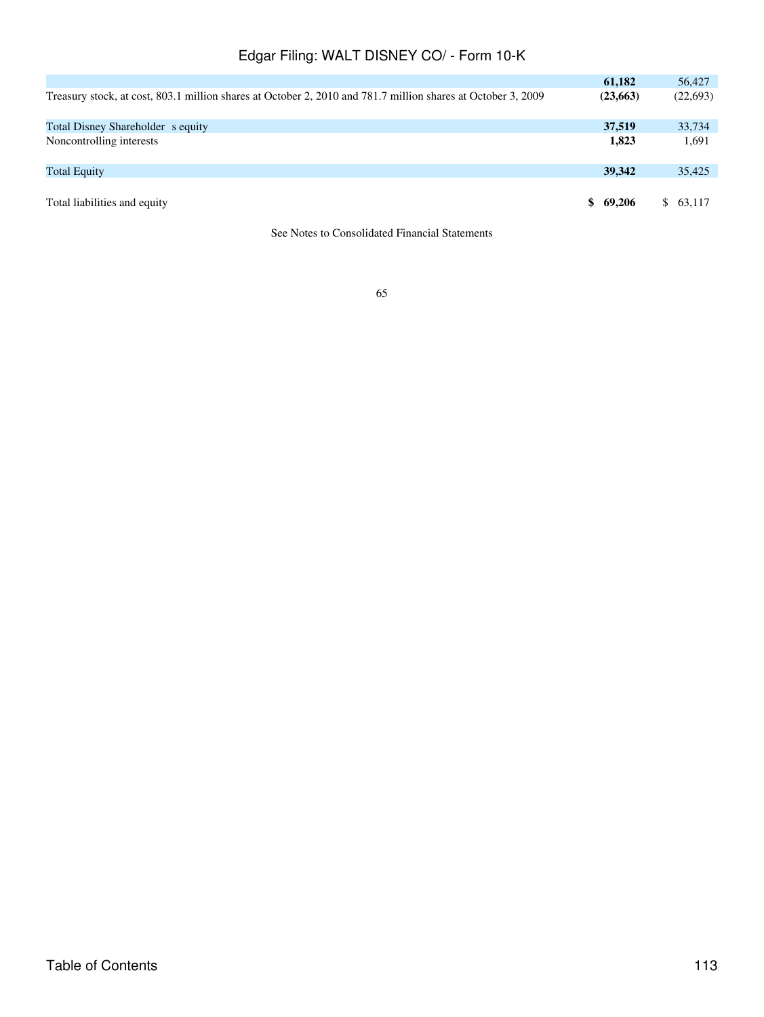|                                                                                                              | 61,182   | 56,427   |
|--------------------------------------------------------------------------------------------------------------|----------|----------|
| Treasury stock, at cost, 803.1 million shares at October 2, 2010 and 781.7 million shares at October 3, 2009 | (23,663) | (22,693) |
| Total Disney Shareholder s equity                                                                            | 37,519   | 33,734   |
| Noncontrolling interests                                                                                     | 1,823    | 1,691    |
| <b>Total Equity</b>                                                                                          | 39.342   | 35,425   |
| Total liabilities and equity                                                                                 | \$69,206 | \$63,117 |

See Notes to Consolidated Financial Statements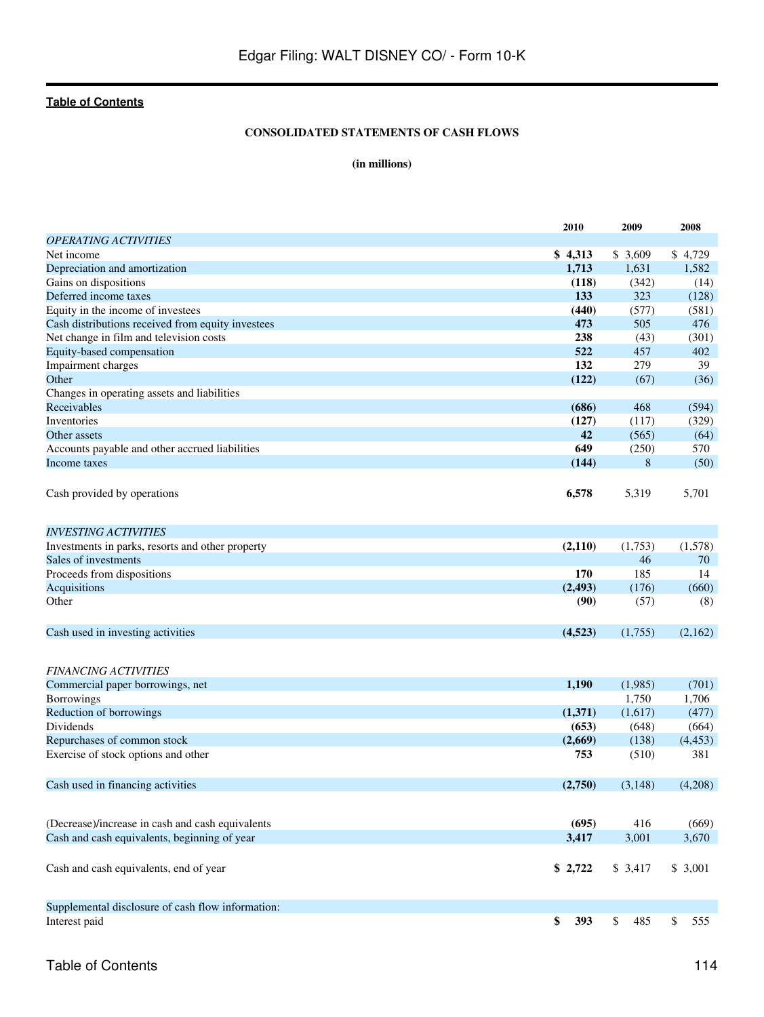## **CONSOLIDATED STATEMENTS OF CASH FLOWS**

## **(in millions)**

|                                                   | 2010      | 2009      | 2008      |
|---------------------------------------------------|-----------|-----------|-----------|
| <b>OPERATING ACTIVITIES</b>                       |           |           |           |
| Net income                                        | \$4,313   | \$3,609   | \$4,729   |
| Depreciation and amortization                     | 1,713     | 1,631     | 1,582     |
| Gains on dispositions                             | (118)     | (342)     | (14)      |
| Deferred income taxes                             | 133       | 323       | (128)     |
| Equity in the income of investees                 | (440)     | (577)     | (581)     |
| Cash distributions received from equity investees | 473       | 505       | 476       |
| Net change in film and television costs           | 238       | (43)      | (301)     |
| Equity-based compensation                         | 522       | 457       | 402       |
| Impairment charges                                | 132       | 279       | 39        |
| Other                                             | (122)     | (67)      | (36)      |
| Changes in operating assets and liabilities       |           |           |           |
| Receivables                                       | (686)     | 468       | (594)     |
| Inventories                                       | (127)     | (117)     | (329)     |
| Other assets                                      | 42        | (565)     | (64)      |
| Accounts payable and other accrued liabilities    | 649       | (250)     | 570       |
| Income taxes                                      | (144)     | 8         | (50)      |
| Cash provided by operations                       | 6,578     | 5,319     | 5,701     |
| <b>INVESTING ACTIVITIES</b>                       |           |           |           |
| Investments in parks, resorts and other property  | (2, 110)  | (1,753)   | (1,578)   |
| Sales of investments                              |           | 46        | 70        |
| Proceeds from dispositions                        | 170       | 185       | 14        |
| Acquisitions                                      | (2, 493)  | (176)     | (660)     |
| Other                                             | (90)      | (57)      | (8)       |
|                                                   |           |           |           |
| Cash used in investing activities                 | (4,523)   | (1,755)   | (2,162)   |
| <b>FINANCING ACTIVITIES</b>                       |           |           |           |
| Commercial paper borrowings, net                  | 1,190     | (1,985)   | (701)     |
| Borrowings                                        |           | 1,750     | 1,706     |
| Reduction of borrowings                           | (1,371)   | (1,617)   | (477)     |
| Dividends                                         | (653)     | (648)     | (664)     |
| Repurchases of common stock                       | (2,669)   | (138)     | (4, 453)  |
| Exercise of stock options and other               | 753       | (510)     | 381       |
| Cash used in financing activities                 | (2,750)   | (3,148)   | (4,208)   |
| (Decrease)/increase in cash and cash equivalents  | (695)     | 416       | (669)     |
| Cash and cash equivalents, beginning of year      | 3,417     | 3,001     | 3,670     |
|                                                   |           |           |           |
| Cash and cash equivalents, end of year            | \$2,722   | \$3,417   | \$ 3,001  |
| Supplemental disclosure of cash flow information: |           |           |           |
| Interest paid                                     | \$<br>393 | \$<br>485 | \$<br>555 |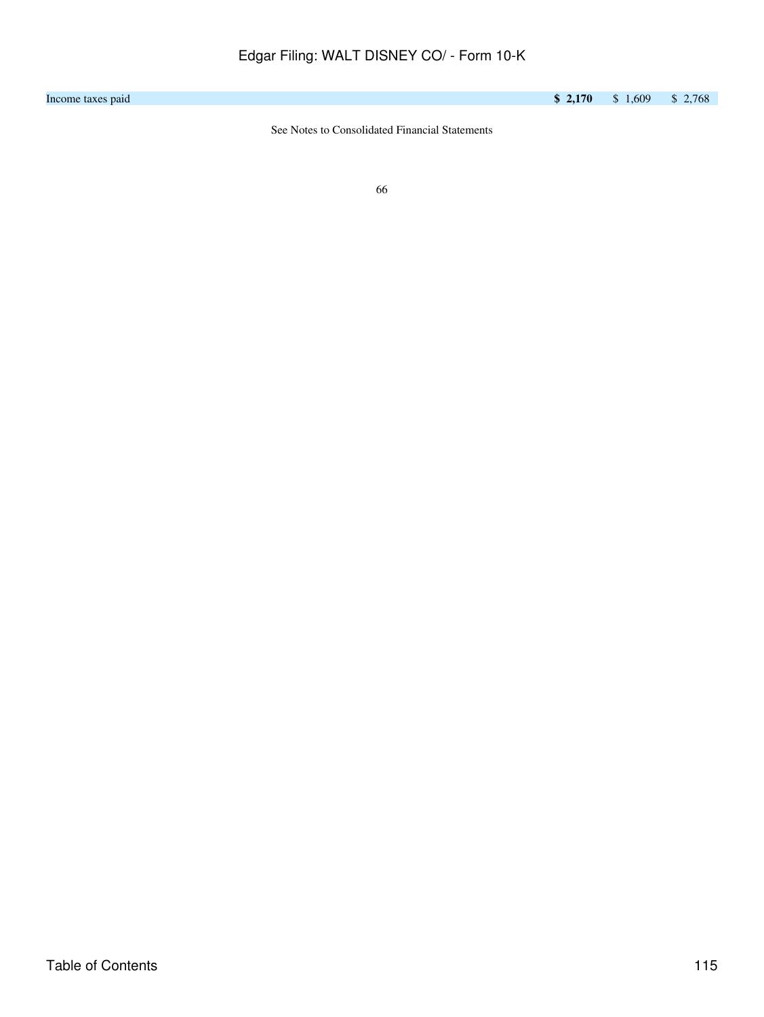**1** Income taxes paid **\$ 2,170** \$ 1,609 \$ 2,768

See Notes to Consolidated Financial Statements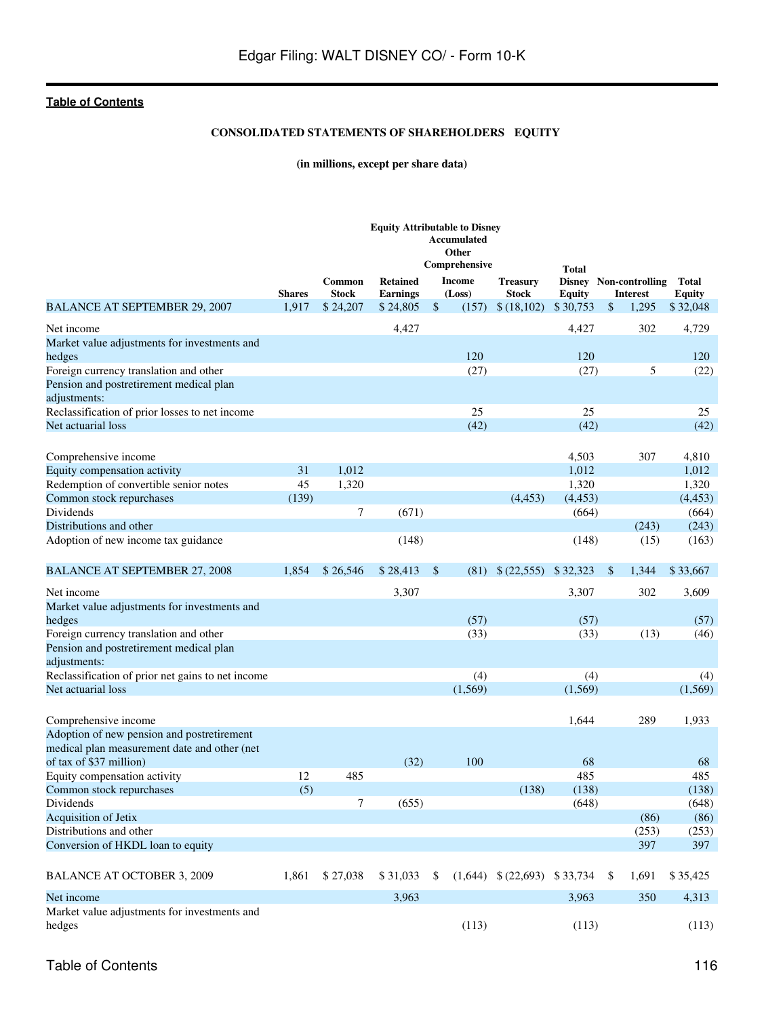## **CONSOLIDATED STATEMENTS OF SHAREHOLDERS EQUITY**

## **(in millions, except per share data)**

|                                                                         |               |                        | <b>Equity Attributable to Disney</b> |    | <b>Accumulated</b><br>Other<br>Comprehensive |                                   | <b>Total</b>  |              |                                           |                               |
|-------------------------------------------------------------------------|---------------|------------------------|--------------------------------------|----|----------------------------------------------|-----------------------------------|---------------|--------------|-------------------------------------------|-------------------------------|
|                                                                         | <b>Shares</b> | Common<br><b>Stock</b> | <b>Retained</b><br><b>Earnings</b>   |    | Income<br>(Loss)                             | <b>Treasury</b><br><b>Stock</b>   | <b>Equity</b> |              | Disney Non-controlling<br><b>Interest</b> | <b>Total</b><br><b>Equity</b> |
| <b>BALANCE AT SEPTEMBER 29, 2007</b>                                    | 1,917         | \$24,207               | \$24,805                             | \$ | (157)                                        | \$(18,102)                        | \$30,753      | \$           | 1,295                                     | \$32,048                      |
| Net income                                                              |               |                        | 4,427                                |    |                                              |                                   | 4,427         |              | 302                                       | 4,729                         |
| Market value adjustments for investments and<br>hedges                  |               |                        |                                      |    | 120                                          |                                   | 120           |              |                                           | 120                           |
| Foreign currency translation and other                                  |               |                        |                                      |    | (27)                                         |                                   | (27)          |              | 5                                         | (22)                          |
| Pension and postretirement medical plan<br>adjustments:                 |               |                        |                                      |    |                                              |                                   |               |              |                                           |                               |
| Reclassification of prior losses to net income                          |               |                        |                                      |    | 25                                           |                                   | 25            |              |                                           | 25                            |
| Net actuarial loss                                                      |               |                        |                                      |    | (42)                                         |                                   | (42)          |              |                                           | (42)                          |
|                                                                         |               |                        |                                      |    |                                              |                                   |               |              |                                           |                               |
| Comprehensive income                                                    |               |                        |                                      |    |                                              |                                   | 4,503         |              | 307                                       | 4,810                         |
| Equity compensation activity                                            | 31            | 1,012                  |                                      |    |                                              |                                   | 1,012         |              |                                           | 1,012                         |
| Redemption of convertible senior notes                                  | 45            | 1,320                  |                                      |    |                                              |                                   | 1,320         |              |                                           | 1,320                         |
| Common stock repurchases                                                | (139)         |                        |                                      |    |                                              | (4, 453)                          | (4, 453)      |              |                                           | (4, 453)                      |
| Dividends                                                               |               | $\tau$                 | (671)                                |    |                                              |                                   | (664)         |              |                                           | (664)                         |
| Distributions and other                                                 |               |                        |                                      |    |                                              |                                   |               |              | (243)                                     | (243)                         |
| Adoption of new income tax guidance                                     |               |                        | (148)                                |    |                                              |                                   | (148)         |              | (15)                                      | (163)                         |
| <b>BALANCE AT SEPTEMBER 27, 2008</b>                                    | 1,854         | \$26,546               | \$28,413                             | \$ | (81)                                         | \$ (22,555)                       | \$32,323      | $\mathbb{S}$ | 1,344                                     | \$33,667                      |
| Net income                                                              |               |                        | 3,307                                |    |                                              |                                   | 3,307         |              | 302                                       | 3,609                         |
| Market value adjustments for investments and<br>hedges                  |               |                        |                                      |    | (57)                                         |                                   | (57)          |              |                                           | (57)                          |
| Foreign currency translation and other                                  |               |                        |                                      |    | (33)                                         |                                   | (33)          |              | (13)                                      | (46)                          |
| Pension and postretirement medical plan<br>adjustments:                 |               |                        |                                      |    |                                              |                                   |               |              |                                           |                               |
| Reclassification of prior net gains to net income                       |               |                        |                                      |    | (4)                                          |                                   | (4)           |              |                                           | (4)                           |
| Net actuarial loss                                                      |               |                        |                                      |    | (1,569)                                      |                                   | (1,569)       |              |                                           | (1, 569)                      |
| Comprehensive income                                                    |               |                        |                                      |    |                                              |                                   | 1,644         |              | 289                                       | 1,933                         |
| Adoption of new pension and postretirement                              |               |                        |                                      |    |                                              |                                   |               |              |                                           |                               |
| medical plan measurement date and other (net<br>of tax of \$37 million) |               |                        | (32)                                 |    | 100                                          |                                   | 68            |              |                                           | 68                            |
| Equity compensation activity                                            | 12            | 485                    |                                      |    |                                              |                                   | 485           |              |                                           | 485                           |
| Common stock repurchases                                                | (5)           |                        |                                      |    |                                              | (138)                             | (138)         |              |                                           | (138)                         |
| Dividends                                                               |               | $\tau$                 | (655)                                |    |                                              |                                   | (648)         |              |                                           | (648)                         |
| Acquisition of Jetix                                                    |               |                        |                                      |    |                                              |                                   |               |              | (86)                                      | (86)                          |
| Distributions and other                                                 |               |                        |                                      |    |                                              |                                   |               |              | (253)                                     | (253)                         |
| Conversion of HKDL loan to equity                                       |               |                        |                                      |    |                                              |                                   |               |              | 397                                       | 397                           |
|                                                                         |               |                        |                                      |    |                                              |                                   |               |              |                                           |                               |
| <b>BALANCE AT OCTOBER 3, 2009</b>                                       | 1,861         | \$27,038               | \$31,033                             | -S |                                              | $(1,644)$ \$ $(22,693)$ \$ 33,734 |               | \$           | 1,691                                     | \$35,425                      |
| Net income                                                              |               |                        | 3,963                                |    |                                              |                                   | 3,963         |              | 350                                       | 4,313                         |
| Market value adjustments for investments and<br>hedges                  |               |                        |                                      |    | (113)                                        |                                   | (113)         |              |                                           | (113)                         |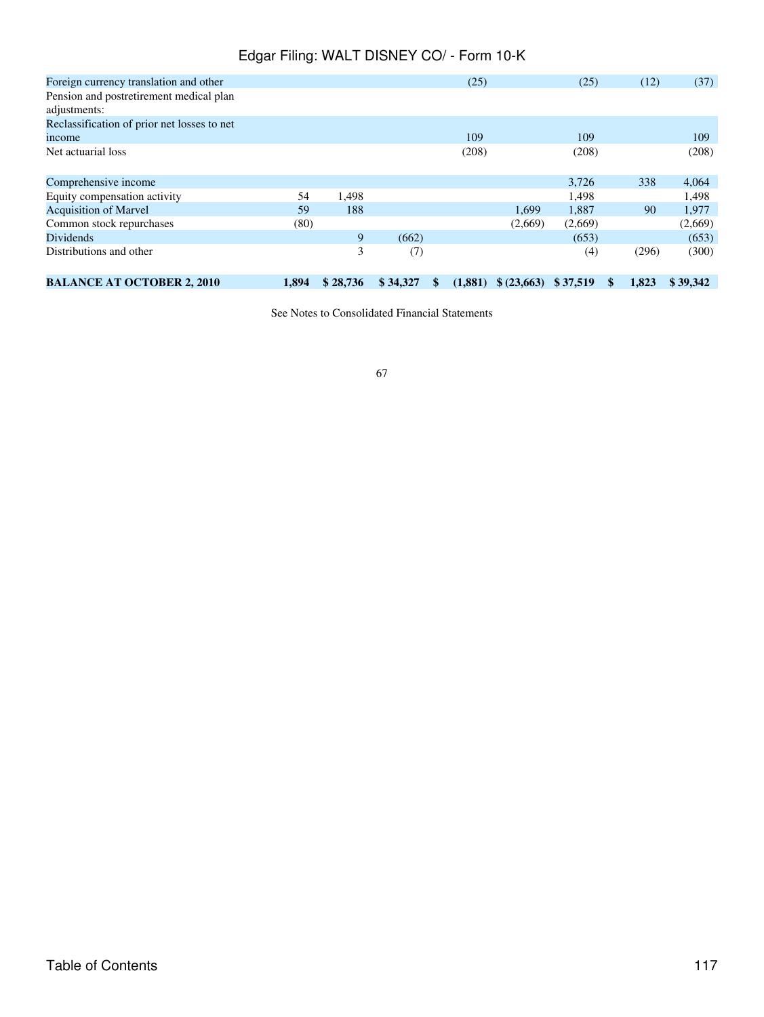| Foreign currency translation and other      |       |          |          |   | (25)    |             | (25)     |          | (12)  | (37)     |
|---------------------------------------------|-------|----------|----------|---|---------|-------------|----------|----------|-------|----------|
| Pension and postretirement medical plan     |       |          |          |   |         |             |          |          |       |          |
| adjustments:                                |       |          |          |   |         |             |          |          |       |          |
| Reclassification of prior net losses to net |       |          |          |   |         |             |          |          |       |          |
| income                                      |       |          |          |   | 109     |             | 109      |          |       | 109      |
| Net actuarial loss                          |       |          |          |   | (208)   |             | (208)    |          |       | (208)    |
| Comprehensive income                        |       |          |          |   |         |             | 3,726    |          | 338   | 4,064    |
| Equity compensation activity                | 54    | 1,498    |          |   |         |             | 1,498    |          |       | 1,498    |
| <b>Acquisition of Marvel</b>                | 59    | 188      |          |   |         | 1,699       | 1,887    |          | 90    | 1,977    |
| Common stock repurchases                    | (80)  |          |          |   |         | (2,669)     | (2,669)  |          |       | (2,669)  |
| <b>Dividends</b>                            |       | 9        | (662)    |   |         |             | (653)    |          |       | (653)    |
| Distributions and other                     |       | 3        | (7)      |   |         |             | (4)      |          | (296) | (300)    |
| <b>BALANCE AT OCTOBER 2, 2010</b>           | 1.894 | \$28,736 | \$34,327 | S | (1,881) | \$ (23,663) | \$37,519 | <b>S</b> | 1.823 | \$39,342 |

See Notes to Consolidated Financial Statements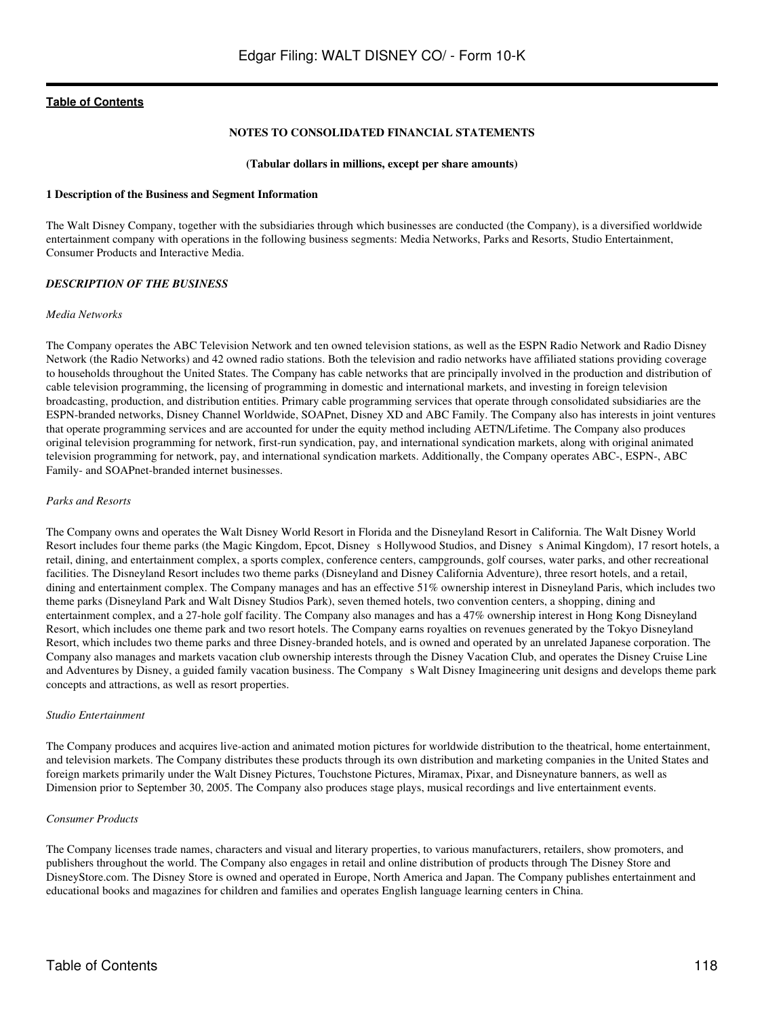## **NOTES TO CONSOLIDATED FINANCIAL STATEMENTS**

#### **(Tabular dollars in millions, except per share amounts)**

#### **1 Description of the Business and Segment Information**

The Walt Disney Company, together with the subsidiaries through which businesses are conducted (the Company), is a diversified worldwide entertainment company with operations in the following business segments: Media Networks, Parks and Resorts, Studio Entertainment, Consumer Products and Interactive Media.

#### *DESCRIPTION OF THE BUSINESS*

#### *Media Networks*

The Company operates the ABC Television Network and ten owned television stations, as well as the ESPN Radio Network and Radio Disney Network (the Radio Networks) and 42 owned radio stations. Both the television and radio networks have affiliated stations providing coverage to households throughout the United States. The Company has cable networks that are principally involved in the production and distribution of cable television programming, the licensing of programming in domestic and international markets, and investing in foreign television broadcasting, production, and distribution entities. Primary cable programming services that operate through consolidated subsidiaries are the ESPN-branded networks, Disney Channel Worldwide, SOAPnet, Disney XD and ABC Family. The Company also has interests in joint ventures that operate programming services and are accounted for under the equity method including AETN/Lifetime. The Company also produces original television programming for network, first-run syndication, pay, and international syndication markets, along with original animated television programming for network, pay, and international syndication markets. Additionally, the Company operates ABC-, ESPN-, ABC Family- and SOAPnet-branded internet businesses.

#### *Parks and Resorts*

The Company owns and operates the Walt Disney World Resort in Florida and the Disneyland Resort in California. The Walt Disney World Resort includes four theme parks (the Magic Kingdom, Epcot, Disney s Hollywood Studios, and Disney s Animal Kingdom), 17 resort hotels, a retail, dining, and entertainment complex, a sports complex, conference centers, campgrounds, golf courses, water parks, and other recreational facilities. The Disneyland Resort includes two theme parks (Disneyland and Disney California Adventure), three resort hotels, and a retail, dining and entertainment complex. The Company manages and has an effective 51% ownership interest in Disneyland Paris, which includes two theme parks (Disneyland Park and Walt Disney Studios Park), seven themed hotels, two convention centers, a shopping, dining and entertainment complex, and a 27-hole golf facility. The Company also manages and has a 47% ownership interest in Hong Kong Disneyland Resort, which includes one theme park and two resort hotels. The Company earns royalties on revenues generated by the Tokyo Disneyland Resort, which includes two theme parks and three Disney-branded hotels, and is owned and operated by an unrelated Japanese corporation. The Company also manages and markets vacation club ownership interests through the Disney Vacation Club, and operates the Disney Cruise Line and Adventures by Disney, a guided family vacation business. The Company s Walt Disney Imagineering unit designs and develops theme park concepts and attractions, as well as resort properties.

#### *Studio Entertainment*

The Company produces and acquires live-action and animated motion pictures for worldwide distribution to the theatrical, home entertainment, and television markets. The Company distributes these products through its own distribution and marketing companies in the United States and foreign markets primarily under the Walt Disney Pictures, Touchstone Pictures, Miramax, Pixar, and Disneynature banners, as well as Dimension prior to September 30, 2005. The Company also produces stage plays, musical recordings and live entertainment events.

#### *Consumer Products*

The Company licenses trade names, characters and visual and literary properties, to various manufacturers, retailers, show promoters, and publishers throughout the world. The Company also engages in retail and online distribution of products through The Disney Store and DisneyStore.com. The Disney Store is owned and operated in Europe, North America and Japan. The Company publishes entertainment and educational books and magazines for children and families and operates English language learning centers in China.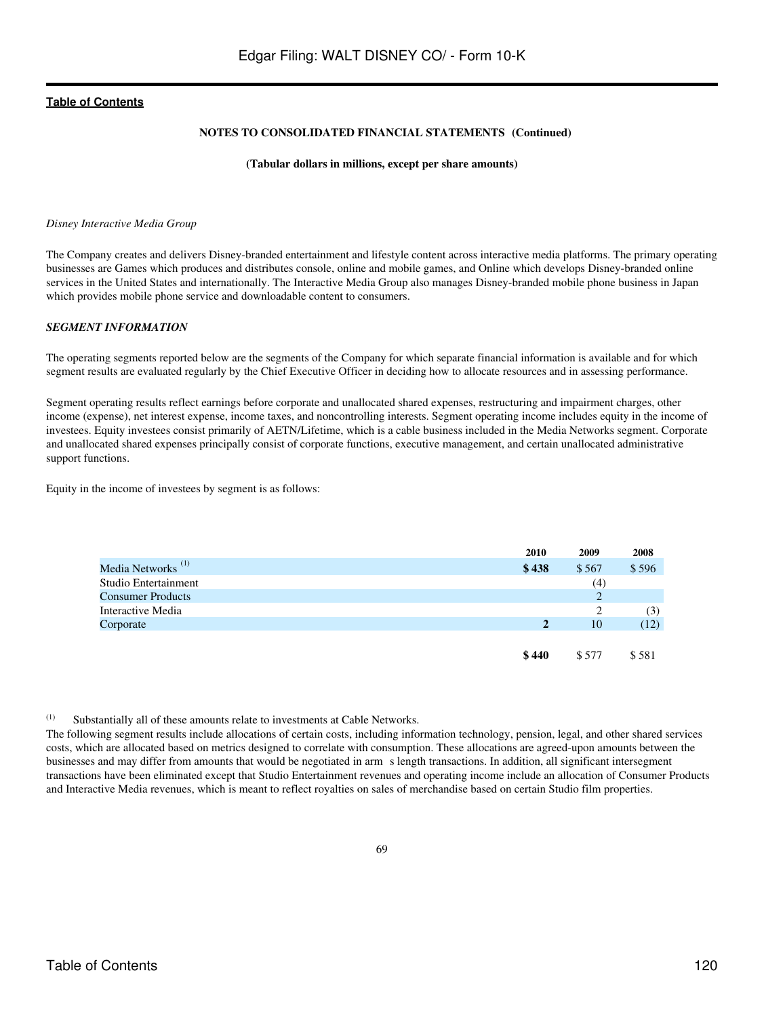## **NOTES TO CONSOLIDATED FINANCIAL STATEMENTS (Continued)**

#### **(Tabular dollars in millions, except per share amounts)**

#### *Disney Interactive Media Group*

The Company creates and delivers Disney-branded entertainment and lifestyle content across interactive media platforms. The primary operating businesses are Games which produces and distributes console, online and mobile games, and Online which develops Disney-branded online services in the United States and internationally. The Interactive Media Group also manages Disney-branded mobile phone business in Japan which provides mobile phone service and downloadable content to consumers.

#### *SEGMENT INFORMATION*

The operating segments reported below are the segments of the Company for which separate financial information is available and for which segment results are evaluated regularly by the Chief Executive Officer in deciding how to allocate resources and in assessing performance.

Segment operating results reflect earnings before corporate and unallocated shared expenses, restructuring and impairment charges, other income (expense), net interest expense, income taxes, and noncontrolling interests. Segment operating income includes equity in the income of investees. Equity investees consist primarily of AETN/Lifetime, which is a cable business included in the Media Networks segment. Corporate and unallocated shared expenses principally consist of corporate functions, executive management, and certain unallocated administrative support functions.

Equity in the income of investees by segment is as follows:

|                               | 2010  | 2009  | 2008  |
|-------------------------------|-------|-------|-------|
| Media Networks <sup>(1)</sup> | \$438 | \$567 | \$596 |
| Studio Entertainment          |       | (4)   |       |
| <b>Consumer Products</b>      |       | 2     |       |
| Interactive Media             |       | 2     | (3)   |
| Corporate                     | 2     | 10    | (12)  |
|                               |       |       |       |
|                               | \$440 | \$577 | \$581 |

(1) Substantially all of these amounts relate to investments at Cable Networks.

The following segment results include allocations of certain costs, including information technology, pension, legal, and other shared services costs, which are allocated based on metrics designed to correlate with consumption. These allocations are agreed-upon amounts between the businesses and may differ from amounts that would be negotiated in arms length transactions. In addition, all significant intersegment transactions have been eliminated except that Studio Entertainment revenues and operating income include an allocation of Consumer Products and Interactive Media revenues, which is meant to reflect royalties on sales of merchandise based on certain Studio film properties.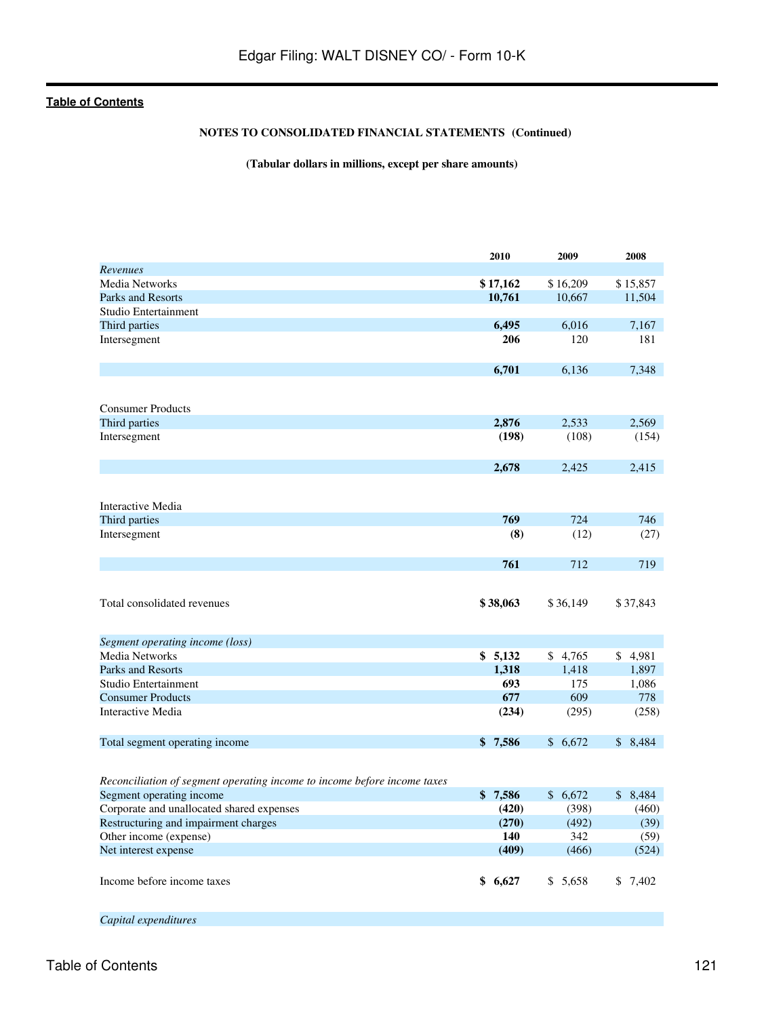## **NOTES TO CONSOLIDATED FINANCIAL STATEMENTS (Continued)**

## **(Tabular dollars in millions, except per share amounts)**

|                                                                          | 2010     | 2009             | 2008     |
|--------------------------------------------------------------------------|----------|------------------|----------|
| Revenues                                                                 |          |                  |          |
| Media Networks                                                           | \$17,162 | \$16,209         | \$15,857 |
| <b>Parks and Resorts</b>                                                 | 10,761   | 10,667           | 11,504   |
| Studio Entertainment                                                     |          |                  |          |
| Third parties                                                            | 6,495    | 6,016            | 7,167    |
| Intersegment                                                             | 206      | 120              | 181      |
|                                                                          |          |                  |          |
|                                                                          | 6,701    | 6,136            | 7,348    |
|                                                                          |          |                  |          |
|                                                                          |          |                  |          |
| <b>Consumer Products</b>                                                 |          |                  |          |
| Third parties                                                            | 2,876    | 2,533            | 2,569    |
| Intersegment                                                             | (198)    | (108)            | (154)    |
|                                                                          |          |                  |          |
|                                                                          | 2,678    | 2,425            | 2,415    |
|                                                                          |          |                  |          |
|                                                                          |          |                  |          |
| Interactive Media                                                        |          |                  |          |
| Third parties                                                            | 769      | 724              | 746      |
| Intersegment                                                             | (8)      | (12)             | (27)     |
|                                                                          |          |                  |          |
|                                                                          | 761      | 712              | 719      |
|                                                                          |          |                  |          |
|                                                                          |          |                  |          |
| Total consolidated revenues                                              | \$38,063 | \$36,149         | \$37,843 |
|                                                                          |          |                  |          |
|                                                                          |          |                  |          |
| Segment operating income (loss)<br>Media Networks                        | \$5,132  |                  | \$4,981  |
| Parks and Resorts                                                        | 1,318    | \$4,765<br>1,418 | 1,897    |
| Studio Entertainment                                                     | 693      | 175              | 1,086    |
| <b>Consumer Products</b>                                                 | 677      | 609              | 778      |
| <b>Interactive Media</b>                                                 | (234)    |                  |          |
|                                                                          |          | (295)            | (258)    |
|                                                                          |          |                  |          |
| Total segment operating income                                           | \$7,586  | \$6,672          | \$8,484  |
|                                                                          |          |                  |          |
| Reconciliation of segment operating income to income before income taxes |          |                  |          |
| Segment operating income                                                 | \$7,586  | \$6,672          | \$8,484  |
| Corporate and unallocated shared expenses                                | (420)    | (398)            | (460)    |
| Restructuring and impairment charges                                     | (270)    | (492)            | (39)     |
| Other income (expense)                                                   | 140      | 342              | (59)     |
| Net interest expense                                                     | (409)    | (466)            | (524)    |
|                                                                          |          |                  |          |
| Income before income taxes                                               |          |                  |          |
|                                                                          | \$6,627  | \$5,658          | \$7,402  |
|                                                                          |          |                  |          |

*Capital expenditures*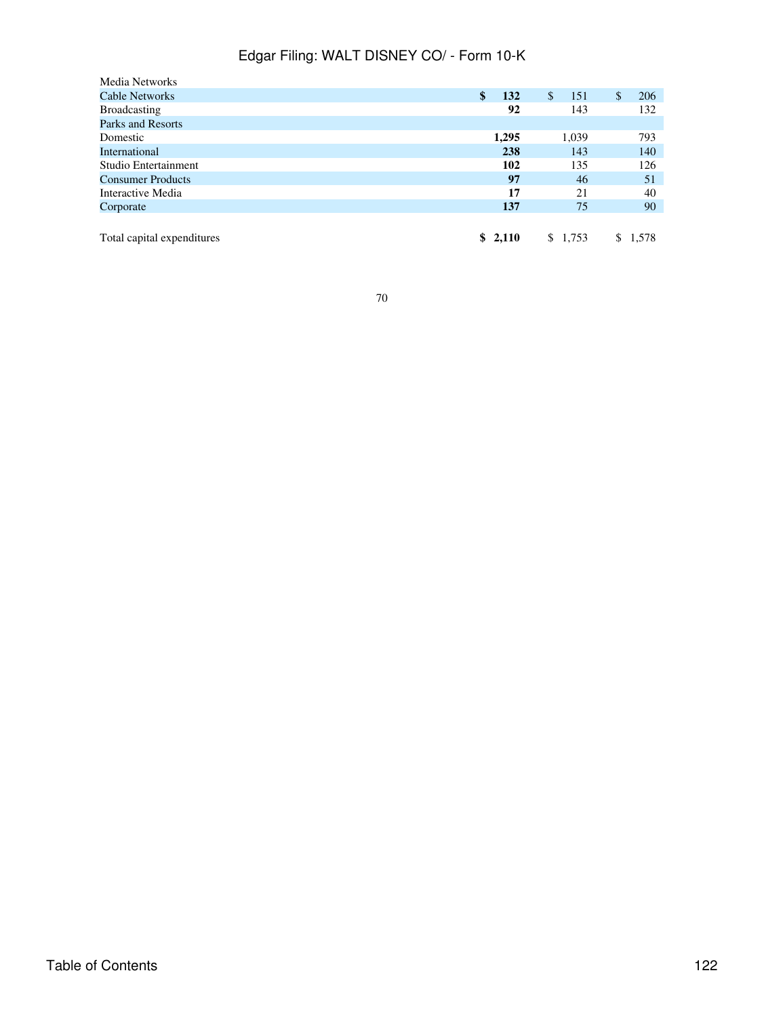| Media Networks             |           |           |               |       |
|----------------------------|-----------|-----------|---------------|-------|
| Cable Networks             | \$<br>132 | \$<br>151 | <sup>\$</sup> | 206   |
| <b>Broadcasting</b>        | 92        | 143       |               | 132   |
| Parks and Resorts          |           |           |               |       |
| Domestic                   | 1,295     | 1,039     |               | 793   |
| <b>International</b>       | 238       | 143       |               | 140   |
| Studio Entertainment       | 102       | 135       |               | 126   |
| <b>Consumer Products</b>   | 97        | 46        |               | 51    |
| Interactive Media          | 17        | 21        |               | 40    |
| Corporate                  | 137       | 75        |               | 90    |
|                            |           |           |               |       |
| Total capital expenditures | \$2,110   | \$ 1.753  | S.            | 1,578 |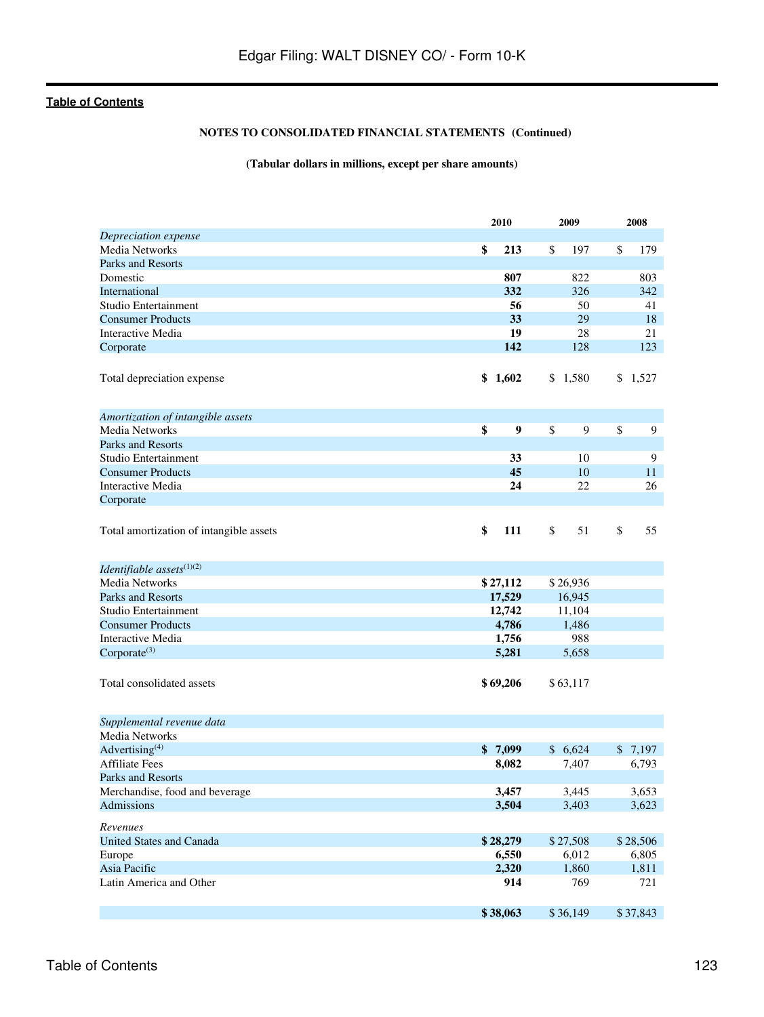## **NOTES TO CONSOLIDATED FINANCIAL STATEMENTS (Continued)**

## **(Tabular dollars in millions, except per share amounts)**

|                                         | 2010      | 2009      | 2008      |
|-----------------------------------------|-----------|-----------|-----------|
| Depreciation expense                    |           |           |           |
| Media Networks                          | \$<br>213 | \$<br>197 | \$<br>179 |
| Parks and Resorts                       |           |           |           |
| Domestic                                | 807       | 822       | 803       |
| International                           | 332       | 326       | 342       |
| Studio Entertainment                    | 56        | 50        | 41        |
| <b>Consumer Products</b>                | 33        | 29        | 18        |
| Interactive Media                       | 19        | 28        | 21        |
| Corporate                               | 142       | 128       | 123       |
| Total depreciation expense              | \$1,602   | \$1,580   | \$1,527   |
| Amortization of intangible assets       |           |           |           |
| Media Networks                          | \$<br>9   | \$<br>9   | \$<br>9   |
| Parks and Resorts                       |           |           |           |
| Studio Entertainment                    | 33        | 10        | 9         |
| <b>Consumer Products</b>                | 45        | 10        | 11        |
| Interactive Media                       | 24        | 22        | 26        |
| Corporate                               |           |           |           |
| Total amortization of intangible assets | \$<br>111 | \$<br>51  | \$<br>55  |
| Identifiable $assets^{(1)(2)}$          |           |           |           |
| Media Networks                          | \$27,112  | \$26,936  |           |
| Parks and Resorts                       | 17,529    | 16,945    |           |
| Studio Entertainment                    | 12,742    | 11,104    |           |
| <b>Consumer Products</b>                | 4,786     | 1,486     |           |
| Interactive Media                       | 1,756     | 988       |           |
| Corporate <sup>(3)</sup>                | 5,281     | 5,658     |           |
| Total consolidated assets               | \$69,206  | \$63,117  |           |
| Supplemental revenue data               |           |           |           |
| <b>Media Networks</b>                   |           |           |           |
| Advertising <sup>(4)</sup>              | \$7,099   | \$6,624   | \$7,197   |
| <b>Affiliate Fees</b>                   | 8,082     | 7,407     | 6,793     |
| Parks and Resorts                       |           |           |           |
| Merchandise, food and beverage          | 3,457     | 3,445     | 3,653     |
| <b>Admissions</b>                       | 3,504     | 3,403     | 3,623     |
|                                         |           |           |           |
| Revenues                                |           |           |           |
| <b>United States and Canada</b>         | \$28,279  | \$27,508  | \$28,506  |
| Europe                                  | 6,550     | 6,012     | 6,805     |
| Asia Pacific                            | 2,320     | 1,860     | 1,811     |
| Latin America and Other                 | 914       | 769       | 721       |
|                                         | \$38,063  | \$36,149  | \$37,843  |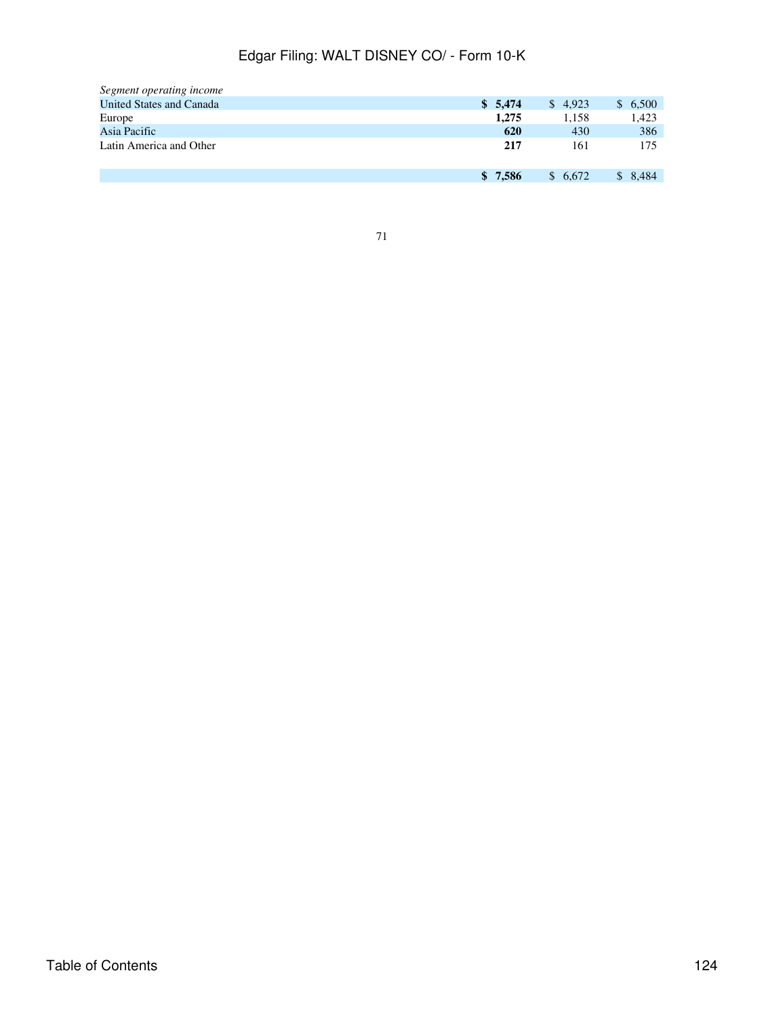| Segment operating income |         |         |         |
|--------------------------|---------|---------|---------|
| United States and Canada | \$5,474 | \$4,923 | \$6,500 |
| Europe                   | 1.275   | 1.158   | 1.423   |
| Asia Pacific             | 620     | 430     | 386     |
| Latin America and Other  | 217     | 161     | 175     |
|                          |         |         |         |
|                          | \$7.586 | \$6.672 | \$8.484 |

| ۰. |  |
|----|--|
|    |  |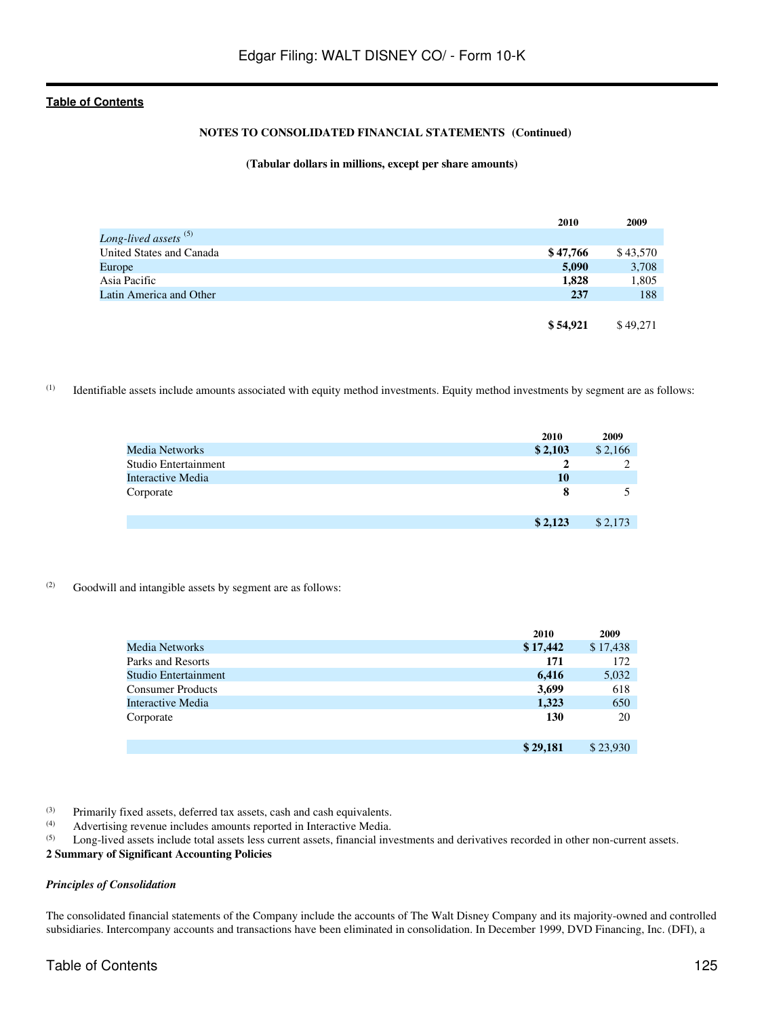## **NOTES TO CONSOLIDATED FINANCIAL STATEMENTS** (Continued)

#### **(Tabular dollars in millions, except per share amounts)**

|                          | 2010     | 2009     |
|--------------------------|----------|----------|
| Long-lived assets $(5)$  |          |          |
| United States and Canada | \$47,766 | \$43,570 |
| Europe                   | 5,090    | 3,708    |
| Asia Pacific             | 1,828    | 1,805    |
| Latin America and Other  | 237      | 188      |
|                          |          |          |
|                          | \$54,921 | \$49,271 |

(1) Identifiable assets include amounts associated with equity method investments. Equity method investments by segment are as follows:

|                      | 2010    | 2009    |
|----------------------|---------|---------|
| Media Networks       | \$2,103 | \$2,166 |
| Studio Entertainment |         |         |
| Interactive Media    | 10      |         |
| Corporate            | 8       |         |
|                      |         |         |
|                      | \$2,123 | \$2,173 |

## (2) Goodwill and intangible assets by segment are as follows:

|                          | 2010     | 2009     |
|--------------------------|----------|----------|
| Media Networks           | \$17,442 | \$17,438 |
| Parks and Resorts        | 171      | 172      |
| Studio Entertainment     | 6,416    | 5,032    |
| <b>Consumer Products</b> | 3,699    | 618      |
| Interactive Media        | 1,323    | 650      |
| Corporate                | 130      | 20       |
|                          |          |          |
|                          | \$29,181 | \$23,930 |

(3) Primarily fixed assets, deferred tax assets, cash and cash equivalents.<br>Advertising revenue includes amounts reported in Interactive Media

 $(4)$  Advertising revenue includes amounts reported in Interactive Media.<br>  $(5)$  I ong-lived assets include total assets less current assets financial inv

Long-lived assets include total assets less current assets, financial investments and derivatives recorded in other non-current assets.

#### **2 Summary of Significant Accounting Policies**

#### *Principles of Consolidation*

The consolidated financial statements of the Company include the accounts of The Walt Disney Company and its majority-owned and controlled subsidiaries. Intercompany accounts and transactions have been eliminated in consolidation. In December 1999, DVD Financing, Inc. (DFI), a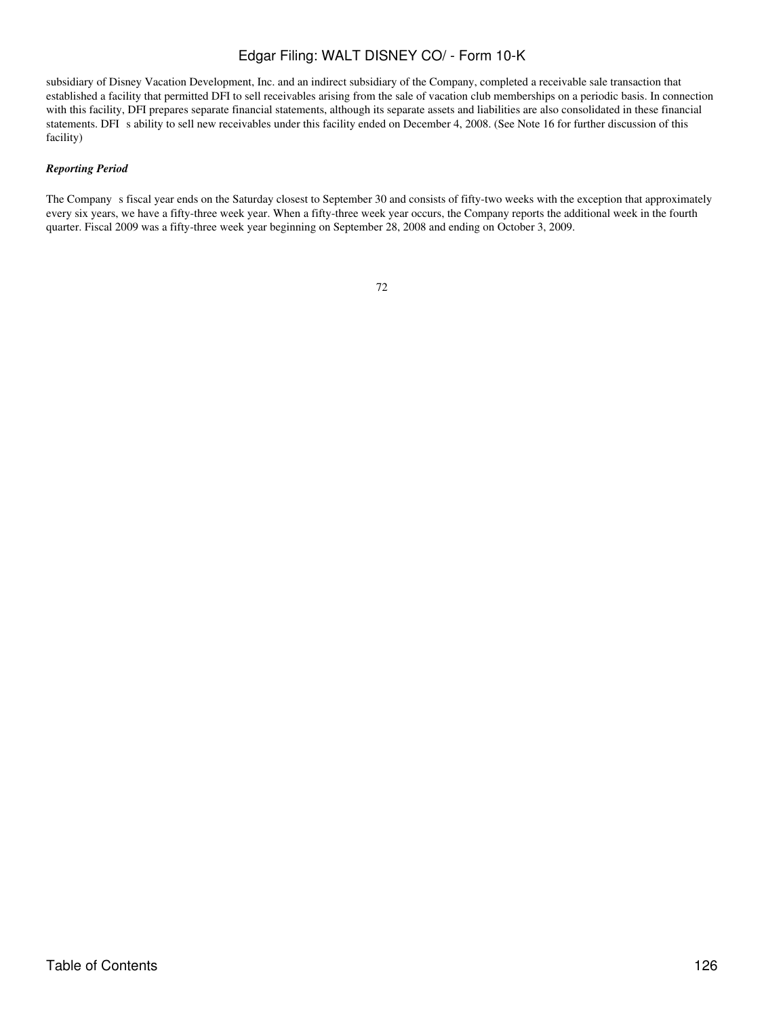subsidiary of Disney Vacation Development, Inc. and an indirect subsidiary of the Company, completed a receivable sale transaction that established a facility that permitted DFI to sell receivables arising from the sale of vacation club memberships on a periodic basis. In connection with this facility, DFI prepares separate financial statements, although its separate assets and liabilities are also consolidated in these financial statements. DFI s ability to sell new receivables under this facility ended on December 4, 2008. (See Note 16 for further discussion of this facility)

## *Reporting Period*

The Company s fiscal year ends on the Saturday closest to September 30 and consists of fifty-two weeks with the exception that approximately every six years, we have a fifty-three week year. When a fifty-three week year occurs, the Company reports the additional week in the fourth quarter. Fiscal 2009 was a fifty-three week year beginning on September 28, 2008 and ending on October 3, 2009.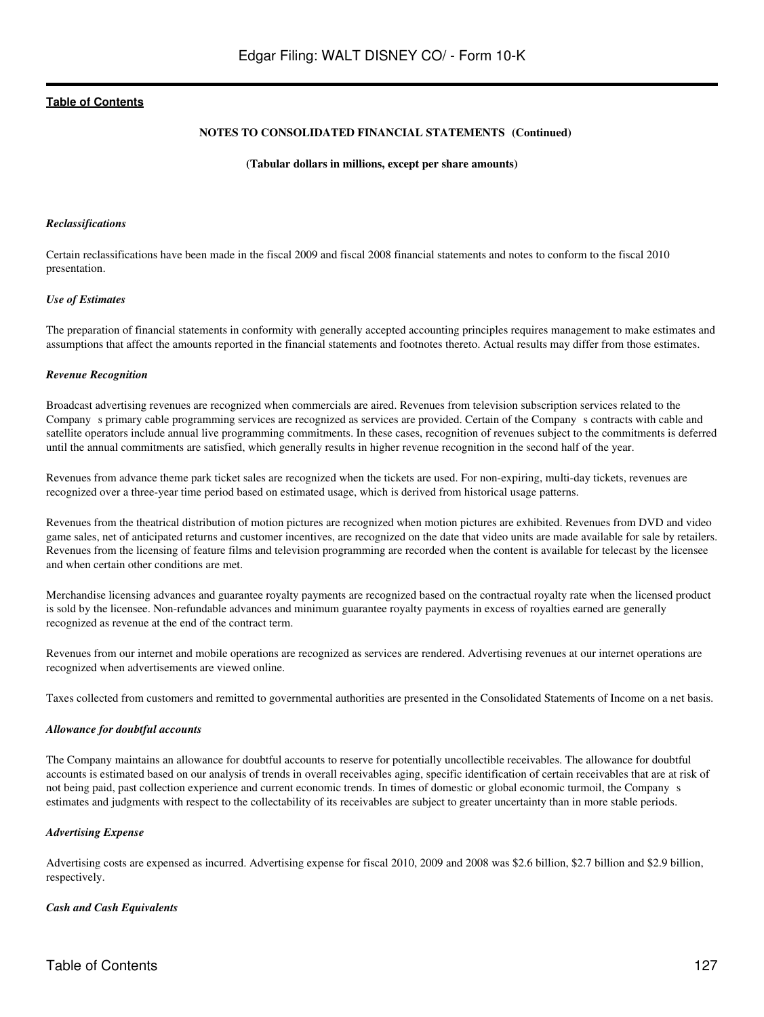## **NOTES TO CONSOLIDATED FINANCIAL STATEMENTS (Continued)**

#### **(Tabular dollars in millions, except per share amounts)**

#### *Reclassifications*

Certain reclassifications have been made in the fiscal 2009 and fiscal 2008 financial statements and notes to conform to the fiscal 2010 presentation.

#### *Use of Estimates*

The preparation of financial statements in conformity with generally accepted accounting principles requires management to make estimates and assumptions that affect the amounts reported in the financial statements and footnotes thereto. Actual results may differ from those estimates.

#### *Revenue Recognition*

Broadcast advertising revenues are recognized when commercials are aired. Revenues from television subscription services related to the Companys primary cable programming services are recognized as services are provided. Certain of the Companys contracts with cable and satellite operators include annual live programming commitments. In these cases, recognition of revenues subject to the commitments is deferred until the annual commitments are satisfied, which generally results in higher revenue recognition in the second half of the year.

Revenues from advance theme park ticket sales are recognized when the tickets are used. For non-expiring, multi-day tickets, revenues are recognized over a three-year time period based on estimated usage, which is derived from historical usage patterns.

Revenues from the theatrical distribution of motion pictures are recognized when motion pictures are exhibited. Revenues from DVD and video game sales, net of anticipated returns and customer incentives, are recognized on the date that video units are made available for sale by retailers. Revenues from the licensing of feature films and television programming are recorded when the content is available for telecast by the licensee and when certain other conditions are met.

Merchandise licensing advances and guarantee royalty payments are recognized based on the contractual royalty rate when the licensed product is sold by the licensee. Non-refundable advances and minimum guarantee royalty payments in excess of royalties earned are generally recognized as revenue at the end of the contract term.

Revenues from our internet and mobile operations are recognized as services are rendered. Advertising revenues at our internet operations are recognized when advertisements are viewed online.

Taxes collected from customers and remitted to governmental authorities are presented in the Consolidated Statements of Income on a net basis.

#### *Allowance for doubtful accounts*

The Company maintains an allowance for doubtful accounts to reserve for potentially uncollectible receivables. The allowance for doubtful accounts is estimated based on our analysis of trends in overall receivables aging, specific identification of certain receivables that are at risk of not being paid, past collection experience and current economic trends. In times of domestic or global economic turmoil, the Companys estimates and judgments with respect to the collectability of its receivables are subject to greater uncertainty than in more stable periods.

## *Advertising Expense*

Advertising costs are expensed as incurred. Advertising expense for fiscal 2010, 2009 and 2008 was \$2.6 billion, \$2.7 billion and \$2.9 billion, respectively.

## *Cash and Cash Equivalents*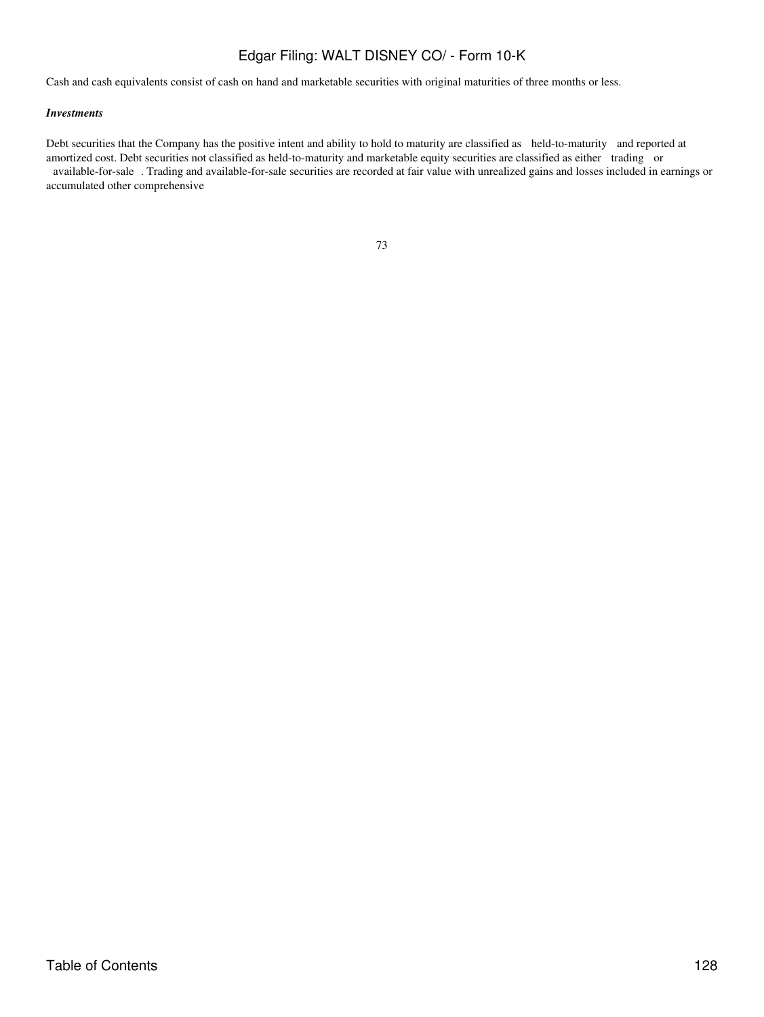Cash and cash equivalents consist of cash on hand and marketable securities with original maturities of three months or less.

#### *Investments*

Debt securities that the Company has the positive intent and ability to hold to maturity are classified as held-to-maturity and reported at amortized cost. Debt securities not classified as held-to-maturity and marketable equity securities are classified as either trading or available-for-sale. Trading and available-for-sale securities are recorded at fair value with unrealized gains and losses included in earnings or accumulated other comprehensive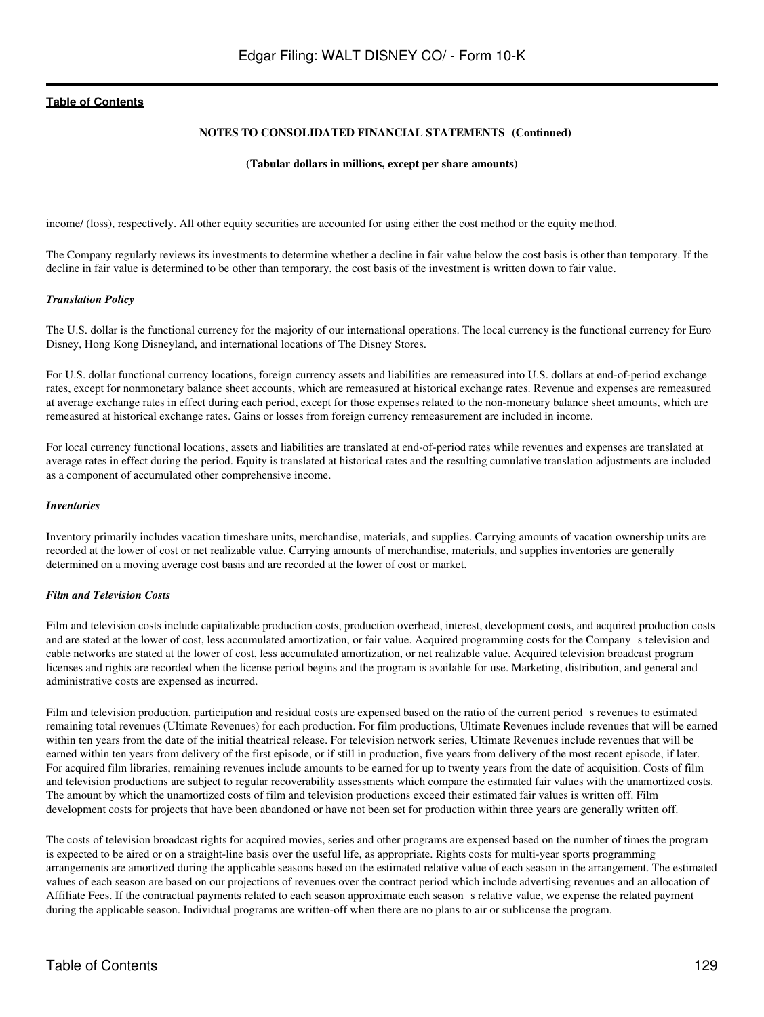## **NOTES TO CONSOLIDATED FINANCIAL STATEMENTS (Continued)**

#### **(Tabular dollars in millions, except per share amounts)**

income/ (loss), respectively. All other equity securities are accounted for using either the cost method or the equity method.

The Company regularly reviews its investments to determine whether a decline in fair value below the cost basis is other than temporary. If the decline in fair value is determined to be other than temporary, the cost basis of the investment is written down to fair value.

#### *Translation Policy*

The U.S. dollar is the functional currency for the majority of our international operations. The local currency is the functional currency for Euro Disney, Hong Kong Disneyland, and international locations of The Disney Stores.

For U.S. dollar functional currency locations, foreign currency assets and liabilities are remeasured into U.S. dollars at end-of-period exchange rates, except for nonmonetary balance sheet accounts, which are remeasured at historical exchange rates. Revenue and expenses are remeasured at average exchange rates in effect during each period, except for those expenses related to the non-monetary balance sheet amounts, which are remeasured at historical exchange rates. Gains or losses from foreign currency remeasurement are included in income.

For local currency functional locations, assets and liabilities are translated at end-of-period rates while revenues and expenses are translated at average rates in effect during the period. Equity is translated at historical rates and the resulting cumulative translation adjustments are included as a component of accumulated other comprehensive income.

#### *Inventories*

Inventory primarily includes vacation timeshare units, merchandise, materials, and supplies. Carrying amounts of vacation ownership units are recorded at the lower of cost or net realizable value. Carrying amounts of merchandise, materials, and supplies inventories are generally determined on a moving average cost basis and are recorded at the lower of cost or market.

#### *Film and Television Costs*

Film and television costs include capitalizable production costs, production overhead, interest, development costs, and acquired production costs and are stated at the lower of cost, less accumulated amortization, or fair value. Acquired programming costs for the Company s television and cable networks are stated at the lower of cost, less accumulated amortization, or net realizable value. Acquired television broadcast program licenses and rights are recorded when the license period begins and the program is available for use. Marketing, distribution, and general and administrative costs are expensed as incurred.

Film and television production, participation and residual costs are expensed based on the ratio of the current period s revenues to estimated remaining total revenues (Ultimate Revenues) for each production. For film productions, Ultimate Revenues include revenues that will be earned within ten years from the date of the initial theatrical release. For television network series, Ultimate Revenues include revenues that will be earned within ten years from delivery of the first episode, or if still in production, five years from delivery of the most recent episode, if later. For acquired film libraries, remaining revenues include amounts to be earned for up to twenty years from the date of acquisition. Costs of film and television productions are subject to regular recoverability assessments which compare the estimated fair values with the unamortized costs. The amount by which the unamortized costs of film and television productions exceed their estimated fair values is written off. Film development costs for projects that have been abandoned or have not been set for production within three years are generally written off.

The costs of television broadcast rights for acquired movies, series and other programs are expensed based on the number of times the program is expected to be aired or on a straight-line basis over the useful life, as appropriate. Rights costs for multi-year sports programming arrangements are amortized during the applicable seasons based on the estimated relative value of each season in the arrangement. The estimated values of each season are based on our projections of revenues over the contract period which include advertising revenues and an allocation of Affiliate Fees. If the contractual payments related to each season approximate each season s relative value, we expense the related payment during the applicable season. Individual programs are written-off when there are no plans to air or sublicense the program.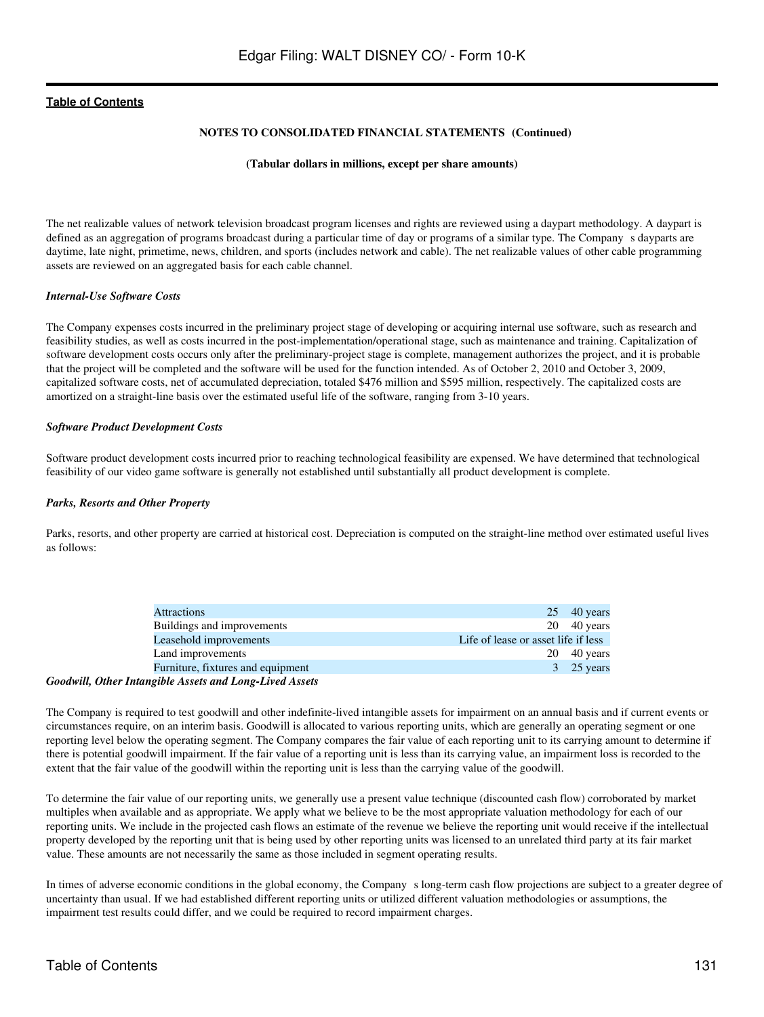## **NOTES TO CONSOLIDATED FINANCIAL STATEMENTS (Continued)**

#### **(Tabular dollars in millions, except per share amounts)**

The net realizable values of network television broadcast program licenses and rights are reviewed using a daypart methodology. A daypart is defined as an aggregation of programs broadcast during a particular time of day or programs of a similar type. The Company s dayparts are daytime, late night, primetime, news, children, and sports (includes network and cable). The net realizable values of other cable programming assets are reviewed on an aggregated basis for each cable channel.

#### *Internal-Use Software Costs*

The Company expenses costs incurred in the preliminary project stage of developing or acquiring internal use software, such as research and feasibility studies, as well as costs incurred in the post-implementation/operational stage, such as maintenance and training. Capitalization of software development costs occurs only after the preliminary-project stage is complete, management authorizes the project, and it is probable that the project will be completed and the software will be used for the function intended. As of October 2, 2010 and October 3, 2009, capitalized software costs, net of accumulated depreciation, totaled \$476 million and \$595 million, respectively. The capitalized costs are amortized on a straight-line basis over the estimated useful life of the software, ranging from 3-10 years.

#### *Software Product Development Costs*

Software product development costs incurred prior to reaching technological feasibility are expensed. We have determined that technological feasibility of our video game software is generally not established until substantially all product development is complete.

#### *Parks, Resorts and Other Property*

Parks, resorts, and other property are carried at historical cost. Depreciation is computed on the straight-line method over estimated useful lives as follows:

| <b>Attractions</b>                    |                                     | $25$ 40 years      |
|---------------------------------------|-------------------------------------|--------------------|
| Buildings and improvements            |                                     | $20\quad 40$ years |
| Leasehold improvements                | Life of lease or asset life if less |                    |
| Land improvements                     |                                     | $20\quad 40$ years |
| Furniture, fixtures and equipment     |                                     | 3 25 years         |
| tangible Assats and Long Lined Assats |                                     |                    |

## *Goodwill, Other Intangible Assets and Long-Lived Assets*

The Company is required to test goodwill and other indefinite-lived intangible assets for impairment on an annual basis and if current events or circumstances require, on an interim basis. Goodwill is allocated to various reporting units, which are generally an operating segment or one reporting level below the operating segment. The Company compares the fair value of each reporting unit to its carrying amount to determine if there is potential goodwill impairment. If the fair value of a reporting unit is less than its carrying value, an impairment loss is recorded to the extent that the fair value of the goodwill within the reporting unit is less than the carrying value of the goodwill.

To determine the fair value of our reporting units, we generally use a present value technique (discounted cash flow) corroborated by market multiples when available and as appropriate. We apply what we believe to be the most appropriate valuation methodology for each of our reporting units. We include in the projected cash flows an estimate of the revenue we believe the reporting unit would receive if the intellectual property developed by the reporting unit that is being used by other reporting units was licensed to an unrelated third party at its fair market value. These amounts are not necessarily the same as those included in segment operating results.

In times of adverse economic conditions in the global economy, the Company s long-term cash flow projections are subject to a greater degree of uncertainty than usual. If we had established different reporting units or utilized different valuation methodologies or assumptions, the impairment test results could differ, and we could be required to record impairment charges.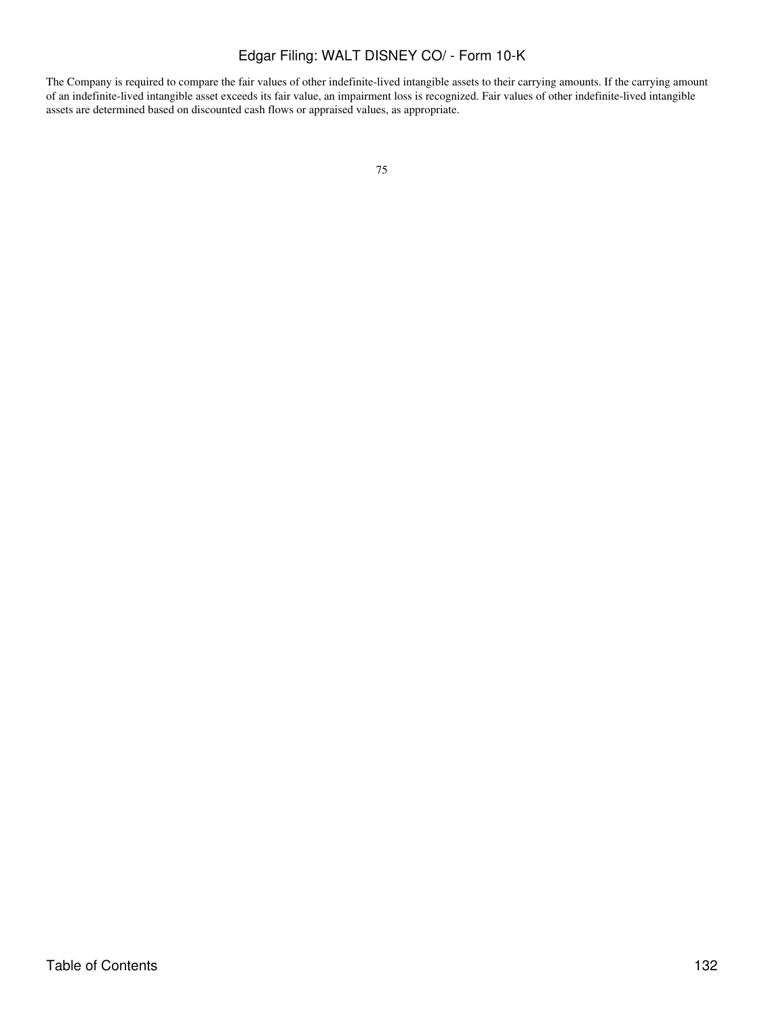The Company is required to compare the fair values of other indefinite-lived intangible assets to their carrying amounts. If the carrying amount of an indefinite-lived intangible asset exceeds its fair value, an impairment loss is recognized. Fair values of other indefinite-lived intangible assets are determined based on discounted cash flows or appraised values, as appropriate.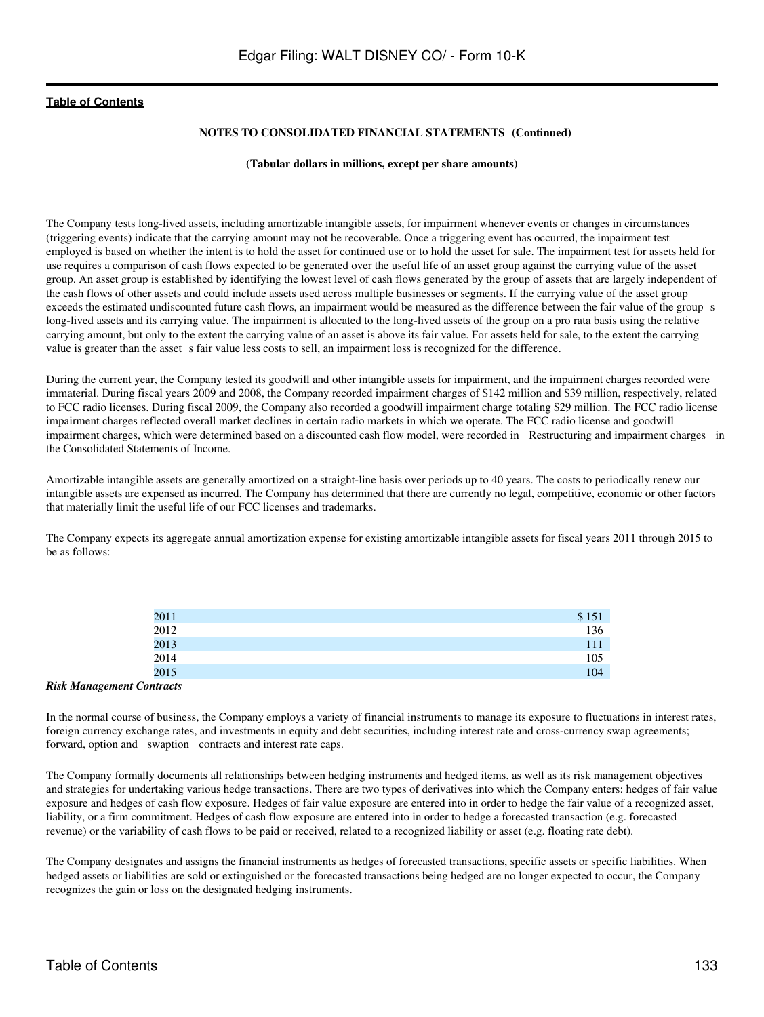## **NOTES TO CONSOLIDATED FINANCIAL STATEMENTS (Continued)**

#### **(Tabular dollars in millions, except per share amounts)**

The Company tests long-lived assets, including amortizable intangible assets, for impairment whenever events or changes in circumstances (triggering events) indicate that the carrying amount may not be recoverable. Once a triggering event has occurred, the impairment test employed is based on whether the intent is to hold the asset for continued use or to hold the asset for sale. The impairment test for assets held for use requires a comparison of cash flows expected to be generated over the useful life of an asset group against the carrying value of the asset group. An asset group is established by identifying the lowest level of cash flows generated by the group of assets that are largely independent of the cash flows of other assets and could include assets used across multiple businesses or segments. If the carrying value of the asset group exceeds the estimated undiscounted future cash flows, an impairment would be measured as the difference between the fair value of the group s long-lived assets and its carrying value. The impairment is allocated to the long-lived assets of the group on a pro rata basis using the relative carrying amount, but only to the extent the carrying value of an asset is above its fair value. For assets held for sale, to the extent the carrying value is greater than the asset s fair value less costs to sell, an impairment loss is recognized for the difference.

During the current year, the Company tested its goodwill and other intangible assets for impairment, and the impairment charges recorded were immaterial. During fiscal years 2009 and 2008, the Company recorded impairment charges of \$142 million and \$39 million, respectively, related to FCC radio licenses. During fiscal 2009, the Company also recorded a goodwill impairment charge totaling \$29 million. The FCC radio license impairment charges reflected overall market declines in certain radio markets in which we operate. The FCC radio license and goodwill impairment charges, which were determined based on a discounted cash flow model, were recorded in Restructuring and impairment charges in the Consolidated Statements of Income.

Amortizable intangible assets are generally amortized on a straight-line basis over periods up to 40 years. The costs to periodically renew our intangible assets are expensed as incurred. The Company has determined that there are currently no legal, competitive, economic or other factors that materially limit the useful life of our FCC licenses and trademarks.

The Company expects its aggregate annual amortization expense for existing amortizable intangible assets for fiscal years 2011 through 2015 to be as follows:

| 2011              | \$151 |
|-------------------|-------|
| 2012              | 136   |
| 2013              | 111   |
| 2014              | 105   |
| 2015              | 104   |
| $\sigma$ ontuanta |       |

#### *Risk Management Contracts*

In the normal course of business, the Company employs a variety of financial instruments to manage its exposure to fluctuations in interest rates, foreign currency exchange rates, and investments in equity and debt securities, including interest rate and cross-currency swap agreements; forward, option and swaption contracts and interest rate caps.

The Company formally documents all relationships between hedging instruments and hedged items, as well as its risk management objectives and strategies for undertaking various hedge transactions. There are two types of derivatives into which the Company enters: hedges of fair value exposure and hedges of cash flow exposure. Hedges of fair value exposure are entered into in order to hedge the fair value of a recognized asset, liability, or a firm commitment. Hedges of cash flow exposure are entered into in order to hedge a forecasted transaction (e.g. forecasted revenue) or the variability of cash flows to be paid or received, related to a recognized liability or asset (e.g. floating rate debt).

The Company designates and assigns the financial instruments as hedges of forecasted transactions, specific assets or specific liabilities. When hedged assets or liabilities are sold or extinguished or the forecasted transactions being hedged are no longer expected to occur, the Company recognizes the gain or loss on the designated hedging instruments.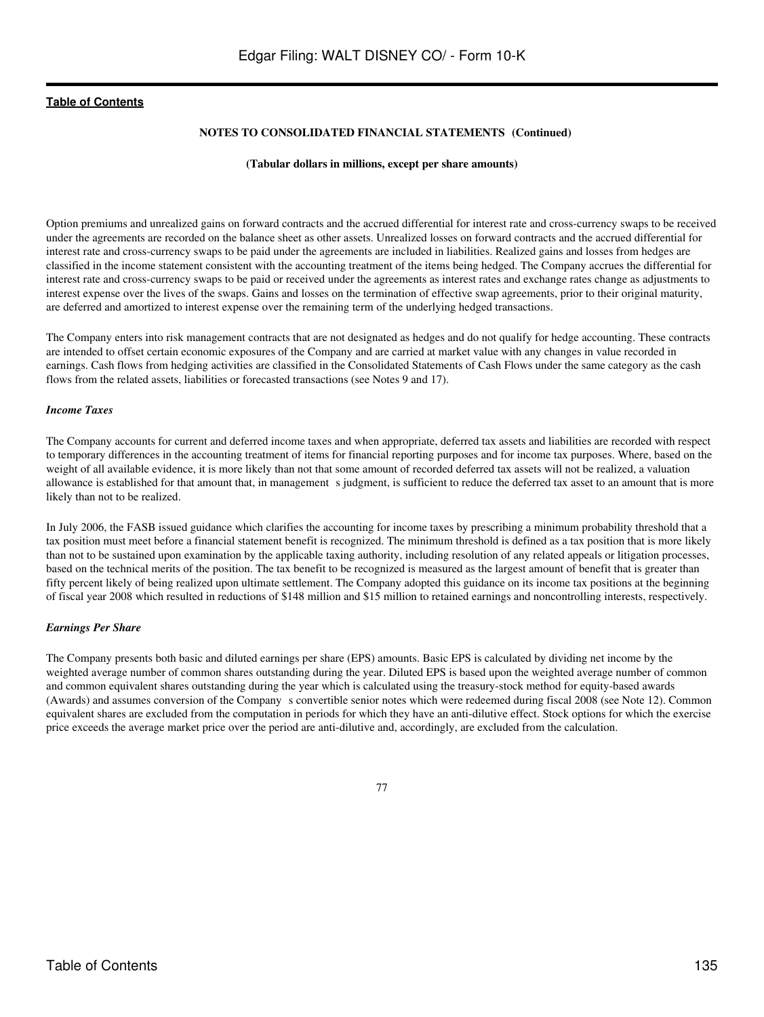## **NOTES TO CONSOLIDATED FINANCIAL STATEMENTS (Continued)**

#### **(Tabular dollars in millions, except per share amounts)**

Option premiums and unrealized gains on forward contracts and the accrued differential for interest rate and cross-currency swaps to be received under the agreements are recorded on the balance sheet as other assets. Unrealized losses on forward contracts and the accrued differential for interest rate and cross-currency swaps to be paid under the agreements are included in liabilities. Realized gains and losses from hedges are classified in the income statement consistent with the accounting treatment of the items being hedged. The Company accrues the differential for interest rate and cross-currency swaps to be paid or received under the agreements as interest rates and exchange rates change as adjustments to interest expense over the lives of the swaps. Gains and losses on the termination of effective swap agreements, prior to their original maturity, are deferred and amortized to interest expense over the remaining term of the underlying hedged transactions.

The Company enters into risk management contracts that are not designated as hedges and do not qualify for hedge accounting. These contracts are intended to offset certain economic exposures of the Company and are carried at market value with any changes in value recorded in earnings. Cash flows from hedging activities are classified in the Consolidated Statements of Cash Flows under the same category as the cash flows from the related assets, liabilities or forecasted transactions (see Notes 9 and 17).

#### *Income Taxes*

The Company accounts for current and deferred income taxes and when appropriate, deferred tax assets and liabilities are recorded with respect to temporary differences in the accounting treatment of items for financial reporting purposes and for income tax purposes. Where, based on the weight of all available evidence, it is more likely than not that some amount of recorded deferred tax assets will not be realized, a valuation allowance is established for that amount that, in management s judgment, is sufficient to reduce the deferred tax asset to an amount that is more likely than not to be realized.

In July 2006, the FASB issued guidance which clarifies the accounting for income taxes by prescribing a minimum probability threshold that a tax position must meet before a financial statement benefit is recognized. The minimum threshold is defined as a tax position that is more likely than not to be sustained upon examination by the applicable taxing authority, including resolution of any related appeals or litigation processes, based on the technical merits of the position. The tax benefit to be recognized is measured as the largest amount of benefit that is greater than fifty percent likely of being realized upon ultimate settlement. The Company adopted this guidance on its income tax positions at the beginning of fiscal year 2008 which resulted in reductions of \$148 million and \$15 million to retained earnings and noncontrolling interests, respectively.

## *Earnings Per Share*

The Company presents both basic and diluted earnings per share (EPS) amounts. Basic EPS is calculated by dividing net income by the weighted average number of common shares outstanding during the year. Diluted EPS is based upon the weighted average number of common and common equivalent shares outstanding during the year which is calculated using the treasury-stock method for equity-based awards (Awards) and assumes conversion of the Company s convertible senior notes which were redeemed during fiscal 2008 (see Note 12). Common equivalent shares are excluded from the computation in periods for which they have an anti-dilutive effect. Stock options for which the exercise price exceeds the average market price over the period are anti-dilutive and, accordingly, are excluded from the calculation.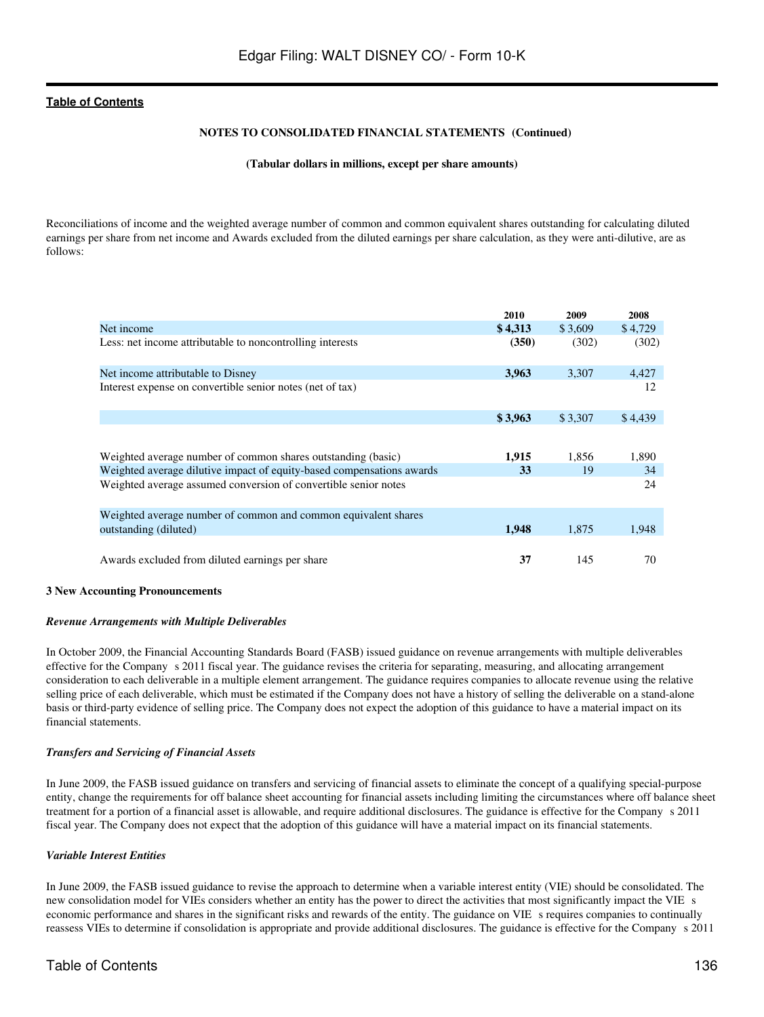## **NOTES TO CONSOLIDATED FINANCIAL STATEMENTS (Continued)**

#### **(Tabular dollars in millions, except per share amounts)**

Reconciliations of income and the weighted average number of common and common equivalent shares outstanding for calculating diluted earnings per share from net income and Awards excluded from the diluted earnings per share calculation, as they were anti-dilutive, are as follows:

|                                                                                         | 2010    | 2009    | 2008    |
|-----------------------------------------------------------------------------------------|---------|---------|---------|
| Net income                                                                              | \$4,313 | \$3,609 | \$4,729 |
| Less: net income attributable to noncontrolling interests                               | (350)   | (302)   | (302)   |
| Net income attributable to Disney                                                       | 3,963   | 3,307   | 4,427   |
| Interest expense on convertible senior notes (net of tax)                               |         |         | 12      |
|                                                                                         | \$3,963 | \$3,307 | \$4,439 |
| Weighted average number of common shares outstanding (basic)                            | 1,915   | 1,856   | 1,890   |
| Weighted average dilutive impact of equity-based compensations awards                   | 33      | 19      | 34      |
| Weighted average assumed conversion of convertible senior notes                         |         |         | 24      |
| Weighted average number of common and common equivalent shares<br>outstanding (diluted) | 1.948   | 1.875   | 1,948   |
| Awards excluded from diluted earnings per share                                         | 37      | 145     | 70      |

#### **3 New Accounting Pronouncements**

#### *Revenue Arrangements with Multiple Deliverables*

In October 2009, the Financial Accounting Standards Board (FASB) issued guidance on revenue arrangements with multiple deliverables effective for the Companys 2011 fiscal year. The guidance revises the criteria for separating, measuring, and allocating arrangement consideration to each deliverable in a multiple element arrangement. The guidance requires companies to allocate revenue using the relative selling price of each deliverable, which must be estimated if the Company does not have a history of selling the deliverable on a stand-alone basis or third-party evidence of selling price. The Company does not expect the adoption of this guidance to have a material impact on its financial statements.

## *Transfers and Servicing of Financial Assets*

In June 2009, the FASB issued guidance on transfers and servicing of financial assets to eliminate the concept of a qualifying special-purpose entity, change the requirements for off balance sheet accounting for financial assets including limiting the circumstances where off balance sheet treatment for a portion of a financial asset is allowable, and require additional disclosures. The guidance is effective for the Companys 2011 fiscal year. The Company does not expect that the adoption of this guidance will have a material impact on its financial statements.

#### *Variable Interest Entities*

In June 2009, the FASB issued guidance to revise the approach to determine when a variable interest entity (VIE) should be consolidated. The new consolidation model for VIEs considers whether an entity has the power to direct the activities that most significantly impact the VIEs economic performance and shares in the significant risks and rewards of the entity. The guidance on VIE s requires companies to continually reassess VIEs to determine if consolidation is appropriate and provide additional disclosures. The guidance is effective for the Companys 2011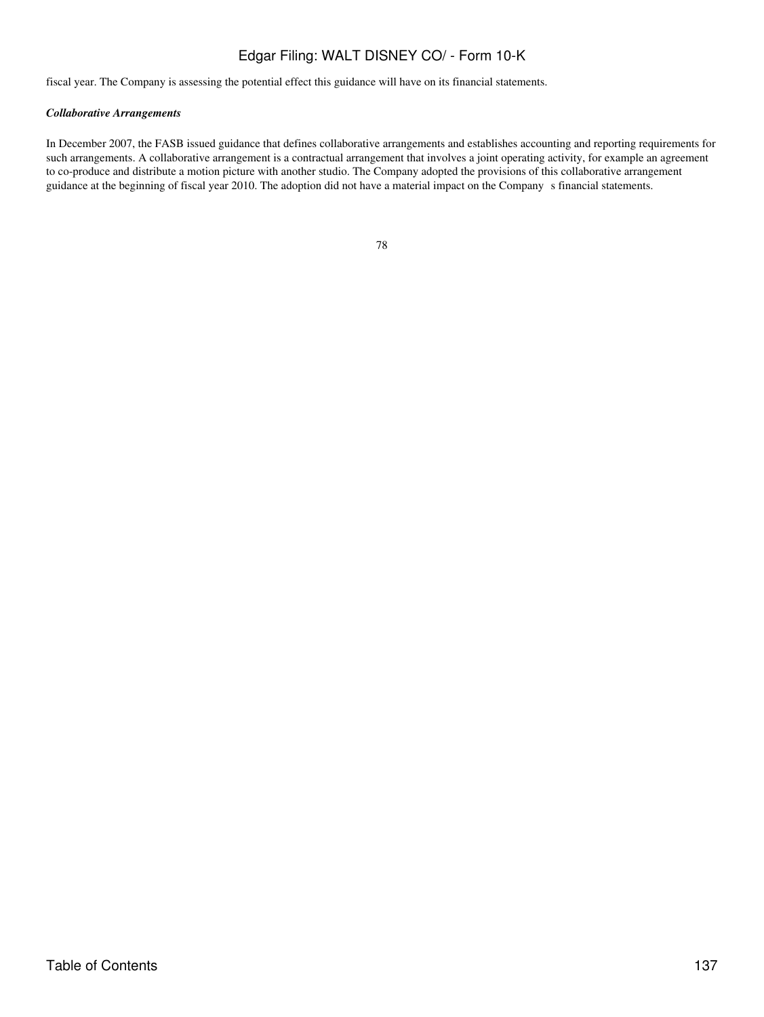fiscal year. The Company is assessing the potential effect this guidance will have on its financial statements.

## *Collaborative Arrangements*

In December 2007, the FASB issued guidance that defines collaborative arrangements and establishes accounting and reporting requirements for such arrangements. A collaborative arrangement is a contractual arrangement that involves a joint operating activity, for example an agreement to co-produce and distribute a motion picture with another studio. The Company adopted the provisions of this collaborative arrangement guidance at the beginning of fiscal year 2010. The adoption did not have a material impact on the Companys financial statements.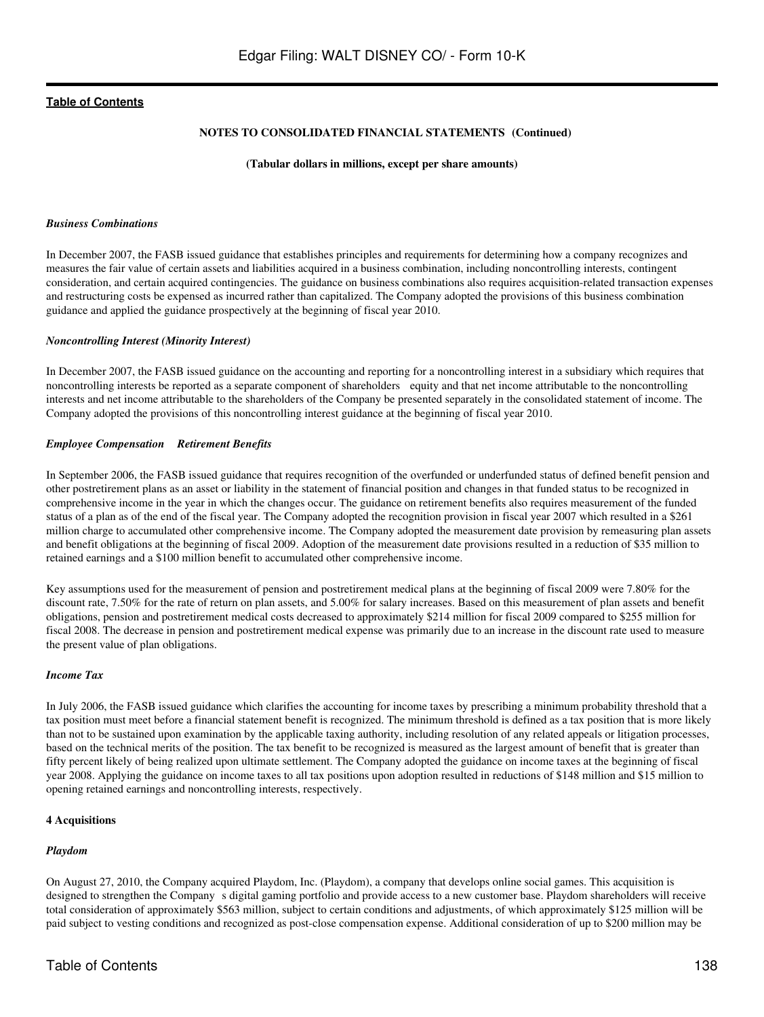## **NOTES TO CONSOLIDATED FINANCIAL STATEMENTS (Continued)**

#### **(Tabular dollars in millions, except per share amounts)**

#### *Business Combinations*

In December 2007, the FASB issued guidance that establishes principles and requirements for determining how a company recognizes and measures the fair value of certain assets and liabilities acquired in a business combination, including noncontrolling interests, contingent consideration, and certain acquired contingencies. The guidance on business combinations also requires acquisition-related transaction expenses and restructuring costs be expensed as incurred rather than capitalized. The Company adopted the provisions of this business combination guidance and applied the guidance prospectively at the beginning of fiscal year 2010.

#### *Noncontrolling Interest (Minority Interest)*

In December 2007, the FASB issued guidance on the accounting and reporting for a noncontrolling interest in a subsidiary which requires that noncontrolling interests be reported as a separate component of shareholders equity and that net income attributable to the noncontrolling interests and net income attributable to the shareholders of the Company be presented separately in the consolidated statement of income. The Company adopted the provisions of this noncontrolling interest guidance at the beginning of fiscal year 2010.

#### *Employee Compensation Retirement Benefits*

In September 2006, the FASB issued guidance that requires recognition of the overfunded or underfunded status of defined benefit pension and other postretirement plans as an asset or liability in the statement of financial position and changes in that funded status to be recognized in comprehensive income in the year in which the changes occur. The guidance on retirement benefits also requires measurement of the funded status of a plan as of the end of the fiscal year. The Company adopted the recognition provision in fiscal year 2007 which resulted in a \$261 million charge to accumulated other comprehensive income. The Company adopted the measurement date provision by remeasuring plan assets and benefit obligations at the beginning of fiscal 2009. Adoption of the measurement date provisions resulted in a reduction of \$35 million to retained earnings and a \$100 million benefit to accumulated other comprehensive income.

Key assumptions used for the measurement of pension and postretirement medical plans at the beginning of fiscal 2009 were 7.80% for the discount rate, 7.50% for the rate of return on plan assets, and 5.00% for salary increases. Based on this measurement of plan assets and benefit obligations, pension and postretirement medical costs decreased to approximately \$214 million for fiscal 2009 compared to \$255 million for fiscal 2008. The decrease in pension and postretirement medical expense was primarily due to an increase in the discount rate used to measure the present value of plan obligations.

#### *Income Tax*

In July 2006, the FASB issued guidance which clarifies the accounting for income taxes by prescribing a minimum probability threshold that a tax position must meet before a financial statement benefit is recognized. The minimum threshold is defined as a tax position that is more likely than not to be sustained upon examination by the applicable taxing authority, including resolution of any related appeals or litigation processes, based on the technical merits of the position. The tax benefit to be recognized is measured as the largest amount of benefit that is greater than fifty percent likely of being realized upon ultimate settlement. The Company adopted the guidance on income taxes at the beginning of fiscal year 2008. Applying the guidance on income taxes to all tax positions upon adoption resulted in reductions of \$148 million and \$15 million to opening retained earnings and noncontrolling interests, respectively.

#### **4 Acquisitions**

#### *Playdom*

On August 27, 2010, the Company acquired Playdom, Inc. (Playdom), a company that develops online social games. This acquisition is designed to strengthen the Company s digital gaming portfolio and provide access to a new customer base. Playdom shareholders will receive total consideration of approximately \$563 million, subject to certain conditions and adjustments, of which approximately \$125 million will be paid subject to vesting conditions and recognized as post-close compensation expense. Additional consideration of up to \$200 million may be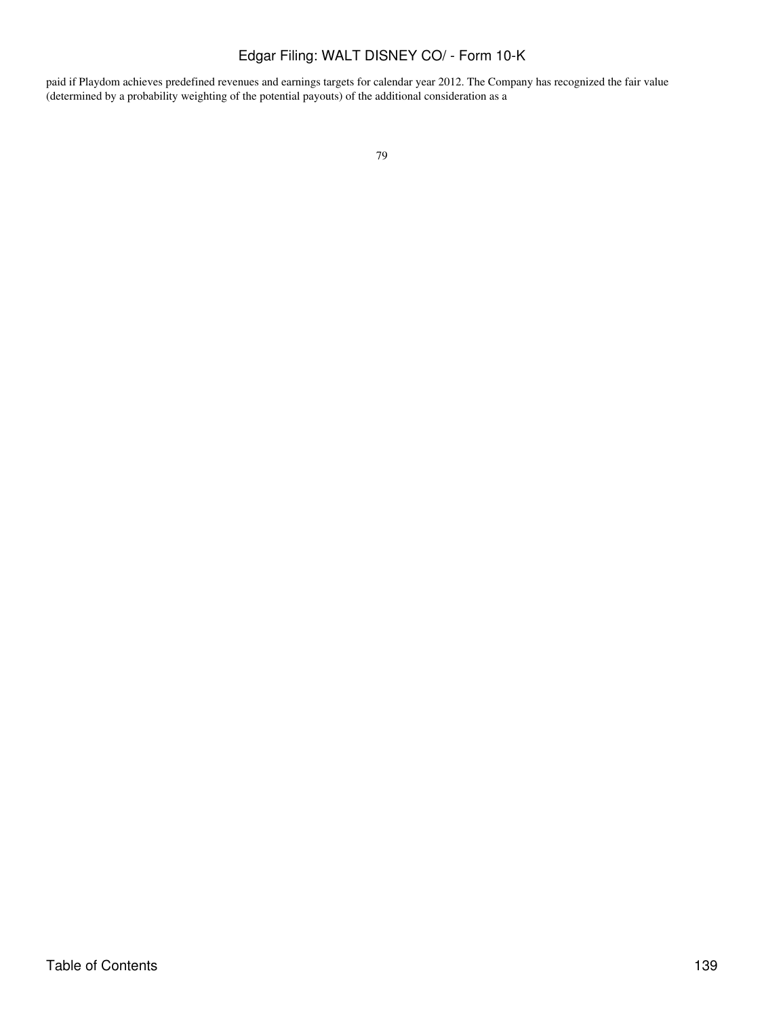paid if Playdom achieves predefined revenues and earnings targets for calendar year 2012. The Company has recognized the fair value (determined by a probability weighting of the potential payouts) of the additional consideration as a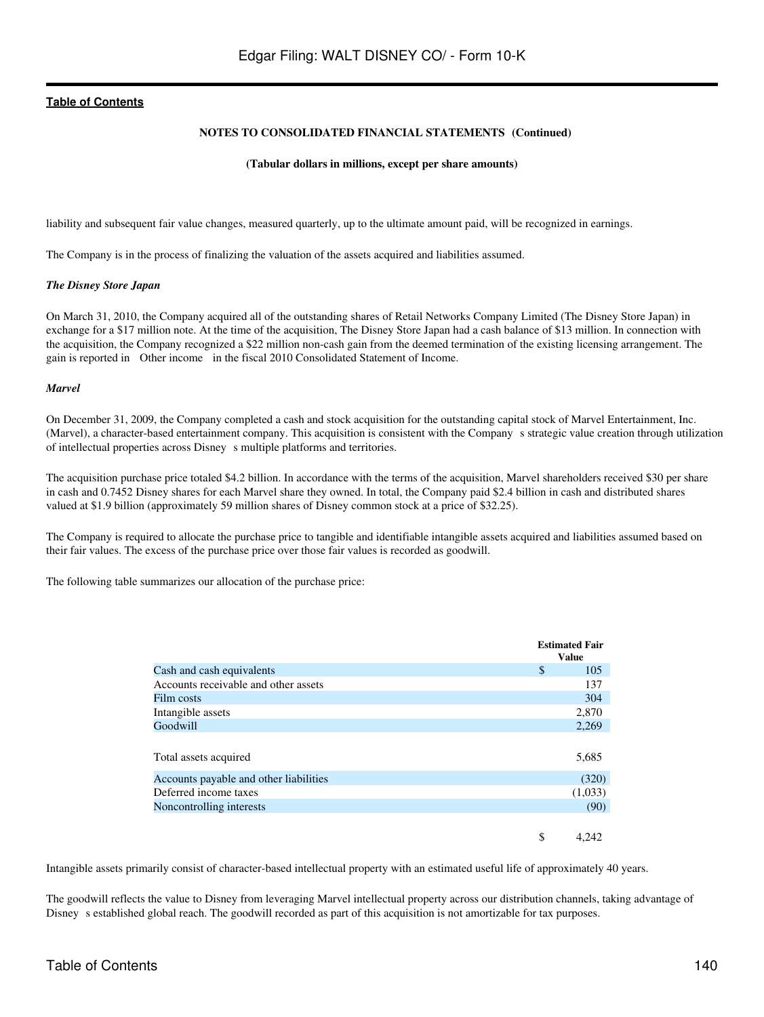## **NOTES TO CONSOLIDATED FINANCIAL STATEMENTS (Continued)**

#### **(Tabular dollars in millions, except per share amounts)**

liability and subsequent fair value changes, measured quarterly, up to the ultimate amount paid, will be recognized in earnings.

The Company is in the process of finalizing the valuation of the assets acquired and liabilities assumed.

#### *The Disney Store Japan*

On March 31, 2010, the Company acquired all of the outstanding shares of Retail Networks Company Limited (The Disney Store Japan) in exchange for a \$17 million note. At the time of the acquisition, The Disney Store Japan had a cash balance of \$13 million. In connection with the acquisition, the Company recognized a \$22 million non-cash gain from the deemed termination of the existing licensing arrangement. The gain is reported in Other income in the fiscal 2010 Consolidated Statement of Income.

#### *Marvel*

On December 31, 2009, the Company completed a cash and stock acquisition for the outstanding capital stock of Marvel Entertainment, Inc. (Marvel), a character-based entertainment company. This acquisition is consistent with the Companys strategic value creation through utilization of intellectual properties across Disney s multiple platforms and territories.

The acquisition purchase price totaled \$4.2 billion. In accordance with the terms of the acquisition, Marvel shareholders received \$30 per share in cash and 0.7452 Disney shares for each Marvel share they owned. In total, the Company paid \$2.4 billion in cash and distributed shares valued at \$1.9 billion (approximately 59 million shares of Disney common stock at a price of \$32.25).

The Company is required to allocate the purchase price to tangible and identifiable intangible assets acquired and liabilities assumed based on their fair values. The excess of the purchase price over those fair values is recorded as goodwill.

The following table summarizes our allocation of the purchase price:

|                                        | <b>Value</b> | <b>Estimated Fair</b> |  |  |  |
|----------------------------------------|--------------|-----------------------|--|--|--|
| Cash and cash equivalents              | \$<br>105    |                       |  |  |  |
| Accounts receivable and other assets   | 137          |                       |  |  |  |
| Film costs                             | 304          |                       |  |  |  |
| Intangible assets                      | 2,870        |                       |  |  |  |
| Goodwill                               | 2,269        |                       |  |  |  |
| Total assets acquired                  | 5,685        |                       |  |  |  |
| Accounts payable and other liabilities | (320)        |                       |  |  |  |
| Deferred income taxes                  | (1,033)      |                       |  |  |  |
| Noncontrolling interests               | (90)         |                       |  |  |  |
|                                        |              |                       |  |  |  |
|                                        | A 949        |                       |  |  |  |

Intangible assets primarily consist of character-based intellectual property with an estimated useful life of approximately 40 years.

The goodwill reflects the value to Disney from leveraging Marvel intellectual property across our distribution channels, taking advantage of Disney s established global reach. The goodwill recorded as part of this acquisition is not amortizable for tax purposes.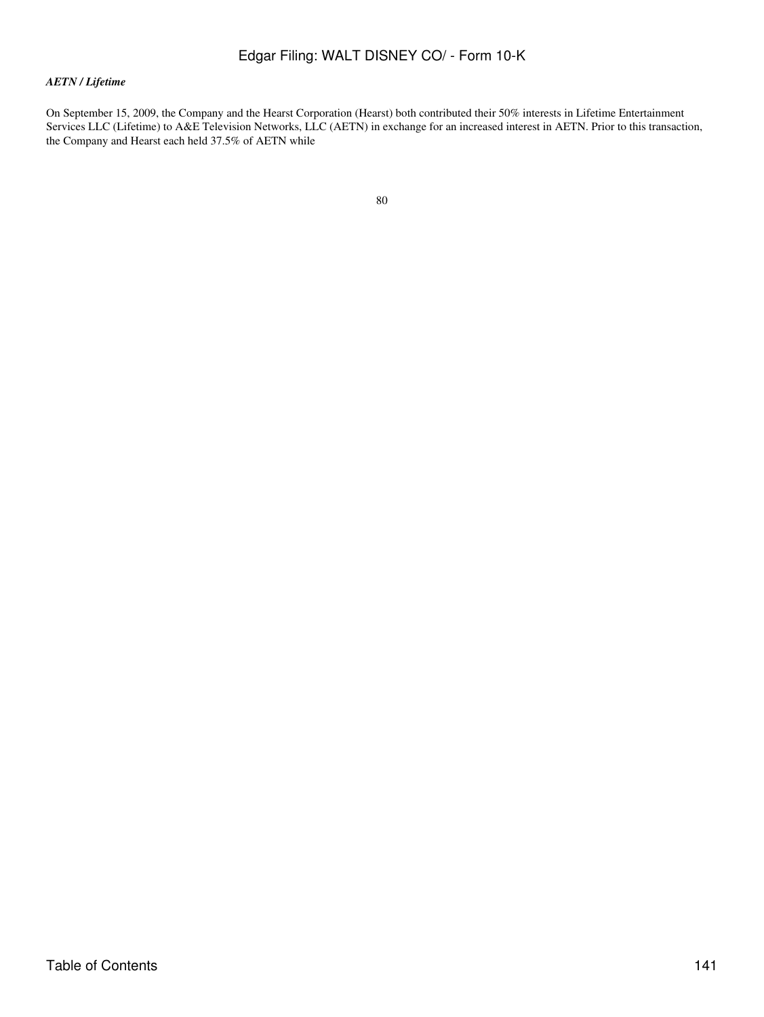## *AETN / Lifetime*

On September 15, 2009, the Company and the Hearst Corporation (Hearst) both contributed their 50% interests in Lifetime Entertainment Services LLC (Lifetime) to A&E Television Networks, LLC (AETN) in exchange for an increased interest in AETN. Prior to this transaction, the Company and Hearst each held 37.5% of AETN while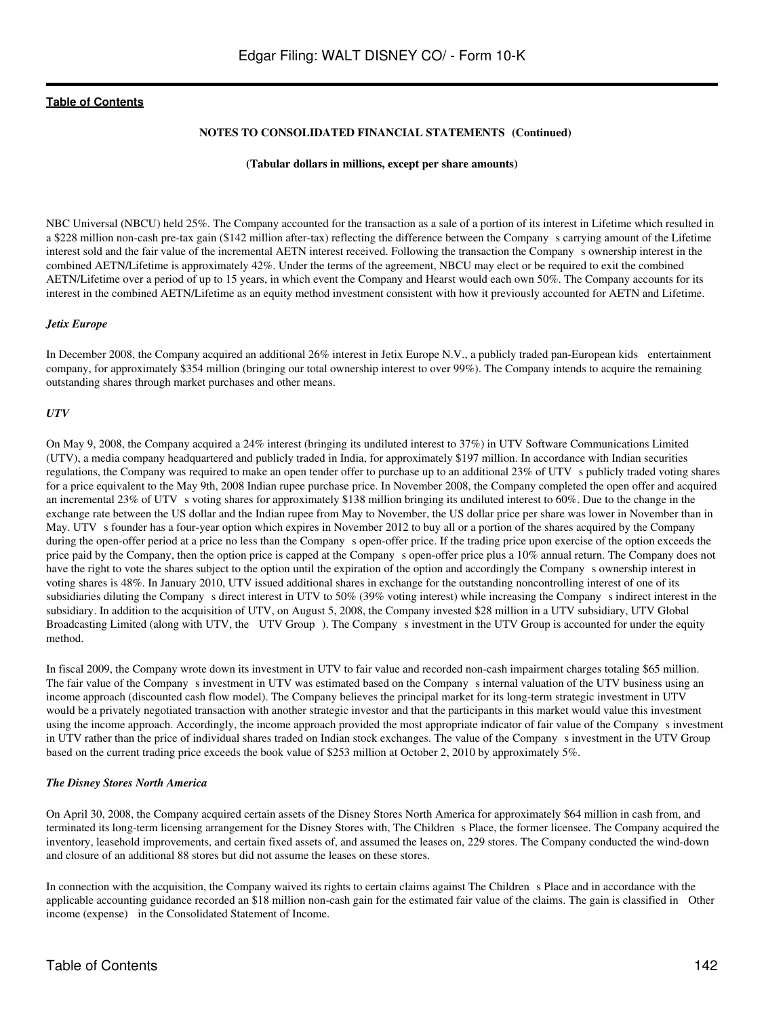## **NOTES TO CONSOLIDATED FINANCIAL STATEMENTS (Continued)**

#### **(Tabular dollars in millions, except per share amounts)**

NBC Universal (NBCU) held 25%. The Company accounted for the transaction as a sale of a portion of its interest in Lifetime which resulted in a \$228 million non-cash pre-tax gain (\$142 million after-tax) reflecting the difference between the Companys carrying amount of the Lifetime interest sold and the fair value of the incremental AETN interest received. Following the transaction the Companys ownership interest in the combined AETN/Lifetime is approximately 42%. Under the terms of the agreement, NBCU may elect or be required to exit the combined AETN/Lifetime over a period of up to 15 years, in which event the Company and Hearst would each own 50%. The Company accounts for its interest in the combined AETN/Lifetime as an equity method investment consistent with how it previously accounted for AETN and Lifetime.

#### *Jetix Europe*

In December 2008, the Company acquired an additional 26% interest in Jetix Europe N.V., a publicly traded pan-European kids entertainment company, for approximately \$354 million (bringing our total ownership interest to over 99%). The Company intends to acquire the remaining outstanding shares through market purchases and other means.

## *UTV*

On May 9, 2008, the Company acquired a 24% interest (bringing its undiluted interest to 37%) in UTV Software Communications Limited (UTV), a media company headquartered and publicly traded in India, for approximately \$197 million. In accordance with Indian securities regulations, the Company was required to make an open tender offer to purchase up to an additional 23% of UTV s publicly traded voting shares for a price equivalent to the May 9th, 2008 Indian rupee purchase price. In November 2008, the Company completed the open offer and acquired an incremental 23% of UTV s voting shares for approximately \$138 million bringing its undiluted interest to 60%. Due to the change in the exchange rate between the US dollar and the Indian rupee from May to November, the US dollar price per share was lower in November than in May. UTV s founder has a four-year option which expires in November 2012 to buy all or a portion of the shares acquired by the Company during the open-offer period at a price no less than the Company s open-offer price. If the trading price upon exercise of the option exceeds the price paid by the Company, then the option price is capped at the Companys open-offer price plus a 10% annual return. The Company does not have the right to vote the shares subject to the option until the expiration of the option and accordingly the Company s ownership interest in voting shares is 48%. In January 2010, UTV issued additional shares in exchange for the outstanding noncontrolling interest of one of its subsidiaries diluting the Company s direct interest in UTV to 50% (39% voting interest) while increasing the Company s indirect interest in the subsidiary. In addition to the acquisition of UTV, on August 5, 2008, the Company invested \$28 million in a UTV subsidiary, UTV Global Broadcasting Limited (along with UTV, the UTV Group). The Company s investment in the UTV Group is accounted for under the equity method.

In fiscal 2009, the Company wrote down its investment in UTV to fair value and recorded non-cash impairment charges totaling \$65 million. The fair value of the Company s investment in UTV was estimated based on the Company s internal valuation of the UTV business using an income approach (discounted cash flow model). The Company believes the principal market for its long-term strategic investment in UTV would be a privately negotiated transaction with another strategic investor and that the participants in this market would value this investment using the income approach. Accordingly, the income approach provided the most appropriate indicator of fair value of the Companys investment in UTV rather than the price of individual shares traded on Indian stock exchanges. The value of the Companys investment in the UTV Group based on the current trading price exceeds the book value of \$253 million at October 2, 2010 by approximately 5%.

#### *The Disney Stores North America*

On April 30, 2008, the Company acquired certain assets of the Disney Stores North America for approximately \$64 million in cash from, and terminated its long-term licensing arrangement for the Disney Stores with, The Children s Place, the former licensee. The Company acquired the inventory, leasehold improvements, and certain fixed assets of, and assumed the leases on, 229 stores. The Company conducted the wind-down and closure of an additional 88 stores but did not assume the leases on these stores.

In connection with the acquisition, the Company waived its rights to certain claims against The Children s Place and in accordance with the applicable accounting guidance recorded an \$18 million non-cash gain for the estimated fair value of the claims. The gain is classified in Other income (expense) in the Consolidated Statement of Income.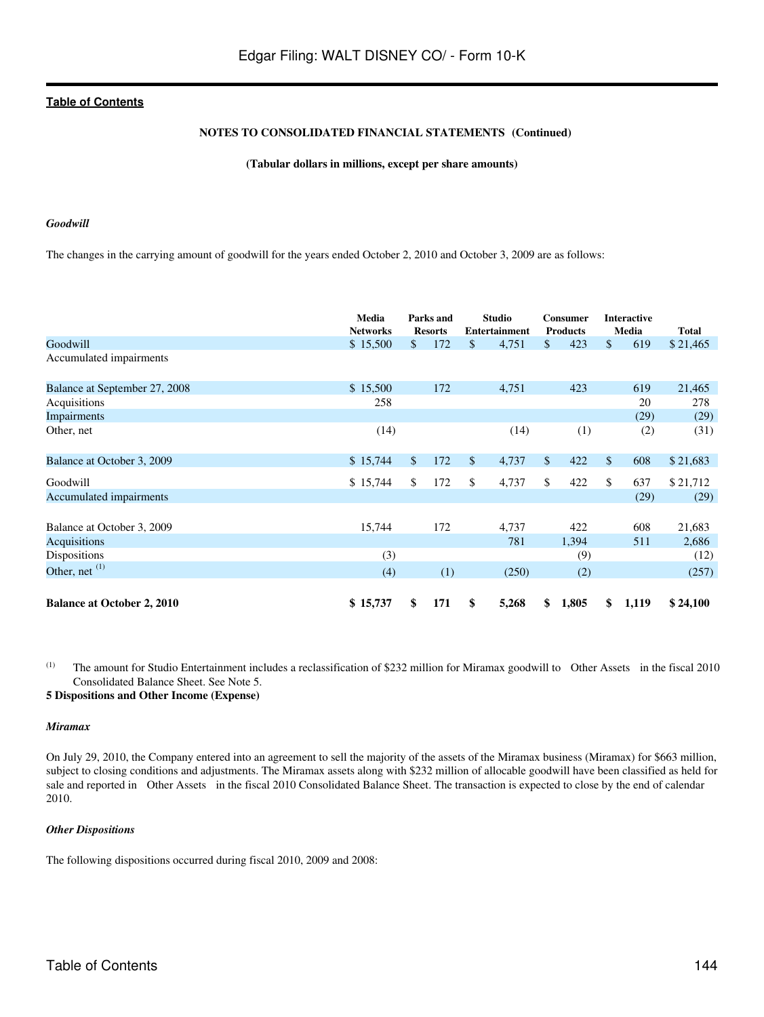## **NOTES TO CONSOLIDATED FINANCIAL STATEMENTS** (Continued)

#### **(Tabular dollars in millions, except per share amounts)**

#### *Goodwill*

The changes in the carrying amount of goodwill for the years ended October 2, 2010 and October 3, 2009 are as follows:

|                                   | Media<br><b>Networks</b> | Parks and<br><b>Resorts</b> | <b>Studio</b><br>Entertainment | <b>Consumer</b><br><b>Products</b> |             | <b>Interactive</b><br>Media | <b>Total</b> |
|-----------------------------------|--------------------------|-----------------------------|--------------------------------|------------------------------------|-------------|-----------------------------|--------------|
| Goodwill                          | \$15,500                 | \$<br>172                   | \$<br>4,751                    | \$<br>423                          | \$          | 619                         | \$21,465     |
| Accumulated impairments           |                          |                             |                                |                                    |             |                             |              |
| Balance at September 27, 2008     | \$15,500                 | 172                         | 4,751                          | 423                                |             | 619                         | 21,465       |
| Acquisitions                      | 258                      |                             |                                |                                    |             | 20                          | 278          |
| Impairments                       |                          |                             |                                |                                    |             | (29)                        | (29)         |
| Other, net                        | (14)                     |                             | (14)                           | (1)                                |             | (2)                         | (31)         |
| Balance at October 3, 2009        | \$15,744                 | \$<br>172                   | \$<br>4,737                    | \$<br>422                          | $\sqrt{\ }$ | 608                         | \$21,683     |
| Goodwill                          | \$15,744                 | \$<br>172                   | \$<br>4,737                    | \$<br>422                          | \$          | 637                         | \$21,712     |
| Accumulated impairments           |                          |                             |                                |                                    |             | (29)                        | (29)         |
| Balance at October 3, 2009        | 15,744                   | 172                         | 4,737                          | 422                                |             | 608                         | 21,683       |
| Acquisitions                      |                          |                             | 781                            | 1,394                              |             | 511                         | 2,686        |
| Dispositions                      | (3)                      |                             |                                | (9)                                |             |                             | (12)         |
| Other, net $(1)$                  | (4)                      | (1)                         | (250)                          | (2)                                |             |                             | (257)        |
| <b>Balance at October 2, 2010</b> | \$15,737                 | \$<br>171                   | \$<br>5,268                    | \$<br>1,805                        | \$          | 1,119                       | \$24,100     |

(1) The amount for Studio Entertainment includes a reclassification of \$232 million for Miramax goodwill to Other Assets in the fiscal 2010 Consolidated Balance Sheet. See Note 5.

## **5 Dispositions and Other Income (Expense)**

#### *Miramax*

On July 29, 2010, the Company entered into an agreement to sell the majority of the assets of the Miramax business (Miramax) for \$663 million, subject to closing conditions and adjustments. The Miramax assets along with \$232 million of allocable goodwill have been classified as held for sale and reported in Other Assets in the fiscal 2010 Consolidated Balance Sheet. The transaction is expected to close by the end of calendar 2010.

## *Other Dispositions*

The following dispositions occurred during fiscal 2010, 2009 and 2008: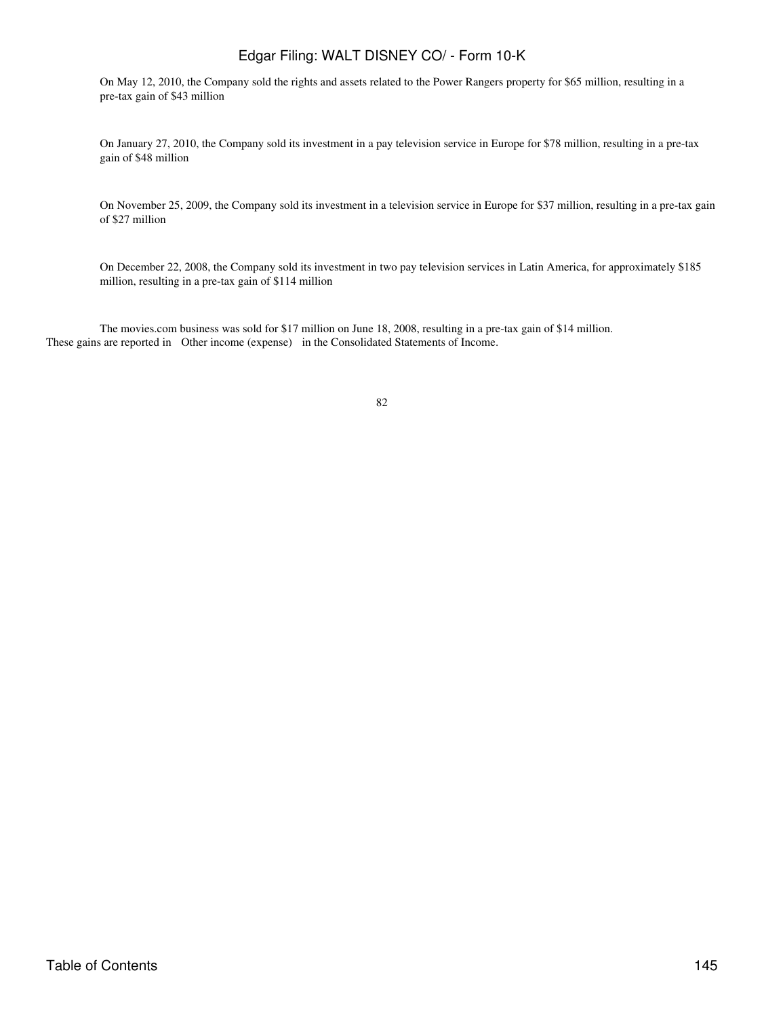On May 12, 2010, the Company sold the rights and assets related to the Power Rangers property for \$65 million, resulting in a pre-tax gain of \$43 million

On January 27, 2010, the Company sold its investment in a pay television service in Europe for \$78 million, resulting in a pre-tax gain of \$48 million

On November 25, 2009, the Company sold its investment in a television service in Europe for \$37 million, resulting in a pre-tax gain of \$27 million

On December 22, 2008, the Company sold its investment in two pay television services in Latin America, for approximately \$185 million, resulting in a pre-tax gain of \$114 million

The movies.com business was sold for \$17 million on June 18, 2008, resulting in a pre-tax gain of \$14 million. These gains are reported in Other income (expense) in the Consolidated Statements of Income.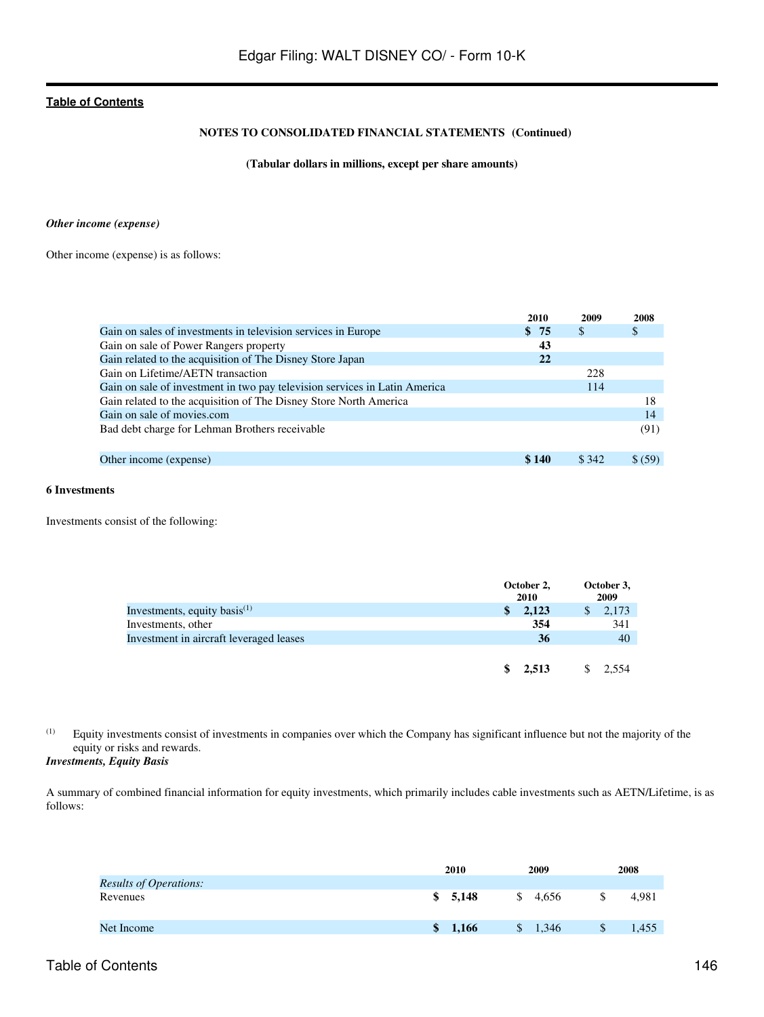## **NOTES TO CONSOLIDATED FINANCIAL STATEMENTS (Continued)**

**(Tabular dollars in millions, except per share amounts)**

*Other income (expense)*

Other income (expense) is as follows:

|                                                                            | 2010             | 2009   | 2008    |
|----------------------------------------------------------------------------|------------------|--------|---------|
| Gain on sales of investments in television services in Europe              | $\frac{1}{2}$ 75 | \$     | \$      |
| Gain on sale of Power Rangers property                                     | 43               |        |         |
| Gain related to the acquisition of The Disney Store Japan                  | 22               |        |         |
| Gain on Lifetime/AETN transaction                                          |                  | 228    |         |
| Gain on sale of investment in two pay television services in Latin America |                  | 114    |         |
| Gain related to the acquisition of The Disney Store North America          |                  |        | 18      |
| Gain on sale of movies.com                                                 |                  |        | 14      |
| Bad debt charge for Lehman Brothers receivable                             |                  |        | (91)    |
| Other income (expense)                                                     | \$140            | \$ 342 | \$ (59) |

### **6 Investments**

Investments consist of the following:

|                                         | October 2,<br>2010 | October 3,<br>2009 |
|-----------------------------------------|--------------------|--------------------|
| Investments, equity basis $(1)$         | 2,123              | 2,173              |
| Investments, other                      | 354                | 341                |
| Investment in aircraft leveraged leases | 36                 | 40                 |
|                                         |                    |                    |
|                                         | 2,513              | 2.554              |

(1) Equity investments consist of investments in companies over which the Company has significant influence but not the majority of the equity or risks and rewards.

### *Investments, Equity Basis*

A summary of combined financial information for equity investments, which primarily includes cable investments such as AETN/Lifetime, is as follows:

|                               | 2010 |         | 2009           |         | 2008  |
|-------------------------------|------|---------|----------------|---------|-------|
| <b>Results of Operations:</b> |      |         |                |         |       |
| Revenues                      |      | \$5.148 |                | \$4.656 | 4.981 |
|                               |      |         |                |         |       |
| Net Income                    |      | \$1.166 | $\mathbb{S}^-$ | 1.346   | 1,455 |
|                               |      |         |                |         |       |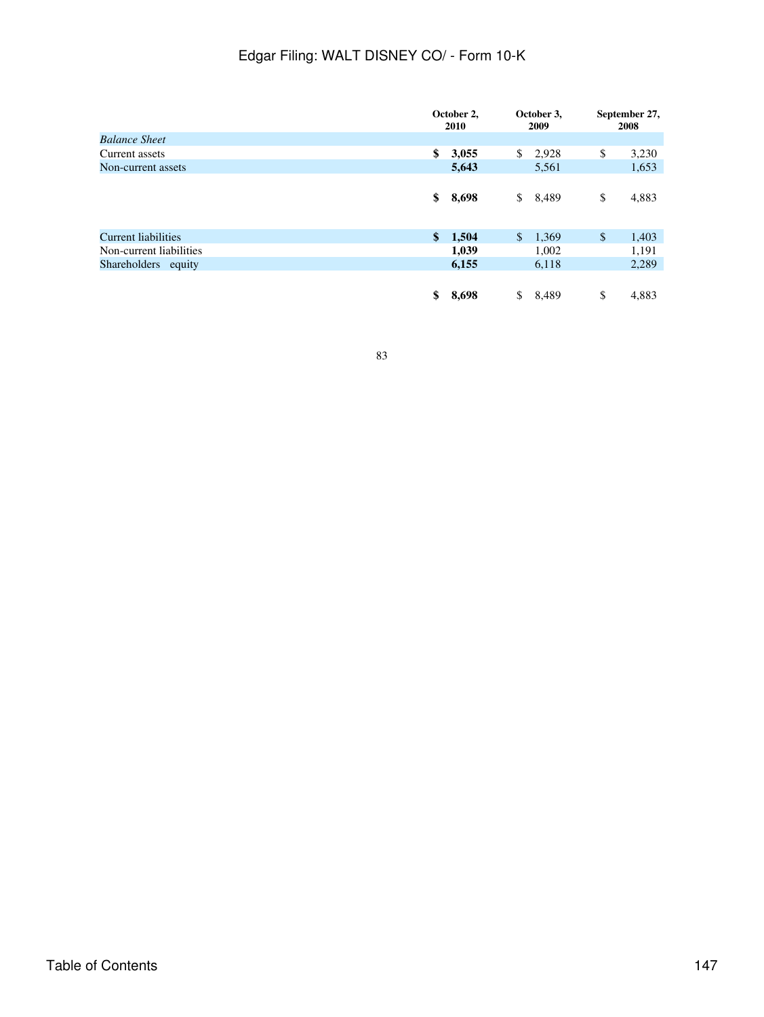|                            | October 2,<br>2010 |       | October 3,<br>2009 |       | September 27,<br>2008 |       |
|----------------------------|--------------------|-------|--------------------|-------|-----------------------|-------|
| <b>Balance Sheet</b>       |                    |       |                    |       |                       |       |
| Current assets             | \$                 | 3,055 | \$                 | 2,928 | \$                    | 3,230 |
| Non-current assets         |                    | 5,643 |                    | 5,561 |                       | 1,653 |
|                            | \$                 | 8,698 | \$                 | 8,489 | \$                    | 4,883 |
| <b>Current liabilities</b> | \$                 | 1,504 | $\mathbb{S}^-$     | 1,369 | $\mathbb{S}$          | 1,403 |
| Non-current liabilities    |                    | 1,039 |                    | 1,002 |                       | 1,191 |
| Shareholders equity        |                    | 6,155 |                    | 6,118 |                       | 2,289 |
|                            | \$                 | 8,698 | \$                 | 8.489 | \$                    | 4,883 |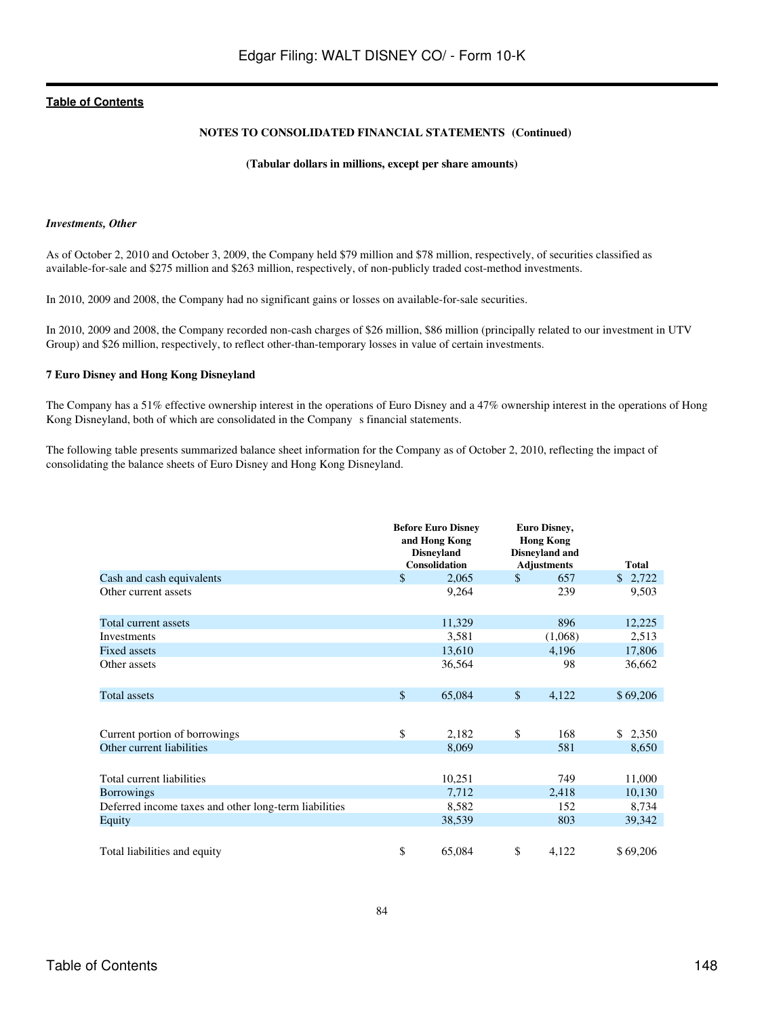## **NOTES TO CONSOLIDATED FINANCIAL STATEMENTS (Continued)**

### **(Tabular dollars in millions, except per share amounts)**

### *Investments, Other*

As of October 2, 2010 and October 3, 2009, the Company held \$79 million and \$78 million, respectively, of securities classified as available-for-sale and \$275 million and \$263 million, respectively, of non-publicly traded cost-method investments.

In 2010, 2009 and 2008, the Company had no significant gains or losses on available-for-sale securities.

In 2010, 2009 and 2008, the Company recorded non-cash charges of \$26 million, \$86 million (principally related to our investment in UTV Group) and \$26 million, respectively, to reflect other-than-temporary losses in value of certain investments.

### **7 Euro Disney and Hong Kong Disneyland**

The Company has a 51% effective ownership interest in the operations of Euro Disney and a 47% ownership interest in the operations of Hong Kong Disneyland, both of which are consolidated in the Company s financial statements.

The following table presents summarized balance sheet information for the Company as of October 2, 2010, reflecting the impact of consolidating the balance sheets of Euro Disney and Hong Kong Disneyland.

|                                                       | <b>Before Euro Disney</b><br>and Hong Kong<br><b>Disneyland</b> | <b>Euro Disney,</b><br><b>Hong Kong</b><br><b>Disneyland and</b> |                    |                       |  |
|-------------------------------------------------------|-----------------------------------------------------------------|------------------------------------------------------------------|--------------------|-----------------------|--|
|                                                       | Consolidation                                                   |                                                                  | <b>Adjustments</b> | <b>Total</b>          |  |
| Cash and cash equivalents                             | \$<br>2,065                                                     | \$                                                               | 657                | 2,722<br>$\mathbb{S}$ |  |
| Other current assets                                  | 9,264                                                           |                                                                  | 239                | 9,503                 |  |
| Total current assets                                  | 11,329                                                          |                                                                  | 896                | 12,225                |  |
| Investments                                           | 3,581                                                           |                                                                  | (1,068)            | 2,513                 |  |
| <b>Fixed assets</b>                                   | 13,610                                                          |                                                                  | 4,196              | 17,806                |  |
| Other assets                                          | 36,564                                                          |                                                                  | 98                 | 36,662                |  |
| Total assets                                          | \$<br>65,084                                                    | $\mathcal{S}$                                                    | 4,122              | \$69,206              |  |
|                                                       |                                                                 |                                                                  |                    |                       |  |
| Current portion of borrowings                         | \$<br>2,182                                                     | \$                                                               | 168                | \$2,350               |  |
| Other current liabilities                             | 8,069                                                           |                                                                  | 581                | 8,650                 |  |
| Total current liabilities                             | 10,251                                                          |                                                                  | 749                | 11,000                |  |
| <b>Borrowings</b>                                     | 7,712                                                           |                                                                  | 2,418              | 10,130                |  |
| Deferred income taxes and other long-term liabilities | 8,582                                                           |                                                                  | 152                | 8,734                 |  |
| Equity                                                | 38,539                                                          |                                                                  | 803                | 39,342                |  |
| Total liabilities and equity                          | \$<br>65,084                                                    | \$                                                               | 4,122              | \$69,206              |  |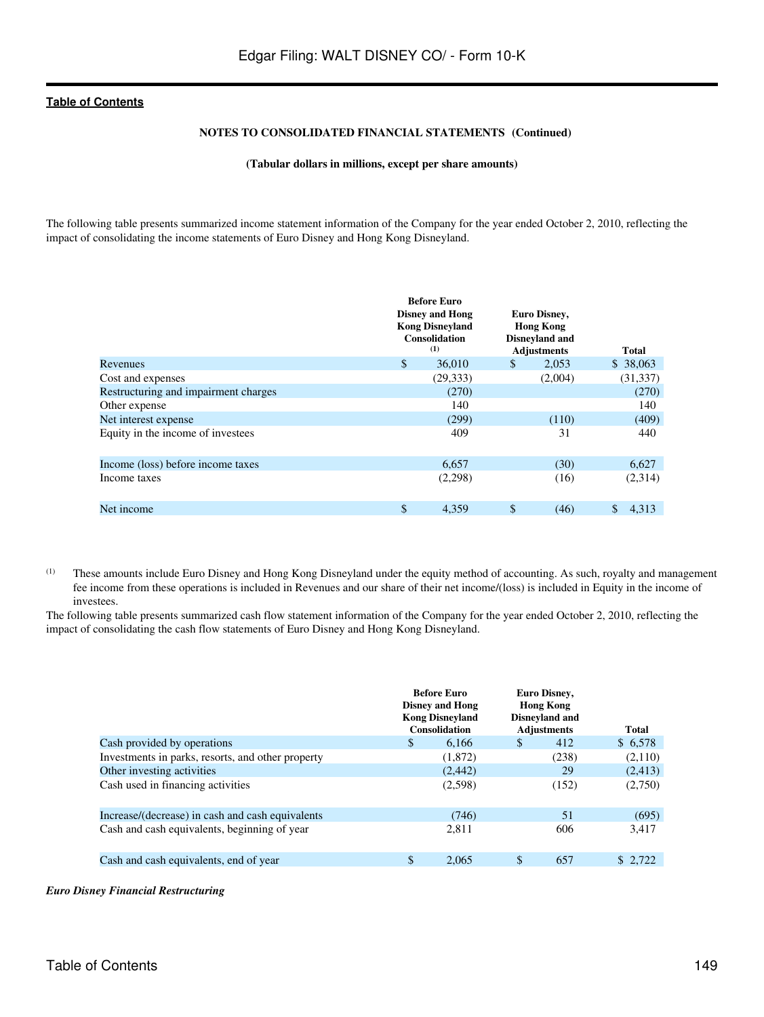### **NOTES TO CONSOLIDATED FINANCIAL STATEMENTS (Continued)**

### **(Tabular dollars in millions, except per share amounts)**

The following table presents summarized income statement information of the Company for the year ended October 2, 2010, reflecting the impact of consolidating the income statements of Euro Disney and Hong Kong Disneyland.

|                                      | <b>Before Euro</b><br><b>Disney and Hong</b><br><b>Kong Disneyland</b><br><b>Consolidation</b><br>(1) | <b>Euro Disney,</b><br><b>Hong Kong</b><br><b>Disneyland</b> and<br><b>Adjustments</b> | Total       |
|--------------------------------------|-------------------------------------------------------------------------------------------------------|----------------------------------------------------------------------------------------|-------------|
| Revenues                             | \$<br>36,010                                                                                          | \$<br>2,053                                                                            | \$38,063    |
| Cost and expenses                    | (29, 333)                                                                                             | (2,004)                                                                                | (31, 337)   |
| Restructuring and impairment charges | (270)                                                                                                 |                                                                                        | (270)       |
| Other expense                        | 140                                                                                                   |                                                                                        | 140         |
| Net interest expense                 | (299)                                                                                                 | (110)                                                                                  | (409)       |
| Equity in the income of investees    | 409                                                                                                   | 31                                                                                     | 440         |
| Income (loss) before income taxes    | 6,657                                                                                                 | (30)                                                                                   | 6,627       |
| Income taxes                         | (2,298)                                                                                               | (16)                                                                                   | (2,314)     |
| Net income                           | \$<br>4.359                                                                                           | \$<br>(46)                                                                             | \$<br>4.313 |

(1) These amounts include Euro Disney and Hong Kong Disneyland under the equity method of accounting. As such, royalty and management fee income from these operations is included in Revenues and our share of their net income/(loss) is included in Equity in the income of investees.

The following table presents summarized cash flow statement information of the Company for the year ended October 2, 2010, reflecting the impact of consolidating the cash flow statements of Euro Disney and Hong Kong Disneyland.

|                                                   | <b>Before Euro</b><br>Euro Disney,<br><b>Disney and Hong</b><br><b>Hong Kong</b><br><b>Kong Disneyland</b><br><b>Disneyland and</b><br><b>Consolidation</b><br><b>Adjustments</b> |    |       | <b>Total</b> |
|---------------------------------------------------|-----------------------------------------------------------------------------------------------------------------------------------------------------------------------------------|----|-------|--------------|
| Cash provided by operations                       | \$<br>6,166                                                                                                                                                                       | \$ | 412   | \$6,578      |
| Investments in parks, resorts, and other property | (1,872)                                                                                                                                                                           |    | (238) | (2,110)      |
| Other investing activities                        | (2, 442)                                                                                                                                                                          |    | 29    | (2, 413)     |
| Cash used in financing activities                 | (2,598)                                                                                                                                                                           |    | (152) | (2,750)      |
| Increase/(decrease) in cash and cash equivalents  | (746)                                                                                                                                                                             |    | 51    | (695)        |
| Cash and cash equivalents, beginning of year      | 2,811                                                                                                                                                                             |    | 606   | 3,417        |
| Cash and cash equivalents, end of year            | \$<br>2.065                                                                                                                                                                       | \$ | 657   | \$2.722      |

### *Euro Disney Financial Restructuring*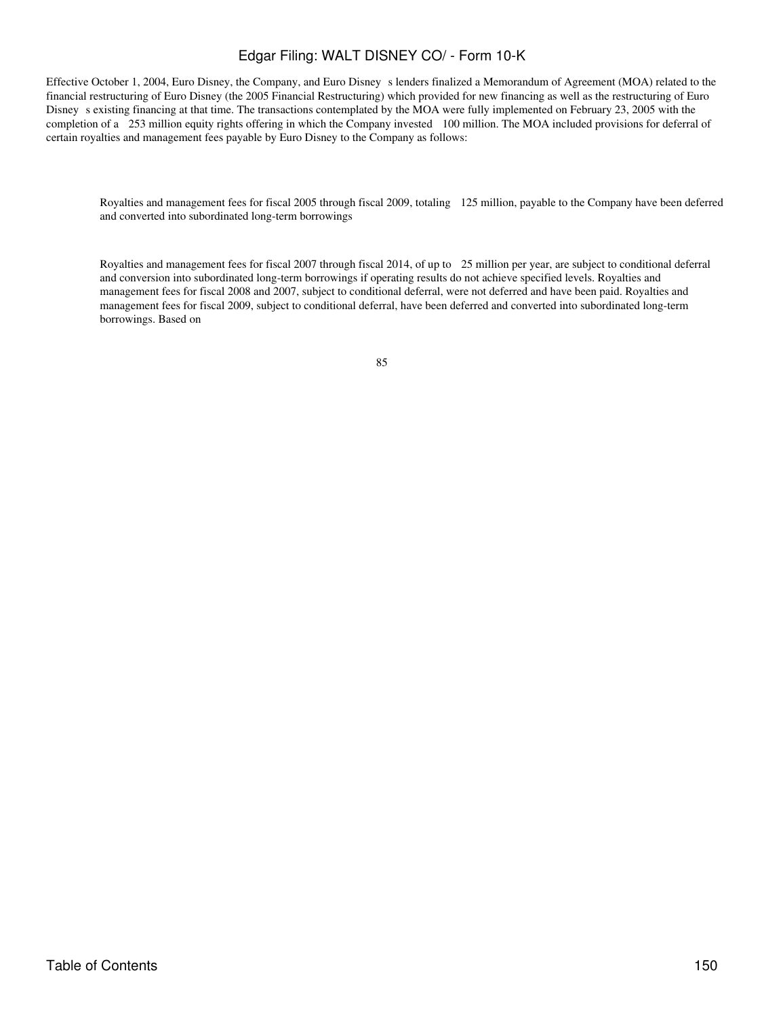Effective October 1, 2004, Euro Disney, the Company, and Euro Disneys lenders finalized a Memorandum of Agreement (MOA) related to the financial restructuring of Euro Disney (the 2005 Financial Restructuring) which provided for new financing as well as the restructuring of Euro Disney s existing financing at that time. The transactions contemplated by the MOA were fully implemented on February 23, 2005 with the completion of a 253 million equity rights offering in which the Company invested 100 million. The MOA included provisions for deferral of certain royalties and management fees payable by Euro Disney to the Company as follows:

Royalties and management fees for fiscal 2005 through fiscal 2009, totaling 125 million, payable to the Company have been deferred and converted into subordinated long-term borrowings

Royalties and management fees for fiscal 2007 through fiscal 2014, of up to 25 million per year, are subject to conditional deferral and conversion into subordinated long-term borrowings if operating results do not achieve specified levels. Royalties and management fees for fiscal 2008 and 2007, subject to conditional deferral, were not deferred and have been paid. Royalties and management fees for fiscal 2009, subject to conditional deferral, have been deferred and converted into subordinated long-term borrowings. Based on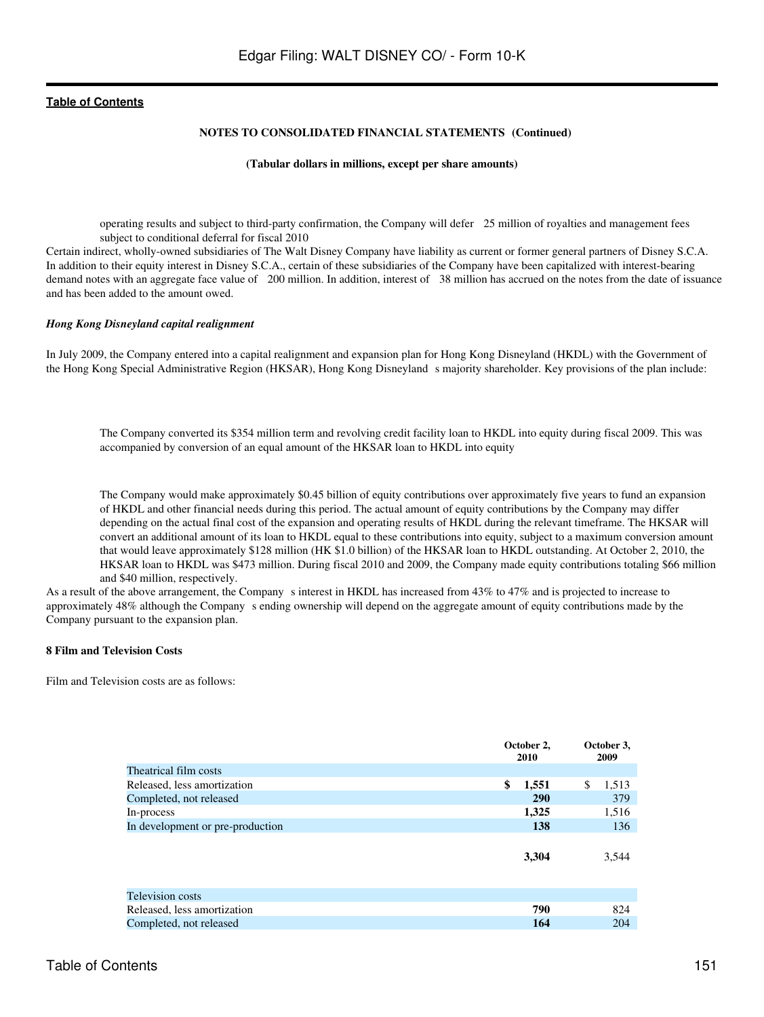## **NOTES TO CONSOLIDATED FINANCIAL STATEMENTS (Continued)**

**(Tabular dollars in millions, except per share amounts)**

operating results and subject to third-party confirmation, the Company will defer 25 million of royalties and management fees subject to conditional deferral for fiscal 2010

Certain indirect, wholly-owned subsidiaries of The Walt Disney Company have liability as current or former general partners of Disney S.C.A. In addition to their equity interest in Disney S.C.A., certain of these subsidiaries of the Company have been capitalized with interest-bearing demand notes with an aggregate face value of 200 million. In addition, interest of 38 million has accrued on the notes from the date of issuance and has been added to the amount owed.

### *Hong Kong Disneyland capital realignment*

In July 2009, the Company entered into a capital realignment and expansion plan for Hong Kong Disneyland (HKDL) with the Government of the Hong Kong Special Administrative Region (HKSAR), Hong Kong Disneyland s majority shareholder. Key provisions of the plan include:

The Company converted its \$354 million term and revolving credit facility loan to HKDL into equity during fiscal 2009. This was accompanied by conversion of an equal amount of the HKSAR loan to HKDL into equity

The Company would make approximately \$0.45 billion of equity contributions over approximately five years to fund an expansion of HKDL and other financial needs during this period. The actual amount of equity contributions by the Company may differ depending on the actual final cost of the expansion and operating results of HKDL during the relevant timeframe. The HKSAR will convert an additional amount of its loan to HKDL equal to these contributions into equity, subject to a maximum conversion amount that would leave approximately \$128 million (HK \$1.0 billion) of the HKSAR loan to HKDL outstanding. At October 2, 2010, the HKSAR loan to HKDL was \$473 million. During fiscal 2010 and 2009, the Company made equity contributions totaling \$66 million and \$40 million, respectively.

As a result of the above arrangement, the Company s interest in HKDL has increased from 43% to 47% and is projected to increase to approximately 48% although the Company s ending ownership will depend on the aggregate amount of equity contributions made by the Company pursuant to the expansion plan.

### **8 Film and Television Costs**

Film and Television costs are as follows:

|                                  | October 2,<br>2010 | October 3,<br>2009 |
|----------------------------------|--------------------|--------------------|
| Theatrical film costs            |                    |                    |
| Released, less amortization      | \$<br>1,551        | \$<br>1,513        |
| Completed, not released          | <b>290</b>         | 379                |
| In-process                       | 1,325              | 1,516              |
| In development or pre-production | 138                | 136                |
|                                  | 3,304              | 3,544              |
| <b>Television costs</b>          |                    |                    |
| Released, less amortization      | 790                | 824                |
| Completed, not released          | 164                | 204                |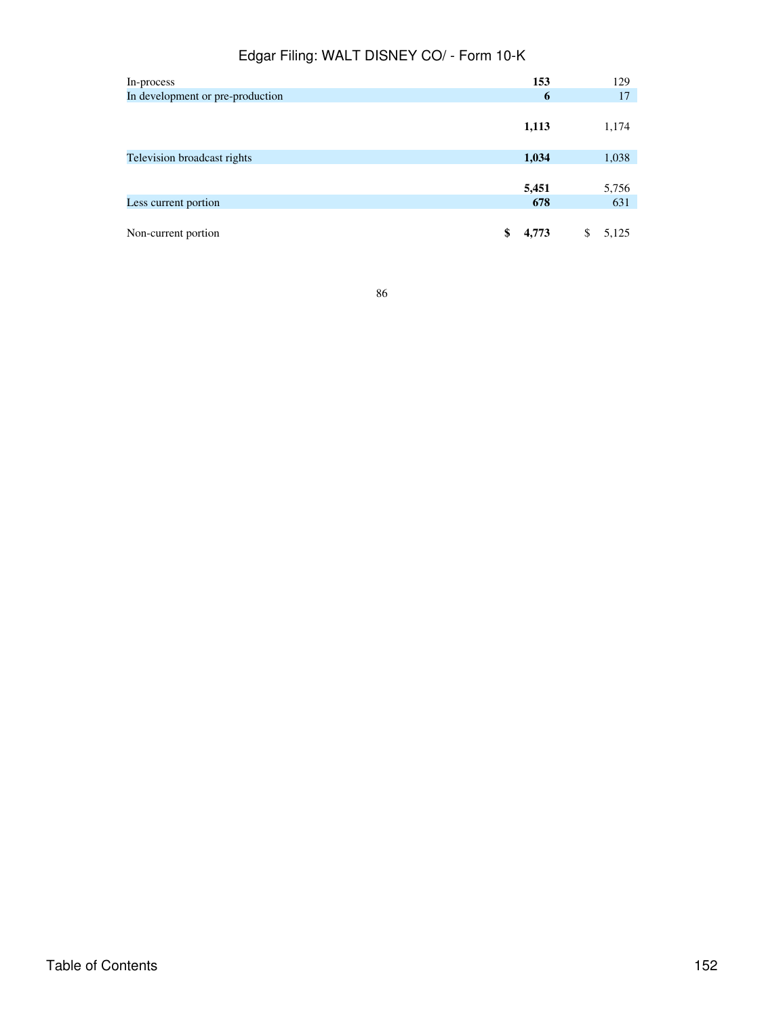| 153         |   | 129   |
|-------------|---|-------|
| 6           |   | 17    |
|             |   |       |
| 1,113       |   | 1,174 |
|             |   |       |
| 1,034       |   | 1,038 |
|             |   |       |
| 5,451       |   | 5,756 |
| 678         |   | 631   |
|             |   |       |
| \$<br>4,773 | S | 5,125 |
|             |   |       |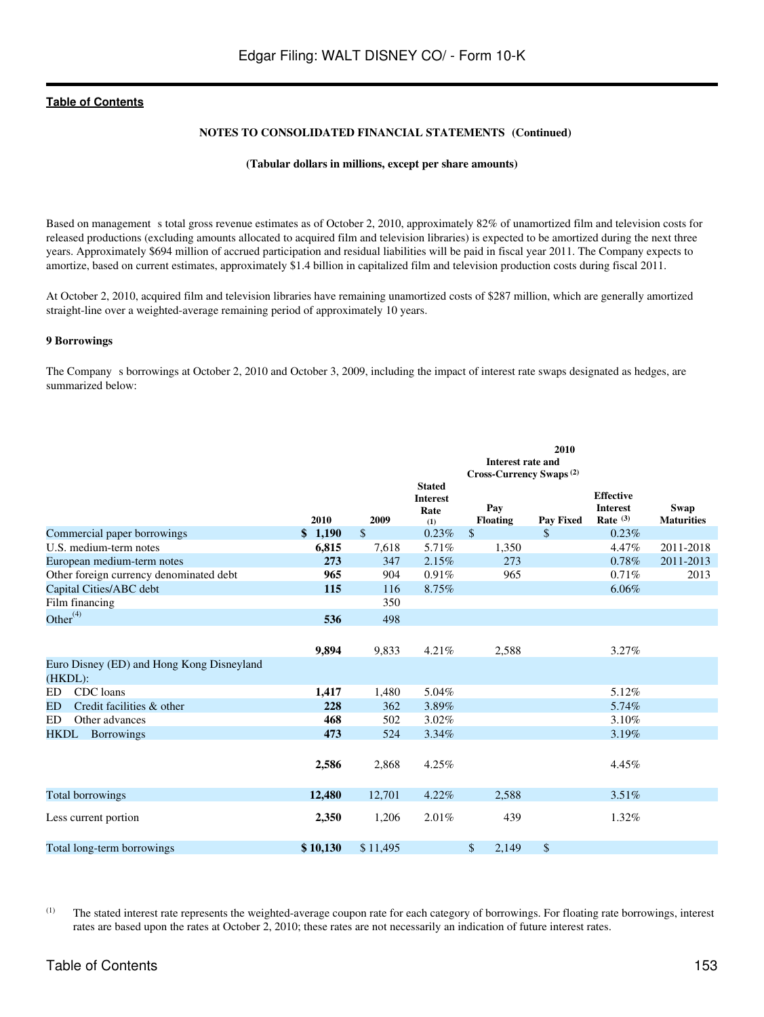### **NOTES TO CONSOLIDATED FINANCIAL STATEMENTS (Continued)**

### **(Tabular dollars in millions, except per share amounts)**

Based on management s total gross revenue estimates as of October 2, 2010, approximately 82% of unamortized film and television costs for released productions (excluding amounts allocated to acquired film and television libraries) is expected to be amortized during the next three years. Approximately \$694 million of accrued participation and residual liabilities will be paid in fiscal year 2011. The Company expects to amortize, based on current estimates, approximately \$1.4 billion in capitalized film and television production costs during fiscal 2011.

At October 2, 2010, acquired film and television libraries have remaining unamortized costs of \$287 million, which are generally amortized straight-line over a weighted-average remaining period of approximately 10 years.

### **9 Borrowings**

The Company s borrowings at October 2, 2010 and October 3, 2009, including the impact of interest rate swaps designated as hedges, are summarized below:

|                                           |          |              | <b>Stated</b>                  |                        |                  |                                                   |                           |
|-------------------------------------------|----------|--------------|--------------------------------|------------------------|------------------|---------------------------------------------------|---------------------------|
|                                           | 2010     | 2009         | <b>Interest</b><br>Rate<br>(1) | Pay<br><b>Floating</b> | <b>Pay Fixed</b> | <b>Effective</b><br><b>Interest</b><br>Rate $(3)$ | Swap<br><b>Maturities</b> |
| Commercial paper borrowings               | \$1,190  | $\mathbb{S}$ | 0.23%                          | \$                     | $\mathsf{\$}$    | $0.23\%$                                          |                           |
| U.S. medium-term notes                    | 6,815    | 7,618        | 5.71%                          | 1,350                  |                  | 4.47%                                             | 2011-2018                 |
| European medium-term notes                | 273      | 347          | 2.15%                          | 273                    |                  | 0.78%                                             | 2011-2013                 |
| Other foreign currency denominated debt   | 965      | 904          | 0.91%                          | 965                    |                  | 0.71%                                             | 2013                      |
| Capital Cities/ABC debt                   | 115      | 116          | 8.75%                          |                        |                  | 6.06%                                             |                           |
| Film financing                            |          | 350          |                                |                        |                  |                                                   |                           |
| Other $(4)$                               | 536      | 498          |                                |                        |                  |                                                   |                           |
| Euro Disney (ED) and Hong Kong Disneyland | 9,894    | 9,833        | 4.21%                          | 2,588                  |                  | 3.27%                                             |                           |
| (HKDL):                                   |          |              |                                |                        |                  |                                                   |                           |
| CDC loans<br>ED                           | 1,417    | 1,480        | 5.04%                          |                        |                  | 5.12%                                             |                           |
| Credit facilities & other<br><b>ED</b>    | 228      | 362          | 3.89%                          |                        |                  | 5.74%                                             |                           |
| Other advances<br>ED                      | 468      | 502          | 3.02%                          |                        |                  | 3.10%                                             |                           |
| HKDL Borrowings                           | 473      | 524          | 3.34%                          |                        |                  | 3.19%                                             |                           |
|                                           | 2,586    | 2,868        | 4.25%                          |                        |                  | 4.45%                                             |                           |
| Total borrowings                          | 12,480   | 12,701       | 4.22%                          | 2,588                  |                  | 3.51%                                             |                           |
| Less current portion                      | 2,350    | 1,206        | 2.01%                          | 439                    |                  | 1.32%                                             |                           |
| Total long-term borrowings                | \$10,130 | \$11,495     |                                | \$<br>2,149            | \$               |                                                   |                           |

(1) The stated interest rate represents the weighted-average coupon rate for each category of borrowings. For floating rate borrowings, interest rates are based upon the rates at October 2, 2010; these rates are not necessarily an indication of future interest rates.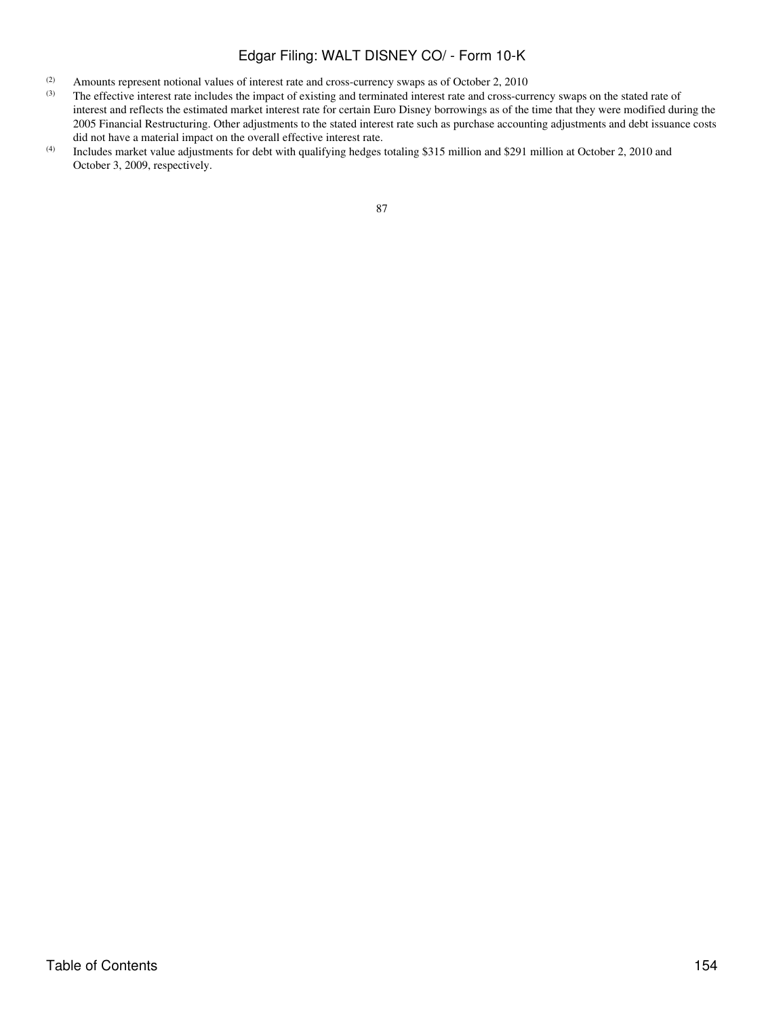- (2) Amounts represent notional values of interest rate and cross-currency swaps as of October 2, 2010<br>
The effective interest rate includes the impact of existing and terminated interest rate and cross-cur
- The effective interest rate includes the impact of existing and terminated interest rate and cross-currency swaps on the stated rate of interest and reflects the estimated market interest rate for certain Euro Disney borrowings as of the time that they were modified during the 2005 Financial Restructuring. Other adjustments to the stated interest rate such as purchase accounting adjustments and debt issuance costs did not have a material impact on the overall effective interest rate.
- (4) Includes market value adjustments for debt with qualifying hedges totaling \$315 million and \$291 million at October 2, 2010 and October 3, 2009, respectively.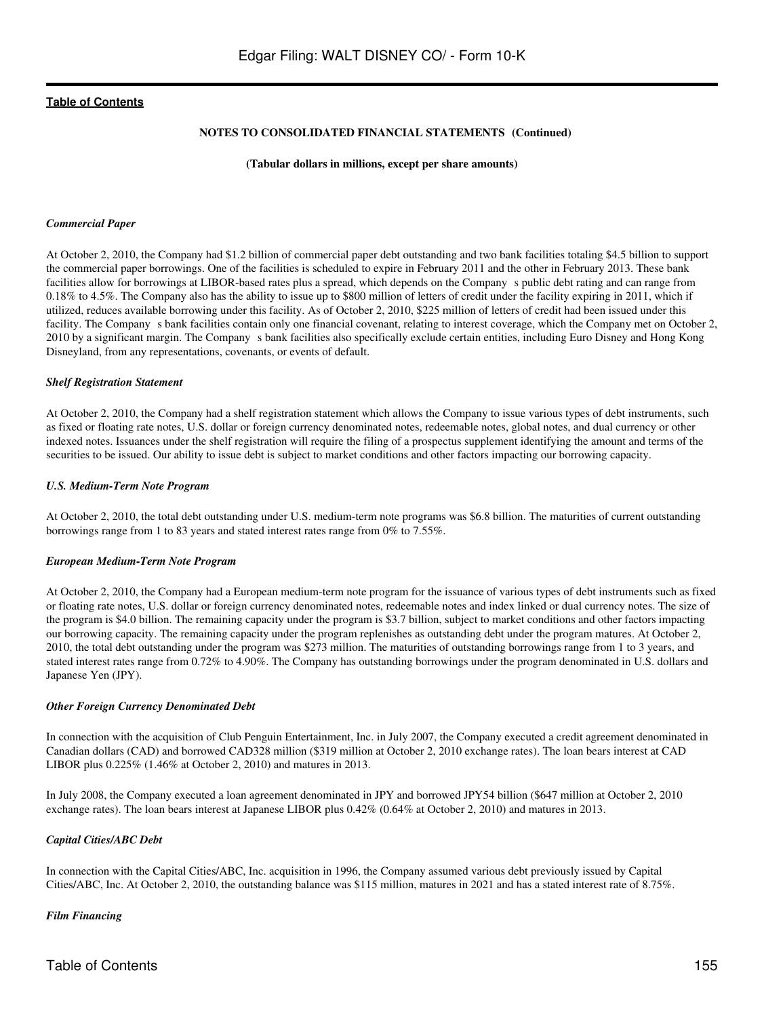## **NOTES TO CONSOLIDATED FINANCIAL STATEMENTS (Continued)**

#### **(Tabular dollars in millions, except per share amounts)**

### *Commercial Paper*

At October 2, 2010, the Company had \$1.2 billion of commercial paper debt outstanding and two bank facilities totaling \$4.5 billion to support the commercial paper borrowings. One of the facilities is scheduled to expire in February 2011 and the other in February 2013. These bank facilities allow for borrowings at LIBOR-based rates plus a spread, which depends on the Companys public debt rating and can range from 0.18% to 4.5%. The Company also has the ability to issue up to \$800 million of letters of credit under the facility expiring in 2011, which if utilized, reduces available borrowing under this facility. As of October 2, 2010, \$225 million of letters of credit had been issued under this facility. The Company s bank facilities contain only one financial covenant, relating to interest coverage, which the Company met on October 2, 2010 by a significant margin. The Companys bank facilities also specifically exclude certain entities, including Euro Disney and Hong Kong Disneyland, from any representations, covenants, or events of default.

### *Shelf Registration Statement*

At October 2, 2010, the Company had a shelf registration statement which allows the Company to issue various types of debt instruments, such as fixed or floating rate notes, U.S. dollar or foreign currency denominated notes, redeemable notes, global notes, and dual currency or other indexed notes. Issuances under the shelf registration will require the filing of a prospectus supplement identifying the amount and terms of the securities to be issued. Our ability to issue debt is subject to market conditions and other factors impacting our borrowing capacity.

### *U.S. Medium-Term Note Program*

At October 2, 2010, the total debt outstanding under U.S. medium-term note programs was \$6.8 billion. The maturities of current outstanding borrowings range from 1 to 83 years and stated interest rates range from 0% to 7.55%.

### *European Medium-Term Note Program*

At October 2, 2010, the Company had a European medium-term note program for the issuance of various types of debt instruments such as fixed or floating rate notes, U.S. dollar or foreign currency denominated notes, redeemable notes and index linked or dual currency notes. The size of the program is \$4.0 billion. The remaining capacity under the program is \$3.7 billion, subject to market conditions and other factors impacting our borrowing capacity. The remaining capacity under the program replenishes as outstanding debt under the program matures. At October 2, 2010, the total debt outstanding under the program was \$273 million. The maturities of outstanding borrowings range from 1 to 3 years, and stated interest rates range from 0.72% to 4.90%. The Company has outstanding borrowings under the program denominated in U.S. dollars and Japanese Yen (JPY).

### *Other Foreign Currency Denominated Debt*

In connection with the acquisition of Club Penguin Entertainment, Inc. in July 2007, the Company executed a credit agreement denominated in Canadian dollars (CAD) and borrowed CAD328 million (\$319 million at October 2, 2010 exchange rates). The loan bears interest at CAD LIBOR plus 0.225% (1.46% at October 2, 2010) and matures in 2013.

In July 2008, the Company executed a loan agreement denominated in JPY and borrowed JPY54 billion (\$647 million at October 2, 2010 exchange rates). The loan bears interest at Japanese LIBOR plus 0.42% (0.64% at October 2, 2010) and matures in 2013.

### *Capital Cities/ABC Debt*

In connection with the Capital Cities/ABC, Inc. acquisition in 1996, the Company assumed various debt previously issued by Capital Cities/ABC, Inc. At October 2, 2010, the outstanding balance was \$115 million, matures in 2021 and has a stated interest rate of 8.75%.

### *Film Financing*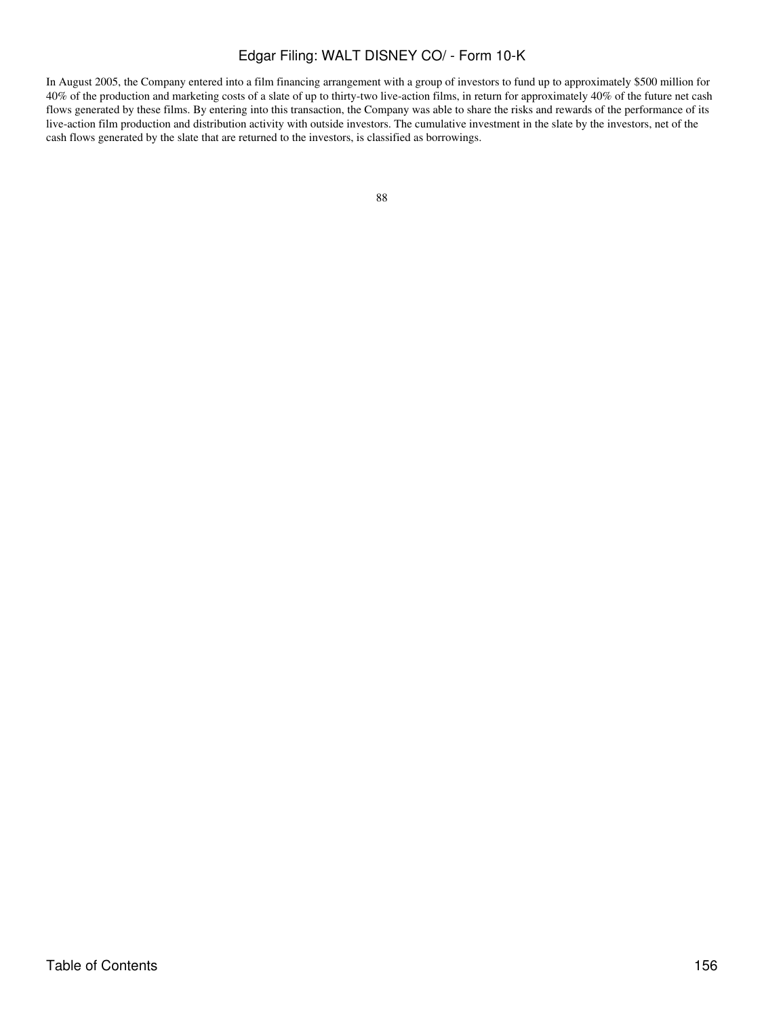In August 2005, the Company entered into a film financing arrangement with a group of investors to fund up to approximately \$500 million for 40% of the production and marketing costs of a slate of up to thirty-two live-action films, in return for approximately 40% of the future net cash flows generated by these films. By entering into this transaction, the Company was able to share the risks and rewards of the performance of its live-action film production and distribution activity with outside investors. The cumulative investment in the slate by the investors, net of the cash flows generated by the slate that are returned to the investors, is classified as borrowings.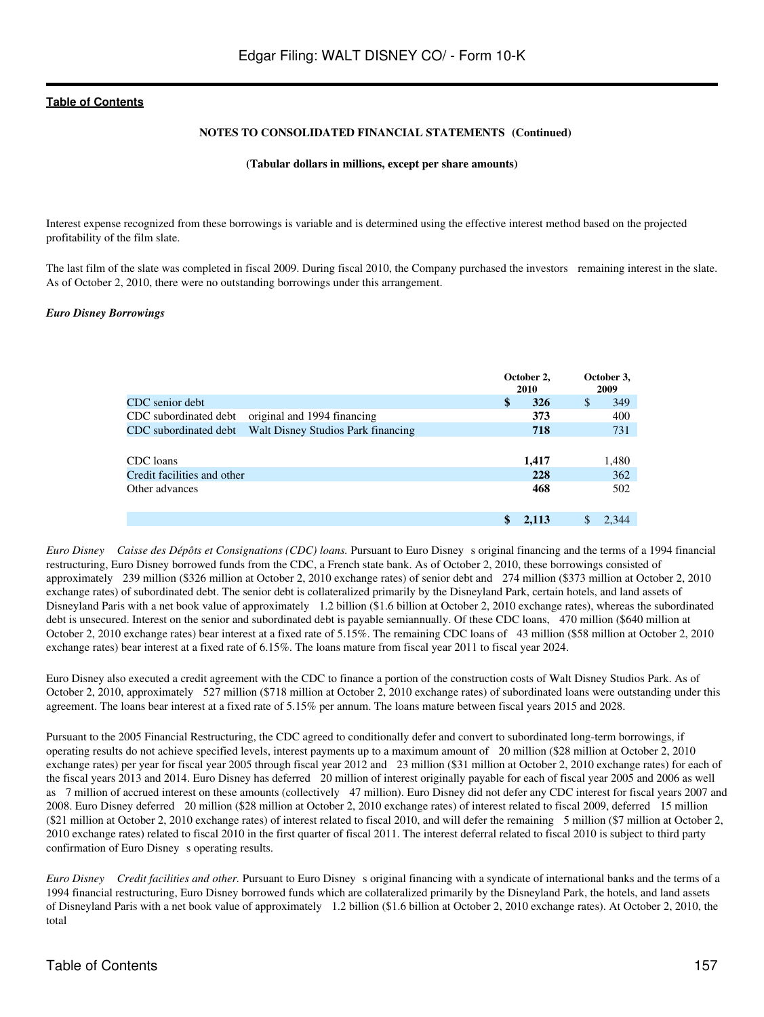## **NOTES TO CONSOLIDATED FINANCIAL STATEMENTS (Continued)**

#### **(Tabular dollars in millions, except per share amounts)**

Interest expense recognized from these borrowings is variable and is determined using the effective interest method based on the projected profitability of the film slate.

The last film of the slate was completed in fiscal 2009. During fiscal 2010, the Company purchased the investors remaining interest in the slate. As of October 2, 2010, there were no outstanding borrowings under this arrangement.

### *Euro Disney Borrowings*

|                             |                                           | October 2,<br>2010 |       |               | October 3,<br>2009 |
|-----------------------------|-------------------------------------------|--------------------|-------|---------------|--------------------|
| CDC senior debt             |                                           | \$                 | 326   | <sup>\$</sup> | 349                |
| CDC subordinated debt       | original and 1994 financing               |                    | 373   |               | 400                |
| CDC subordinated debt       | <b>Walt Disney Studios Park financing</b> | 718                |       |               |                    |
|                             |                                           |                    |       |               |                    |
| CDC loans                   |                                           |                    | 1,417 |               | 1,480              |
| Credit facilities and other |                                           |                    | 228   |               | 362                |
| Other advances              |                                           |                    | 468   |               | 502                |
|                             |                                           |                    |       |               |                    |
|                             |                                           | \$                 | 2,113 |               | 2.344              |

*Euro Disney Caisse des Dépôts et Consignations (CDC) loans.* Pursuant to Euro Disneys original financing and the terms of a 1994 financial restructuring, Euro Disney borrowed funds from the CDC, a French state bank. As of October 2, 2010, these borrowings consisted of approximately 239 million (\$326 million at October 2, 2010 exchange rates) of senior debt and 274 million (\$373 million at October 2, 2010 exchange rates) of subordinated debt. The senior debt is collateralized primarily by the Disneyland Park, certain hotels, and land assets of Disneyland Paris with a net book value of approximately 1.2 billion (\$1.6 billion at October 2, 2010 exchange rates), whereas the subordinated debt is unsecured. Interest on the senior and subordinated debt is payable semiannually. Of these CDC loans, 470 million (\$640 million at October 2, 2010 exchange rates) bear interest at a fixed rate of 5.15%. The remaining CDC loans of 43 million (\$58 million at October 2, 2010 exchange rates) bear interest at a fixed rate of 6.15%. The loans mature from fiscal year 2011 to fiscal year 2024.

Euro Disney also executed a credit agreement with the CDC to finance a portion of the construction costs of Walt Disney Studios Park. As of October 2, 2010, approximately 527 million (\$718 million at October 2, 2010 exchange rates) of subordinated loans were outstanding under this agreement. The loans bear interest at a fixed rate of 5.15% per annum. The loans mature between fiscal years 2015 and 2028.

Pursuant to the 2005 Financial Restructuring, the CDC agreed to conditionally defer and convert to subordinated long-term borrowings, if operating results do not achieve specified levels, interest payments up to a maximum amount of 20 million (\$28 million at October 2, 2010 exchange rates) per year for fiscal year 2005 through fiscal year 2012 and 23 million (\$31 million at October 2, 2010 exchange rates) for each of the fiscal years 2013 and 2014. Euro Disney has deferred 20 million of interest originally payable for each of fiscal year 2005 and 2006 as well as 7 million of accrued interest on these amounts (collectively 47 million). Euro Disney did not defer any CDC interest for fiscal years 2007 and 2008. Euro Disney deferred 20 million (\$28 million at October 2, 2010 exchange rates) of interest related to fiscal 2009, deferred 15 million (\$21 million at October 2, 2010 exchange rates) of interest related to fiscal 2010, and will defer the remaining 5 million (\$7 million at October 2, 2010 exchange rates) related to fiscal 2010 in the first quarter of fiscal 2011. The interest deferral related to fiscal 2010 is subject to third party confirmation of Euro Disney s operating results.

*Euro Disney Credit facilities and other.* Pursuant to Euro Disney s original financing with a syndicate of international banks and the terms of a 1994 financial restructuring, Euro Disney borrowed funds which are collateralized primarily by the Disneyland Park, the hotels, and land assets of Disneyland Paris with a net book value of approximately 1.2 billion (\$1.6 billion at October 2, 2010 exchange rates). At October 2, 2010, the total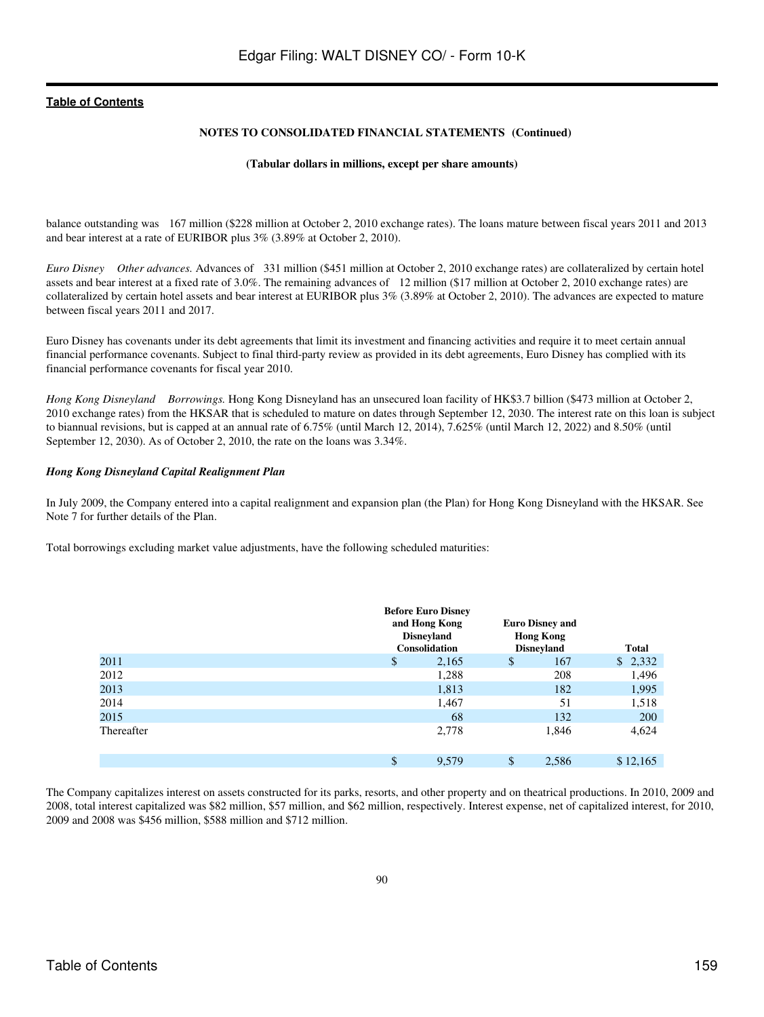## **NOTES TO CONSOLIDATED FINANCIAL STATEMENTS (Continued)**

#### **(Tabular dollars in millions, except per share amounts)**

balance outstanding was 167 million (\$228 million at October 2, 2010 exchange rates). The loans mature between fiscal years 2011 and 2013 and bear interest at a rate of EURIBOR plus 3% (3.89% at October 2, 2010).

*Euro Disney Other advances.* Advances of 331 million (\$451 million at October 2, 2010 exchange rates) are collateralized by certain hotel assets and bear interest at a fixed rate of 3.0%. The remaining advances of 12 million (\$17 million at October 2, 2010 exchange rates) are collateralized by certain hotel assets and bear interest at EURIBOR plus 3% (3.89% at October 2, 2010). The advances are expected to mature between fiscal years 2011 and 2017.

Euro Disney has covenants under its debt agreements that limit its investment and financing activities and require it to meet certain annual financial performance covenants. Subject to final third-party review as provided in its debt agreements, Euro Disney has complied with its financial performance covenants for fiscal year 2010.

*Hong Kong Disneyland Borrowings.* Hong Kong Disneyland has an unsecured loan facility of HK\$3.7 billion (\$473 million at October 2, 2010 exchange rates) from the HKSAR that is scheduled to mature on dates through September 12, 2030. The interest rate on this loan is subject to biannual revisions, but is capped at an annual rate of 6.75% (until March 12, 2014), 7.625% (until March 12, 2022) and 8.50% (until September 12, 2030). As of October 2, 2010, the rate on the loans was 3.34%.

### *Hong Kong Disneyland Capital Realignment Plan*

In July 2009, the Company entered into a capital realignment and expansion plan (the Plan) for Hong Kong Disneyland with the HKSAR. See Note 7 for further details of the Plan.

Total borrowings excluding market value adjustments, have the following scheduled maturities:

|            | <b>Before Euro Disney</b><br>and Hong Kong<br><b>Disneyland</b><br>Consolidation |    | <b>Euro Disney and</b><br><b>Hong Kong</b><br><b>Disneyland</b> | <b>Total</b> |
|------------|----------------------------------------------------------------------------------|----|-----------------------------------------------------------------|--------------|
| 2011       | $\mathbb{S}$<br>2,165                                                            | \$ | 167                                                             | \$2,332      |
| 2012       | 1,288                                                                            |    | 208                                                             | 1,496        |
| 2013       | 1,813                                                                            |    | 182                                                             | 1,995        |
| 2014       | 1,467                                                                            |    | 51                                                              | 1,518        |
| 2015       |                                                                                  | 68 | 132                                                             | 200          |
| Thereafter | 2,778                                                                            |    | 1,846                                                           | 4,624        |
|            | \$<br>9,579                                                                      | \$ | 2,586                                                           | \$12,165     |

The Company capitalizes interest on assets constructed for its parks, resorts, and other property and on theatrical productions. In 2010, 2009 and 2008, total interest capitalized was \$82 million, \$57 million, and \$62 million, respectively. Interest expense, net of capitalized interest, for 2010, 2009 and 2008 was \$456 million, \$588 million and \$712 million.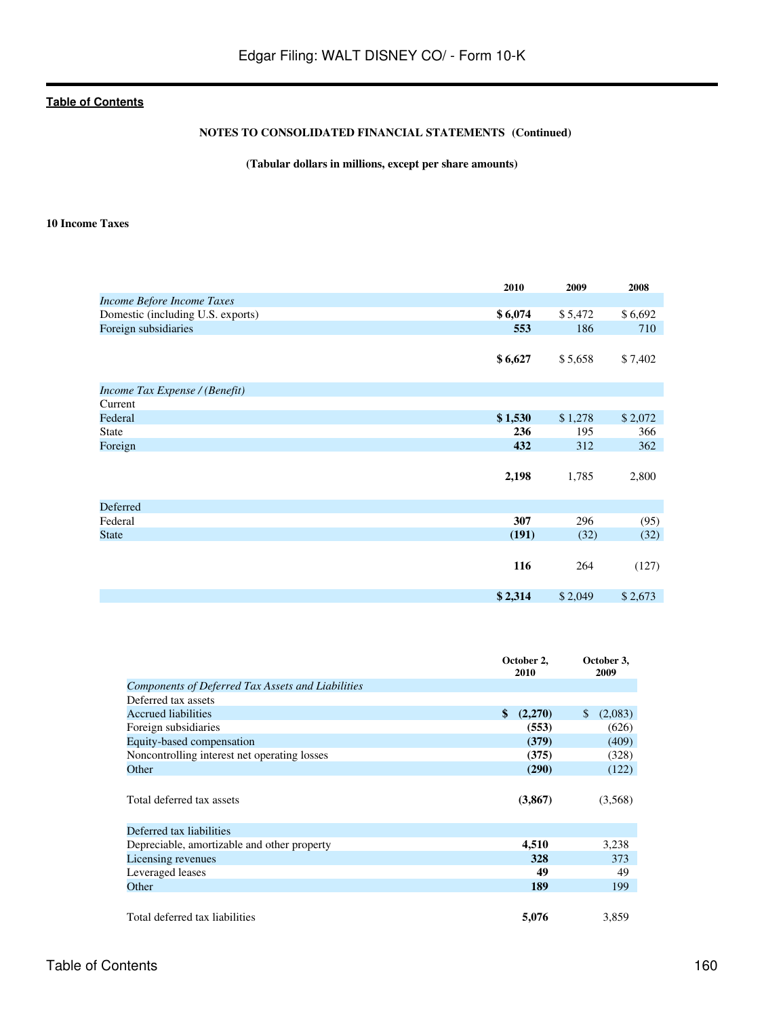## **NOTES TO CONSOLIDATED FINANCIAL STATEMENTS (Continued)**

## **(Tabular dollars in millions, except per share amounts)**

### **10 Income Taxes**

|                                   | 2010    | 2009    | 2008    |
|-----------------------------------|---------|---------|---------|
| Income Before Income Taxes        |         |         |         |
| Domestic (including U.S. exports) | \$6,074 | \$5,472 | \$6,692 |
| Foreign subsidiaries              | 553     | 186     | 710     |
|                                   |         |         |         |
|                                   | \$6,627 | \$5,658 | \$7,402 |
|                                   |         |         |         |
| Income Tax Expense / (Benefit)    |         |         |         |
| Current                           |         |         |         |
| Federal                           | \$1,530 | \$1,278 | \$2,072 |
| <b>State</b>                      | 236     | 195     | 366     |
| Foreign                           | 432     | 312     | 362     |
|                                   |         |         |         |
|                                   | 2,198   | 1,785   | 2,800   |
|                                   |         |         |         |
| Deferred                          |         |         |         |
| Federal                           | 307     | 296     | (95)    |
| <b>State</b>                      | (191)   | (32)    | (32)    |
|                                   |         |         |         |
|                                   | 116     | 264     | (127)   |
|                                   |         |         |         |
|                                   | \$2,314 | \$2,049 | \$2,673 |
|                                   |         |         |         |

|                                                   | October 2,<br>2010 | October 3,<br>2009 |
|---------------------------------------------------|--------------------|--------------------|
| Components of Deferred Tax Assets and Liabilities |                    |                    |
| Deferred tax assets                               |                    |                    |
| <b>Accrued liabilities</b>                        | \$<br>(2,270)      | \$<br>(2,083)      |
| Foreign subsidiaries                              | (553)              | (626)              |
| Equity-based compensation                         | (379)              | (409)              |
| Noncontrolling interest net operating losses      | (375)              | (328)              |
| Other                                             | (290)              | (122)              |
| Total deferred tax assets                         | (3,867)            | (3,568)            |
| Deferred tax liabilities                          |                    |                    |
| Depreciable, amortizable and other property       | 4,510              | 3,238              |
| Licensing revenues                                | 328                | 373                |
| Leveraged leases                                  | 49                 | 49                 |
| Other                                             | 189                | 199                |
| Total deferred tax liabilities                    | 5,076              | 3,859              |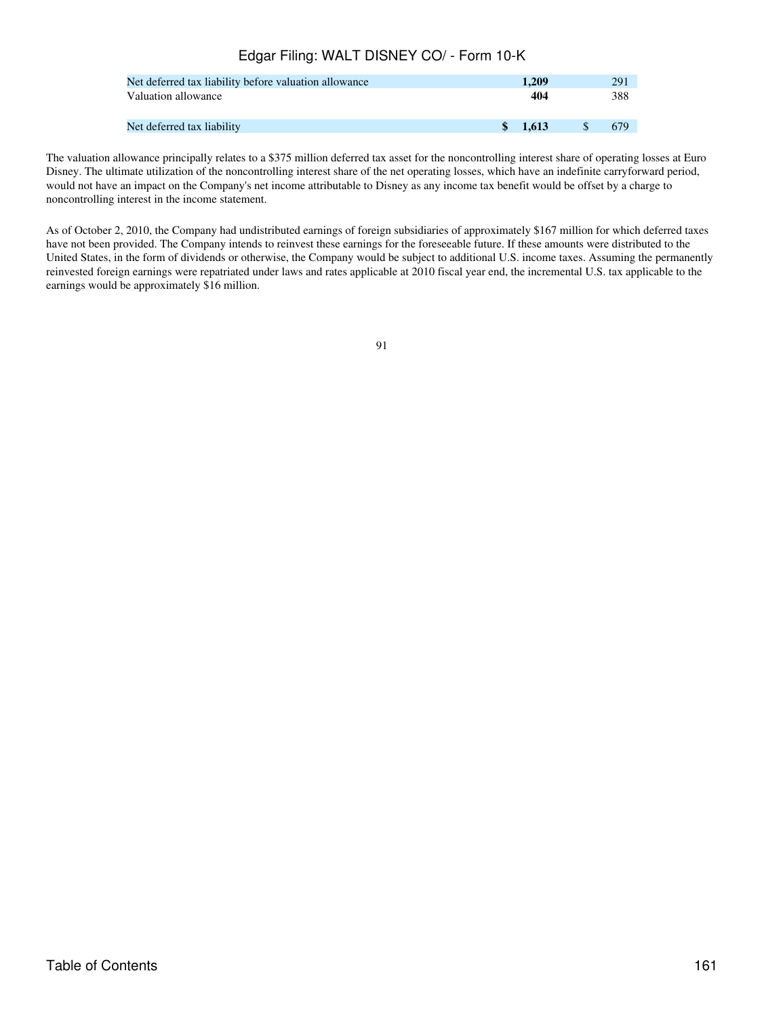| Net deferred tax liability before valuation allowance | 1.209               | 291 |
|-------------------------------------------------------|---------------------|-----|
| Valuation allowance                                   | 404                 | 388 |
| Net deferred tax liability                            | $\frac{1}{2}$ 1.613 | 679 |

The valuation allowance principally relates to a \$375 million deferred tax asset for the noncontrolling interest share of operating losses at Euro Disney. The ultimate utilization of the noncontrolling interest share of the net operating losses, which have an indefinite carryforward period, would not have an impact on the Company's net income attributable to Disney as any income tax benefit would be offset by a charge to noncontrolling interest in the income statement.

As of October 2, 2010, the Company had undistributed earnings of foreign subsidiaries of approximately \$167 million for which deferred taxes have not been provided. The Company intends to reinvest these earnings for the foreseeable future. If these amounts were distributed to the United States, in the form of dividends or otherwise, the Company would be subject to additional U.S. income taxes. Assuming the permanently reinvested foreign earnings were repatriated under laws and rates applicable at 2010 fiscal year end, the incremental U.S. tax applicable to the earnings would be approximately \$16 million.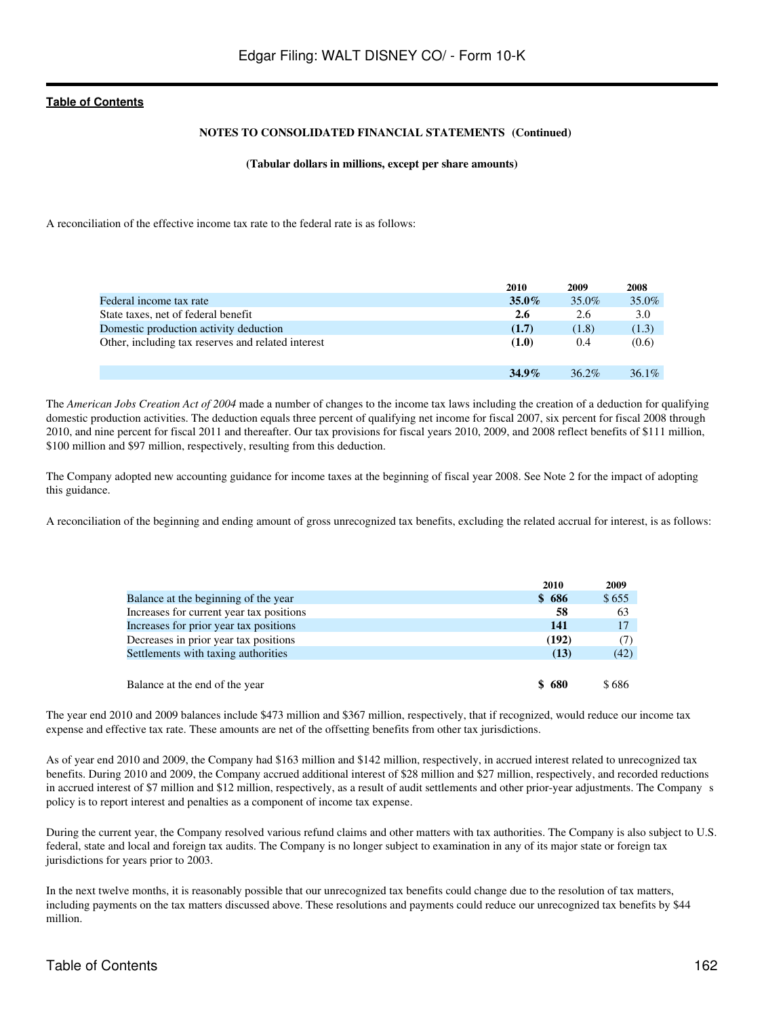## **NOTES TO CONSOLIDATED FINANCIAL STATEMENTS (Continued)**

#### **(Tabular dollars in millions, except per share amounts)**

A reconciliation of the effective income tax rate to the federal rate is as follows:

|                                                    | 2010     | 2009     | 2008     |
|----------------------------------------------------|----------|----------|----------|
| Federal income tax rate                            | $35.0\%$ | 35.0%    | 35.0%    |
| State taxes, net of federal benefit                | 2.6      | 2.6      | 3.0      |
| Domestic production activity deduction             | (1.7)    | (1.8)    | (1.3)    |
| Other, including tax reserves and related interest | (1.0)    | 0.4      | (0.6)    |
|                                                    |          |          |          |
|                                                    | $34.9\%$ | $36.2\%$ | $36.1\%$ |

The *American Jobs Creation Act of 2004* made a number of changes to the income tax laws including the creation of a deduction for qualifying domestic production activities. The deduction equals three percent of qualifying net income for fiscal 2007, six percent for fiscal 2008 through 2010, and nine percent for fiscal 2011 and thereafter. Our tax provisions for fiscal years 2010, 2009, and 2008 reflect benefits of \$111 million, \$100 million and \$97 million, respectively, resulting from this deduction.

The Company adopted new accounting guidance for income taxes at the beginning of fiscal year 2008. See Note 2 for the impact of adopting this guidance.

A reconciliation of the beginning and ending amount of gross unrecognized tax benefits, excluding the related accrual for interest, is as follows:

|                                          | 2010  | 2009  |
|------------------------------------------|-------|-------|
| Balance at the beginning of the year     | \$686 | \$655 |
| Increases for current year tax positions | 58    | 63    |
| Increases for prior year tax positions   | 141   | 17    |
| Decreases in prior year tax positions    | (192) | (7)   |
| Settlements with taxing authorities      | (13)  | (42)  |
|                                          |       |       |
| Balance at the end of the year           | \$680 | \$686 |

The year end 2010 and 2009 balances include \$473 million and \$367 million, respectively, that if recognized, would reduce our income tax expense and effective tax rate. These amounts are net of the offsetting benefits from other tax jurisdictions.

As of year end 2010 and 2009, the Company had \$163 million and \$142 million, respectively, in accrued interest related to unrecognized tax benefits. During 2010 and 2009, the Company accrued additional interest of \$28 million and \$27 million, respectively, and recorded reductions in accrued interest of \$7 million and \$12 million, respectively, as a result of audit settlements and other prior-year adjustments. The Companys policy is to report interest and penalties as a component of income tax expense.

During the current year, the Company resolved various refund claims and other matters with tax authorities. The Company is also subject to U.S. federal, state and local and foreign tax audits. The Company is no longer subject to examination in any of its major state or foreign tax jurisdictions for years prior to 2003.

In the next twelve months, it is reasonably possible that our unrecognized tax benefits could change due to the resolution of tax matters, including payments on the tax matters discussed above. These resolutions and payments could reduce our unrecognized tax benefits by \$44 million.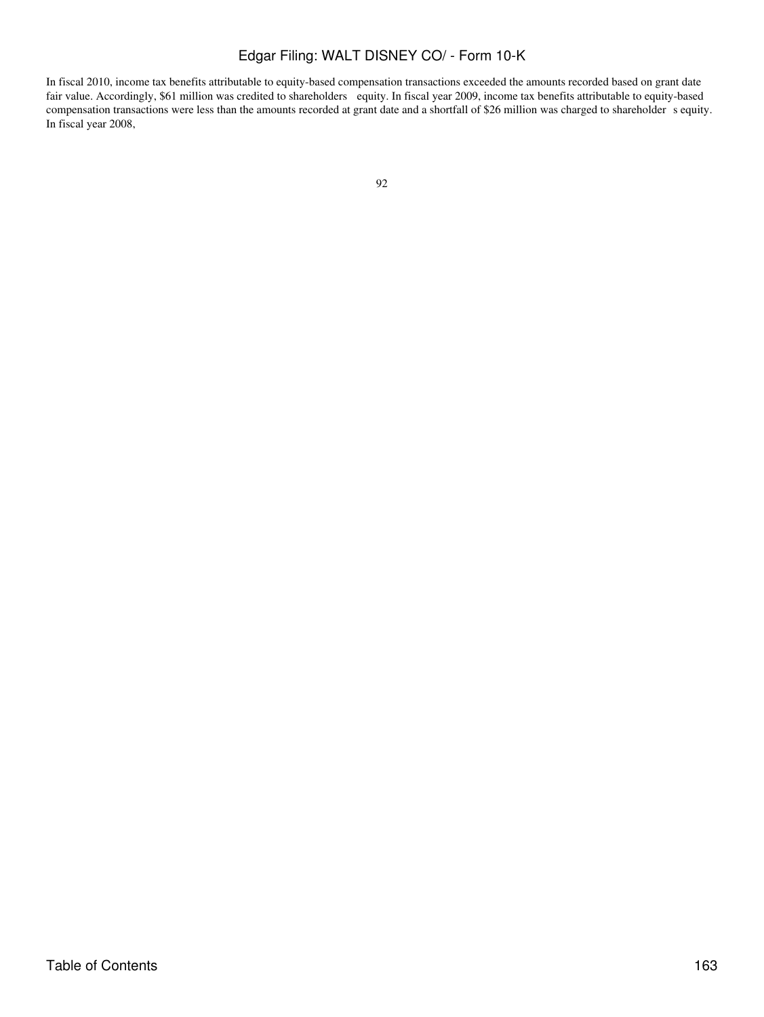In fiscal 2010, income tax benefits attributable to equity-based compensation transactions exceeded the amounts recorded based on grant date fair value. Accordingly, \$61 million was credited to shareholders equity. In fiscal year 2009, income tax benefits attributable to equity-based compensation transactions were less than the amounts recorded at grant date and a shortfall of \$26 million was charged to shareholder sequity. In fiscal year 2008,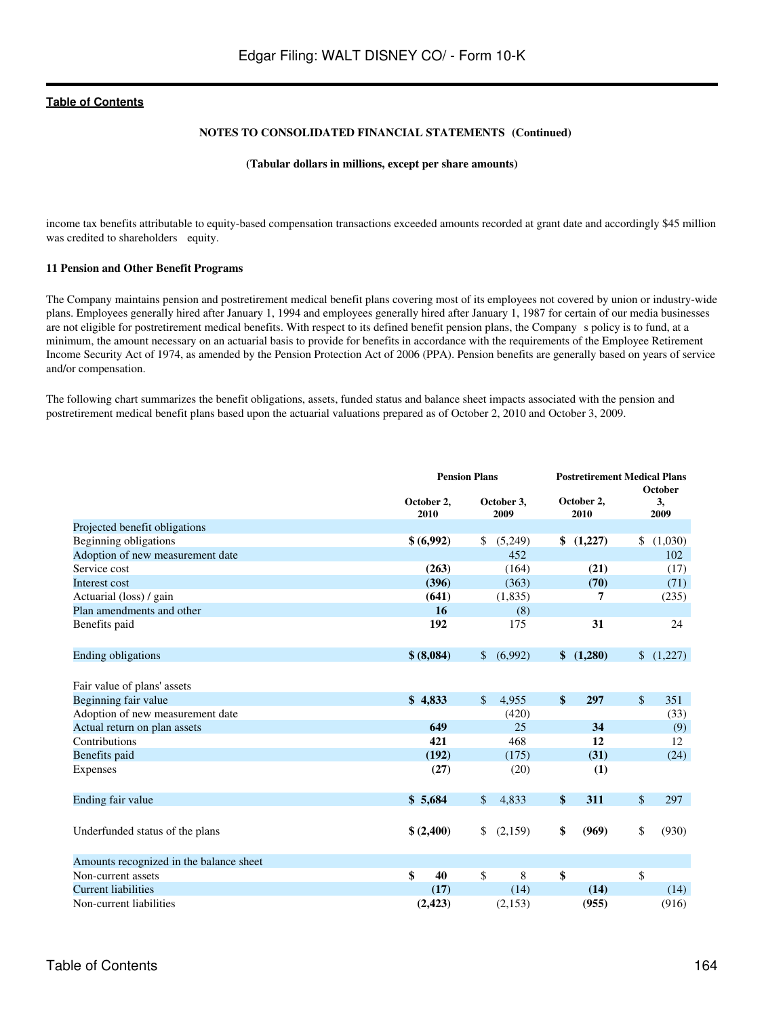## **NOTES TO CONSOLIDATED FINANCIAL STATEMENTS (Continued)**

## **(Tabular dollars in millions, except per share amounts)**

income tax benefits attributable to equity-based compensation transactions exceeded amounts recorded at grant date and accordingly \$45 million was credited to shareholders equity.

### **11 Pension and Other Benefit Programs**

The Company maintains pension and postretirement medical benefit plans covering most of its employees not covered by union or industry-wide plans. Employees generally hired after January 1, 1994 and employees generally hired after January 1, 1987 for certain of our media businesses are not eligible for postretirement medical benefits. With respect to its defined benefit pension plans, the Companys policy is to fund, at a minimum, the amount necessary on an actuarial basis to provide for benefits in accordance with the requirements of the Employee Retirement Income Security Act of 1974, as amended by the Pension Protection Act of 2006 (PPA). Pension benefits are generally based on years of service and/or compensation.

The following chart summarizes the benefit obligations, assets, funded status and balance sheet impacts associated with the pension and postretirement medical benefit plans based upon the actuarial valuations prepared as of October 2, 2010 and October 3, 2009.

|                                         |                    | <b>Pension Plans</b> | <b>Postretirement Medical Plans</b><br>October |               |
|-----------------------------------------|--------------------|----------------------|------------------------------------------------|---------------|
|                                         | October 2,<br>2010 | October 3,<br>2009   | October 2,<br>2010                             | 3,<br>2009    |
| Projected benefit obligations           |                    |                      |                                                |               |
| Beginning obligations                   | \$(6,992)          | (5,249)<br>\$        | (1,227)<br>\$                                  | (1,030)<br>\$ |
| Adoption of new measurement date        |                    | 452                  |                                                | 102           |
| Service cost                            | (263)              | (164)                | (21)                                           | (17)          |
| Interest cost                           | (396)              | (363)                | (70)                                           | (71)          |
| Actuarial (loss) / gain                 | (641)              | (1,835)              | 7                                              | (235)         |
| Plan amendments and other               | 16                 | (8)                  |                                                |               |
| Benefits paid                           | 192                | 175                  | 31                                             | 24            |
| Ending obligations                      | \$ (8,084)         | (6,992)<br>\$        | (1,280)<br>\$                                  | (1,227)       |
| Fair value of plans' assets             |                    |                      |                                                |               |
| Beginning fair value                    | \$4,833            | \$<br>4.955          | \$<br>297                                      | \$<br>351     |
| Adoption of new measurement date        |                    | (420)                |                                                | (33)          |
| Actual return on plan assets            | 649                | 25                   | 34                                             | (9)           |
| Contributions                           | 421                | 468                  | 12                                             | 12            |
| Benefits paid                           | (192)              | (175)                | (31)                                           | (24)          |
| Expenses                                | (27)               | (20)                 | (1)                                            |               |
| Ending fair value                       | \$5,684            | \$<br>4,833          | \$<br>311                                      | \$<br>297     |
| Underfunded status of the plans         | \$(2,400)          | \$<br>(2,159)        | \$<br>(969)                                    | \$<br>(930)   |
| Amounts recognized in the balance sheet |                    |                      |                                                |               |
| Non-current assets                      | \$<br>40           | \$<br>$\,$ 8 $\,$    | \$                                             | \$            |
| <b>Current liabilities</b>              | (17)               | (14)                 | (14)                                           | (14)          |
| Non-current liabilities                 | (2,423)            | (2,153)              | (955)                                          | (916)         |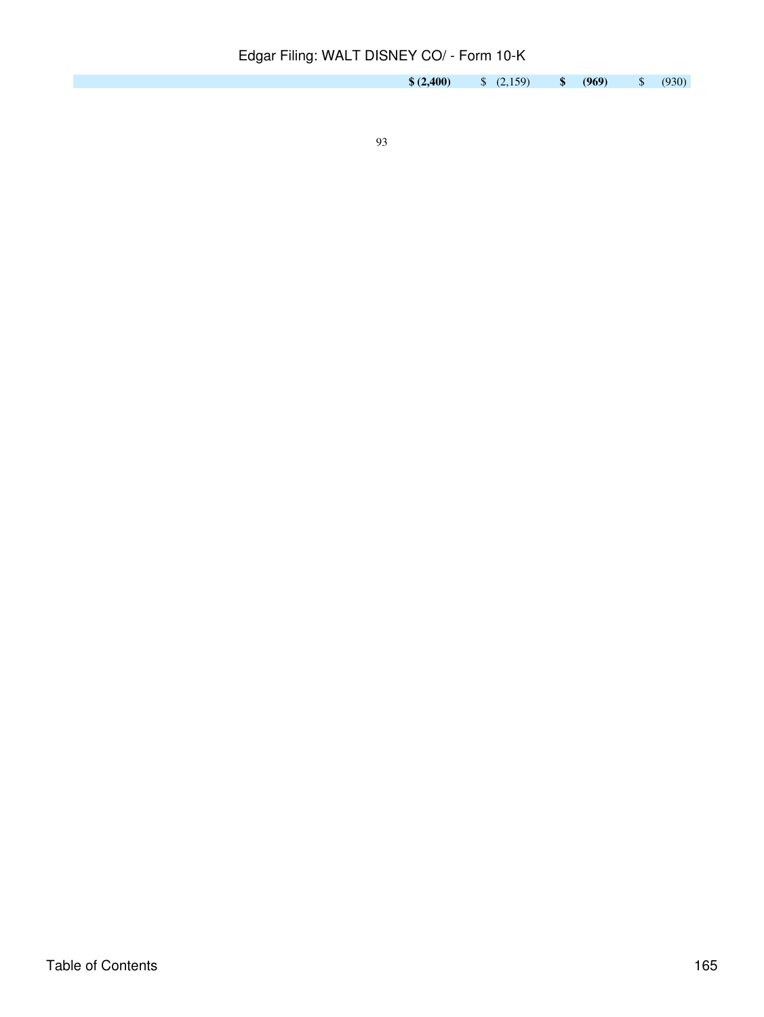|  | $\{(2,400)\qquad \quad \$ \quad (2,159) \qquad \quad \$ \quad (969) \qquad \quad \$ \quad (930)$ |  |  |
|--|--------------------------------------------------------------------------------------------------|--|--|
|  |                                                                                                  |  |  |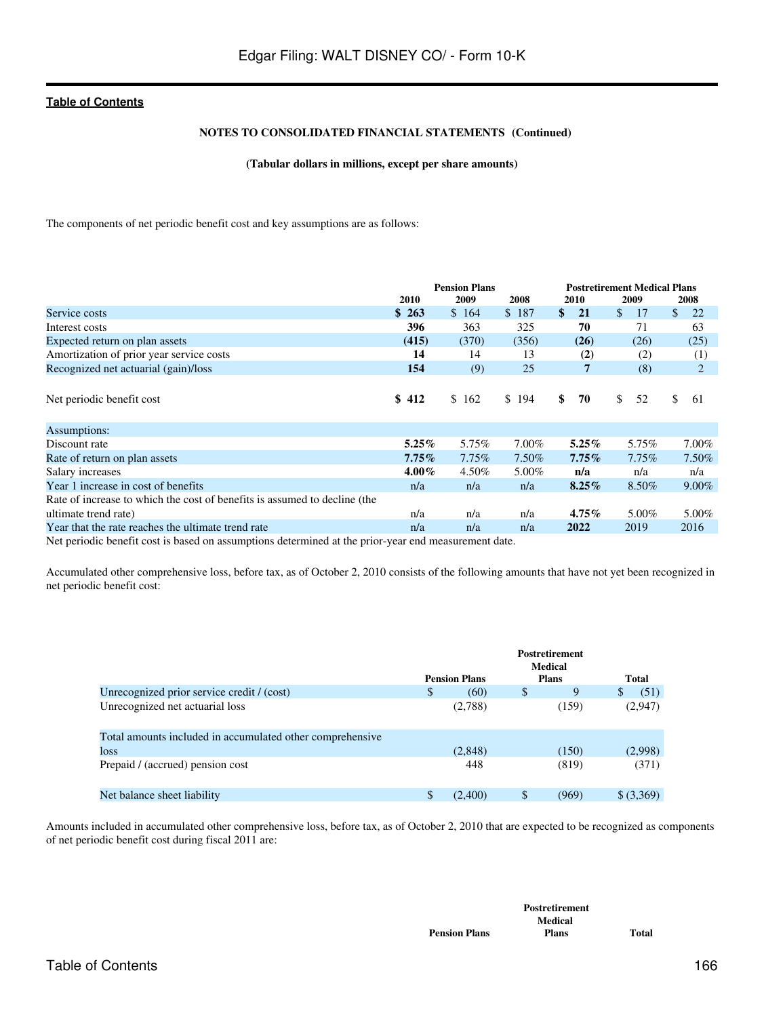## **NOTES TO CONSOLIDATED FINANCIAL STATEMENTS (Continued)**

### **(Tabular dollars in millions, except per share amounts)**

The components of net periodic benefit cost and key assumptions are as follows:

|                                                                           | <b>Pension Plans</b><br><b>Postretirement Medical Plans</b> |       |                       |             |          |                      |
|---------------------------------------------------------------------------|-------------------------------------------------------------|-------|-----------------------|-------------|----------|----------------------|
|                                                                           | 2010                                                        | 2009  | 2008                  | <b>2010</b> | 2009     | 2008                 |
| Service costs                                                             | \$263                                                       | \$164 | 187<br>$\mathbb{S}^-$ | \$<br>21    | \$<br>17 | $\mathbb{S}^-$<br>22 |
| Interest costs                                                            | 396                                                         | 363   | 325                   | 70          | 71       | 63                   |
| Expected return on plan assets                                            | (415)                                                       | (370) | (356)                 | (26)        | (26)     | (25)                 |
| Amortization of prior year service costs                                  | 14                                                          | 14    | 13                    | (2)         | (2)      | (1)                  |
| Recognized net actuarial (gain)/loss                                      | 154                                                         | (9)   | 25                    | 7           | (8)      | 2                    |
| Net periodic benefit cost                                                 | \$412                                                       | \$162 | \$194                 | \$<br>70    | \$<br>52 | \$<br>61             |
| Assumptions:                                                              |                                                             |       |                       |             |          |                      |
| Discount rate                                                             | $5.25\%$                                                    | 5.75% | $7.00\%$              | $5.25\%$    | 5.75%    | $7.00\%$             |
| Rate of return on plan assets                                             | $7.75\%$                                                    | 7.75% | 7.50%                 | $7.75\%$    | 7.75%    | 7.50%                |
| Salary increases                                                          | $4.00\%$                                                    | 4.50% | 5.00%                 | n/a         | n/a      | n/a                  |
| Year 1 increase in cost of benefits                                       | n/a                                                         | n/a   | n/a                   | $8.25\%$    | $8.50\%$ | $9.00\%$             |
| Rate of increase to which the cost of benefits is assumed to decline (the |                                                             |       |                       |             |          |                      |
| ultimate trend rate)                                                      | n/a                                                         | n/a   | n/a                   | $4.75\%$    | 5.00%    | 5.00%                |
| Year that the rate reaches the ultimate trend rate                        | n/a                                                         | n/a   | n/a                   | 2022        | 2019     | 2016                 |

Net periodic benefit cost is based on assumptions determined at the prior-year end measurement date.

Accumulated other comprehensive loss, before tax, as of October 2, 2010 consists of the following amounts that have not yet been recognized in net periodic benefit cost:

|                                                           |     | <b>Pension Plans</b> | <b>Postretirement</b><br><b>Medical</b><br><b>Plans</b> | <b>Total</b> |
|-----------------------------------------------------------|-----|----------------------|---------------------------------------------------------|--------------|
| Unrecognized prior service credit / (cost)                | S   | (60)                 | \$<br>9                                                 | (51)<br>SS.  |
| Unrecognized net actuarial loss                           |     | (2,788)              | (159)                                                   | (2,947)      |
| Total amounts included in accumulated other comprehensive |     |                      |                                                         |              |
| loss                                                      |     | (2,848)              | (150)                                                   | (2,998)      |
| Prepaid / (accrued) pension cost                          |     | 448                  | (819)                                                   | (371)        |
| Net balance sheet liability                               | \$. | (2,400)              | \$<br>(969)                                             | \$ (3,369)   |

Amounts included in accumulated other comprehensive loss, before tax, as of October 2, 2010 that are expected to be recognized as components of net periodic benefit cost during fiscal 2011 are:

|                      | Postretirement |       |
|----------------------|----------------|-------|
|                      | <b>Medical</b> |       |
| <b>Pension Plans</b> | <b>Plans</b>   | Total |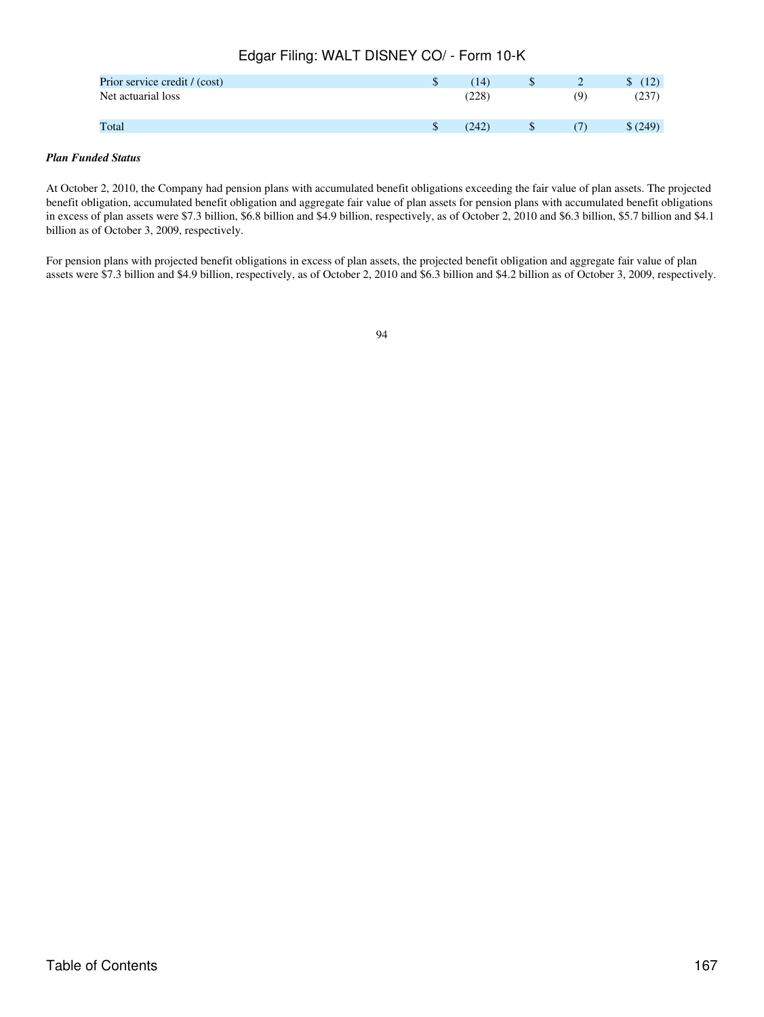| Edgar Filing: WALT DISNEY CO/ - Form 10-K |
|-------------------------------------------|
|-------------------------------------------|

| Prior service credit / (cost) | J | (14)  | ъ |     |             |
|-------------------------------|---|-------|---|-----|-------------|
| Net actuarial loss            |   | (228) |   | (9) | (237)       |
| Total                         |   | (242) |   |     | $$^{(249)}$ |
|                               |   |       |   |     |             |

## *Plan Funded Status*

At October 2, 2010, the Company had pension plans with accumulated benefit obligations exceeding the fair value of plan assets. The projected benefit obligation, accumulated benefit obligation and aggregate fair value of plan assets for pension plans with accumulated benefit obligations in excess of plan assets were \$7.3 billion, \$6.8 billion and \$4.9 billion, respectively, as of October 2, 2010 and \$6.3 billion, \$5.7 billion and \$4.1 billion as of October 3, 2009, respectively.

For pension plans with projected benefit obligations in excess of plan assets, the projected benefit obligation and aggregate fair value of plan assets were \$7.3 billion and \$4.9 billion, respectively, as of October 2, 2010 and \$6.3 billion and \$4.2 billion as of October 3, 2009, respectively.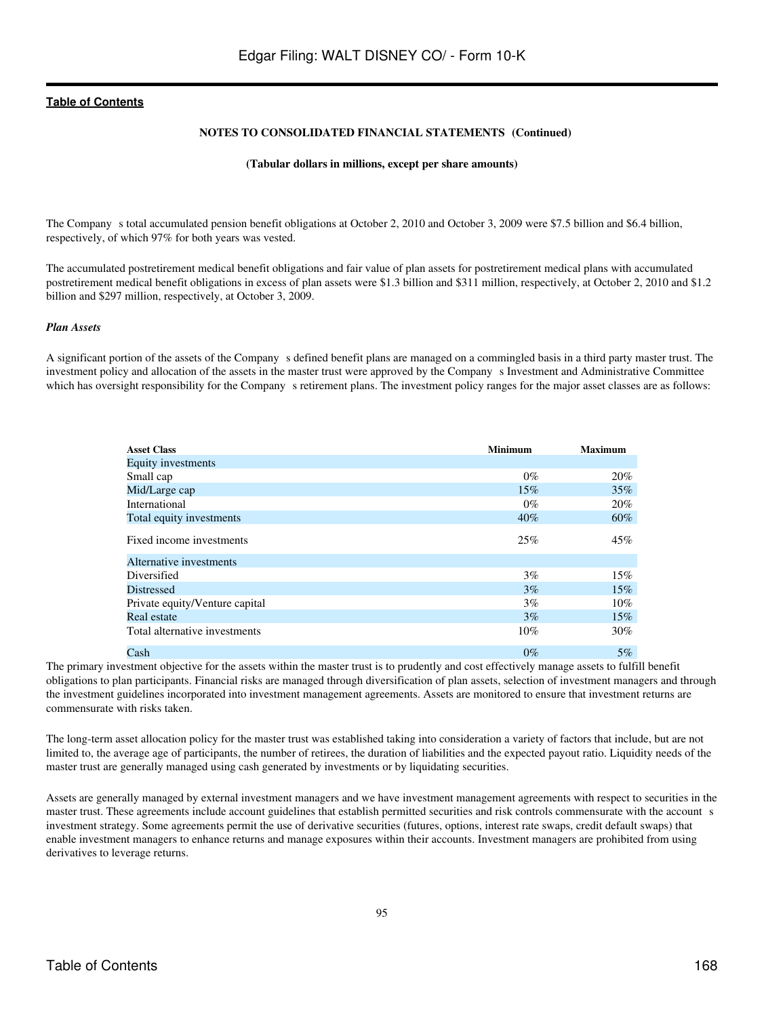## **NOTES TO CONSOLIDATED FINANCIAL STATEMENTS (Continued)**

#### **(Tabular dollars in millions, except per share amounts)**

The Company s total accumulated pension benefit obligations at October 2, 2010 and October 3, 2009 were \$7.5 billion and \$6.4 billion, respectively, of which 97% for both years was vested.

The accumulated postretirement medical benefit obligations and fair value of plan assets for postretirement medical plans with accumulated postretirement medical benefit obligations in excess of plan assets were \$1.3 billion and \$311 million, respectively, at October 2, 2010 and \$1.2 billion and \$297 million, respectively, at October 3, 2009.

### *Plan Assets*

A significant portion of the assets of the Companys defined benefit plans are managed on a commingled basis in a third party master trust. The investment policy and allocation of the assets in the master trust were approved by the Company s Investment and Administrative Committee which has oversight responsibility for the Company s retirement plans. The investment policy ranges for the major asset classes are as follows:

| <b>Asset Class</b>             | <b>Minimum</b> | <b>Maximum</b> |
|--------------------------------|----------------|----------------|
| Equity investments             |                |                |
| Small cap                      | $0\%$          | 20%            |
| Mid/Large cap                  | 15%            | $35\%$         |
| International                  | $0\%$          | 20%            |
| Total equity investments       | $40\%$         | 60%            |
| Fixed income investments       | 25%            | 45%            |
| Alternative investments        |                |                |
| Diversified                    | $3\%$          | $15\%$         |
| Distressed                     | $3\%$          | $15\%$         |
| Private equity/Venture capital | $3\%$          | $10\%$         |
| Real estate                    | $3\%$          | $15\%$         |
| Total alternative investments  | $10\%$         | 30%            |
| Cash                           | $0\%$          | $5\%$          |

The primary investment objective for the assets within the master trust is to prudently and cost effectively manage assets to fulfill benefit obligations to plan participants. Financial risks are managed through diversification of plan assets, selection of investment managers and through the investment guidelines incorporated into investment management agreements. Assets are monitored to ensure that investment returns are commensurate with risks taken.

The long-term asset allocation policy for the master trust was established taking into consideration a variety of factors that include, but are not limited to, the average age of participants, the number of retirees, the duration of liabilities and the expected payout ratio. Liquidity needs of the master trust are generally managed using cash generated by investments or by liquidating securities.

Assets are generally managed by external investment managers and we have investment management agreements with respect to securities in the master trust. These agreements include account guidelines that establish permitted securities and risk controls commensurate with the account s investment strategy. Some agreements permit the use of derivative securities (futures, options, interest rate swaps, credit default swaps) that enable investment managers to enhance returns and manage exposures within their accounts. Investment managers are prohibited from using derivatives to leverage returns.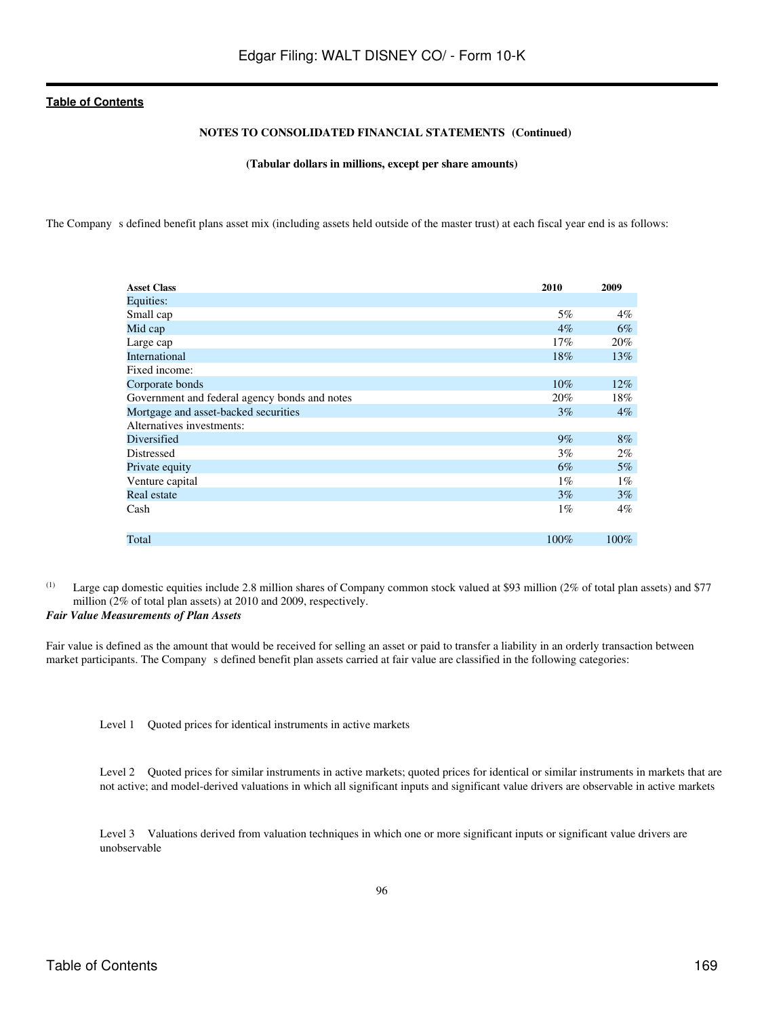### **NOTES TO CONSOLIDATED FINANCIAL STATEMENTS (Continued)**

**(Tabular dollars in millions, except per share amounts)**

The Company s defined benefit plans asset mix (including assets held outside of the master trust) at each fiscal year end is as follows:

| <b>Asset Class</b>                            | 2010   | 2009  |
|-----------------------------------------------|--------|-------|
| Equities:                                     |        |       |
| Small cap                                     | 5%     | $4\%$ |
| Mid cap                                       | $4\%$  | $6\%$ |
| Large cap                                     | 17%    | 20%   |
| International                                 | 18%    | 13%   |
| Fixed income:                                 |        |       |
| Corporate bonds                               | $10\%$ | 12%   |
| Government and federal agency bonds and notes | 20%    | 18%   |
| Mortgage and asset-backed securities          | $3\%$  | $4\%$ |
| Alternatives investments:                     |        |       |
| Diversified                                   | $9\%$  | 8%    |
| Distressed                                    | $3\%$  | $2\%$ |
| Private equity                                | $6\%$  | $5\%$ |
| Venture capital                               | $1\%$  | $1\%$ |
| Real estate                                   | $3\%$  | $3\%$ |
| Cash                                          | $1\%$  | $4\%$ |
|                                               |        |       |
| Total                                         | 100%   | 100%  |

(1) Large cap domestic equities include 2.8 million shares of Company common stock valued at \$93 million (2% of total plan assets) and \$77 million (2% of total plan assets) at 2010 and 2009, respectively.

## *Fair Value Measurements of Plan Assets*

Fair value is defined as the amount that would be received for selling an asset or paid to transfer a liability in an orderly transaction between market participants. The Company s defined benefit plan assets carried at fair value are classified in the following categories:

Level 1 Quoted prices for identical instruments in active markets

Level 2 Quoted prices for similar instruments in active markets; quoted prices for identical or similar instruments in markets that are not active; and model-derived valuations in which all significant inputs and significant value drivers are observable in active markets

Level 3 Valuations derived from valuation techniques in which one or more significant inputs or significant value drivers are unobservable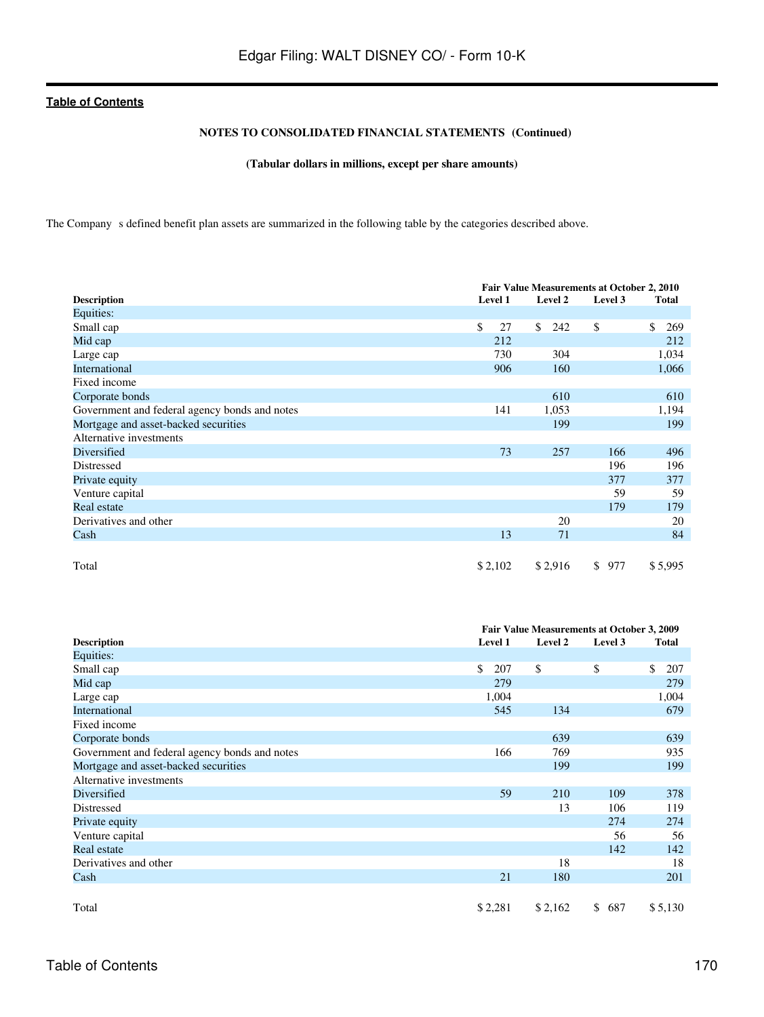## **NOTES TO CONSOLIDATED FINANCIAL STATEMENTS (Continued)**

## **(Tabular dollars in millions, except per share amounts)**

The Company s defined benefit plan assets are summarized in the following table by the categories described above.

|                                               | Fair Value Measurements at October 2, 2010 |           |           |              |  |
|-----------------------------------------------|--------------------------------------------|-----------|-----------|--------------|--|
| <b>Description</b>                            | Level 1                                    | Level 2   | Level 3   | <b>Total</b> |  |
| Equities:                                     |                                            |           |           |              |  |
| Small cap                                     | \$<br>27                                   | \$<br>242 | \$        | \$<br>269    |  |
| Mid cap                                       | 212                                        |           |           | 212          |  |
| Large cap                                     | 730                                        | 304       |           | 1,034        |  |
| International                                 | 906                                        | 160       |           | 1,066        |  |
| Fixed income                                  |                                            |           |           |              |  |
| Corporate bonds                               |                                            | 610       |           | 610          |  |
| Government and federal agency bonds and notes | 141                                        | 1,053     |           | 1,194        |  |
| Mortgage and asset-backed securities          |                                            | 199       |           | 199          |  |
| Alternative investments                       |                                            |           |           |              |  |
| Diversified                                   | 73                                         | 257       | 166       | 496          |  |
| Distressed                                    |                                            |           | 196       | 196          |  |
| Private equity                                |                                            |           | 377       | 377          |  |
| Venture capital                               |                                            |           | 59        | 59           |  |
| Real estate                                   |                                            |           | 179       | 179          |  |
| Derivatives and other                         |                                            | 20        |           | 20           |  |
| Cash                                          | 13                                         | 71        |           | 84           |  |
|                                               |                                            |           |           |              |  |
| Total                                         | \$2,102                                    | \$2,916   | \$<br>977 | \$5,995      |  |

|                                               |           | Fair Value Measurements at October 3, 2009 |           |              |  |  |  |
|-----------------------------------------------|-----------|--------------------------------------------|-----------|--------------|--|--|--|
| <b>Description</b>                            | Level 1   | Level 2                                    | Level 3   | <b>Total</b> |  |  |  |
| Equities:                                     |           |                                            |           |              |  |  |  |
| Small cap                                     | \$<br>207 | \$                                         | \$        | \$<br>207    |  |  |  |
| Mid cap                                       | 279       |                                            |           | 279          |  |  |  |
| Large cap                                     | 1,004     |                                            |           | 1,004        |  |  |  |
| International                                 | 545       | 134                                        |           | 679          |  |  |  |
| Fixed income                                  |           |                                            |           |              |  |  |  |
| Corporate bonds                               |           | 639                                        |           | 639          |  |  |  |
| Government and federal agency bonds and notes | 166       | 769                                        |           | 935          |  |  |  |
| Mortgage and asset-backed securities          |           | 199                                        |           | 199          |  |  |  |
| Alternative investments                       |           |                                            |           |              |  |  |  |
| Diversified                                   | 59        | 210                                        | 109       | 378          |  |  |  |
| Distressed                                    |           | 13                                         | 106       | 119          |  |  |  |
| Private equity                                |           |                                            | 274       | 274          |  |  |  |
| Venture capital                               |           |                                            | 56        | 56           |  |  |  |
| Real estate                                   |           |                                            | 142       | 142          |  |  |  |
| Derivatives and other                         |           | 18                                         |           | 18           |  |  |  |
| Cash                                          | 21        | 180                                        |           | 201          |  |  |  |
|                                               |           |                                            |           |              |  |  |  |
| Total                                         | \$2,281   | \$2,162                                    | \$<br>687 | \$5,130      |  |  |  |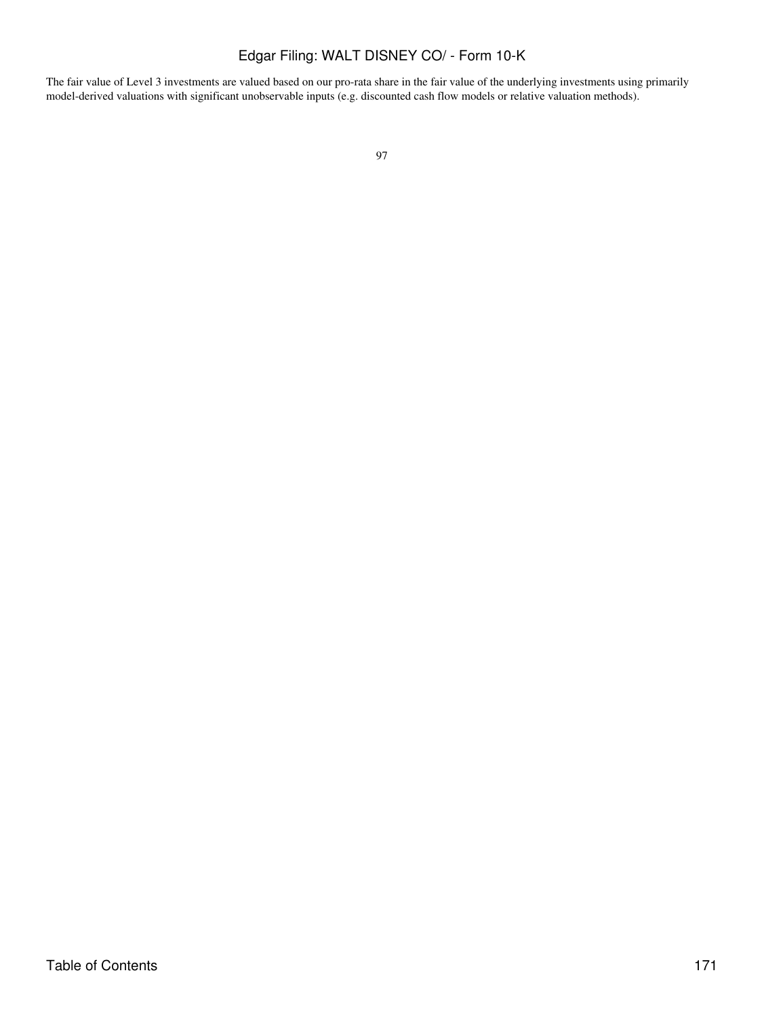The fair value of Level 3 investments are valued based on our pro-rata share in the fair value of the underlying investments using primarily model-derived valuations with significant unobservable inputs (e.g. discounted cash flow models or relative valuation methods).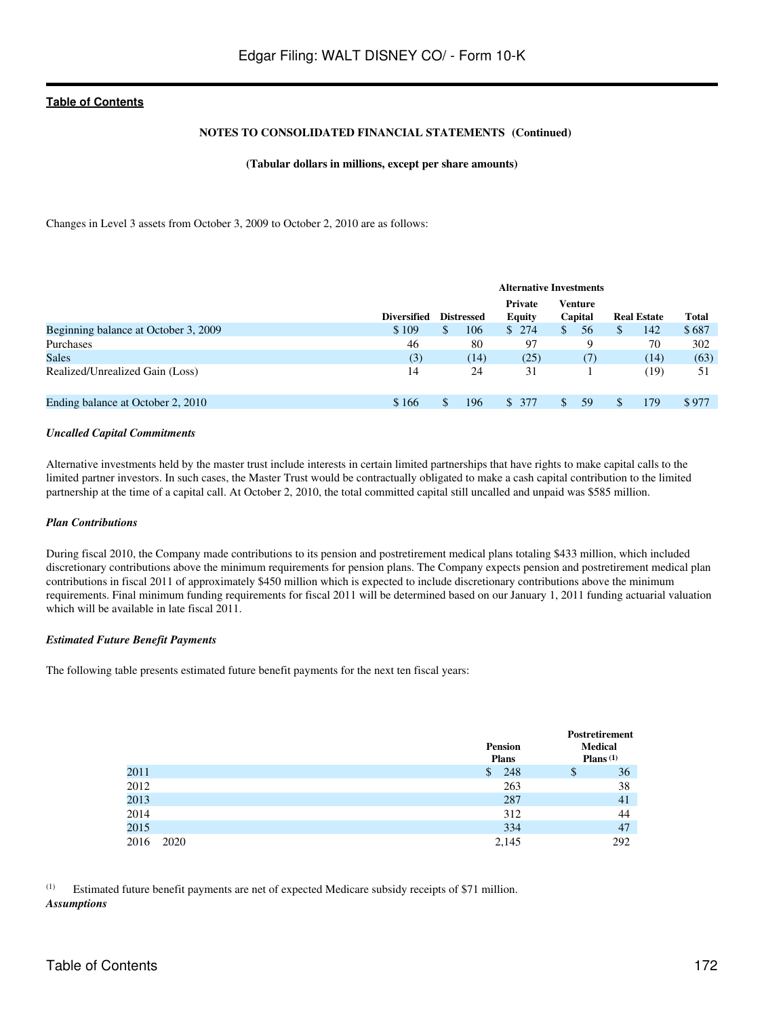## **NOTES TO CONSOLIDATED FINANCIAL STATEMENTS (Continued)**

#### **(Tabular dollars in millions, except per share amounts)**

Changes in Level 3 assets from October 3, 2009 to October 2, 2010 are as follows:

|                                      | <b>Alternative Investments</b> |    |                   |                          |    |                    |                    |              |
|--------------------------------------|--------------------------------|----|-------------------|--------------------------|----|--------------------|--------------------|--------------|
|                                      | <b>Diversified</b>             |    | <b>Distressed</b> | Private<br><b>Equity</b> |    | Venture<br>Capital | <b>Real Estate</b> | <b>Total</b> |
| Beginning balance at October 3, 2009 | \$109                          | \$ | 106               | \$274                    | \$ | 56                 | 142                | \$687        |
| Purchases                            | 46                             |    | 80                | 97                       |    | Q                  | 70                 | 302          |
| Sales                                | (3)                            |    | (14)              | (25)                     |    | (7)                | (14)               | (63)         |
| Realized/Unrealized Gain (Loss)      | 14                             |    | 24                | 31                       |    |                    | (19)               | 51           |
| Ending balance at October 2, 2010    | \$166                          |    | 196               | - 377                    |    | 59                 | 179                | \$977        |

### *Uncalled Capital Commitments*

Alternative investments held by the master trust include interests in certain limited partnerships that have rights to make capital calls to the limited partner investors. In such cases, the Master Trust would be contractually obligated to make a cash capital contribution to the limited partnership at the time of a capital call. At October 2, 2010, the total committed capital still uncalled and unpaid was \$585 million.

### *Plan Contributions*

During fiscal 2010, the Company made contributions to its pension and postretirement medical plans totaling \$433 million, which included discretionary contributions above the minimum requirements for pension plans. The Company expects pension and postretirement medical plan contributions in fiscal 2011 of approximately \$450 million which is expected to include discretionary contributions above the minimum requirements. Final minimum funding requirements for fiscal 2011 will be determined based on our January 1, 2011 funding actuarial valuation which will be available in late fiscal 2011.

### *Estimated Future Benefit Payments*

The following table presents estimated future benefit payments for the next ten fiscal years:

|      |      |              | <b>Pension</b><br><b>Plans</b> |                           | Postretirement<br><b>Medical</b><br>Plans $(1)$ |
|------|------|--------------|--------------------------------|---------------------------|-------------------------------------------------|
| 2011 |      | $\mathbb{S}$ | 248                            | $\boldsymbol{\mathsf{S}}$ | 36                                              |
| 2012 |      |              | 263                            |                           | 38                                              |
| 2013 |      |              | 287                            |                           | 41                                              |
| 2014 |      |              | 312                            |                           | 44                                              |
| 2015 |      |              | 334                            |                           | 47                                              |
| 2016 | 2020 |              | 2,145                          |                           | 292                                             |

(1) Estimated future benefit payments are net of expected Medicare subsidy receipts of \$71 million. *Assumptions*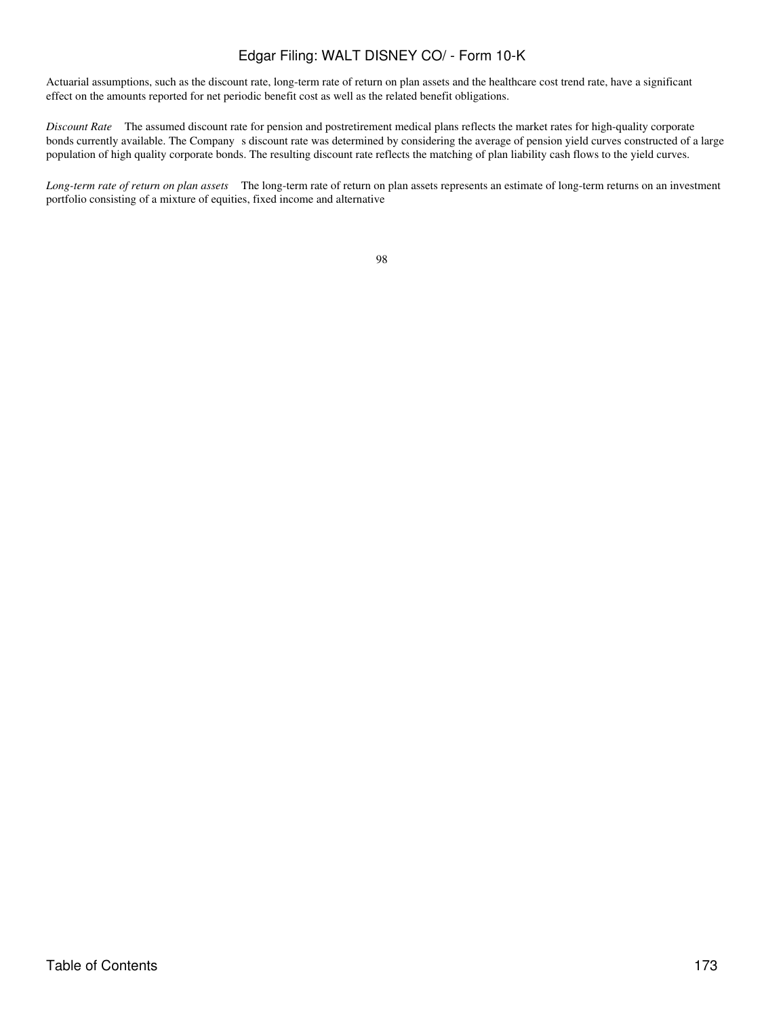Actuarial assumptions, such as the discount rate, long-term rate of return on plan assets and the healthcare cost trend rate, have a significant effect on the amounts reported for net periodic benefit cost as well as the related benefit obligations.

*Discount Rate* The assumed discount rate for pension and postretirement medical plans reflects the market rates for high-quality corporate bonds currently available. The Company s discount rate was determined by considering the average of pension yield curves constructed of a large population of high quality corporate bonds. The resulting discount rate reflects the matching of plan liability cash flows to the yield curves.

*Long-term rate of return on plan assets* The long-term rate of return on plan assets represents an estimate of long-term returns on an investment portfolio consisting of a mixture of equities, fixed income and alternative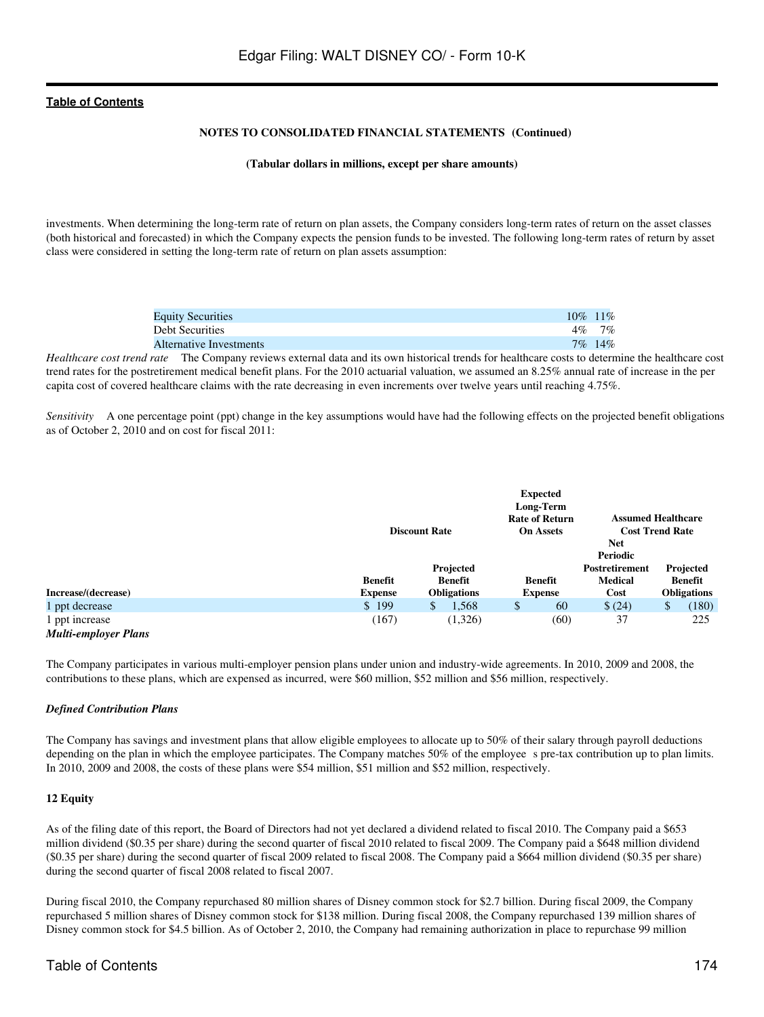### **NOTES TO CONSOLIDATED FINANCIAL STATEMENTS (Continued)**

#### **(Tabular dollars in millions, except per share amounts)**

investments. When determining the long-term rate of return on plan assets, the Company considers long-term rates of return on the asset classes (both historical and forecasted) in which the Company expects the pension funds to be invested. The following long-term rates of return by asset class were considered in setting the long-term rate of return on plan assets assumption:

| <b>Equity Securities</b> | $10\%$ 11\% |
|--------------------------|-------------|
| <b>Debt Securities</b>   | $4\%$ 7\%   |
| Alternative Investments  | $7\%$ 14\%  |

*Healthcare cost trend rate* The Company reviews external data and its own historical trends for healthcare costs to determine the healthcare cost trend rates for the postretirement medical benefit plans. For the 2010 actuarial valuation, we assumed an 8.25% annual rate of increase in the per capita cost of covered healthcare claims with the rate decreasing in even increments over twelve years until reaching 4.75%.

*Sensitivity* A one percentage point (ppt) change in the key assumptions would have had the following effects on the projected benefit obligations as of October 2, 2010 and on cost for fiscal 2011:

|                             |                | <b>Discount Rate</b> |                | Net            | <b>Assumed Healthcare</b><br><b>Cost Trend Rate</b> |
|-----------------------------|----------------|----------------------|----------------|----------------|-----------------------------------------------------|
|                             |                |                      |                | Periodic       |                                                     |
|                             |                | Projected            |                | Postretirement | Projected                                           |
|                             | Benefit        | Benefit              | Benefit        | Medical        | Benefit                                             |
| Increase/(decrease)         | <b>Expense</b> | <b>Obligations</b>   | <b>Expense</b> | Cost           | <b>Obligations</b>                                  |
| 1 ppt decrease              | \$199          | 1,568<br>\$          | \$<br>60       | \$(24)         | \$<br>(180)                                         |
| 1 ppt increase              | (167)          | (1,326)              | (60)           | 37             | 225                                                 |
| <b>Multi-employer Plans</b> |                |                      |                |                |                                                     |

The Company participates in various multi-employer pension plans under union and industry-wide agreements. In 2010, 2009 and 2008, the contributions to these plans, which are expensed as incurred, were \$60 million, \$52 million and \$56 million, respectively.

### *Defined Contribution Plans*

The Company has savings and investment plans that allow eligible employees to allocate up to 50% of their salary through payroll deductions depending on the plan in which the employee participates. The Company matches 50% of the employee s pre-tax contribution up to plan limits. In 2010, 2009 and 2008, the costs of these plans were \$54 million, \$51 million and \$52 million, respectively.

### **12 Equity**

As of the filing date of this report, the Board of Directors had not yet declared a dividend related to fiscal 2010. The Company paid a \$653 million dividend (\$0.35 per share) during the second quarter of fiscal 2010 related to fiscal 2009. The Company paid a \$648 million dividend (\$0.35 per share) during the second quarter of fiscal 2009 related to fiscal 2008. The Company paid a \$664 million dividend (\$0.35 per share) during the second quarter of fiscal 2008 related to fiscal 2007.

During fiscal 2010, the Company repurchased 80 million shares of Disney common stock for \$2.7 billion. During fiscal 2009, the Company repurchased 5 million shares of Disney common stock for \$138 million. During fiscal 2008, the Company repurchased 139 million shares of Disney common stock for \$4.5 billion. As of October 2, 2010, the Company had remaining authorization in place to repurchase 99 million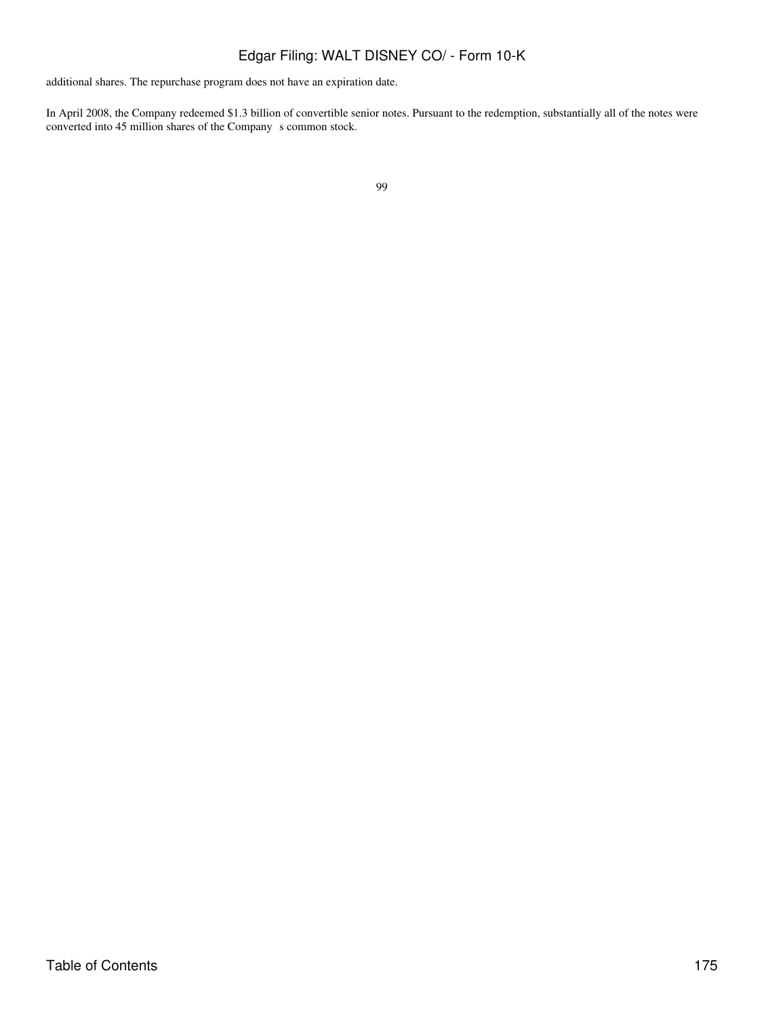additional shares. The repurchase program does not have an expiration date.

In April 2008, the Company redeemed \$1.3 billion of convertible senior notes. Pursuant to the redemption, substantially all of the notes were converted into 45 million shares of the Company s common stock.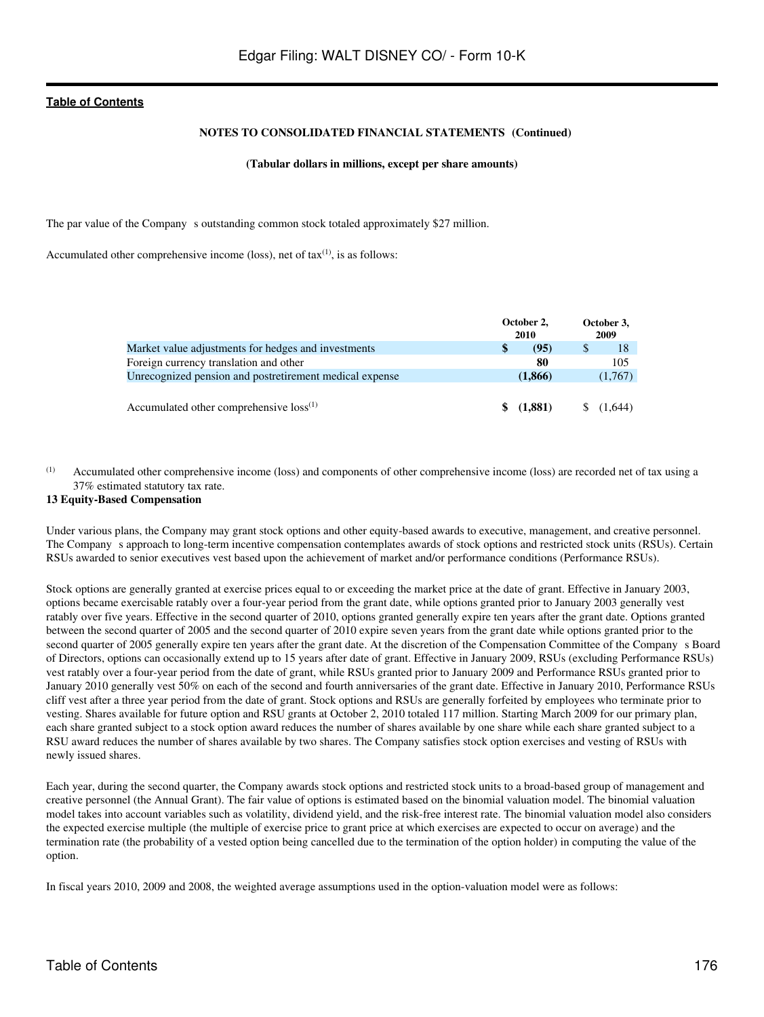## **NOTES TO CONSOLIDATED FINANCIAL STATEMENTS (Continued)**

#### **(Tabular dollars in millions, except per share amounts)**

The par value of the Company s outstanding common stock totaled approximately \$27 million.

Accumulated other comprehensive income (loss), net of  $tax^{(1)}$ , is as follows:

|                                                         | October 2,<br>2010 | October 3,<br>2009 |  |
|---------------------------------------------------------|--------------------|--------------------|--|
| Market value adjustments for hedges and investments     | (95)               | 18                 |  |
| Foreign currency translation and other                  | 80                 | 105                |  |
| Unrecognized pension and postretirement medical expense | (1,866)            | (1,767)            |  |
|                                                         |                    |                    |  |
| Accumulated other comprehensive loss <sup>(1)</sup>     | (1,881)            |                    |  |

(1) Accumulated other comprehensive income (loss) and components of other comprehensive income (loss) are recorded net of tax using a 37% estimated statutory tax rate.

### **13 Equity-Based Compensation**

Under various plans, the Company may grant stock options and other equity-based awards to executive, management, and creative personnel. The Company s approach to long-term incentive compensation contemplates awards of stock options and restricted stock units (RSUs). Certain RSUs awarded to senior executives vest based upon the achievement of market and/or performance conditions (Performance RSUs).

Stock options are generally granted at exercise prices equal to or exceeding the market price at the date of grant. Effective in January 2003, options became exercisable ratably over a four-year period from the grant date, while options granted prior to January 2003 generally vest ratably over five years. Effective in the second quarter of 2010, options granted generally expire ten years after the grant date. Options granted between the second quarter of 2005 and the second quarter of 2010 expire seven years from the grant date while options granted prior to the second quarter of 2005 generally expire ten years after the grant date. At the discretion of the Compensation Committee of the Companys Board of Directors, options can occasionally extend up to 15 years after date of grant. Effective in January 2009, RSUs (excluding Performance RSUs) vest ratably over a four-year period from the date of grant, while RSUs granted prior to January 2009 and Performance RSUs granted prior to January 2010 generally vest 50% on each of the second and fourth anniversaries of the grant date. Effective in January 2010, Performance RSUs cliff vest after a three year period from the date of grant. Stock options and RSUs are generally forfeited by employees who terminate prior to vesting. Shares available for future option and RSU grants at October 2, 2010 totaled 117 million. Starting March 2009 for our primary plan, each share granted subject to a stock option award reduces the number of shares available by one share while each share granted subject to a RSU award reduces the number of shares available by two shares. The Company satisfies stock option exercises and vesting of RSUs with newly issued shares.

Each year, during the second quarter, the Company awards stock options and restricted stock units to a broad-based group of management and creative personnel (the Annual Grant). The fair value of options is estimated based on the binomial valuation model. The binomial valuation model takes into account variables such as volatility, dividend yield, and the risk-free interest rate. The binomial valuation model also considers the expected exercise multiple (the multiple of exercise price to grant price at which exercises are expected to occur on average) and the termination rate (the probability of a vested option being cancelled due to the termination of the option holder) in computing the value of the option.

In fiscal years 2010, 2009 and 2008, the weighted average assumptions used in the option-valuation model were as follows: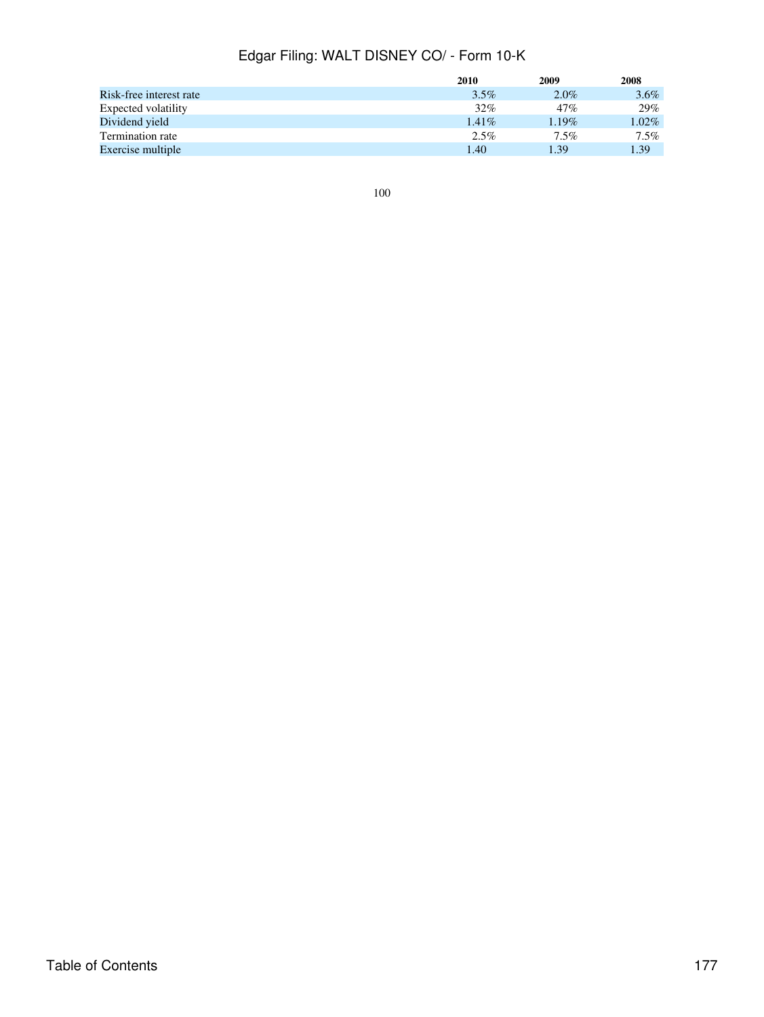|                         | 2010     | 2009     | 2008     |
|-------------------------|----------|----------|----------|
| Risk-free interest rate | $3.5\%$  | $2.0\%$  | $3.6\%$  |
| Expected volatility     | 32%      | 47%      | 29%      |
| Dividend yield          | $1.41\%$ | $1.19\%$ | $1.02\%$ |
| Termination rate        | $2.5\%$  | $7.5\%$  | $7.5\%$  |
| Exercise multiple       | 1.40     | 1.39     | 1.39     |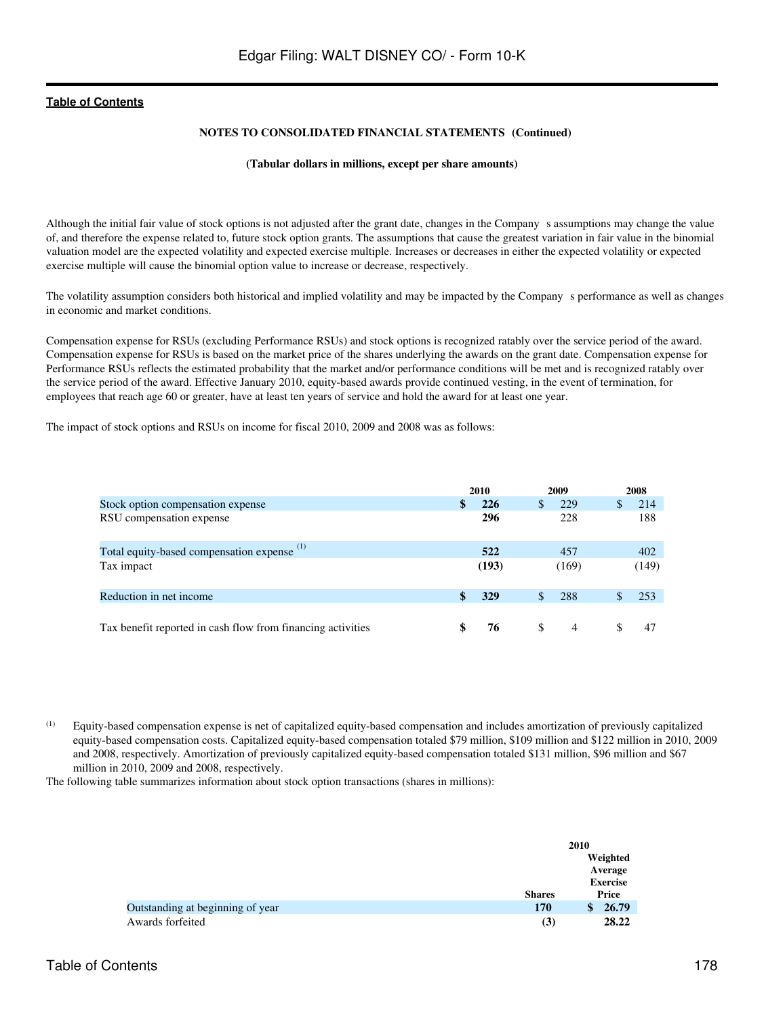### **NOTES TO CONSOLIDATED FINANCIAL STATEMENTS (Continued)**

### **(Tabular dollars in millions, except per share amounts)**

Although the initial fair value of stock options is not adjusted after the grant date, changes in the Companys assumptions may change the value of, and therefore the expense related to, future stock option grants. The assumptions that cause the greatest variation in fair value in the binomial valuation model are the expected volatility and expected exercise multiple. Increases or decreases in either the expected volatility or expected exercise multiple will cause the binomial option value to increase or decrease, respectively.

The volatility assumption considers both historical and implied volatility and may be impacted by the Company s performance as well as changes in economic and market conditions.

Compensation expense for RSUs (excluding Performance RSUs) and stock options is recognized ratably over the service period of the award. Compensation expense for RSUs is based on the market price of the shares underlying the awards on the grant date. Compensation expense for Performance RSUs reflects the estimated probability that the market and/or performance conditions will be met and is recognized ratably over the service period of the award. Effective January 2010, equity-based awards provide continued vesting, in the event of termination, for employees that reach age 60 or greater, have at least ten years of service and hold the award for at least one year.

The impact of stock options and RSUs on income for fiscal 2010, 2009 and 2008 was as follows:

|                                                             | 2010      |               | 2009  | 2008  |
|-------------------------------------------------------------|-----------|---------------|-------|-------|
| Stock option compensation expense                           | \$<br>226 | S.            | 229   | 214   |
| RSU compensation expense                                    | 296       |               | 228   | 188   |
| Total equity-based compensation expense <sup>(1)</sup>      | 522       |               | 457   | 402   |
| Tax impact                                                  | (193)     |               | (169) | (149) |
| Reduction in net income                                     | 329       | \$            | 288   | 253   |
| Tax benefit reported in cash flow from financing activities | \$<br>76  | <sup>\$</sup> | 4     | 47    |

(1) Equity-based compensation expense is net of capitalized equity-based compensation and includes amortization of previously capitalized equity-based compensation costs. Capitalized equity-based compensation totaled \$79 million, \$109 million and \$122 million in 2010, 2009 and 2008, respectively. Amortization of previously capitalized equity-based compensation totaled \$131 million, \$96 million and \$67 million in 2010, 2009 and 2008, respectively.

The following table summarizes information about stock option transactions (shares in millions):

|                                  |               | 2010            |
|----------------------------------|---------------|-----------------|
|                                  |               | Weighted        |
|                                  |               | Average         |
|                                  |               | <b>Exercise</b> |
|                                  | <b>Shares</b> | Price           |
| Outstanding at beginning of year | 170           | 26.79<br>\$.    |
| Awards forfeited                 | (3)           | 28.22           |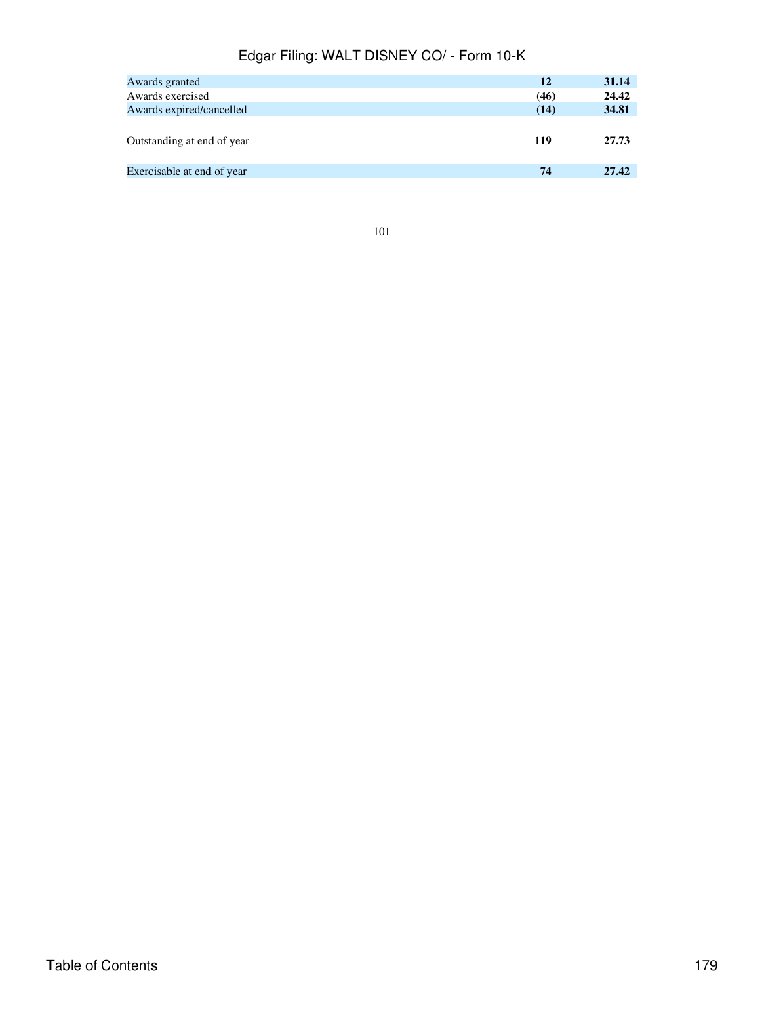| 12   | 31.14 |
|------|-------|
| (46) | 24.42 |
| (14) | 34.81 |
| 119  | 27.73 |
| 74   | 27.42 |
|      |       |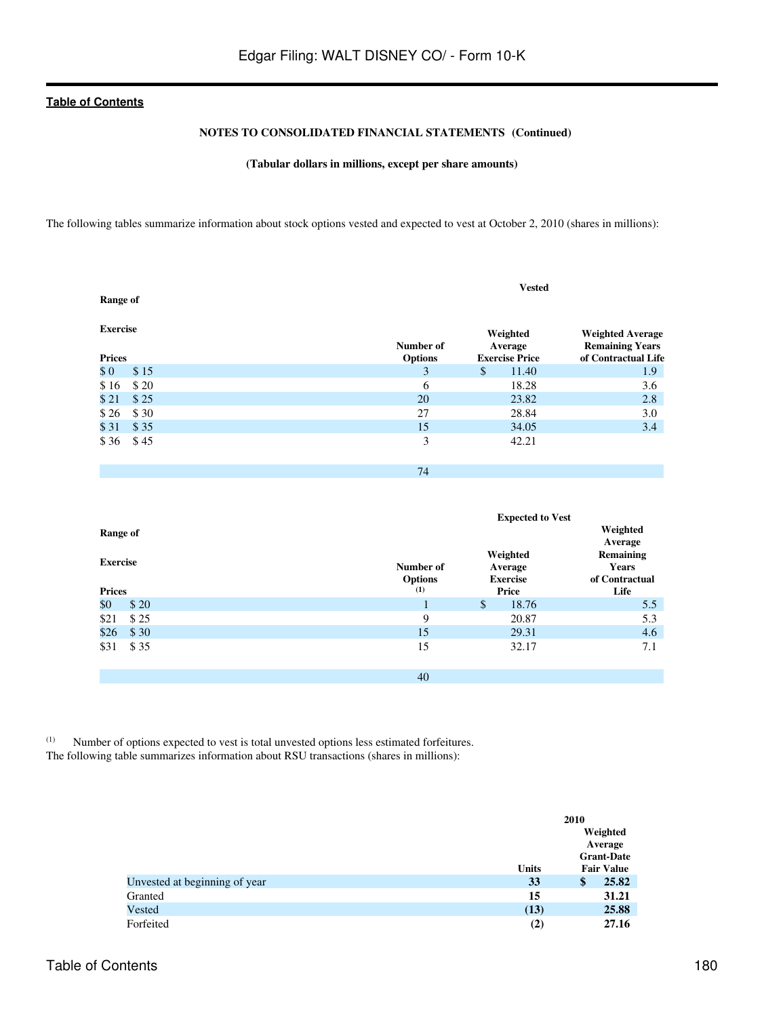### **NOTES TO CONSOLIDATED FINANCIAL STATEMENTS (Continued)**

**(Tabular dollars in millions, except per share amounts)**

The following tables summarize information about stock options vested and expected to vest at October 2, 2010 (shares in millions):

| Range of        |       | <b>Vested</b>  |                       |                                                   |
|-----------------|-------|----------------|-----------------------|---------------------------------------------------|
| <b>Exercise</b> |       | Number of      | Weighted<br>Average   | <b>Weighted Average</b><br><b>Remaining Years</b> |
| <b>Prices</b>   |       | <b>Options</b> | <b>Exercise Price</b> | of Contractual Life                               |
| \$0\$           | \$15  | 3              | $\mathbb{S}$<br>11.40 | 1.9                                               |
| \$16            | \$20  | 6              | 18.28                 | 3.6                                               |
| \$21            | \$25  | 20             | 23.82                 | 2.8                                               |
| \$26            | \$ 30 | 27             | 28.84                 | 3.0                                               |
| \$31            | \$35  | 15             | 34.05                 | 3.4                                               |
| \$36            | \$45  | 3              | 42.21                 |                                                   |
|                 |       | 74             |                       |                                                   |

|                                  | <b>Expected to Vest</b>            |                                                 |                                              |
|----------------------------------|------------------------------------|-------------------------------------------------|----------------------------------------------|
| Range of                         |                                    |                                                 | Weighted<br>Average                          |
| <b>Exercise</b><br><b>Prices</b> | Number of<br><b>Options</b><br>(1) | Weighted<br>Average<br><b>Exercise</b><br>Price | Remaining<br>Years<br>of Contractual<br>Life |
| \$20<br>\$0                      |                                    | $\mathbb{S}$<br>18.76                           | 5.5                                          |
| \$21<br>\$25                     | 9                                  | 20.87                                           | 5.3                                          |
| \$26<br>\$30                     | 15                                 | 29.31                                           | 4.6                                          |
| \$31<br>\$35                     | 15                                 | 32.17                                           | 7.1                                          |
|                                  | 40                                 |                                                 |                                              |

(1) Number of options expected to vest is total unvested options less estimated forfeitures. The following table summarizes information about RSU transactions (shares in millions):

|              | 2010              |  |
|--------------|-------------------|--|
|              | Weighted          |  |
|              | Average           |  |
|              | <b>Grant-Date</b> |  |
| <b>Units</b> | <b>Fair Value</b> |  |
| 33           | 25.82<br>\$       |  |
| 15           | 31.21             |  |
| (13)         | 25.88             |  |
| (2)          | 27.16             |  |
|              |                   |  |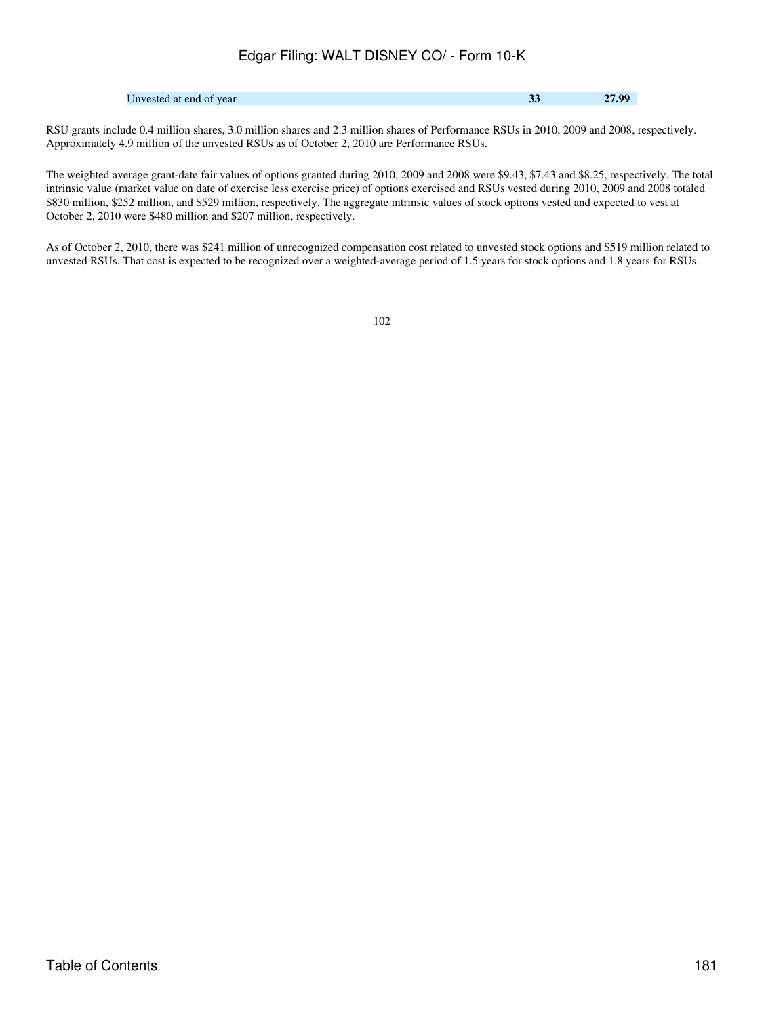| Unvested at end of year |  |
|-------------------------|--|
|                         |  |

RSU grants include 0.4 million shares, 3.0 million shares and 2.3 million shares of Performance RSUs in 2010, 2009 and 2008, respectively. Approximately 4.9 million of the unvested RSUs as of October 2, 2010 are Performance RSUs.

The weighted average grant-date fair values of options granted during 2010, 2009 and 2008 were \$9.43, \$7.43 and \$8.25, respectively. The total intrinsic value (market value on date of exercise less exercise price) of options exercised and RSUs vested during 2010, 2009 and 2008 totaled \$830 million, \$252 million, and \$529 million, respectively. The aggregate intrinsic values of stock options vested and expected to vest at October 2, 2010 were \$480 million and \$207 million, respectively.

As of October 2, 2010, there was \$241 million of unrecognized compensation cost related to unvested stock options and \$519 million related to unvested RSUs. That cost is expected to be recognized over a weighted-average period of 1.5 years for stock options and 1.8 years for RSUs.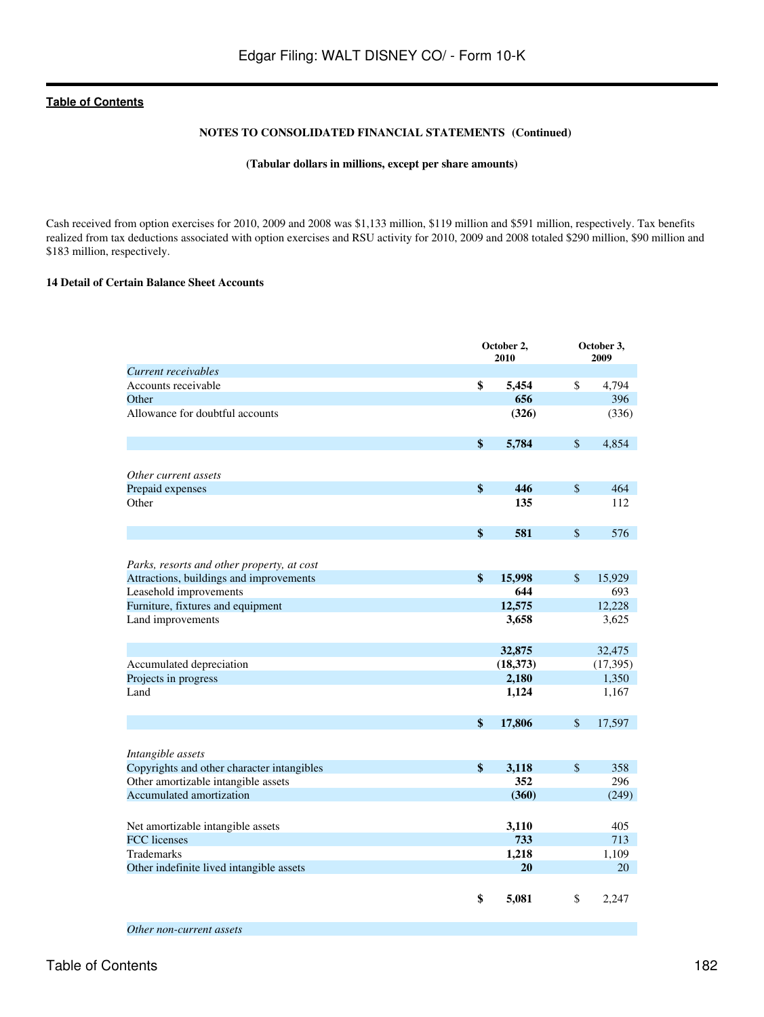# **NOTES TO CONSOLIDATED FINANCIAL STATEMENTS (Continued)**

# **(Tabular dollars in millions, except per share amounts)**

Cash received from option exercises for 2010, 2009 and 2008 was \$1,133 million, \$119 million and \$591 million, respectively. Tax benefits realized from tax deductions associated with option exercises and RSU activity for 2010, 2009 and 2008 totaled \$290 million, \$90 million and \$183 million, respectively.

# **14 Detail of Certain Balance Sheet Accounts**

|                                            | October 2,<br>2010 | October 3,<br>2009 |           |  |
|--------------------------------------------|--------------------|--------------------|-----------|--|
| Current receivables                        |                    |                    |           |  |
| Accounts receivable                        | \$<br>5,454        | \$                 | 4,794     |  |
| Other                                      | 656                |                    | 396       |  |
| Allowance for doubtful accounts            | (326)              |                    | (336)     |  |
|                                            | \$<br>5,784        | \$                 | 4,854     |  |
| Other current assets                       |                    |                    |           |  |
| Prepaid expenses                           | \$<br>446          | \$                 | 464       |  |
| Other                                      | 135                |                    | 112       |  |
|                                            | \$<br>581          | \$                 | 576       |  |
| Parks, resorts and other property, at cost |                    |                    |           |  |
| Attractions, buildings and improvements    | \$<br>15,998       | \$                 | 15,929    |  |
| Leasehold improvements                     | 644                |                    | 693       |  |
| Furniture, fixtures and equipment          | 12,575             |                    | 12,228    |  |
| Land improvements                          | 3,658              |                    | 3,625     |  |
|                                            | 32,875             |                    | 32,475    |  |
| Accumulated depreciation                   | (18, 373)          |                    | (17, 395) |  |
| Projects in progress                       | 2,180              |                    | 1,350     |  |
| Land                                       | 1,124              |                    | 1,167     |  |
|                                            | \$<br>17,806       | \$                 | 17,597    |  |
| Intangible assets                          |                    |                    |           |  |
| Copyrights and other character intangibles | \$<br>3,118        | \$                 | 358       |  |
| Other amortizable intangible assets        | 352                |                    | 296       |  |
| Accumulated amortization                   | (360)              |                    | (249)     |  |
| Net amortizable intangible assets          | 3,110              |                    | 405       |  |
| <b>FCC</b> licenses                        | 733                |                    | 713       |  |
| Trademarks                                 | 1,218              |                    | 1,109     |  |
| Other indefinite lived intangible assets   | 20                 |                    | 20        |  |
|                                            | \$<br>5,081        | \$                 | 2,247     |  |

*Other non-current assets*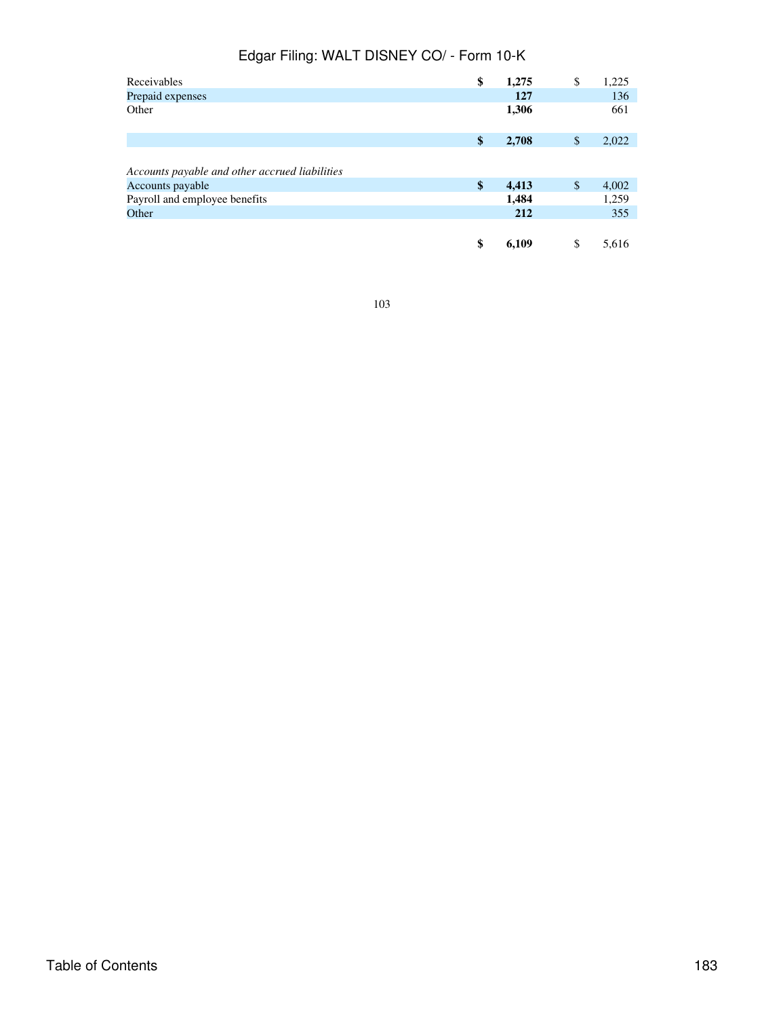| \$<br>1,275 | \$            | 1,225 |
|-------------|---------------|-------|
| 127         |               | 136   |
| 1,306       |               | 661   |
| \$<br>2,708 | $\mathcal{S}$ | 2,022 |
|             |               |       |
| \$<br>4,413 | $\mathbb{S}$  | 4,002 |
| 1,484       |               | 1,259 |
| 212         |               | 355   |
|             |               | 5.616 |
| \$          | 6,109         | \$    |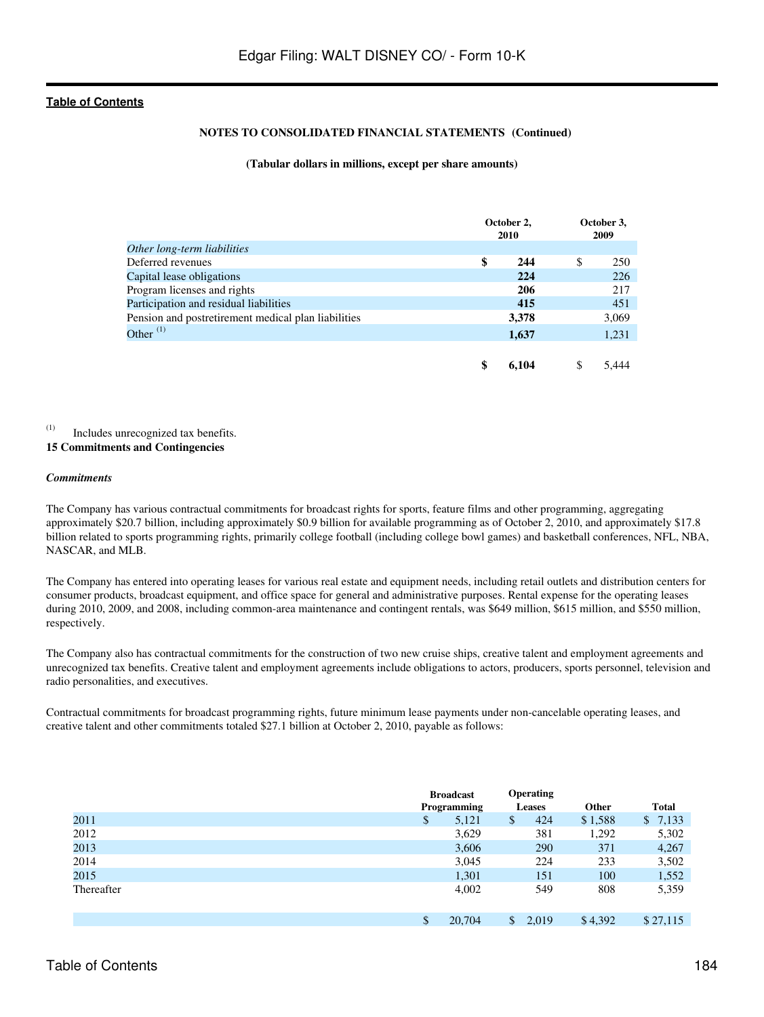## **NOTES TO CONSOLIDATED FINANCIAL STATEMENTS (Continued)**

### **(Tabular dollars in millions, except per share amounts)**

|                                                     | October 2,<br>2010 | October 3,<br>2009 |
|-----------------------------------------------------|--------------------|--------------------|
| Other long-term liabilities                         |                    |                    |
| Deferred revenues                                   | \$<br>244          | \$<br>250          |
| Capital lease obligations                           | 224                | 226                |
| Program licenses and rights                         | 206                | 217                |
| Participation and residual liabilities              | 415                | 451                |
| Pension and postretirement medical plan liabilities | 3,378              | 3,069              |
| Other $^{(1)}$                                      | 1,637              | 1,231              |
|                                                     |                    |                    |
|                                                     | \$<br>6.104        | 5.444              |

(1) Includes unrecognized tax benefits.

## **15 Commitments and Contingencies**

#### *Commitments*

The Company has various contractual commitments for broadcast rights for sports, feature films and other programming, aggregating approximately \$20.7 billion, including approximately \$0.9 billion for available programming as of October 2, 2010, and approximately \$17.8 billion related to sports programming rights, primarily college football (including college bowl games) and basketball conferences, NFL, NBA, NASCAR, and MLB.

The Company has entered into operating leases for various real estate and equipment needs, including retail outlets and distribution centers for consumer products, broadcast equipment, and office space for general and administrative purposes. Rental expense for the operating leases during 2010, 2009, and 2008, including common-area maintenance and contingent rentals, was \$649 million, \$615 million, and \$550 million, respectively.

The Company also has contractual commitments for the construction of two new cruise ships, creative talent and employment agreements and unrecognized tax benefits. Creative talent and employment agreements include obligations to actors, producers, sports personnel, television and radio personalities, and executives.

Contractual commitments for broadcast programming rights, future minimum lease payments under non-cancelable operating leases, and creative talent and other commitments totaled \$27.1 billion at October 2, 2010, payable as follows:

|            | <b>Broadcast</b><br>Programming |                | <b>Operating</b><br><b>Leases</b> |         | <b>Total</b> |
|------------|---------------------------------|----------------|-----------------------------------|---------|--------------|
| 2011       | \$<br>5,121                     | \$             | 424                               | \$1,588 | \$7,133      |
| 2012       | 3,629                           |                | 381                               | 1,292   | 5,302        |
| 2013       | 3,606                           |                | 290                               | 371     | 4,267        |
| 2014       | 3,045                           |                | 224                               | 233     | 3,502        |
| 2015       | 1,301                           |                | 151                               | 100     | 1,552        |
| Thereafter | 4,002                           |                | 549                               | 808     | 5,359        |
|            | \$<br>20,704                    | $\mathbb{S}^-$ | 2,019                             | \$4,392 | \$27,115     |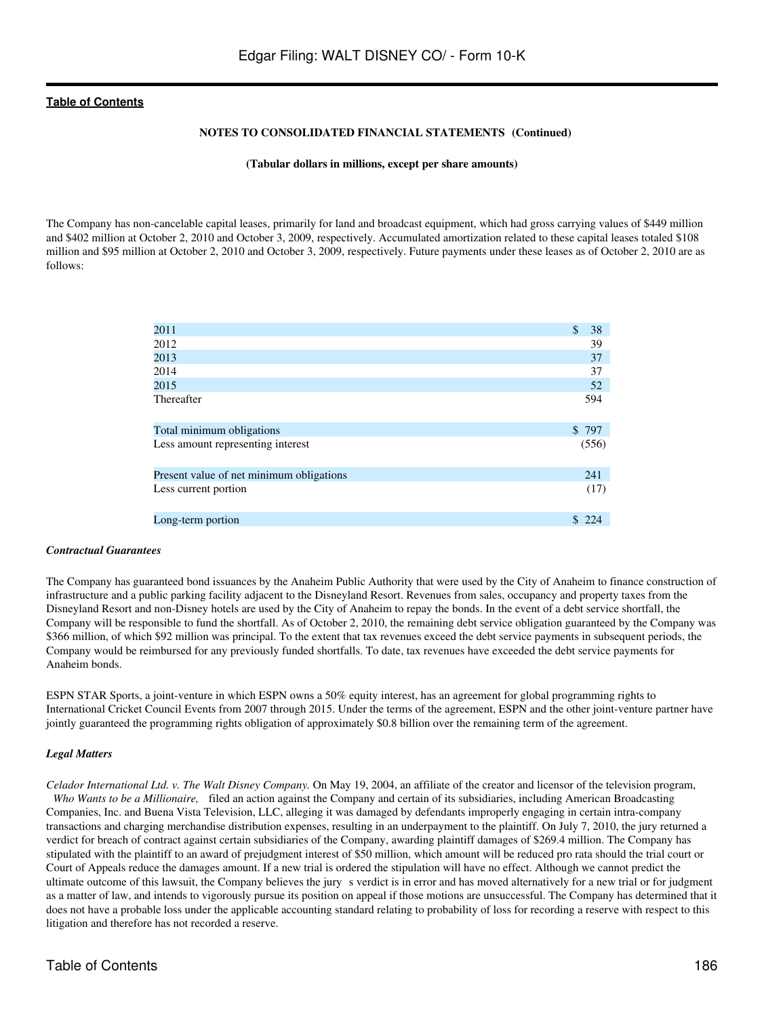# **NOTES TO CONSOLIDATED FINANCIAL STATEMENTS (Continued)**

#### **(Tabular dollars in millions, except per share amounts)**

The Company has non-cancelable capital leases, primarily for land and broadcast equipment, which had gross carrying values of \$449 million and \$402 million at October 2, 2010 and October 3, 2009, respectively. Accumulated amortization related to these capital leases totaled \$108 million and \$95 million at October 2, 2010 and October 3, 2009, respectively. Future payments under these leases as of October 2, 2010 are as follows:

| 2011                                     | \$<br>38 |
|------------------------------------------|----------|
| 2012                                     | 39       |
| 2013                                     | 37       |
| 2014                                     | 37       |
| 2015                                     | 52       |
| Thereafter                               | 594      |
| Total minimum obligations                | \$797    |
| Less amount representing interest        | (556)    |
| Present value of net minimum obligations | 241      |
| Less current portion                     | (17)     |
| Long-term portion                        | \$224    |
|                                          |          |

## *Contractual Guarantees*

The Company has guaranteed bond issuances by the Anaheim Public Authority that were used by the City of Anaheim to finance construction of infrastructure and a public parking facility adjacent to the Disneyland Resort. Revenues from sales, occupancy and property taxes from the Disneyland Resort and non-Disney hotels are used by the City of Anaheim to repay the bonds. In the event of a debt service shortfall, the Company will be responsible to fund the shortfall. As of October 2, 2010, the remaining debt service obligation guaranteed by the Company was \$366 million, of which \$92 million was principal. To the extent that tax revenues exceed the debt service payments in subsequent periods, the Company would be reimbursed for any previously funded shortfalls. To date, tax revenues have exceeded the debt service payments for Anaheim bonds.

ESPN STAR Sports, a joint-venture in which ESPN owns a 50% equity interest, has an agreement for global programming rights to International Cricket Council Events from 2007 through 2015. Under the terms of the agreement, ESPN and the other joint-venture partner have jointly guaranteed the programming rights obligation of approximately \$0.8 billion over the remaining term of the agreement.

### *Legal Matters*

*Celador International Ltd. v. The Walt Disney Company.* On May 19, 2004, an affiliate of the creator and licensor of the television program, *Who Wants to be a Millionaire,* filed an action against the Company and certain of its subsidiaries, including American Broadcasting Companies, Inc. and Buena Vista Television, LLC, alleging it was damaged by defendants improperly engaging in certain intra-company transactions and charging merchandise distribution expenses, resulting in an underpayment to the plaintiff. On July 7, 2010, the jury returned a verdict for breach of contract against certain subsidiaries of the Company, awarding plaintiff damages of \$269.4 million. The Company has stipulated with the plaintiff to an award of prejudgment interest of \$50 million, which amount will be reduced pro rata should the trial court or Court of Appeals reduce the damages amount. If a new trial is ordered the stipulation will have no effect. Although we cannot predict the ultimate outcome of this lawsuit, the Company believes the jury s verdict is in error and has moved alternatively for a new trial or for judgment as a matter of law, and intends to vigorously pursue its position on appeal if those motions are unsuccessful. The Company has determined that it does not have a probable loss under the applicable accounting standard relating to probability of loss for recording a reserve with respect to this litigation and therefore has not recorded a reserve.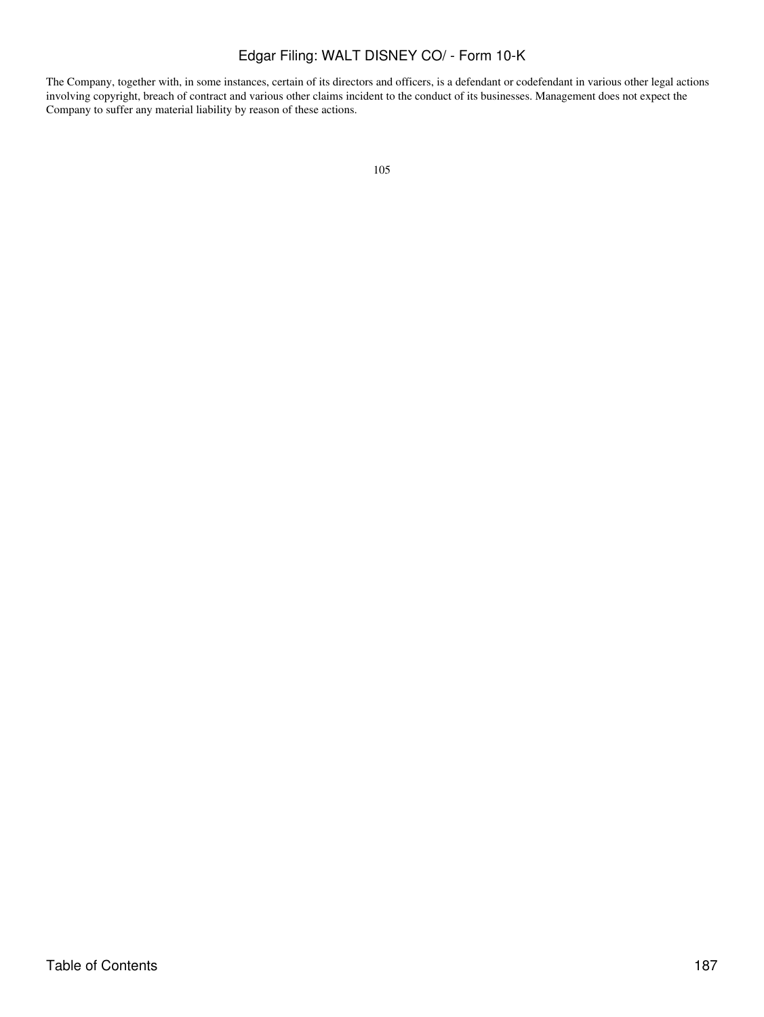The Company, together with, in some instances, certain of its directors and officers, is a defendant or codefendant in various other legal actions involving copyright, breach of contract and various other claims incident to the conduct of its businesses. Management does not expect the Company to suffer any material liability by reason of these actions.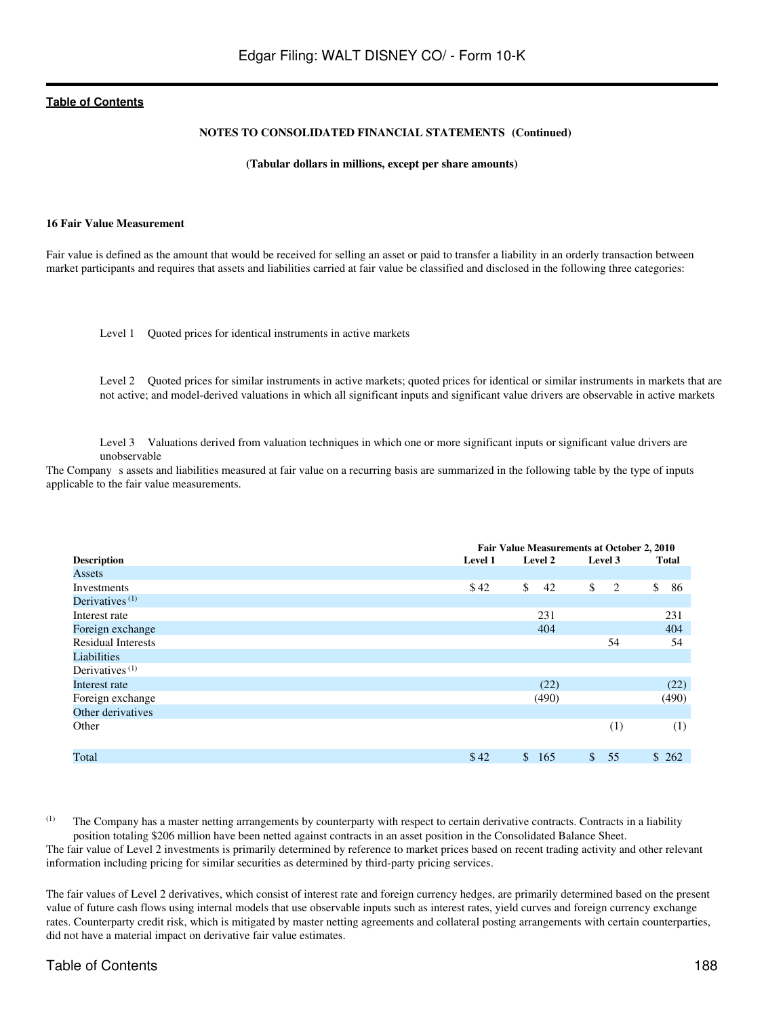## **NOTES TO CONSOLIDATED FINANCIAL STATEMENTS (Continued)**

#### **(Tabular dollars in millions, except per share amounts)**

#### **16 Fair Value Measurement**

Fair value is defined as the amount that would be received for selling an asset or paid to transfer a liability in an orderly transaction between market participants and requires that assets and liabilities carried at fair value be classified and disclosed in the following three categories:

Level 1 Quoted prices for identical instruments in active markets

Level 2 Quoted prices for similar instruments in active markets; quoted prices for identical or similar instruments in markets that are not active; and model-derived valuations in which all significant inputs and significant value drivers are observable in active markets

Level 3 Valuations derived from valuation techniques in which one or more significant inputs or significant value drivers are unobservable

The Company s assets and liabilities measured at fair value on a recurring basis are summarized in the following table by the type of inputs applicable to the fair value measurements.

|                           | Fair Value Measurements at October 2, 2010 |                     |                    |              |  |
|---------------------------|--------------------------------------------|---------------------|--------------------|--------------|--|
| <b>Description</b>        | <b>Level 1</b>                             | Level 2             | Level 3            | <b>Total</b> |  |
| <b>Assets</b>             |                                            |                     |                    |              |  |
| Investments               | \$42                                       | \$<br>42            | \$<br>2            | \$<br>86     |  |
| Derivatives $(1)$         |                                            |                     |                    |              |  |
| Interest rate             |                                            | 231                 |                    | 231          |  |
| Foreign exchange          |                                            | 404                 |                    | 404          |  |
| <b>Residual Interests</b> |                                            |                     | 54                 | 54           |  |
| Liabilities               |                                            |                     |                    |              |  |
| Derivatives $(1)$         |                                            |                     |                    |              |  |
| Interest rate             |                                            | (22)                |                    | (22)         |  |
| Foreign exchange          |                                            | (490)               |                    | (490)        |  |
| Other derivatives         |                                            |                     |                    |              |  |
| Other                     |                                            |                     | (1)                | (1)          |  |
|                           |                                            |                     |                    |              |  |
| Total                     | \$42                                       | $\mathbb{S}$<br>165 | 55<br>$\mathbb{S}$ | \$262        |  |

(1) The Company has a master netting arrangements by counterparty with respect to certain derivative contracts. Contracts in a liability position totaling \$206 million have been netted against contracts in an asset position in the Consolidated Balance Sheet. The fair value of Level 2 investments is primarily determined by reference to market prices based on recent trading activity and other relevant

information including pricing for similar securities as determined by third-party pricing services.

The fair values of Level 2 derivatives, which consist of interest rate and foreign currency hedges, are primarily determined based on the present value of future cash flows using internal models that use observable inputs such as interest rates, yield curves and foreign currency exchange rates. Counterparty credit risk, which is mitigated by master netting agreements and collateral posting arrangements with certain counterparties, did not have a material impact on derivative fair value estimates.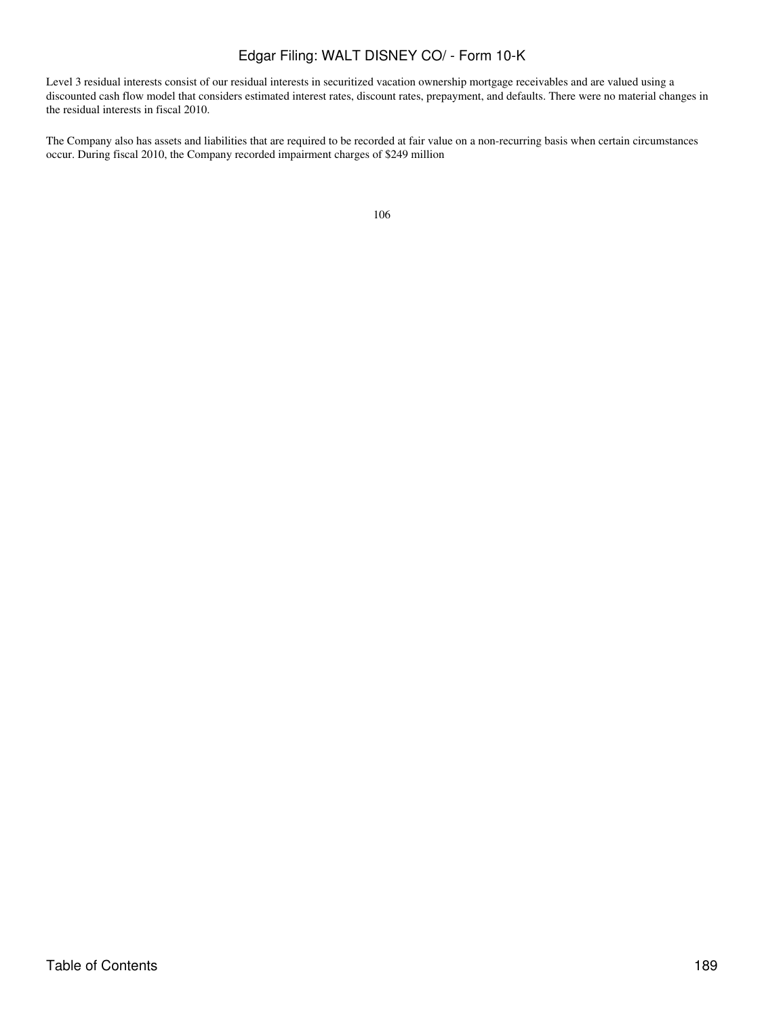Level 3 residual interests consist of our residual interests in securitized vacation ownership mortgage receivables and are valued using a discounted cash flow model that considers estimated interest rates, discount rates, prepayment, and defaults. There were no material changes in the residual interests in fiscal 2010.

The Company also has assets and liabilities that are required to be recorded at fair value on a non-recurring basis when certain circumstances occur. During fiscal 2010, the Company recorded impairment charges of \$249 million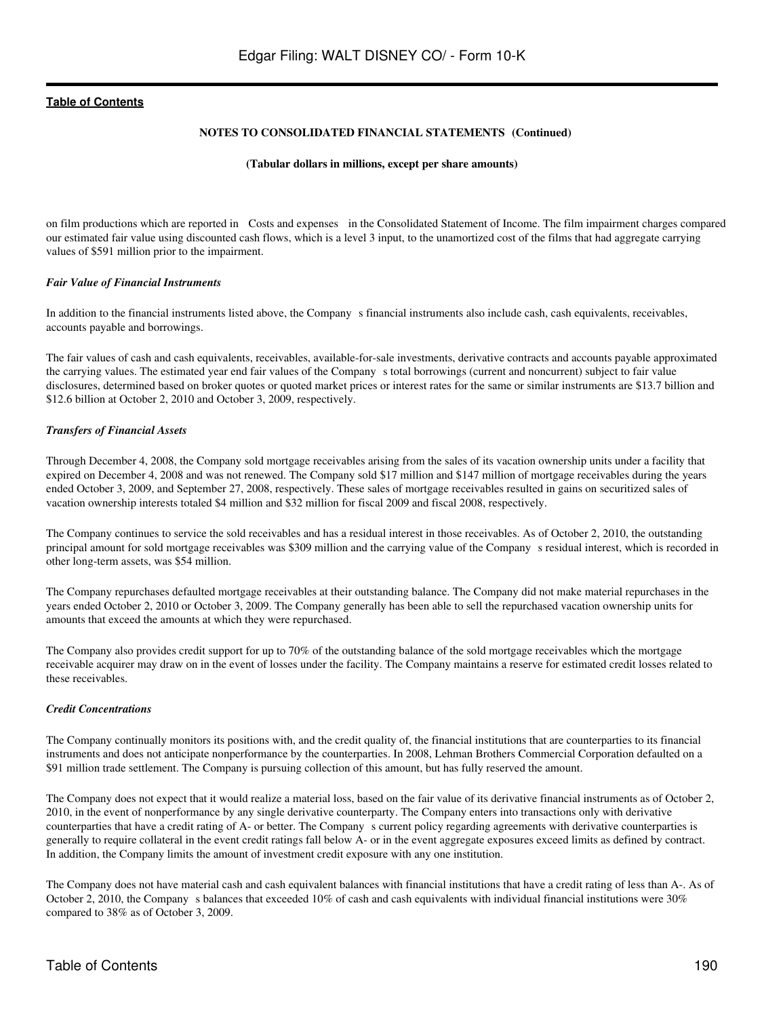# **NOTES TO CONSOLIDATED FINANCIAL STATEMENTS (Continued)**

#### **(Tabular dollars in millions, except per share amounts)**

on film productions which are reported in Costs and expenses in the Consolidated Statement of Income. The film impairment charges compared our estimated fair value using discounted cash flows, which is a level 3 input, to the unamortized cost of the films that had aggregate carrying values of \$591 million prior to the impairment.

## *Fair Value of Financial Instruments*

In addition to the financial instruments listed above, the Company s financial instruments also include cash, cash equivalents, receivables, accounts payable and borrowings.

The fair values of cash and cash equivalents, receivables, available-for-sale investments, derivative contracts and accounts payable approximated the carrying values. The estimated year end fair values of the Company s total borrowings (current and noncurrent) subject to fair value disclosures, determined based on broker quotes or quoted market prices or interest rates for the same or similar instruments are \$13.7 billion and \$12.6 billion at October 2, 2010 and October 3, 2009, respectively.

## *Transfers of Financial Assets*

Through December 4, 2008, the Company sold mortgage receivables arising from the sales of its vacation ownership units under a facility that expired on December 4, 2008 and was not renewed. The Company sold \$17 million and \$147 million of mortgage receivables during the years ended October 3, 2009, and September 27, 2008, respectively. These sales of mortgage receivables resulted in gains on securitized sales of vacation ownership interests totaled \$4 million and \$32 million for fiscal 2009 and fiscal 2008, respectively.

The Company continues to service the sold receivables and has a residual interest in those receivables. As of October 2, 2010, the outstanding principal amount for sold mortgage receivables was \$309 million and the carrying value of the Companys residual interest, which is recorded in other long-term assets, was \$54 million.

The Company repurchases defaulted mortgage receivables at their outstanding balance. The Company did not make material repurchases in the years ended October 2, 2010 or October 3, 2009. The Company generally has been able to sell the repurchased vacation ownership units for amounts that exceed the amounts at which they were repurchased.

The Company also provides credit support for up to 70% of the outstanding balance of the sold mortgage receivables which the mortgage receivable acquirer may draw on in the event of losses under the facility. The Company maintains a reserve for estimated credit losses related to these receivables.

### *Credit Concentrations*

The Company continually monitors its positions with, and the credit quality of, the financial institutions that are counterparties to its financial instruments and does not anticipate nonperformance by the counterparties. In 2008, Lehman Brothers Commercial Corporation defaulted on a \$91 million trade settlement. The Company is pursuing collection of this amount, but has fully reserved the amount.

The Company does not expect that it would realize a material loss, based on the fair value of its derivative financial instruments as of October 2, 2010, in the event of nonperformance by any single derivative counterparty. The Company enters into transactions only with derivative counterparties that have a credit rating of A- or better. The Company s current policy regarding agreements with derivative counterparties is generally to require collateral in the event credit ratings fall below A- or in the event aggregate exposures exceed limits as defined by contract. In addition, the Company limits the amount of investment credit exposure with any one institution.

The Company does not have material cash and cash equivalent balances with financial institutions that have a credit rating of less than A-. As of October 2, 2010, the Company s balances that exceeded 10% of cash and cash equivalents with individual financial institutions were  $30\%$ compared to 38% as of October 3, 2009.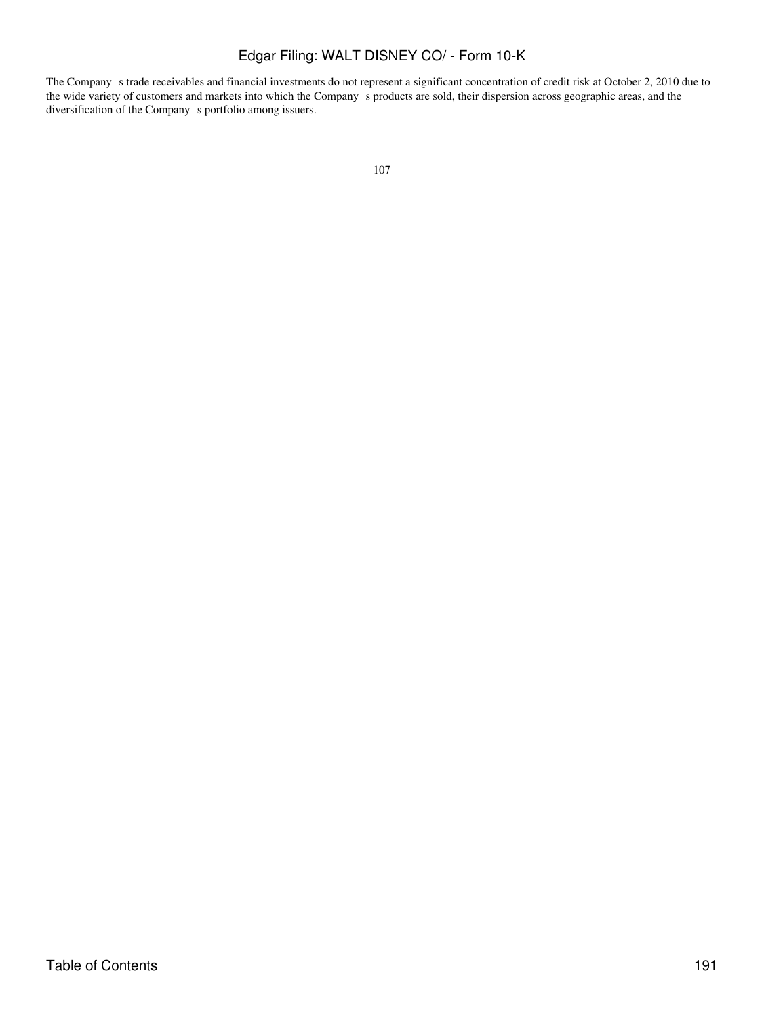The Company s trade receivables and financial investments do not represent a significant concentration of credit risk at October 2, 2010 due to the wide variety of customers and markets into which the Company s products are sold, their dispersion across geographic areas, and the diversification of the Company s portfolio among issuers.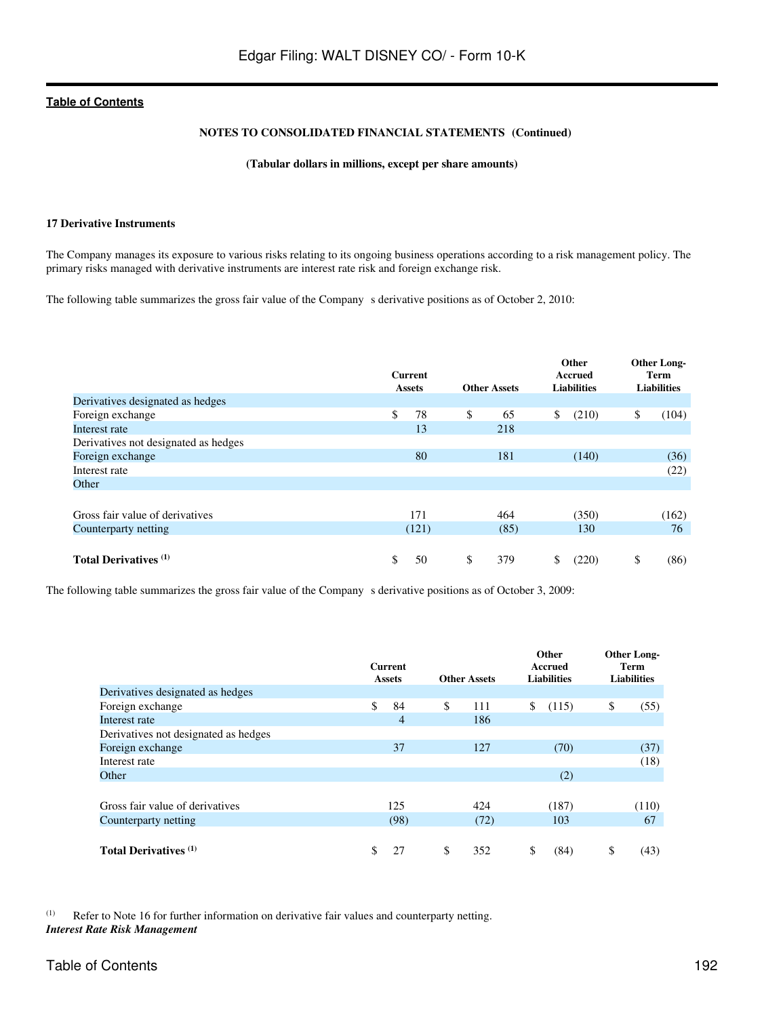# **NOTES TO CONSOLIDATED FINANCIAL STATEMENTS (Continued)**

## **(Tabular dollars in millions, except per share amounts)**

## **17 Derivative Instruments**

The Company manages its exposure to various risks relating to its ongoing business operations according to a risk management policy. The primary risks managed with derivative instruments are interest rate risk and foreign exchange risk.

The following table summarizes the gross fair value of the Company s derivative positions as of October 2, 2010:

|                                      | <b>Current</b><br><b>Assets</b> | <b>Other Assets</b> | Other<br>Accrued<br><b>Liabilities</b> | Other Long-<br><b>Term</b><br><b>Liabilities</b> |
|--------------------------------------|---------------------------------|---------------------|----------------------------------------|--------------------------------------------------|
| Derivatives designated as hedges     |                                 |                     |                                        |                                                  |
| Foreign exchange                     | \$<br>78                        | \$<br>65            | \$<br>(210)                            | \$<br>(104)                                      |
| Interest rate                        | 13                              | 218                 |                                        |                                                  |
| Derivatives not designated as hedges |                                 |                     |                                        |                                                  |
| Foreign exchange                     | 80                              | 181                 | (140)                                  | (36)                                             |
| Interest rate                        |                                 |                     |                                        | (22)                                             |
| Other                                |                                 |                     |                                        |                                                  |
|                                      |                                 |                     |                                        |                                                  |
| Gross fair value of derivatives      | 171                             | 464                 | (350)                                  | (162)                                            |
| Counterparty netting                 | (121)                           | (85)                | 130                                    | 76                                               |
|                                      |                                 |                     |                                        |                                                  |
| Total Derivatives <sup>(1)</sup>     | \$<br>50                        | \$<br>379           | \$<br>(220)                            | \$<br>(86)                                       |

The following table summarizes the gross fair value of the Company s derivative positions as of October 3, 2009:

|                                         | Current<br><b>Assets</b> | <b>Other</b><br>Accrued<br><b>Liabilities</b><br><b>Other Assets</b> |             | Other Long-<br><b>Term</b><br><b>Liabilities</b> |
|-----------------------------------------|--------------------------|----------------------------------------------------------------------|-------------|--------------------------------------------------|
| Derivatives designated as hedges        |                          |                                                                      |             |                                                  |
| Foreign exchange                        | \$<br>84                 | \$<br>111                                                            | \$<br>(115) | \$<br>(55)                                       |
| Interest rate                           | 4                        | 186                                                                  |             |                                                  |
| Derivatives not designated as hedges    |                          |                                                                      |             |                                                  |
| Foreign exchange                        | 37                       | 127                                                                  | (70)        | (37)                                             |
| Interest rate                           |                          |                                                                      |             | (18)                                             |
| Other                                   |                          |                                                                      | (2)         |                                                  |
|                                         |                          |                                                                      |             |                                                  |
| Gross fair value of derivatives         | 125                      | 424                                                                  | (187)       | (110)                                            |
| Counterparty netting                    | (98)                     | (72)                                                                 | 103         | 67                                               |
|                                         |                          |                                                                      |             |                                                  |
| <b>Total Derivatives</b> <sup>(1)</sup> | \$<br>27                 | \$<br>352                                                            | \$<br>(84)  | \$<br>(43)                                       |

(1) Refer to Note 16 for further information on derivative fair values and counterparty netting. *Interest Rate Risk Management*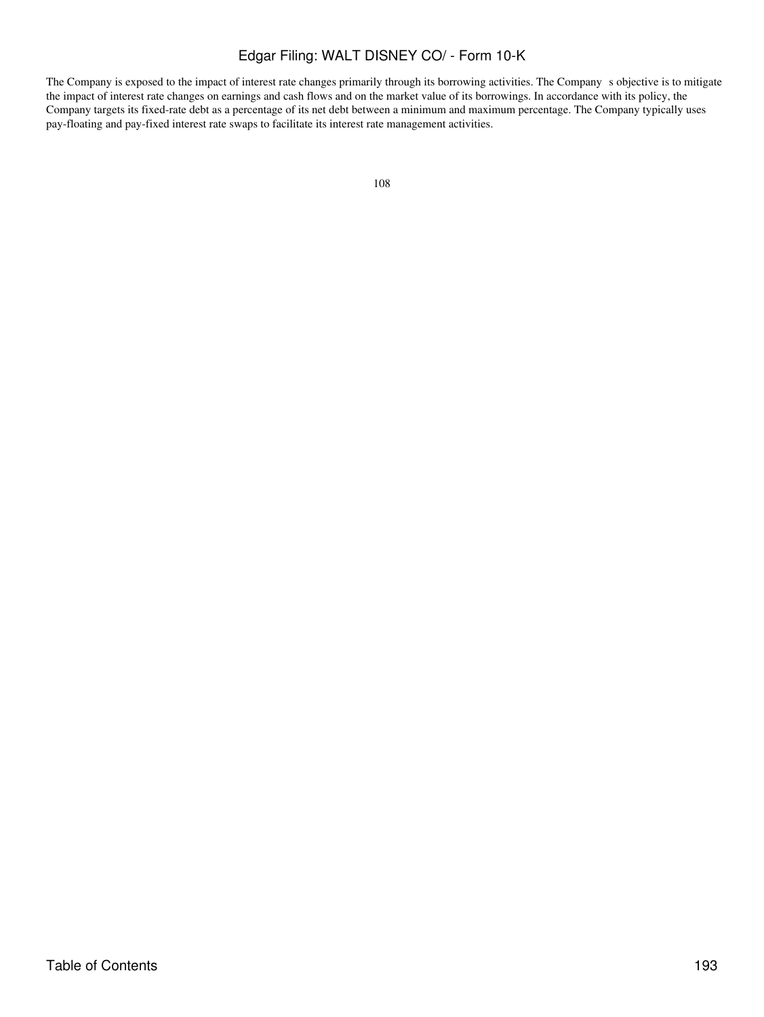The Company is exposed to the impact of interest rate changes primarily through its borrowing activities. The Company s objective is to mitigate the impact of interest rate changes on earnings and cash flows and on the market value of its borrowings. In accordance with its policy, the Company targets its fixed-rate debt as a percentage of its net debt between a minimum and maximum percentage. The Company typically uses pay-floating and pay-fixed interest rate swaps to facilitate its interest rate management activities.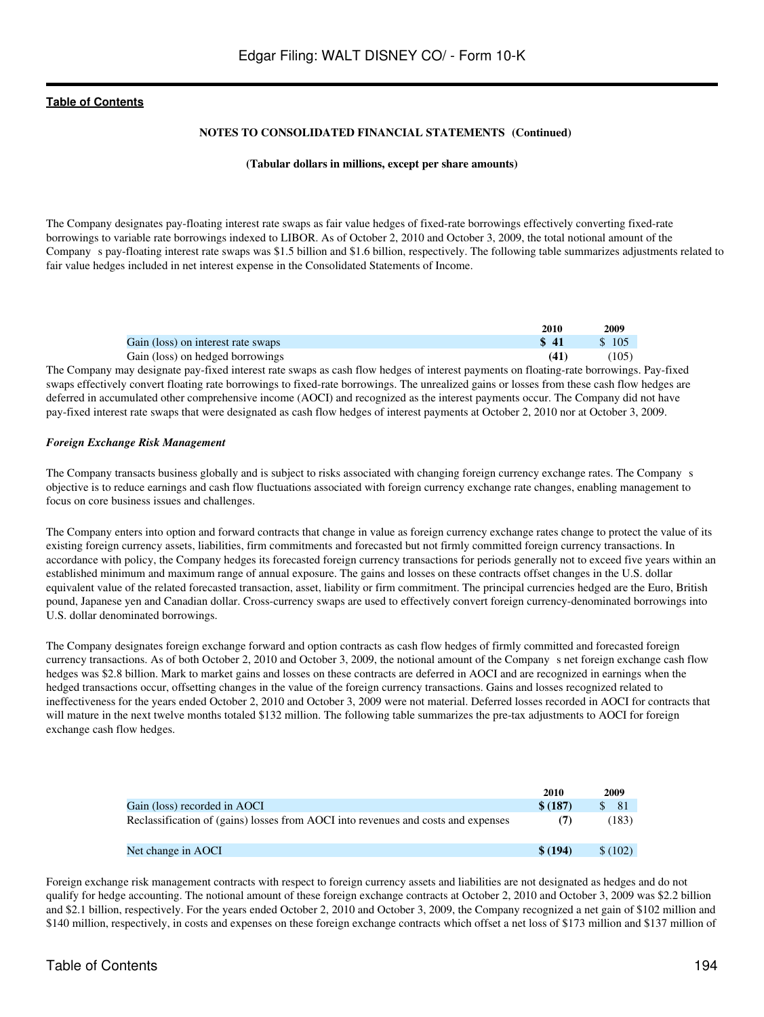# **NOTES TO CONSOLIDATED FINANCIAL STATEMENTS (Continued)**

#### **(Tabular dollars in millions, except per share amounts)**

The Company designates pay-floating interest rate swaps as fair value hedges of fixed-rate borrowings effectively converting fixed-rate borrowings to variable rate borrowings indexed to LIBOR. As of October 2, 2010 and October 3, 2009, the total notional amount of the Companys pay-floating interest rate swaps was \$1.5 billion and \$1.6 billion, respectively. The following table summarizes adjustments related to fair value hedges included in net interest expense in the Consolidated Statements of Income.

|                                    | 2010 | 2009   |
|------------------------------------|------|--------|
| Gain (loss) on interest rate swaps | \$41 | \$ 105 |
| Gain (loss) on hedged borrowings   | (41) | (105)  |

The Company may designate pay-fixed interest rate swaps as cash flow hedges of interest payments on floating-rate borrowings. Pay-fixed swaps effectively convert floating rate borrowings to fixed-rate borrowings. The unrealized gains or losses from these cash flow hedges are deferred in accumulated other comprehensive income (AOCI) and recognized as the interest payments occur. The Company did not have pay-fixed interest rate swaps that were designated as cash flow hedges of interest payments at October 2, 2010 nor at October 3, 2009.

## *Foreign Exchange Risk Management*

The Company transacts business globally and is subject to risks associated with changing foreign currency exchange rates. The Companys objective is to reduce earnings and cash flow fluctuations associated with foreign currency exchange rate changes, enabling management to focus on core business issues and challenges.

The Company enters into option and forward contracts that change in value as foreign currency exchange rates change to protect the value of its existing foreign currency assets, liabilities, firm commitments and forecasted but not firmly committed foreign currency transactions. In accordance with policy, the Company hedges its forecasted foreign currency transactions for periods generally not to exceed five years within an established minimum and maximum range of annual exposure. The gains and losses on these contracts offset changes in the U.S. dollar equivalent value of the related forecasted transaction, asset, liability or firm commitment. The principal currencies hedged are the Euro, British pound, Japanese yen and Canadian dollar. Cross-currency swaps are used to effectively convert foreign currency-denominated borrowings into U.S. dollar denominated borrowings.

The Company designates foreign exchange forward and option contracts as cash flow hedges of firmly committed and forecasted foreign currency transactions. As of both October 2, 2010 and October 3, 2009, the notional amount of the Companys net foreign exchange cash flow hedges was \$2.8 billion. Mark to market gains and losses on these contracts are deferred in AOCI and are recognized in earnings when the hedged transactions occur, offsetting changes in the value of the foreign currency transactions. Gains and losses recognized related to ineffectiveness for the years ended October 2, 2010 and October 3, 2009 were not material. Deferred losses recorded in AOCI for contracts that will mature in the next twelve months totaled \$132 million. The following table summarizes the pre-tax adjustments to AOCI for foreign exchange cash flow hedges.

|                                                                                   | 2010    | 2009                 |
|-----------------------------------------------------------------------------------|---------|----------------------|
| Gain (loss) recorded in AOCI                                                      | \$(187) | -81<br>$\mathcal{S}$ |
| Reclassification of (gains) losses from AOCI into revenues and costs and expenses | (7)     | (183                 |
| Net change in AOCI                                                                | \$(194) | \$(102)              |

Foreign exchange risk management contracts with respect to foreign currency assets and liabilities are not designated as hedges and do not qualify for hedge accounting. The notional amount of these foreign exchange contracts at October 2, 2010 and October 3, 2009 was \$2.2 billion and \$2.1 billion, respectively. For the years ended October 2, 2010 and October 3, 2009, the Company recognized a net gain of \$102 million and \$140 million, respectively, in costs and expenses on these foreign exchange contracts which offset a net loss of \$173 million and \$137 million of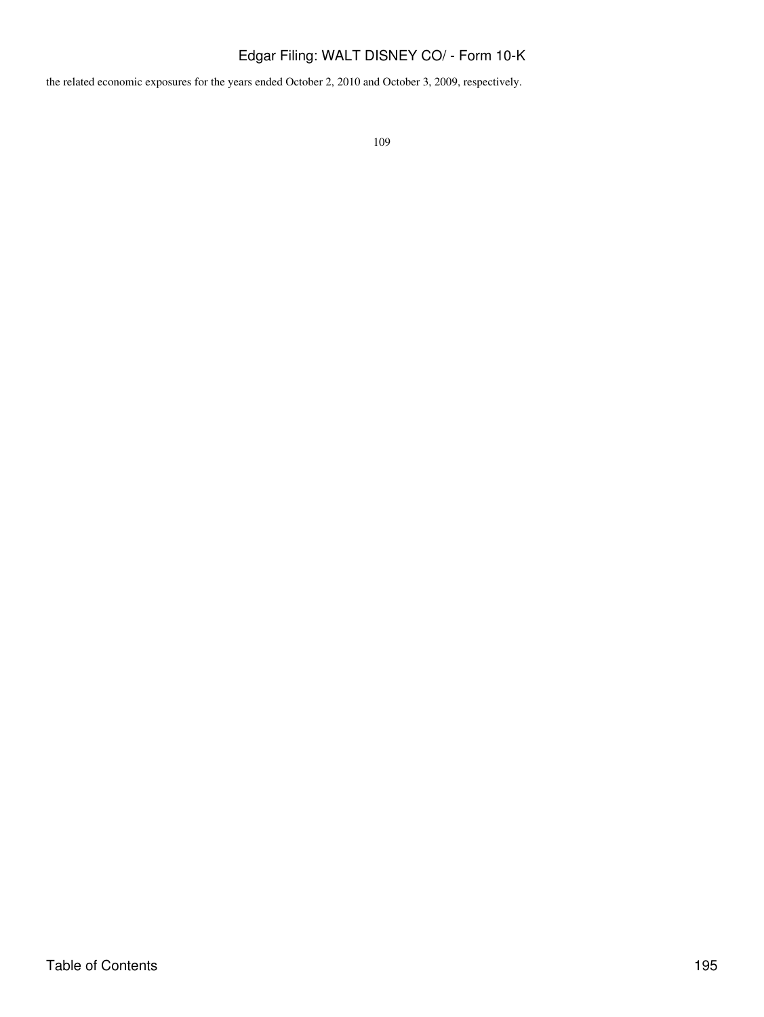the related economic exposures for the years ended October 2, 2010 and October 3, 2009, respectively.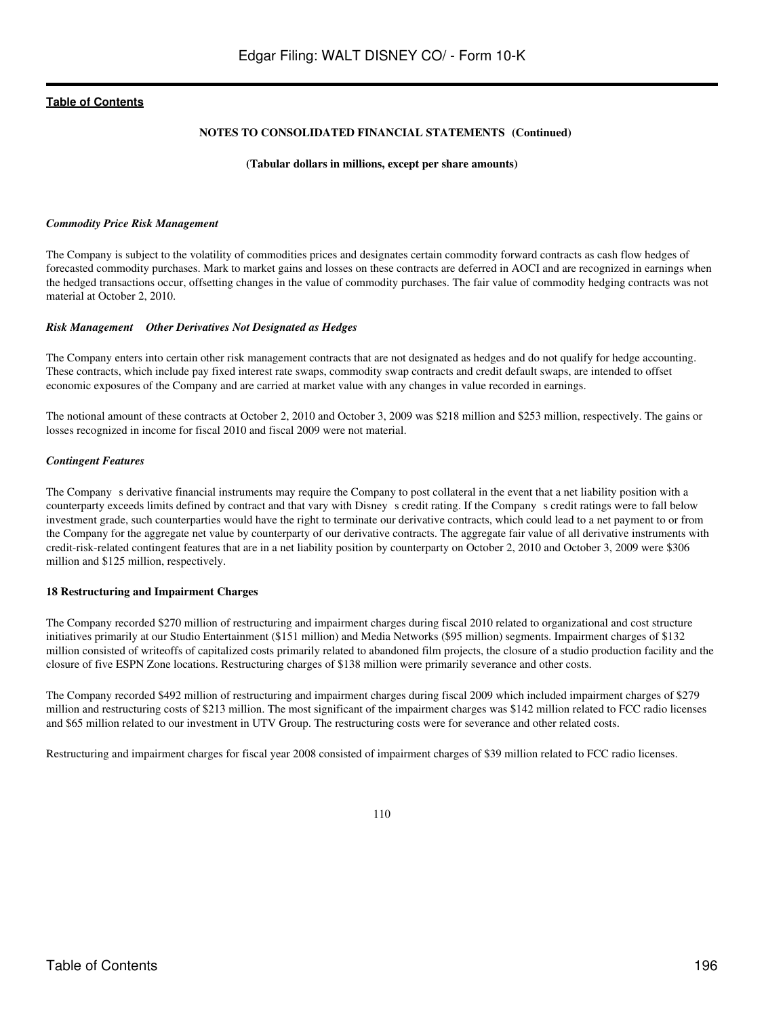# **NOTES TO CONSOLIDATED FINANCIAL STATEMENTS (Continued)**

#### **(Tabular dollars in millions, except per share amounts)**

#### *Commodity Price Risk Management*

The Company is subject to the volatility of commodities prices and designates certain commodity forward contracts as cash flow hedges of forecasted commodity purchases. Mark to market gains and losses on these contracts are deferred in AOCI and are recognized in earnings when the hedged transactions occur, offsetting changes in the value of commodity purchases. The fair value of commodity hedging contracts was not material at October 2, 2010.

## *Risk Management Other Derivatives Not Designated as Hedges*

The Company enters into certain other risk management contracts that are not designated as hedges and do not qualify for hedge accounting. These contracts, which include pay fixed interest rate swaps, commodity swap contracts and credit default swaps, are intended to offset economic exposures of the Company and are carried at market value with any changes in value recorded in earnings.

The notional amount of these contracts at October 2, 2010 and October 3, 2009 was \$218 million and \$253 million, respectively. The gains or losses recognized in income for fiscal 2010 and fiscal 2009 were not material.

### *Contingent Features*

The Company s derivative financial instruments may require the Company to post collateral in the event that a net liability position with a counterparty exceeds limits defined by contract and that vary with Disneys credit rating. If the Companys credit ratings were to fall below investment grade, such counterparties would have the right to terminate our derivative contracts, which could lead to a net payment to or from the Company for the aggregate net value by counterparty of our derivative contracts. The aggregate fair value of all derivative instruments with credit-risk-related contingent features that are in a net liability position by counterparty on October 2, 2010 and October 3, 2009 were \$306 million and \$125 million, respectively.

### **18 Restructuring and Impairment Charges**

The Company recorded \$270 million of restructuring and impairment charges during fiscal 2010 related to organizational and cost structure initiatives primarily at our Studio Entertainment (\$151 million) and Media Networks (\$95 million) segments. Impairment charges of \$132 million consisted of writeoffs of capitalized costs primarily related to abandoned film projects, the closure of a studio production facility and the closure of five ESPN Zone locations. Restructuring charges of \$138 million were primarily severance and other costs.

The Company recorded \$492 million of restructuring and impairment charges during fiscal 2009 which included impairment charges of \$279 million and restructuring costs of \$213 million. The most significant of the impairment charges was \$142 million related to FCC radio licenses and \$65 million related to our investment in UTV Group. The restructuring costs were for severance and other related costs.

Restructuring and impairment charges for fiscal year 2008 consisted of impairment charges of \$39 million related to FCC radio licenses.